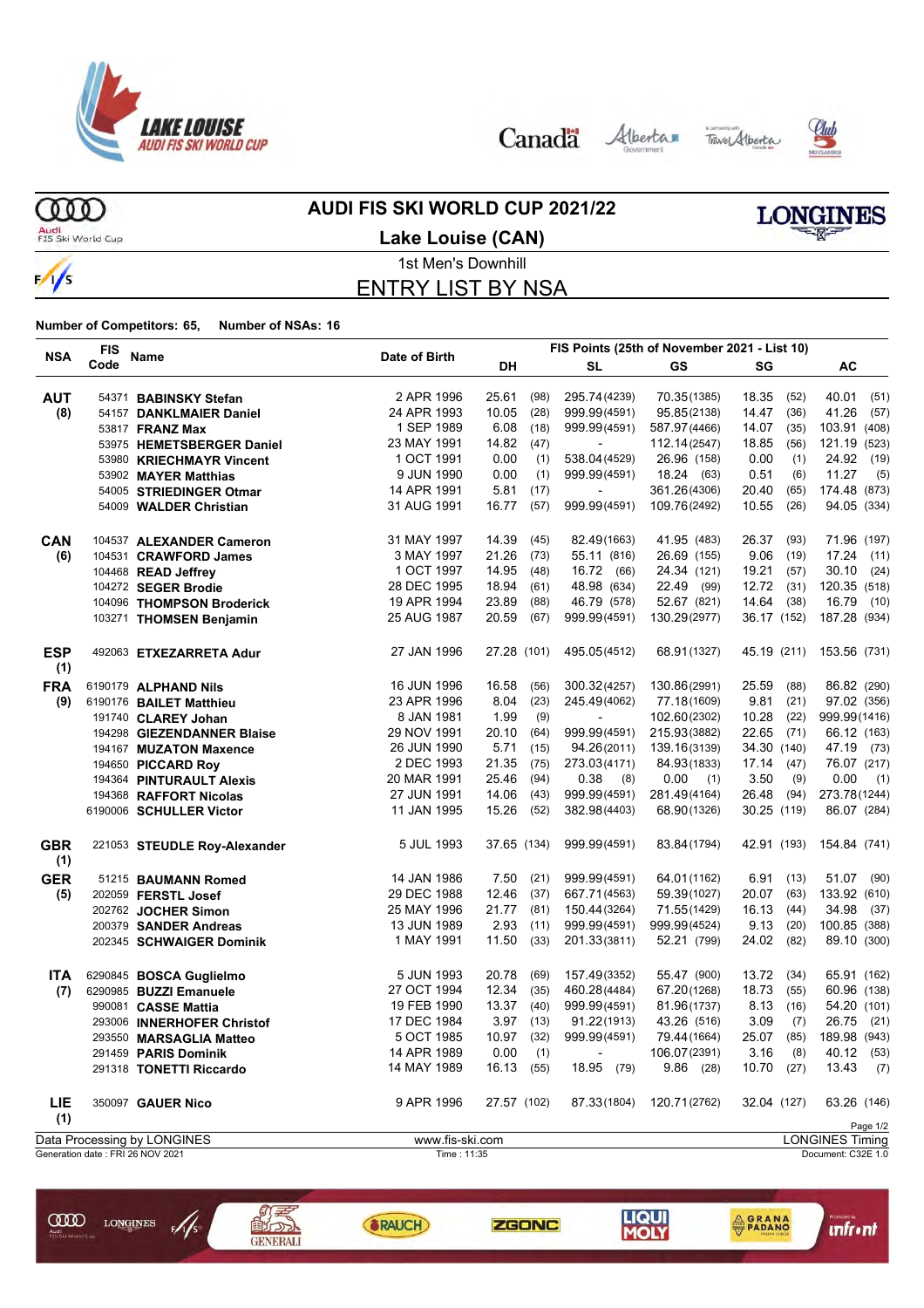

Canada Alberta Tave Alberta





ത്ത Audi<br>FIS Ski World Cup

 $\frac{1}{s}$ 

#### **AUDI FIS SKI WORLD CUP 2021/22**



**Lake Louise (CAN)**

#### 1st Men's Downhill ENTRY LIST BY NSA

| <b>NSA</b>        | <b>FIS</b> |                                  |                 |             | FIS Points (25th of November 2021 - List 10) |                   |                          |              |            |                        |
|-------------------|------------|----------------------------------|-----------------|-------------|----------------------------------------------|-------------------|--------------------------|--------------|------------|------------------------|
|                   | Code       | Name                             | Date of Birth   | DH          |                                              | <b>SL</b>         | <b>GS</b>                | SG           |            | AC                     |
| <b>AUT</b>        |            | 54371 BABINSKY Stefan            | 2 APR 1996      | 25.61       | (98)                                         | 295.74 (4239)     | 70.35(1385)              | 18.35        | (52)       | 40.01<br>(51)          |
| (8)               |            | 54157 DANKLMAIER Daniel          | 24 APR 1993     | 10.05       | (28)                                         | 999.99(4591)      | 95.85(2138)              | 14.47        | (36)       | 41.26<br>(57)          |
|                   |            | 53817 <b>FRANZ Max</b>           | 1 SEP 1989      | 6.08        | (18)                                         | 999.99(4591)      | 587.97 (4466)            | 14.07        | (35)       | 103.91 (408)           |
|                   |            | 53975 HEMETSBERGER Daniel        | 23 MAY 1991     | 14.82       | (47)                                         | $\blacksquare$    | 112.14(2547)             | 18.85        | (56)       | 121.19 (523)           |
|                   |            | 53980 KRIECHMAYR Vincent         | 1 OCT 1991      | 0.00        | (1)                                          | 538.04 (4529)     | 26.96 (158)              | 0.00         | (1)        | 24.92<br>(19)          |
|                   |            | 53902 MAYER Matthias             | 9 JUN 1990      | 0.00        | (1)                                          | 999.99(4591)      | 18.24 (63)               | 0.51         | (6)        | 11.27<br>(5)           |
|                   |            | 54005 STRIEDINGER Otmar          | 14 APR 1991     | 5.81        | (17)                                         | $\blacksquare$    | 361.26(4306)             | 20.40        | (65)       | 174.48 (873)           |
|                   |            | 54009 WALDER Christian           | 31 AUG 1991     | 16.77       | (57)                                         | 999.99(4591)      | 109.76(2492)             | 10.55        | (26)       | 94.05 (334)            |
| CAN               |            | 104537 ALEXANDER Cameron         | 31 MAY 1997     | 14.39       | (45)                                         | 82.49(1663)       | 41.95 (483)              | 26.37        | (93)       | 71.96 (197)            |
| (6)               |            | 104531 CRAWFORD James            | 3 MAY 1997      | 21.26       | (73)                                         | 55.11 (816)       | 26.69 (155)              | 9.06         | (19)       | 17.24 (11)             |
|                   |            | 104468 READ Jeffrey              | 1 OCT 1997      | 14.95       | (48)                                         | 16.72 (66)        | 24.34 (121)              | 19.21        | (57)       | 30.10<br>(24)          |
|                   |            | 104272 SEGER Brodie              | 28 DEC 1995     | 18.94       | (61)                                         | 48.98 (634)       | 22.49 (99)               | $12.72$ (31) |            | 120.35 (518)           |
|                   |            | 104096 THOMPSON Broderick        | 19 APR 1994     | 23.89       | (88)                                         | 46.79 (578)       | 52.67 (821)              | 14.64 (38)   |            | 16.79<br>(10)          |
|                   |            | 103271 THOMSEN Benjamin          | 25 AUG 1987     | 20.59       | (67)                                         | 999.99(4591)      | 130.29(2977)             | 36.17 (152)  |            | 187.28 (934)           |
| <b>ESP</b><br>(1) |            | 492063 ETXEZARRETA Adur          | 27 JAN 1996     | 27.28 (101) |                                              | 495.05(4512)      | 68.91(1327)              | 45.19 (211)  |            | 153.56 (731)           |
| <b>FRA</b>        |            | 6190179 ALPHAND Nils             | 16 JUN 1996     | 16.58       | (56)                                         | 300.32(4257)      | 130.86(2991)             | 25.59        | (88)       | 86.82 (290)            |
| (9)               |            | 6190176 BAILET Matthieu          | 23 APR 1996     | 8.04        | (23)                                         | 245.49(4062)      | 77.18(1609)              | 9.81         | (21)       | 97.02 (356)            |
|                   |            |                                  | 8 JAN 1981      | 1.99        | (9)                                          |                   | 102.60(2302)             | 10.28        | (22)       | 999.99(1416)           |
|                   |            | 191740 CLAREY Johan              | 29 NOV 1991     | 20.10       | (64)                                         | 999.99(4591)      | 215.93(3882)             | 22.65 (71)   |            | 66.12 (163)            |
|                   |            | 194298 GIEZENDANNER Blaise       | 26 JUN 1990     | 5.71        | (15)                                         | 94.26(2011)       | 139.16(3139)             | 34.30 (140)  |            | 47.19 (73)             |
|                   |            | 194167 MUZATON Maxence           |                 |             |                                              |                   | 84.93(1833)              |              |            |                        |
|                   |            | 194650 PICCARD Roy               | 2 DEC 1993      | 21.35       | (75)                                         | 273.03(4171)      |                          | $17.14$ (47) |            | 76.07 (217)            |
|                   |            | 194364 PINTURAULT Alexis         | 20 MAR 1991     | 25.46       | (94)                                         | 0.38<br>(8)       | 0.00<br>(1)              | 3.50         | (9)        | 0.00<br>(1)            |
|                   |            | 194368 RAFFORT Nicolas           | 27 JUN 1991     | 14.06       | (43)                                         | 999.99(4591)      | 281.49(4164)             | 26.48        | (94)       | 273.78(1244)           |
|                   |            | 6190006 SCHULLER Victor          | 11 JAN 1995     | 15.26       | (52)                                         | 382.98(4403)      | 68.90(1326)              | 30.25 (119)  |            | 86.07 (284)            |
| <b>GBR</b><br>(1) |            | 221053 STEUDLE Roy-Alexander     | 5 JUL 1993      | 37.65 (134) |                                              | 999.99(4591)      | 83.84(1794)              | 42.91 (193)  |            | 154.84 (741)           |
| <b>GER</b>        |            | 51215 BAUMANN Romed              | 14 JAN 1986     | 7.50        | (21)                                         | 999.99(4591)      | 64.01(1162)              |              | 6.91(13)   | 51.07 (90)             |
| (5)               |            | 202059 FERSTL Josef              | 29 DEC 1988     | 12.46       | (37)                                         | 667.71(4563)      | 59.39(1027)              | 20.07        | (63)       | 133.92 (610)           |
|                   |            | 202762 JOCHER Simon              | 25 MAY 1996     | 21.77       | (81)                                         | 150.44(3264)      | 71.55(1429)              | 16.13        | (44)       | 34.98 (37)             |
|                   |            | 200379 SANDER Andreas            | 13 JUN 1989     | 2.93        | (11)                                         | 999.99(4591)      | 999.99(4524)             | 9.13         | (20)       | 100.85 (388)           |
|                   |            | 202345 SCHWAIGER Dominik         | 1 MAY 1991      | 11.50       | (33)                                         | 201.33(3811)      | 52.21 (799)              | 24.02        | (82)       | 89.10 (300)            |
| <b>ITA</b>        |            | 6290845 BOSCA Guglielmo          | 5 JUN 1993      | 20.78       | (69)                                         | 157.49(3352)      | 55.47 (900)              | 13.72        | (34)       | 65.91 (162)            |
| (7)               |            | 6290985 BUZZI Emanuele           | 27 OCT 1994     | 12.34       | (35)                                         | 460.28(4484)      | 67.20(1268)              | 18.73        | (55)       | 60.96 (138)            |
|                   |            | 990081 CASSE Mattia              | 19 FEB 1990     | 13.37       | (40)                                         | 999.99(4591)      | 81.96(1737)              | 8.13         | (16)       | 54.20 (101)            |
|                   |            | 293006 INNERHOFER Christof       | 17 DEC 1984     | 3.97        | (13)                                         | 91.22(1913)       | 43.26 (516)              | 3.09         | (7)        | 26.75 (21)             |
|                   |            | 293550 MARSAGLIA Matteo          | 5 OCT 1985      | 10.97       | (32)                                         | 999.99(4591)      | 79.44 (1664)             | 25.07        | (85)       | 189.98 (943)           |
|                   |            | 291459 PARIS Dominik             | 14 APR 1989     | $0.00$ (1)  |                                              | <b>Contractor</b> | 106.07(2391)             |              | $3.16$ (8) | 40.12 (53)             |
|                   |            | 291318 TONETTI Riccardo          | 14 MAY 1989     | 16.13 (55)  |                                              | 18.95 (79)        | $9.86$ (28)              | 10.70(27)    |            | $13.43$ (7)            |
| <b>LIE</b><br>(1) |            | 350097 GAUER Nico                | 9 APR 1996      | 27.57 (102) |                                              |                   | 87.33(1804) 120.71(2762) | 32.04 (127)  |            | 63.26 (146)            |
|                   |            |                                  |                 |             |                                              |                   |                          |              |            | Page 1/2               |
|                   |            | Data Processing by LONGINES      | www.fis-ski.com |             |                                              |                   |                          |              |            | <b>LONGINES Timing</b> |
|                   |            | Generation date: FRI 26 NOV 2021 | Time: 11:35     |             |                                              |                   |                          |              |            | Document: C32E 1.0     |







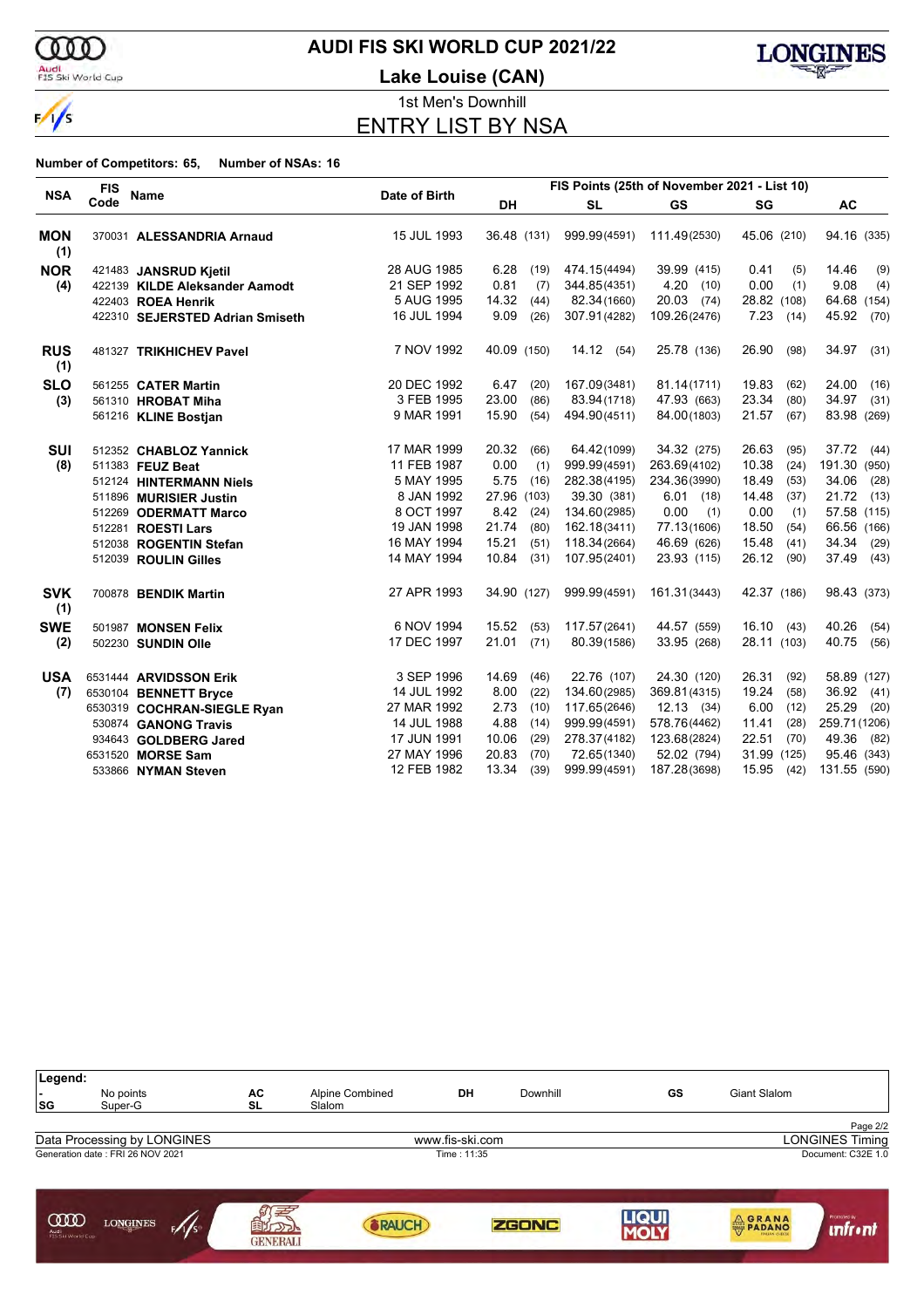

#### Audi<br>FIS Ski World Cup

### **AUDI FIS SKI WORLD CUP 2021/22**

**Lake Louise (CAN)**



1st Men's Downhill ENTRY LIST BY NSA

| <b>NSA</b>        | FIS Points (25th of November 2021 - List 10)<br><b>FIS</b><br>Name<br>Date of Birth |                                 |             |             |      |              |              |               |                 |
|-------------------|-------------------------------------------------------------------------------------|---------------------------------|-------------|-------------|------|--------------|--------------|---------------|-----------------|
|                   | Code                                                                                |                                 |             | <b>DH</b>   |      | <b>SL</b>    | <b>GS</b>    | SG            | <b>AC</b>       |
| <b>MON</b><br>(1) |                                                                                     | 370031 ALESSANDRIA Arnaud       | 15 JUL 1993 | 36.48 (131) |      | 999.99(4591) | 111.49(2530) | 45.06 (210)   | 94.16 (335)     |
| <b>NOR</b>        |                                                                                     | 421483 JANSRUD Kjetil           | 28 AUG 1985 | 6.28        | (19) | 474.15(4494) | 39.99 (415)  | 0.41<br>(5)   | 14.46<br>(9)    |
| (4)               |                                                                                     | 422139 KILDE Aleksander Aamodt  | 21 SEP 1992 | 0.81        | (7)  | 344.85(4351) | 4.20(10)     | 0.00<br>(1)   | 9.08<br>(4)     |
|                   |                                                                                     | 422403 ROEA Henrik              | 5 AUG 1995  | 14.32       | (44) | 82.34(1660)  | 20.03 (74)   | 28.82 (108)   | 64.68 (154)     |
|                   |                                                                                     | 422310 SEJERSTED Adrian Smiseth | 16 JUL 1994 | 9.09        | (26) | 307.91(4282) | 109.26(2476) | 7.23(14)      | 45.92<br>(70)   |
| <b>RUS</b><br>(1) |                                                                                     | 481327 TRIKHICHEV Pavel         | 7 NOV 1992  | 40.09 (150) |      | 14.12(54)    | 25.78 (136)  | 26.90<br>(98) | 34.97<br>(31)   |
| <b>SLO</b>        |                                                                                     | 561255 CATER Martin             | 20 DEC 1992 | 6.47        | (20) | 167.09(3481) | 81.14(1711)  | 19.83<br>(62) | 24.00<br>(16)   |
| (3)               |                                                                                     | 561310 HROBAT Miha              | 3 FEB 1995  | 23.00       | (86) | 83.94(1718)  | 47.93 (663)  | 23.34<br>(80) | 34.97<br>(31)   |
|                   |                                                                                     | 561216 KLINE Bostjan            | 9 MAR 1991  | 15.90       | (54) | 494.90(4511) | 84.00(1803)  | 21.57<br>(67) | 83.98 (269)     |
| <b>SUI</b>        |                                                                                     | 512352 CHABLOZ Yannick          | 17 MAR 1999 | 20.32       | (66) | 64.42(1099)  | 34.32 (275)  | 26.63<br>(95) | 37.72<br>(44)   |
| (8)               |                                                                                     | 511383 FEUZ Beat                | 11 FEB 1987 | 0.00        | (1)  | 999.99(4591) | 263.69(4102) | 10.38<br>(24) | 191.30<br>(950) |
|                   |                                                                                     | 512124 HINTERMANN Niels         | 5 MAY 1995  | 5.75        | (16) | 282.38(4195) | 234.36(3990) | 18.49<br>(53) | 34.06<br>(28)   |
|                   |                                                                                     | 511896 MURISIER Justin          | 8 JAN 1992  | 27.96 (103) |      | 39.30 (381)  | $6.01$ (18)  | 14.48<br>(37) | 21.72<br>(13)   |
|                   |                                                                                     | 512269 ODERMATT Marco           | 8 OCT 1997  | 8.42        | (24) | 134.60(2985) | 0.00<br>(1)  | 0.00<br>(1)   | 57.58 (115)     |
|                   |                                                                                     | 512281 ROESTI Lars              | 19 JAN 1998 | 21.74       | (80) | 162.18(3411) | 77.13(1606)  | 18.50<br>(54) | 66.56 (166)     |
|                   |                                                                                     | 512038 ROGENTIN Stefan          | 16 MAY 1994 | 15.21       | (51) | 118.34(2664) | 46.69 (626)  | 15.48<br>(41) | 34.34<br>(29)   |
|                   |                                                                                     | 512039 ROULIN Gilles            | 14 MAY 1994 | 10.84       | (31) | 107.95(2401) | 23.93 (115)  | 26.12 (90)    | 37.49<br>(43)   |
| <b>SVK</b><br>(1) |                                                                                     | 700878 BENDIK Martin            | 27 APR 1993 | 34.90 (127) |      | 999.99(4591) | 161.31(3443) | 42.37 (186)   | 98.43 (373)     |
| <b>SWE</b>        |                                                                                     | 501987 MONSEN Felix             | 6 NOV 1994  | 15.52       | (53) | 117.57(2641) | 44.57 (559)  | 16.10(43)     | 40.26<br>(54)   |
| (2)               |                                                                                     | 502230 SUNDIN Olle              | 17 DEC 1997 | 21.01       | (71) | 80.39(1586)  | 33.95 (268)  | 28.11 (103)   | 40.75<br>(56)   |
| <b>USA</b>        |                                                                                     | 6531444 ARVIDSSON Erik          | 3 SEP 1996  | 14.69       | (46) | 22.76 (107)  | 24.30 (120)  | 26.31<br>(92) | 58.89 (127)     |
| (7)               |                                                                                     | 6530104 BENNETT Bryce           | 14 JUL 1992 | 8.00        | (22) | 134.60(2985) | 369.81(4315) | 19.24<br>(58) | 36.92<br>(41)   |
|                   |                                                                                     | 6530319 COCHRAN-SIEGLE Ryan     | 27 MAR 1992 | 2.73        | (10) | 117.65(2646) | 12.13(34)    | 6.00<br>(12)  | 25.29<br>(20)   |
|                   |                                                                                     | 530874 GANONG Travis            | 14 JUL 1988 | 4.88        | (14) | 999.99(4591) | 578.76(4462) | 11.41<br>(28) | 259.71 (1206)   |
|                   |                                                                                     | 934643 GOLDBERG Jared           | 17 JUN 1991 | 10.06       | (29) | 278.37(4182) | 123.68(2824) | 22.51<br>(70) | 49.36<br>(82)   |
|                   |                                                                                     | 6531520 MORSE Sam               | 27 MAY 1996 | 20.83       | (70) | 72.65(1340)  | 52.02 (794)  | 31.99 (125)   | 95.46 (343)     |
|                   |                                                                                     | 533866 NYMAN Steven             | 12 FEB 1982 | 13.34       | (39) | 999.99(4591) | 187.28(3698) | 15.95<br>(42) | 131.55 (590)    |

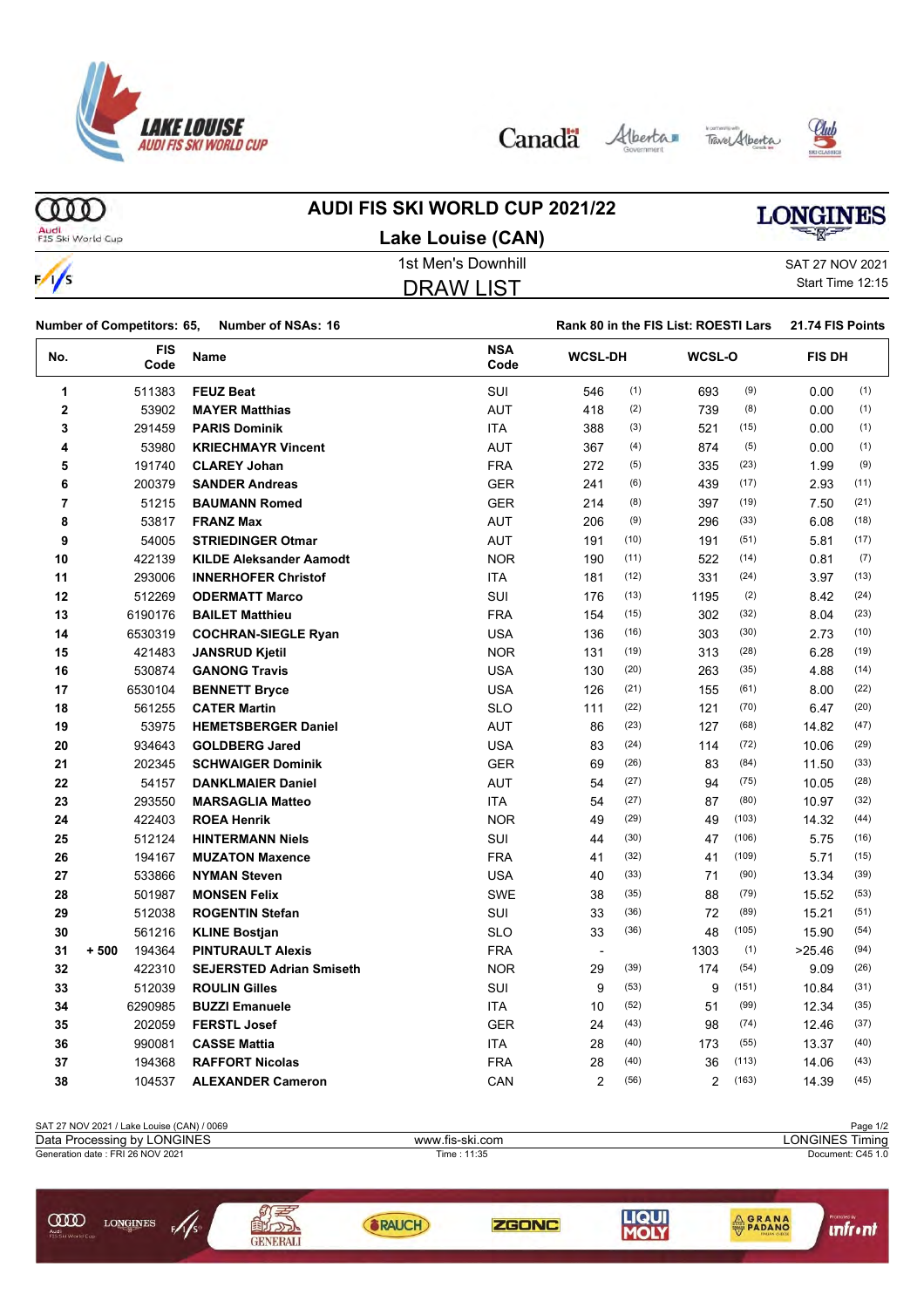

Canada Alberta Tave Alberta





**COD AUDI FIS SKI WORLD CUP 2021/22 LONGINES** Audi<br>FIS Ski World Cup **Lake Louise (CAN)** 1st Men's Downhill SAT 27 NOV 2021  $\sqrt{}$ Start Time 12:15 DRAW LIST

|     | <b>Number of Competitors: 65,</b><br><b>Number of NSAs: 16</b> |                                 |                    | Rank 80 in the FIS List: ROESTI Lars |      |                |       | 21.74 FIS Points |      |  |
|-----|----------------------------------------------------------------|---------------------------------|--------------------|--------------------------------------|------|----------------|-------|------------------|------|--|
| No. | <b>FIS</b><br>Code                                             | <b>Name</b>                     | <b>NSA</b><br>Code | <b>WCSL-DH</b>                       |      | WCSL-O         |       | <b>FIS DH</b>    |      |  |
| 1   | 511383                                                         | <b>FEUZ Beat</b>                | <b>SUI</b>         | 546                                  | (1)  | 693            | (9)   | 0.00             | (1)  |  |
| 2   | 53902                                                          | <b>MAYER Matthias</b>           | <b>AUT</b>         | 418                                  | (2)  | 739            | (8)   | 0.00             | (1)  |  |
| 3   | 291459                                                         | <b>PARIS Dominik</b>            | <b>ITA</b>         | 388                                  | (3)  | 521            | (15)  | 0.00             | (1)  |  |
| 4   | 53980                                                          | <b>KRIECHMAYR Vincent</b>       | <b>AUT</b>         | 367                                  | (4)  | 874            | (5)   | 0.00             | (1)  |  |
| 5   | 191740                                                         | <b>CLAREY Johan</b>             | <b>FRA</b>         | 272                                  | (5)  | 335            | (23)  | 1.99             | (9)  |  |
| 6   | 200379                                                         | <b>SANDER Andreas</b>           | <b>GER</b>         | 241                                  | (6)  | 439            | (17)  | 2.93             | (11) |  |
| 7   | 51215                                                          | <b>BAUMANN Romed</b>            | <b>GER</b>         | 214                                  | (8)  | 397            | (19)  | 7.50             | (21) |  |
| 8   | 53817                                                          | <b>FRANZ Max</b>                | <b>AUT</b>         | 206                                  | (9)  | 296            | (33)  | 6.08             | (18) |  |
| 9   | 54005                                                          | <b>STRIEDINGER Otmar</b>        | <b>AUT</b>         | 191                                  | (10) | 191            | (51)  | 5.81             | (17) |  |
| 10  | 422139                                                         | <b>KILDE Aleksander Aamodt</b>  | <b>NOR</b>         | 190                                  | (11) | 522            | (14)  | 0.81             | (7)  |  |
| 11  | 293006                                                         | <b>INNERHOFER Christof</b>      | <b>ITA</b>         | 181                                  | (12) | 331            | (24)  | 3.97             | (13) |  |
| 12  | 512269                                                         | <b>ODERMATT Marco</b>           | SUI                | 176                                  | (13) | 1195           | (2)   | 8.42             | (24) |  |
| 13  | 6190176                                                        | <b>BAILET Matthieu</b>          | <b>FRA</b>         | 154                                  | (15) | 302            | (32)  | 8.04             | (23) |  |
| 14  | 6530319                                                        | <b>COCHRAN-SIEGLE Ryan</b>      | <b>USA</b>         | 136                                  | (16) | 303            | (30)  | 2.73             | (10) |  |
| 15  | 421483                                                         | <b>JANSRUD Kjetil</b>           | <b>NOR</b>         | 131                                  | (19) | 313            | (28)  | 6.28             | (19) |  |
| 16  | 530874                                                         | <b>GANONG Travis</b>            | <b>USA</b>         | 130                                  | (20) | 263            | (35)  | 4.88             | (14) |  |
| 17  | 6530104                                                        | <b>BENNETT Bryce</b>            | <b>USA</b>         | 126                                  | (21) | 155            | (61)  | 8.00             | (22) |  |
| 18  | 561255                                                         | <b>CATER Martin</b>             | <b>SLO</b>         | 111                                  | (22) | 121            | (70)  | 6.47             | (20) |  |
| 19  | 53975                                                          | <b>HEMETSBERGER Daniel</b>      | <b>AUT</b>         | 86                                   | (23) | 127            | (68)  | 14.82            | (47) |  |
| 20  | 934643                                                         | <b>GOLDBERG Jared</b>           | <b>USA</b>         | 83                                   | (24) | 114            | (72)  | 10.06            | (29) |  |
| 21  | 202345                                                         | <b>SCHWAIGER Dominik</b>        | <b>GER</b>         | 69                                   | (26) | 83             | (84)  | 11.50            | (33) |  |
| 22  | 54157                                                          | <b>DANKLMAIER Daniel</b>        | <b>AUT</b>         | 54                                   | (27) | 94             | (75)  | 10.05            | (28) |  |
| 23  | 293550                                                         | <b>MARSAGLIA Matteo</b>         | ITA                | 54                                   | (27) | 87             | (80)  | 10.97            | (32) |  |
| 24  | 422403                                                         | <b>ROEA Henrik</b>              | <b>NOR</b>         | 49                                   | (29) | 49             | (103) | 14.32            | (44) |  |
| 25  | 512124                                                         | <b>HINTERMANN Niels</b>         | <b>SUI</b>         | 44                                   | (30) | 47             | (106) | 5.75             | (16) |  |
| 26  | 194167                                                         | <b>MUZATON Maxence</b>          | <b>FRA</b>         | 41                                   | (32) | 41             | (109) | 5.71             | (15) |  |
| 27  | 533866                                                         | <b>NYMAN Steven</b>             | <b>USA</b>         | 40                                   | (33) | 71             | (90)  | 13.34            | (39) |  |
| 28  | 501987                                                         | <b>MONSEN Felix</b>             | <b>SWE</b>         | 38                                   | (35) | 88             | (79)  | 15.52            | (53) |  |
| 29  | 512038                                                         | <b>ROGENTIN Stefan</b>          | SUI                | 33                                   | (36) | 72             | (89)  | 15.21            | (51) |  |
| 30  | 561216                                                         | <b>KLINE Bostjan</b>            | <b>SLO</b>         | 33                                   | (36) | 48             | (105) | 15.90            | (54) |  |
| 31  | $+500$<br>194364                                               | <b>PINTURAULT Alexis</b>        | <b>FRA</b>         | $\blacksquare$                       |      | 1303           | (1)   | >25.46           | (94) |  |
| 32  | 422310                                                         | <b>SEJERSTED Adrian Smiseth</b> | <b>NOR</b>         | 29                                   | (39) | 174            | (54)  | 9.09             | (26) |  |
| 33  | 512039                                                         | <b>ROULIN Gilles</b>            | SUI                | 9                                    | (53) | 9              | (151) | 10.84            | (31) |  |
| 34  | 6290985                                                        | <b>BUZZI Emanuele</b>           | <b>ITA</b>         | 10                                   | (52) | 51             | (99)  | 12.34            | (35) |  |
| 35  | 202059                                                         | <b>FERSTL Josef</b>             | <b>GER</b>         | 24                                   | (43) | 98             | (74)  | 12.46            | (37) |  |
| 36  | 990081                                                         | <b>CASSE Mattia</b>             | <b>ITA</b>         | 28                                   | (40) | 173            | (55)  | 13.37            | (40) |  |
| 37  | 194368                                                         | <b>RAFFORT Nicolas</b>          | <b>FRA</b>         | 28                                   | (40) | 36             | (113) | 14.06            | (43) |  |
| 38  | 104537                                                         | <b>ALEXANDER Cameron</b>        | CAN                | $\overline{2}$                       | (56) | $\overline{2}$ | (163) | 14.39            | (45) |  |

| SAT 27 NOV 2021 / Lake Louise (CAN) / 0069                  |                 |                                           |              |       |                         | Page 1/2 |  |  |  |
|-------------------------------------------------------------|-----------------|-------------------------------------------|--------------|-------|-------------------------|----------|--|--|--|
| Data Processing by LONGINES                                 |                 | <b>LONGINES Timing</b><br>www.fis-ski.com |              |       |                         |          |  |  |  |
| Generation date: FRI 26 NOV 2021                            |                 |                                           | Time: 11:35  |       | Document: C45 1.0       |          |  |  |  |
| ŒŒ<br><b>LONGINES</b><br>F/1/s<br>Audi<br>FIS Ski World Cup | <b>GENERALI</b> | RAUCH                                     | <b>ZGONC</b> | LIQUI | <b>AGRANA</b><br>PADANO |          |  |  |  |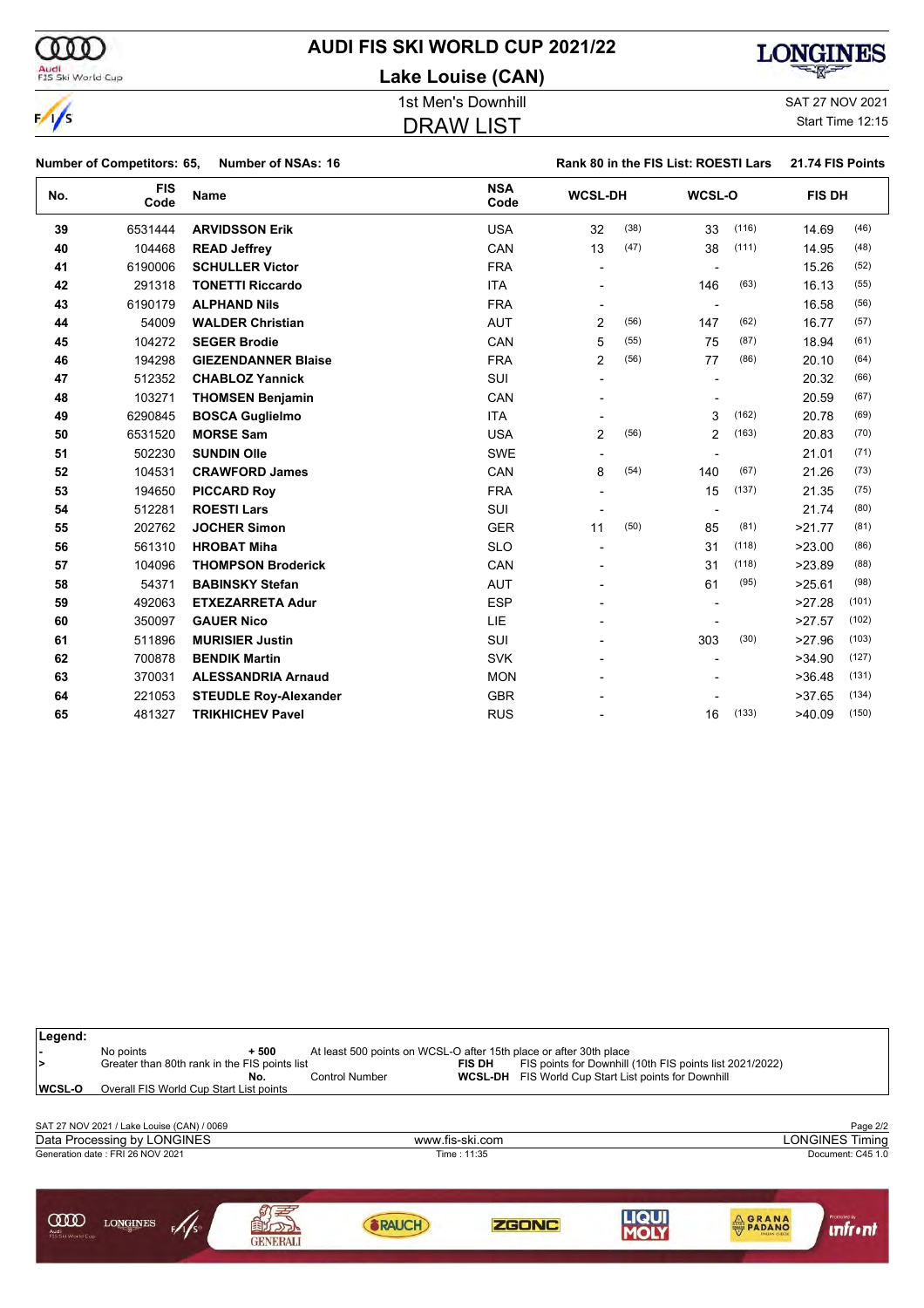

## **AUDI FIS SKI WORLD CUP 2021/22**

**Lake Louise (CAN)**



DRAW LIST

1st Men's Downhill and SAT 27 NOV 2021

Start Time 12:15

|     | Number of Competitors: 65, | <b>Number of NSAs: 16</b>    |                    |                |      | Rank 80 in the FIS List: ROESTI Lars |       | 21.74 FIS Points |       |
|-----|----------------------------|------------------------------|--------------------|----------------|------|--------------------------------------|-------|------------------|-------|
| No. | <b>FIS</b><br>Code         | <b>Name</b>                  | <b>NSA</b><br>Code | <b>WCSL-DH</b> |      | WCSL-O                               |       | <b>FIS DH</b>    |       |
| 39  | 6531444                    | <b>ARVIDSSON Erik</b>        | <b>USA</b>         | 32             | (38) | 33                                   | (116) | 14.69            | (46)  |
| 40  | 104468                     | <b>READ Jeffrey</b>          | CAN                | 13             | (47) | 38                                   | (111) | 14.95            | (48)  |
| 41  | 6190006                    | <b>SCHULLER Victor</b>       | <b>FRA</b>         | $\blacksquare$ |      | $\overline{\phantom{a}}$             |       | 15.26            | (52)  |
| 42  | 291318                     | <b>TONETTI Riccardo</b>      | <b>ITA</b>         |                |      | 146                                  | (63)  | 16.13            | (55)  |
| 43  | 6190179                    | <b>ALPHAND Nils</b>          | <b>FRA</b>         |                |      | $\blacksquare$                       |       | 16.58            | (56)  |
| 44  | 54009                      | <b>WALDER Christian</b>      | <b>AUT</b>         | $\overline{2}$ | (56) | 147                                  | (62)  | 16.77            | (57)  |
| 45  | 104272                     | <b>SEGER Brodie</b>          | CAN                | 5              | (55) | 75                                   | (87)  | 18.94            | (61)  |
| 46  | 194298                     | <b>GIEZENDANNER Blaise</b>   | <b>FRA</b>         | 2              | (56) | 77                                   | (86)  | 20.10            | (64)  |
| 47  | 512352                     | <b>CHABLOZ Yannick</b>       | SUI                |                |      |                                      |       | 20.32            | (66)  |
| 48  | 103271                     | <b>THOMSEN Benjamin</b>      | CAN                |                |      |                                      |       | 20.59            | (67)  |
| 49  | 6290845                    | <b>BOSCA Guglielmo</b>       | <b>ITA</b>         |                |      | 3                                    | (162) | 20.78            | (69)  |
| 50  | 6531520                    | <b>MORSE Sam</b>             | <b>USA</b>         | $\overline{2}$ | (56) | 2                                    | (163) | 20.83            | (70)  |
| 51  | 502230                     | <b>SUNDIN Olle</b>           | <b>SWE</b>         |                |      |                                      |       | 21.01            | (71)  |
| 52  | 104531                     | <b>CRAWFORD James</b>        | CAN                | 8              | (54) | 140                                  | (67)  | 21.26            | (73)  |
| 53  | 194650                     | <b>PICCARD Roy</b>           | <b>FRA</b>         |                |      | 15                                   | (137) | 21.35            | (75)  |
| 54  | 512281                     | <b>ROESTI Lars</b>           | SUI                |                |      | $\blacksquare$                       |       | 21.74            | (80)  |
| 55  | 202762                     | <b>JOCHER Simon</b>          | <b>GER</b>         | 11             | (50) | 85                                   | (81)  | >21.77           | (81)  |
| 56  | 561310                     | <b>HROBAT Miha</b>           | <b>SLO</b>         |                |      | 31                                   | (118) | >23.00           | (86)  |
| 57  | 104096                     | <b>THOMPSON Broderick</b>    | CAN                |                |      | 31                                   | (118) | >23.89           | (88)  |
| 58  | 54371                      | <b>BABINSKY Stefan</b>       | <b>AUT</b>         |                |      | 61                                   | (95)  | >25.61           | (98)  |
| 59  | 492063                     | <b>ETXEZARRETA Adur</b>      | <b>ESP</b>         |                |      |                                      |       | >27.28           | (101) |
| 60  | 350097                     | <b>GAUER Nico</b>            | <b>LIE</b>         |                |      |                                      |       | >27.57           | (102) |
| 61  | 511896                     | <b>MURISIER Justin</b>       | SUI                |                |      | 303                                  | (30)  | >27.96           | (103) |
| 62  | 700878                     | <b>BENDIK Martin</b>         | <b>SVK</b>         |                |      |                                      |       | >34.90           | (127) |
| 63  | 370031                     | <b>ALESSANDRIA Arnaud</b>    | <b>MON</b>         |                |      |                                      |       | >36.48           | (131) |
| 64  | 221053                     | <b>STEUDLE Roy-Alexander</b> | <b>GBR</b>         |                |      |                                      |       | >37.65           | (134) |
| 65  | 481327                     | <b>TRIKHICHEV Pavel</b>      | <b>RUS</b>         |                |      | 16                                   | (133) | >40.09           | (150) |

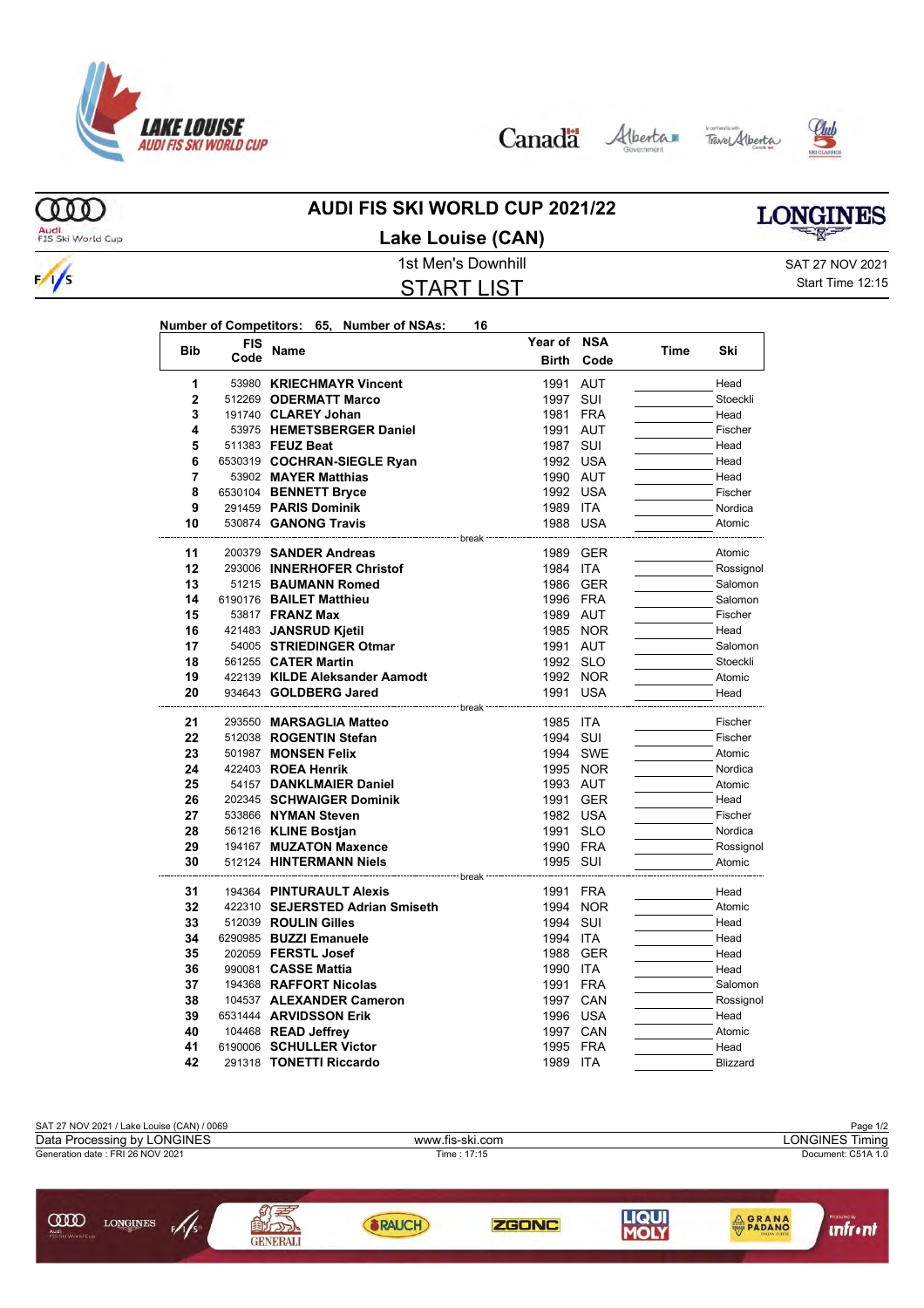

Canada Alberta Tave Alberta





**LONGINES** 

ത്ത Audi<br>FIS Ski World Cup

 $\frac{1}{s}$ 

#### **AUDI FIS SKI WORLD CUP 2021/22 Lake Louise (CAN)**

START LIST

1st Men's Downhill and SAT 27 NOV 2021 Start Time 12:15

| Number of Competitors: 65, Number of NSAs: |  | 16. |
|--------------------------------------------|--|-----|
|                                            |  |     |

|                | <b>FIS</b> |                                 | Year of                           | <b>NSA</b> |      |           |
|----------------|------------|---------------------------------|-----------------------------------|------------|------|-----------|
| <b>Bib</b>     | Code       | Name                            | <b>Birth</b>                      | Code       | Time | Ski       |
| 1              |            | 53980 KRIECHMAYR Vincent        | 1991                              | <b>AUT</b> |      | Head      |
| 2              |            | 512269 ODERMATT Marco           | 1997                              | SUI        |      | Stoeckli  |
| 3              |            | 191740 CLAREY Johan             | 1981                              | <b>FRA</b> |      | Head      |
| 4              |            | 53975 HEMETSBERGER Daniel       | 1991 AUT                          |            |      | Fischer   |
| 5              |            | 511383 FEUZ Beat                | 1987 SUI                          |            |      | Head      |
| 6              |            | 6530319 COCHRAN-SIEGLE Ryan     | 1992 USA                          |            |      | Head      |
| $\overline{7}$ |            | 53902 MAYER Matthias            | 1990 AUT                          |            |      | Head      |
| 8              |            | 6530104 BENNETT Bryce           | 1992 USA                          |            |      | Fischer   |
| 9              |            | 291459 PARIS Dominik            | 1989 ITA                          |            |      | Nordica   |
| 10             |            | 530874 GANONG Travis            | 1988 USA                          |            |      | Atomic    |
|                |            | ------------- break             |                                   |            |      |           |
| 11             |            | 200379 SANDER Andreas           | 1989 GER                          |            |      | Atomic    |
| 12             |            | 293006 INNERHOFER Christof      | 1984 ITA                          |            |      | Rossignol |
| 13             |            | 51215 BAUMANN Romed             | 1986 GER                          |            |      | Salomon   |
| 14             |            | 6190176 BAILET Matthieu         | 1996 FRA                          |            |      | Salomon   |
| 15             |            | 53817 <b>FRANZ Max</b>          | 1989 AUT                          |            |      | Fischer   |
| 16             |            | 421483 JANSRUD Kjetil           |                                   | 1985 NOR   |      | Head      |
| 17             |            | 54005 STRIEDINGER Otmar         | 1991 AUT                          |            |      | Salomon   |
| 18             |            | 561255 CATER Martin             | 1992 SLO                          |            |      | Stoeckli  |
| 19             |            | 422139 KILDE Aleksander Aamodt  |                                   | 1992 NOR   |      | Atomic    |
| 20             |            | 934643 GOLDBERG Jared           | 1991 USA<br>----------            |            |      | Head      |
| 21             |            | 293550 MARSAGLIA Matteo         | <sup>.---</sup> break<br>1985 ITA |            |      | Fischer   |
| 22             |            | 512038 ROGENTIN Stefan          | 1994 SUI                          |            |      | Fischer   |
| 23             |            | 501987 MONSEN Felix             |                                   | 1994 SWE   |      | Atomic    |
| 24             |            | 422403 ROEA Henrik              |                                   | 1995 NOR   |      | Nordica   |
| 25             |            | 54157 DANKLMAIER Daniel         | 1993 AUT                          |            |      | Atomic    |
| 26             |            | 202345 SCHWAIGER Dominik        | 1991 GER                          |            |      | Head      |
| 27             |            | 533866 NYMAN Steven             | 1982 USA                          |            |      | Fischer   |
| 28             |            | 561216 KLINE Bostjan            | 1991 SLO                          |            |      | Nordica   |
| 29             |            | 194167 MUZATON Maxence          | 1990 FRA                          |            |      | Rossignol |
| 30             |            | 512124 HINTERMANN Niels         | 1995 SUI                          |            |      | Atomic    |
|                |            | -------------- break            |                                   |            |      |           |
| 31             |            | 194364 PINTURAULT Alexis        | 1991                              | <b>FRA</b> |      | Head      |
| 32             |            | 422310 SEJERSTED Adrian Smiseth |                                   | 1994 NOR   |      | Atomic    |
| 33             |            | 512039 ROULIN Gilles            | 1994                              | SUI        |      | Head      |
| 34             |            | 6290985 BUZZI Emanuele          | 1994 ITA                          |            |      | Head      |
| 35             |            | 202059 FERSTL Josef             | 1988                              | GER        |      | Head      |
| 36             |            | 990081 CASSE Mattia             | 1990 ITA                          |            |      | Head      |
| 37             |            | 194368 RAFFORT Nicolas          | 1991 FRA                          |            |      | Salomon   |
| 38             |            | 104537 ALEXANDER Cameron        | 1997 CAN                          |            |      | Rossignol |
| 39             |            | 6531444 ARVIDSSON Erik          | 1996 USA                          |            |      | Head      |
| 40             |            | 104468 READ Jeffrey             | 1997 CAN                          |            |      | Atomic    |
| 41             |            | 6190006 SCHULLER Victor         | 1995 FRA                          |            |      | Head      |
| 42             |            | 291318 TONETTI Riccardo         | 1989 ITA                          |            |      | Blizzard  |

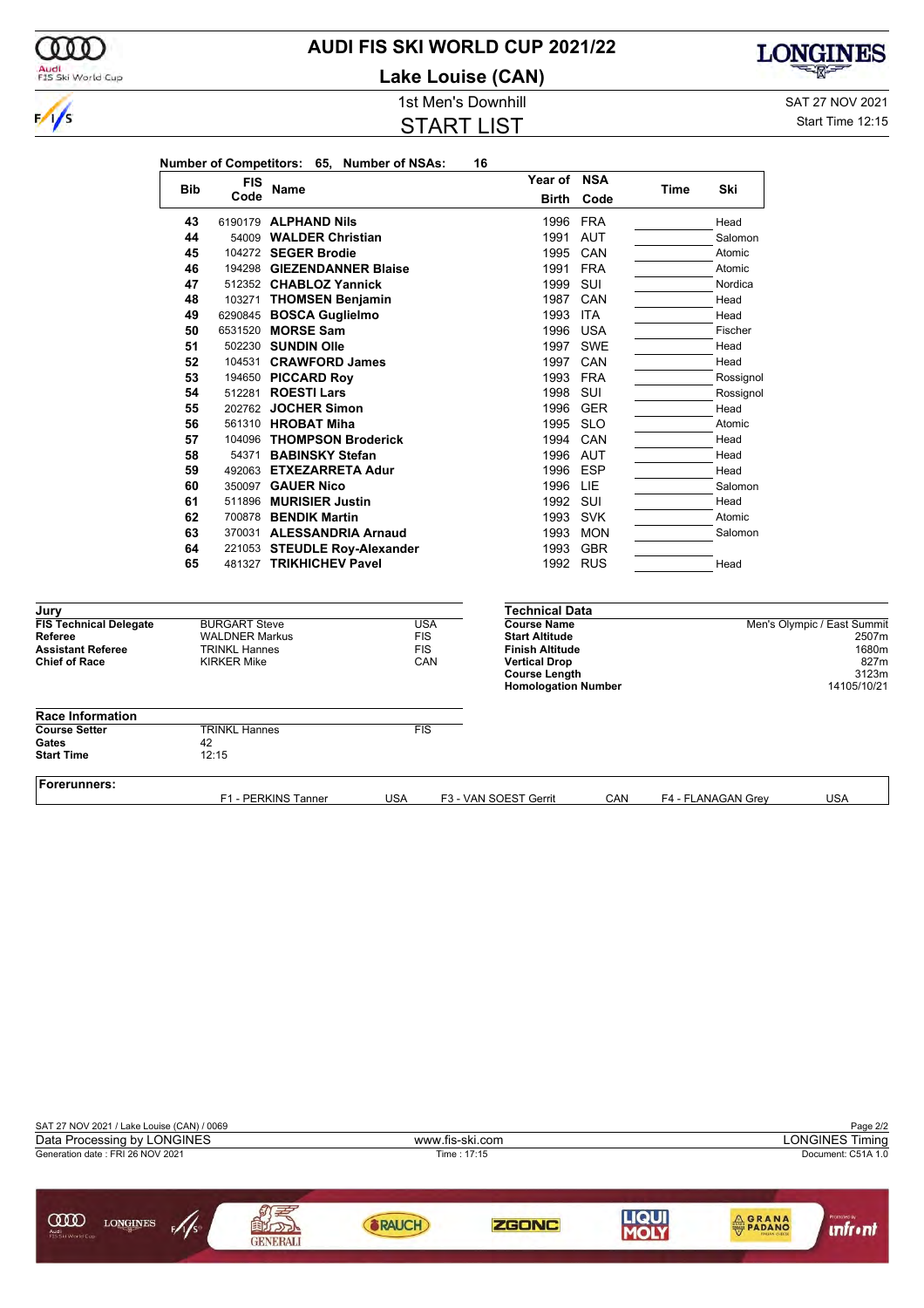

### **AUDI FIS SKI WORLD CUP 2021/22**

**Lake Louise (CAN)**



1st Men's Downhill and SAT 27 NOV 2021

#### START LIST

Start Time 12:15

|                                          |            | <b>FIS</b>                                    |                                                         |                          | Year of NSA                                 |          |      |                    |                             |
|------------------------------------------|------------|-----------------------------------------------|---------------------------------------------------------|--------------------------|---------------------------------------------|----------|------|--------------------|-----------------------------|
|                                          | <b>Bib</b> | Code                                          | Name                                                    |                          | Birth                                       | Code     | Time | Ski                |                             |
|                                          | 43         |                                               | 6190179 <b>ALPHAND Nils</b>                             |                          |                                             | 1996 FRA |      | Head               |                             |
|                                          | 44         |                                               | 54009 WALDER Christian                                  |                          |                                             | 1991 AUT |      | Salomon            |                             |
|                                          | 45         |                                               | 104272 SEGER Brodie                                     |                          |                                             | 1995 CAN |      | Atomic             |                             |
|                                          | 46         |                                               | 194298 GIEZENDANNER Blaise                              |                          |                                             | 1991 FRA |      | Atomic             |                             |
|                                          | 47         |                                               | 512352 CHABLOZ Yannick                                  |                          | 1999 SUI                                    |          |      | Nordica            |                             |
|                                          | 48         |                                               | 103271 THOMSEN Benjamin                                 |                          |                                             | 1987 CAN |      | Head               |                             |
|                                          | 49         |                                               | 6290845 BOSCA Guglielmo                                 |                          | 1993 ITA                                    |          |      | Head               |                             |
|                                          | 50         |                                               | 6531520 MORSE Sam                                       |                          |                                             | 1996 USA |      | Fischer            |                             |
|                                          | 51         |                                               | 502230 SUNDIN Olle                                      |                          |                                             | 1997 SWE |      | Head               |                             |
|                                          | 52         |                                               | 104531 CRAWFORD James                                   |                          |                                             | 1997 CAN |      | Head               |                             |
|                                          | 53         |                                               | 194650 PICCARD Roy                                      |                          |                                             | 1993 FRA |      | Rossignol          |                             |
|                                          | 54         |                                               | 512281 <b>ROESTI Lars</b>                               |                          | 1998 SUI                                    |          |      | Rossignol          |                             |
|                                          | 55         |                                               | 202762 JOCHER Simon                                     |                          |                                             | 1996 GER |      | Head               |                             |
|                                          | 56         |                                               | 561310 HROBAT Miha                                      |                          |                                             | 1995 SLO |      | Atomic             |                             |
|                                          | 57         |                                               | 104096 THOMPSON Broderick                               |                          | 1994                                        | CAN      |      | Head               |                             |
|                                          | 58         |                                               | 54371 BABINSKY Stefan                                   |                          |                                             | 1996 AUT |      | Head               |                             |
|                                          | 59         |                                               | 492063 ETXEZARRETA Adur                                 |                          | 1996 ESP                                    |          |      | Head               |                             |
|                                          | 60         |                                               | 350097 <b>GAUER Nico</b>                                |                          | 1996 LIE                                    |          |      | Salomon            |                             |
|                                          | 61         |                                               | 511896 MURISIER Justin                                  |                          | 1992 SUI                                    |          |      | Head               |                             |
|                                          | 62         |                                               | 700878 BENDIK Martin                                    |                          |                                             | 1993 SVK |      | Atomic             |                             |
|                                          | 63         |                                               | 370031 ALESSANDRIA Arnaud                               |                          |                                             | 1993 MON |      | Salomon            |                             |
|                                          | 64         |                                               |                                                         |                          |                                             | 1993 GBR |      |                    |                             |
|                                          | 65         |                                               | 221053 STEUDLE Roy-Alexander<br>481327 TRIKHICHEV Pavel |                          |                                             | 1992 RUS |      | Head               |                             |
|                                          |            |                                               |                                                         |                          |                                             |          |      |                    |                             |
| Jury                                     |            |                                               |                                                         |                          | <b>Technical Data</b>                       |          |      |                    |                             |
| <b>FIS Technical Delegate</b><br>Referee |            | <b>BURGART Steve</b><br><b>WALDNER Markus</b> |                                                         | <b>USA</b><br><b>FIS</b> | <b>Course Name</b><br><b>Start Altitude</b> |          |      |                    | Men's Olympic / East Summit |
| <b>Assistant Referee</b>                 |            | <b>TRINKL Hannes</b>                          |                                                         | <b>FIS</b>               | <b>Finish Altitude</b>                      |          |      |                    | 2507m<br>1680m              |
| <b>Chief of Race</b>                     |            | <b>KIRKER Mike</b>                            |                                                         | CAN                      | <b>Vertical Drop</b>                        |          |      |                    | 827m                        |
|                                          |            |                                               |                                                         |                          | <b>Course Length</b>                        |          |      |                    | 3123m                       |
|                                          |            |                                               |                                                         |                          | <b>Homologation Number</b>                  |          |      |                    | 14105/10/21                 |
| <b>Race Information</b>                  |            |                                               |                                                         |                          |                                             |          |      |                    |                             |
| <b>Course Setter</b>                     |            | <b>TRINKL Hannes</b>                          |                                                         | <b>FIS</b>               |                                             |          |      |                    |                             |
| Gates                                    | 42         |                                               |                                                         |                          |                                             |          |      |                    |                             |
| <b>Start Time</b>                        |            | 12:15                                         |                                                         |                          |                                             |          |      |                    |                             |
| Forerunners:                             |            |                                               | F1 - PERKINS Tanner                                     | <b>USA</b>               | F3 - VAN SOEST Gerrit                       | CAN      |      | F4 - FLANAGAN Grey | <b>USA</b>                  |

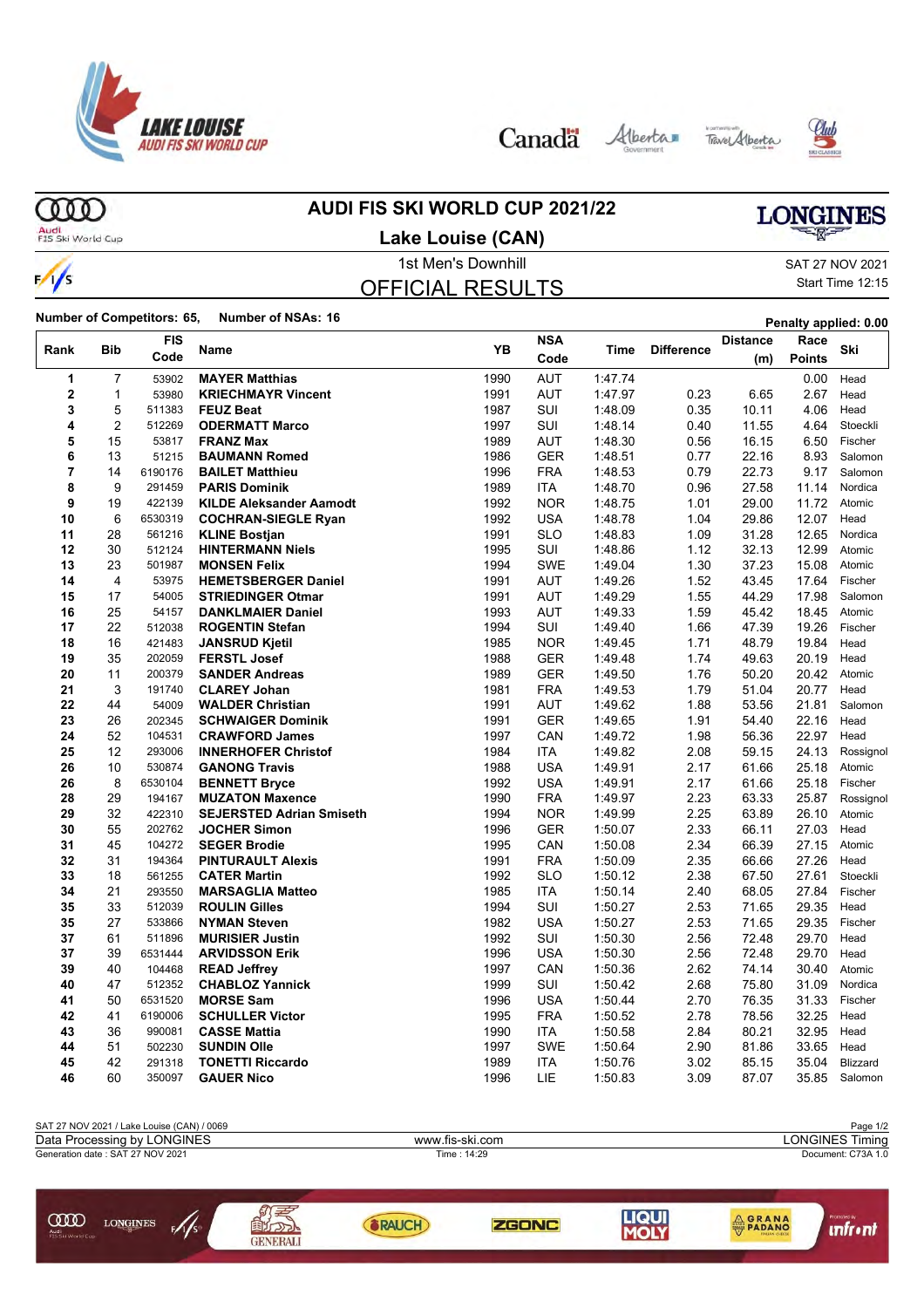

Canada Alberta Tave Alberta





ന്ത

#### **AUDI FIS SKI WORLD CUP 2021/22**

## **LONGINES**

Audi<br>FIS Ski World Cup

 $\frac{1}{s}$ 

#### 1st Men's Downhill and SAT 27 NOV 2021 **Lake Louise (CAN)**

### OFFICIAL RESULTS

Start Time 12:15

**Number of Competitors: 65, Number of NSAs: 16 Penalty applied: 0.00**

|              |                | <b>FIS</b>       |                                                |              | <b>NSA</b>               |                    |                   | <b>Distance</b> | Race           |                  |
|--------------|----------------|------------------|------------------------------------------------|--------------|--------------------------|--------------------|-------------------|-----------------|----------------|------------------|
| Rank         | <b>Bib</b>     | Code             | Name                                           | YB           | Code                     | Time               | <b>Difference</b> | (m)             | <b>Points</b>  | Ski              |
| 1            | 7              | 53902            | <b>MAYER Matthias</b>                          | 1990         | AUT                      | 1:47.74            |                   |                 | 0.00           | Head             |
| $\mathbf{2}$ | 1              | 53980            | <b>KRIECHMAYR Vincent</b>                      | 1991         | <b>AUT</b>               | 1:47.97            | 0.23              | 6.65            | 2.67           | Head             |
| 3            | 5              | 511383           | <b>FEUZ Beat</b>                               | 1987         | SUI                      | 1:48.09            | 0.35              | 10.11           | 4.06           | Head             |
| 4            | $\overline{2}$ | 512269           | <b>ODERMATT Marco</b>                          | 1997         | <b>SUI</b>               | 1:48.14            | 0.40              | 11.55           | 4.64           | Stoeckli         |
| 5            | 15             | 53817            | <b>FRANZ Max</b>                               | 1989         | AUT                      | 1:48.30            | 0.56              | 16.15           | 6.50           | Fischer          |
| 6            | 13             | 51215            | <b>BAUMANN Romed</b>                           | 1986         | <b>GER</b>               | 1:48.51            | 0.77              | 22.16           | 8.93           | Salomon          |
| 7            | 14             | 6190176          | <b>BAILET Matthieu</b>                         | 1996         | <b>FRA</b>               | 1:48.53            | 0.79              | 22.73           | 9.17           | Salomon          |
| 8            | 9              | 291459           | <b>PARIS Dominik</b>                           | 1989         | <b>ITA</b>               | 1:48.70            | 0.96              | 27.58           | 11.14          | Nordica          |
| 9            | 19             | 422139           | <b>KILDE Aleksander Aamodt</b>                 | 1992         | <b>NOR</b>               | 1.48.75            | 1.01              | 29.00           | 11.72          | Atomic           |
| 10           | 6              | 6530319          | <b>COCHRAN-SIEGLE Ryan</b>                     | 1992         | USA                      | 1:48.78            | 1.04              | 29.86           | 12.07          | Head             |
| 11           | 28             | 561216           | <b>KLINE Bostjan</b>                           | 1991         | SLO                      | 1:48.83            | 1.09              | 31.28           | 12.65          | Nordica          |
| 12           | 30             | 512124           | <b>HINTERMANN Niels</b>                        | 1995         | SUI                      | 1:48.86            | 1.12              | 32.13           | 12.99          | Atomic           |
| 13           | 23             | 501987           | <b>MONSEN Felix</b>                            | 1994         | <b>SWE</b>               | 1:49.04            | 1.30              | 37.23           | 15.08          | Atomic           |
| 14           | $\overline{4}$ | 53975            | <b>HEMETSBERGER Daniel</b>                     | 1991         | <b>AUT</b>               | 1.49.26            | 1.52              | 43.45           | 17.64          | Fischer          |
| 15           | 17             | 54005            | <b>STRIEDINGER Otmar</b>                       | 1991         | <b>AUT</b>               | 1:49.29            | 1.55              | 44.29           | 17.98          | Salomon          |
| 16           | 25             | 54157            | <b>DANKLMAIER Daniel</b>                       | 1993         | <b>AUT</b>               | 1:49.33            | 1.59              | 45.42           | 18.45          | Atomic           |
| 17           | 22             | 512038           | <b>ROGENTIN Stefan</b>                         | 1994         | SUI                      | 1.49.40            | 1.66              | 47.39           | 19.26          | Fischer          |
| 18           | 16             | 421483           | <b>JANSRUD Kjetil</b>                          | 1985         | <b>NOR</b>               | 1:49.45            | 1.71              | 48.79           | 19.84          | Head             |
| 19           | 35             | 202059           | <b>FERSTL Josef</b>                            | 1988         | <b>GER</b>               | 1:49.48            | 1.74              | 49.63           | 20.19          | Head             |
| 20           | 11             | 200379           | <b>SANDER Andreas</b>                          | 1989         | <b>GER</b>               | 1:49.50            | 1.76              | 50.20           | 20.42          | Atomic           |
| 21           | 3              | 191740           | <b>CLAREY Johan</b>                            | 1981         | <b>FRA</b>               | 1:49.53            | 1.79              | 51.04           | 20.77          | Head             |
| 22           | 44             | 54009            | <b>WALDER Christian</b>                        | 1991         | AUT                      | 1:49.62            | 1.88              | 53.56           | 21.81          | Salomon          |
| 23           | 26             | 202345           | <b>SCHWAIGER Dominik</b>                       | 1991         | <b>GER</b>               | 1:49.65            | 1.91              | 54.40           | 22.16          | Head             |
| 24           | 52             | 104531           | <b>CRAWFORD James</b>                          | 1997         | CAN                      | 1:49.72            | 1.98              | 56.36           | 22.97          | Head             |
| 25           | 12             | 293006           | <b>INNERHOFER Christof</b>                     | 1984         | <b>ITA</b>               | 1.49.82            | 2.08              | 59.15           | 24.13          | Rossignol        |
| 26           | 10             | 530874           | <b>GANONG Travis</b>                           | 1988         | <b>USA</b>               | 1:49.91            | 2.17              | 61.66           | 25.18          | Atomic           |
| 26           | 8              | 6530104          | <b>BENNETT Bryce</b>                           | 1992         | <b>USA</b>               | 1:49.91            | 2.17              | 61.66           | 25.18          | Fischer          |
| 28           | 29             | 194167           | <b>MUZATON Maxence</b>                         | 1990         | <b>FRA</b>               | 1:49.97            | 2.23              | 63.33           | 25.87          | Rossignol        |
| 29           | 32             | 422310           | <b>SEJERSTED Adrian Smiseth</b>                | 1994         | <b>NOR</b>               | 1.49.99            | 2.25              | 63.89           | 26.10          | Atomic           |
| 30           | 55             | 202762           | <b>JOCHER Simon</b>                            | 1996         | <b>GER</b>               | 1:50.07            | 2.33              | 66.11           | 27.03          | Head             |
| 31           | 45             | 104272           | <b>SEGER Brodie</b>                            | 1995         | CAN                      | 1:50.08            | 2.34              | 66.39           | 27.15          | Atomic           |
| 32<br>33     | 31<br>18       | 194364<br>561255 | <b>PINTURAULT Alexis</b>                       | 1991<br>1992 | <b>FRA</b><br><b>SLO</b> | 1:50.09<br>1:50.12 | 2.35              | 66.66<br>67.50  | 27.26<br>27.61 | Head<br>Stoeckli |
| 34           | 21             | 293550           | <b>CATER Martin</b><br><b>MARSAGLIA Matteo</b> | 1985         | <b>ITA</b>               | 1:50.14            | 2.38<br>2.40      | 68.05           | 27.84          | Fischer          |
| 35           | 33             | 512039           | <b>ROULIN Gilles</b>                           | 1994         | SUI                      | 1:50.27            | 2.53              | 71.65           | 29.35          | Head             |
| 35           | 27             | 533866           | <b>NYMAN Steven</b>                            | 1982         | <b>USA</b>               | 1:50.27            | 2.53              | 71.65           | 29.35          | Fischer          |
| 37           | 61             | 511896           | <b>MURISIER Justin</b>                         | 1992         | SUI                      | 1:50.30            | 2.56              | 72.48           | 29.70          | Head             |
| 37           | 39             | 6531444          | <b>ARVIDSSON Erik</b>                          | 1996         | <b>USA</b>               | 1:50.30            | 2.56              | 72.48           | 29.70          | Head             |
| 39           | 40             | 104468           | <b>READ Jeffrey</b>                            | 1997         | CAN                      | 1:50.36            | 2.62              | 74.14           | 30.40          | Atomic           |
| 40           | 47             | 512352           | <b>CHABLOZ Yannick</b>                         | 1999         | SUI                      | 1:50.42            | 2.68              | 75.80           | 31.09          | Nordica          |
| 41           | 50             | 6531520          | <b>MORSE Sam</b>                               | 1996         | <b>USA</b>               | 1:50.44            | 2.70              | 76.35           | 31.33          | Fischer          |
| 42           | 41             | 6190006          | <b>SCHULLER Victor</b>                         | 1995         | <b>FRA</b>               | 1:50.52            | 2.78              | 78.56           | 32.25          | Head             |
| 43           | 36             | 990081           | <b>CASSE Mattia</b>                            | 1990         | <b>ITA</b>               | 1:50.58            | 2.84              | 80.21           | 32.95          | Head             |
| 44           | 51             | 502230           | <b>SUNDIN Olle</b>                             | 1997         | <b>SWE</b>               | 1:50.64            | 2.90              | 81.86           | 33.65          | Head             |
| 45           | 42             | 291318           | <b>TONETTI Riccardo</b>                        | 1989         | ITA                      | 1:50.76            | 3.02              | 85.15           | 35.04          | <b>Blizzard</b>  |
| 46           | 60             | 350097           | <b>GAUER Nico</b>                              | 1996         | LIE                      | 1:50.83            | 3.09              | 87.07           | 35.85          | Salomon          |
|              |                |                  |                                                |              |                          |                    |                   |                 |                |                  |

| SAT 27 NOV 2021 / Lake Louise (CAN) / 0069                            |                 |                 |                    |       |                                | Page 1/2 |  |  |  |
|-----------------------------------------------------------------------|-----------------|-----------------|--------------------|-------|--------------------------------|----------|--|--|--|
| Data Processing by LONGINES                                           |                 | www.fis-ski.com |                    |       | <b>LONGINES Timing</b>         |          |  |  |  |
| Generation date: SAT 27 NOV 2021                                      |                 | Time: 14:29     | Document: C73A 1.0 |       |                                |          |  |  |  |
| ŒŒ<br>$\mathscr{N}_s$<br><b>LONGINES</b><br>Audi<br>FIS Ski World Cup | <b>GENERALI</b> | <b>BRAUCH</b>   | <b>ZGONC</b>       | LIQUI | <b>AGRANA</b><br><b>PADANO</b> | ıntr ınt |  |  |  |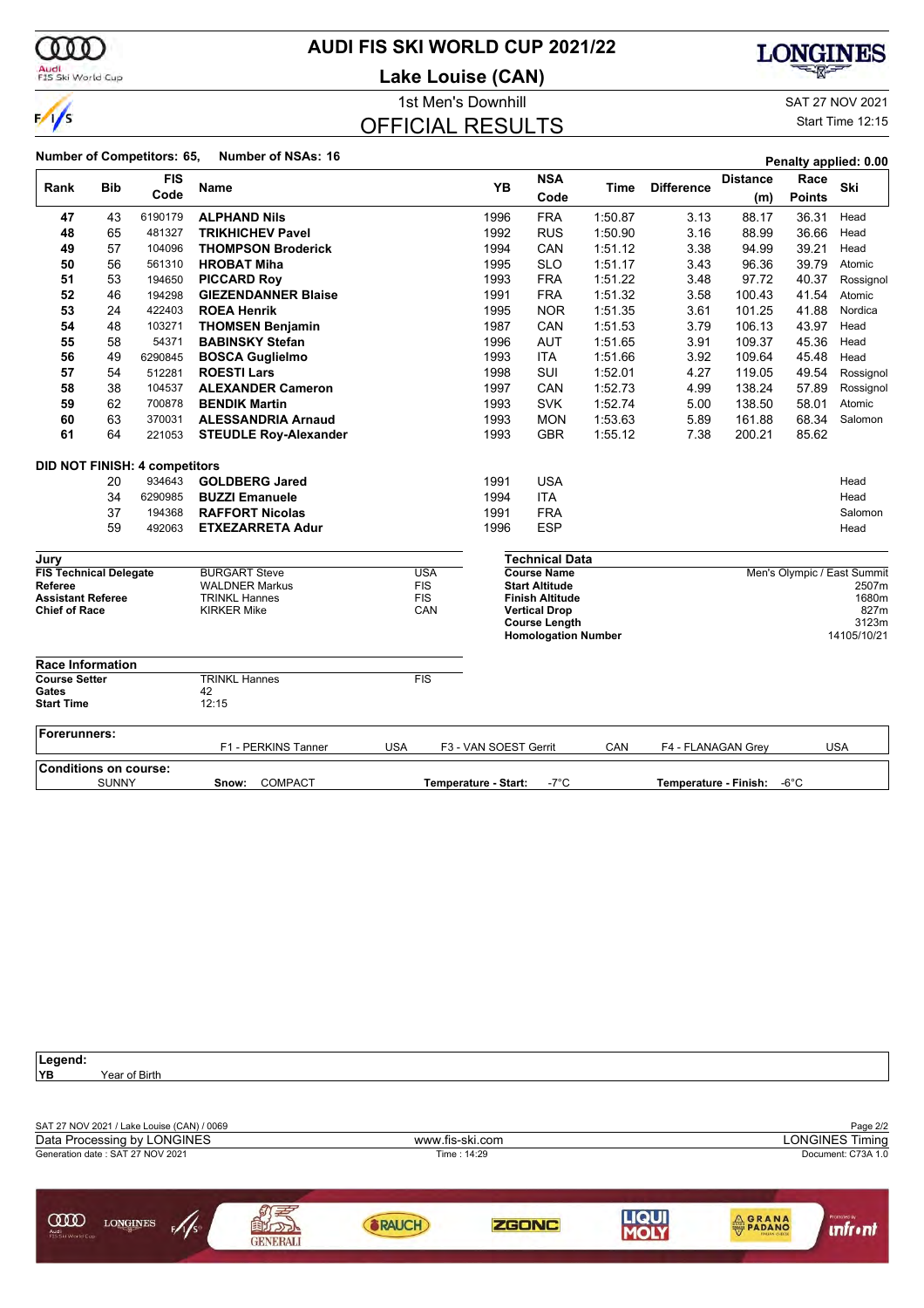

### **AUDI FIS SKI WORLD CUP 2021/22**

**Lake Louise (CAN)**



1st Men's Downhill and SAT 27 NOV 2021 OFFICIAL RESULTS

|                                                                                              |              |                                      |                                                                                             |                                               | <b>ISL MENS DOWNING</b> |                                                                                                                                                     |         |                       |                        |                       | SAT 27 NOV 2021                                                               |
|----------------------------------------------------------------------------------------------|--------------|--------------------------------------|---------------------------------------------------------------------------------------------|-----------------------------------------------|-------------------------|-----------------------------------------------------------------------------------------------------------------------------------------------------|---------|-----------------------|------------------------|-----------------------|-------------------------------------------------------------------------------|
| $\frac{1}{s}$                                                                                |              |                                      |                                                                                             | <b>OFFICIAL RESULTS</b>                       |                         |                                                                                                                                                     |         |                       |                        |                       | Start Time 12:15                                                              |
|                                                                                              |              | Number of Competitors: 65,           | <b>Number of NSAs: 16</b>                                                                   |                                               |                         |                                                                                                                                                     |         |                       |                        |                       | Penalty applied: 0.00                                                         |
| Rank                                                                                         | <b>Bib</b>   | <b>FIS</b><br>Code                   | <b>Name</b>                                                                                 |                                               | <b>YB</b>               | <b>NSA</b><br>Code                                                                                                                                  | Time    | <b>Difference</b>     | <b>Distance</b><br>(m) | Race<br><b>Points</b> | Ski                                                                           |
| 47                                                                                           | 43           | 6190179                              | <b>ALPHAND Nils</b>                                                                         |                                               | 1996                    | <b>FRA</b>                                                                                                                                          | 1:50.87 | 3.13                  | 88.17                  | 36.31                 | Head                                                                          |
| 48                                                                                           | 65           | 481327                               | <b>TRIKHICHEV Pavel</b>                                                                     |                                               | 1992                    | <b>RUS</b>                                                                                                                                          | 1:50.90 | 3.16                  | 88.99                  | 36.66                 | Head                                                                          |
| 49                                                                                           | 57           | 104096                               | <b>THOMPSON Broderick</b>                                                                   |                                               | 1994                    | CAN                                                                                                                                                 | 1:51.12 | 3.38                  | 94.99                  | 39.21                 | Head                                                                          |
| 50                                                                                           | 56           | 561310                               | <b>HROBAT Miha</b>                                                                          |                                               | 1995                    | <b>SLO</b>                                                                                                                                          | 1:51.17 | 3.43                  | 96.36                  | 39.79                 | Atomic                                                                        |
| 51                                                                                           | 53           | 194650                               | <b>PICCARD Roy</b>                                                                          |                                               | 1993                    | <b>FRA</b>                                                                                                                                          | 1:51.22 | 3.48                  | 97.72                  | 40.37                 | Rossignol                                                                     |
| 52                                                                                           | 46           | 194298                               | <b>GIEZENDANNER Blaise</b>                                                                  |                                               | 1991                    | <b>FRA</b>                                                                                                                                          | 1.51.32 | 3.58                  | 100.43                 | 41.54                 | Atomic                                                                        |
| 53                                                                                           | 24           | 422403                               | <b>ROEA Henrik</b>                                                                          |                                               | 1995                    | <b>NOR</b>                                                                                                                                          | 1:51.35 | 3.61                  | 101.25                 | 41.88                 | Nordica                                                                       |
| 54                                                                                           | 48           | 103271                               | <b>THOMSEN Benjamin</b>                                                                     |                                               | 1987                    | CAN                                                                                                                                                 | 1:51.53 | 3.79                  | 106.13                 | 43.97                 | Head                                                                          |
| 55                                                                                           | 58           | 54371                                | <b>BABINSKY Stefan</b>                                                                      |                                               | 1996                    | AUT                                                                                                                                                 | 1:51.65 | 3.91                  | 109.37                 | 45.36                 | Head                                                                          |
| 56                                                                                           | 49           | 6290845                              | <b>BOSCA Guglielmo</b>                                                                      |                                               | 1993                    | <b>ITA</b>                                                                                                                                          | 1.51.66 | 3.92                  | 109.64                 | 45.48                 | Head                                                                          |
| 57                                                                                           | 54           | 512281                               | <b>ROESTI Lars</b>                                                                          |                                               | 1998                    | SUI                                                                                                                                                 | 1:52.01 | 4.27                  | 119.05                 | 49.54                 | Rossignol                                                                     |
| 58                                                                                           | 38           | 104537                               | <b>ALEXANDER Cameron</b>                                                                    |                                               | 1997                    | CAN                                                                                                                                                 | 1:52.73 | 4.99                  | 138.24                 | 57.89                 | Rossignol                                                                     |
| 59                                                                                           | 62           | 700878                               | <b>BENDIK Martin</b>                                                                        |                                               | 1993                    | <b>SVK</b>                                                                                                                                          | 1:52.74 | 5.00                  | 138.50                 | 58.01                 | Atomic                                                                        |
| 60                                                                                           | 63           | 370031                               | <b>ALESSANDRIA Arnaud</b>                                                                   |                                               | 1993                    | <b>MON</b>                                                                                                                                          | 1:53.63 | 5.89                  | 161.88                 | 68.34                 | Salomon                                                                       |
| 61                                                                                           | 64           | 221053                               | <b>STEUDLE Roy-Alexander</b>                                                                |                                               | 1993                    | <b>GBR</b>                                                                                                                                          | 1:55.12 | 7.38                  | 200.21                 | 85.62                 |                                                                               |
|                                                                                              |              | <b>DID NOT FINISH: 4 competitors</b> |                                                                                             |                                               |                         |                                                                                                                                                     |         |                       |                        |                       |                                                                               |
|                                                                                              | 20           | 934643                               | <b>GOLDBERG Jared</b>                                                                       |                                               | 1991                    | <b>USA</b>                                                                                                                                          |         |                       |                        |                       | Head                                                                          |
|                                                                                              | 34           | 6290985                              | <b>BUZZI Emanuele</b>                                                                       |                                               | 1994                    | <b>ITA</b>                                                                                                                                          |         |                       |                        |                       | Head                                                                          |
|                                                                                              | 37           | 194368                               | <b>RAFFORT Nicolas</b>                                                                      |                                               | 1991                    | <b>FRA</b>                                                                                                                                          |         |                       |                        |                       | Salomon                                                                       |
|                                                                                              | 59           | 492063                               | <b>ETXEZARRETA Adur</b>                                                                     |                                               | 1996                    | <b>ESP</b>                                                                                                                                          |         |                       |                        |                       | Head                                                                          |
| Jury                                                                                         |              |                                      |                                                                                             |                                               |                         | <b>Technical Data</b>                                                                                                                               |         |                       |                        |                       |                                                                               |
| <b>FIS Technical Delegate</b><br>Referee<br><b>Assistant Referee</b><br><b>Chief of Race</b> |              |                                      | <b>BURGART Steve</b><br><b>WALDNER Markus</b><br><b>TRINKL Hannes</b><br><b>KIRKER Mike</b> | <b>USA</b><br><b>FIS</b><br><b>FIS</b><br>CAN |                         | <b>Course Name</b><br><b>Start Altitude</b><br><b>Finish Altitude</b><br><b>Vertical Drop</b><br><b>Course Length</b><br><b>Homologation Number</b> |         |                       |                        |                       | Men's Olympic / East Summit<br>2507m<br>1680m<br>827m<br>3123m<br>14105/10/21 |
| <b>Race Information</b>                                                                      |              |                                      |                                                                                             |                                               |                         |                                                                                                                                                     |         |                       |                        |                       |                                                                               |
| <b>Course Setter</b>                                                                         |              |                                      | <b>TRINKL Hannes</b>                                                                        | <b>FIS</b>                                    |                         |                                                                                                                                                     |         |                       |                        |                       |                                                                               |
| Gates<br><b>Start Time</b>                                                                   |              |                                      | 42<br>12:15                                                                                 |                                               |                         |                                                                                                                                                     |         |                       |                        |                       |                                                                               |
| Forerunners:                                                                                 |              |                                      | F1 - PERKINS Tanner                                                                         | <b>USA</b>                                    | F3 - VAN SOEST Gerrit   |                                                                                                                                                     | CAN     | F4 - FLANAGAN Grev    |                        |                       | <b>USA</b>                                                                    |
| <b>Conditions on course:</b>                                                                 |              |                                      |                                                                                             |                                               |                         |                                                                                                                                                     |         |                       |                        |                       |                                                                               |
|                                                                                              | <b>SUNNY</b> |                                      | COMPACT<br>Snow:                                                                            |                                               | Temperature - Start:    | $-7^{\circ}$ C                                                                                                                                      |         | Temperature - Finish: |                        | $-6^{\circ}$ C        |                                                                               |
|                                                                                              |              |                                      |                                                                                             |                                               |                         |                                                                                                                                                     |         |                       |                        |                       |                                                                               |

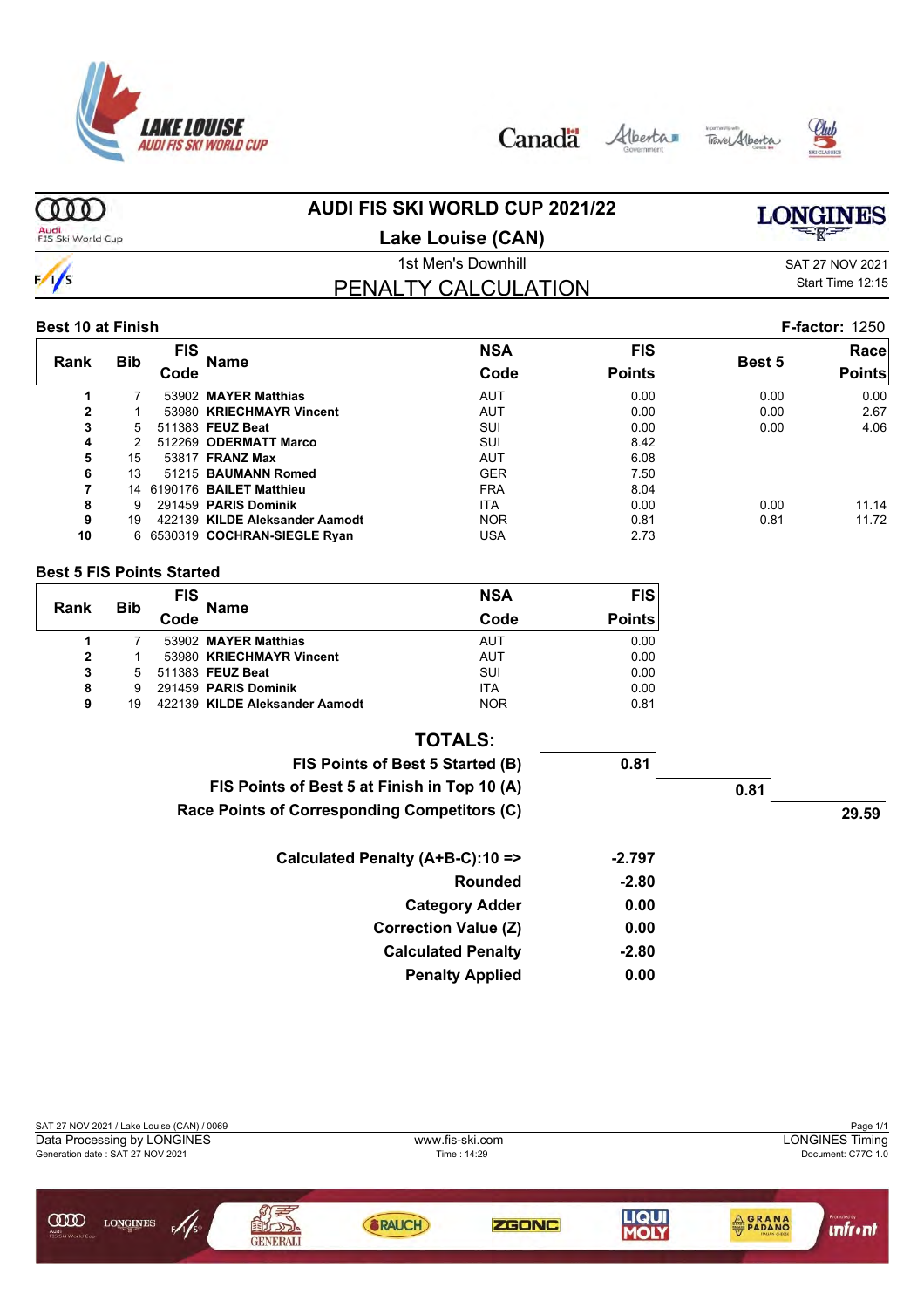

Canada Alberta Tave Alberta





#### ത്ത **AUDI FIS SKI WORLD CUP 2021/22 LONGINES**

Audi<br>FIS Ski World Cup

### **Lake Louise (CAN)**

## $\frac{1}{s}$

### PENALTY CALCULATION

1st Men's Downhill and SAT 27 NOV 2021 Start Time 12:15

#### **Best 10 at Finish F-factor:** 1250

| Rank | <b>Bib</b> | FIS<br>Code | <b>Name</b>                    | <b>NSA</b><br>Code | <b>FIS</b><br><b>Points</b> | <b>Best 5</b> | Race<br><b>Points</b> |
|------|------------|-------------|--------------------------------|--------------------|-----------------------------|---------------|-----------------------|
|      |            |             | 53902 MAYER Matthias           | AUT                | 0.00                        | 0.00          | 0.00                  |
| 2    |            |             | 53980 KRIECHMAYR Vincent       | AUT                | 0.00                        | 0.00          | 2.67                  |
| 3    | 5.         |             | 511383 FEUZ Beat               | SUI                | 0.00                        | 0.00          | 4.06                  |
| 4    | 2.         |             | 512269 ODERMATT Marco          | SUI                | 8.42                        |               |                       |
| 5    | 15         |             | 53817 <b>FRANZ Max</b>         | AUT                | 6.08                        |               |                       |
| 6    | 13         |             | 51215 BAUMANN Romed            | <b>GER</b>         | 7.50                        |               |                       |
| 7    | 14         |             | 6190176 BAILET Matthieu        | <b>FRA</b>         | 8.04                        |               |                       |
| 8    | 9          |             | 291459 PARIS Dominik           | <b>ITA</b>         | 0.00                        | 0.00          | 11.14                 |
| 9    | 19         |             | 422139 KILDE Aleksander Aamodt | <b>NOR</b>         | 0.81                        | 0.81          | 11.72                 |
| 10   |            |             | 6 6530319 COCHRAN-SIEGLE Ryan  | USA                | 2.73                        |               |                       |

#### **Best 5 FIS Points Started**

|      |            | <b>FIS</b> |                                | <b>NSA</b> | <b>FIS</b>    |
|------|------------|------------|--------------------------------|------------|---------------|
| Rank | <b>Bib</b> | Code       | <b>Name</b>                    | Code       | <b>Points</b> |
|      |            |            | 53902 MAYER Matthias           | AUT        | 0.00          |
| 2    |            |            | 53980 KRIECHMAYR Vincent       | AUT        | 0.00          |
| 3    | 5          |            | 511383 FEUZ Beat               | SUI        | 0.00          |
| 8    | 9          |            | 291459 PARIS Dominik           | <b>ITA</b> | 0.00          |
| 9    | 19         |            | 422139 KILDE Aleksander Aamodt | <b>NOR</b> | 0.81          |

| <b>TOTALS:</b>                               |          |      |       |
|----------------------------------------------|----------|------|-------|
| FIS Points of Best 5 Started (B)             | 0.81     |      |       |
| FIS Points of Best 5 at Finish in Top 10 (A) |          | 0.81 |       |
| Race Points of Corresponding Competitors (C) |          |      | 29.59 |
| Calculated Penalty (A+B-C):10 =>             | $-2.797$ |      |       |
| Rounded                                      | $-2.80$  |      |       |
| <b>Category Adder</b>                        | 0.00     |      |       |
| <b>Correction Value (Z)</b>                  | 0.00     |      |       |
| <b>Calculated Penalty</b>                    | $-2.80$  |      |       |
| <b>Penalty Applied</b>                       | 0.00     |      |       |

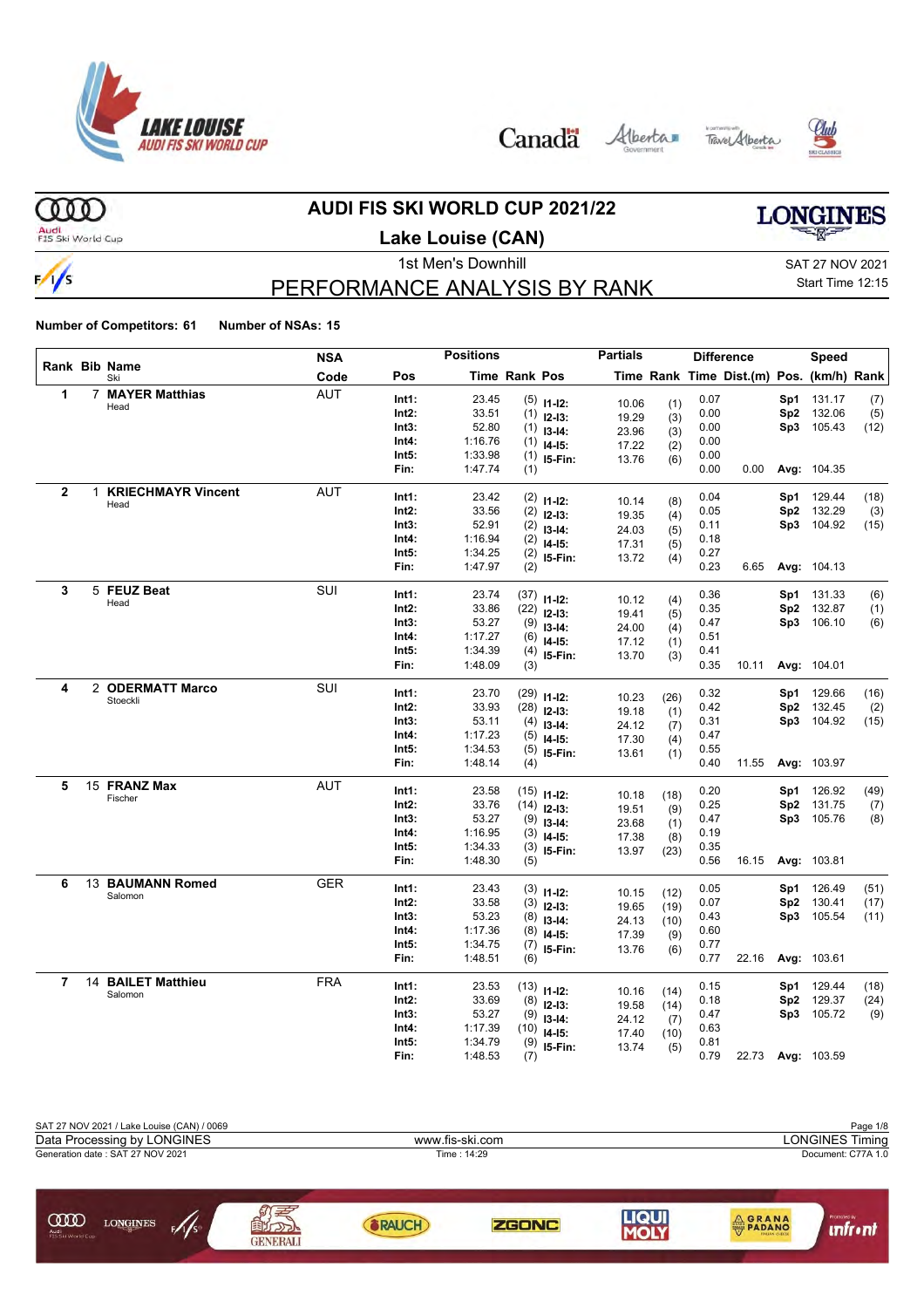

Canada Alberta Tave Alberta





 $000$ 

#### **AUDI FIS SKI WORLD CUP 2021/22**

Audi<br>FIS Ski World Cup

#### **Lake Louise (CAN)**

# **LONGINES**

 $\frac{1}{s}$ 

### PERFORMANCE ANALYSIS BY RANK

1st Men's Downhill and SAT 27 NOV 2021 Start Time 12:15

|              |              |                             | NSA        |       | <b>Positions</b> |                      |               | <b>Partials</b> |             |      | <b>Difference</b>                        |     | Speed       |      |
|--------------|--------------|-----------------------------|------------|-------|------------------|----------------------|---------------|-----------------|-------------|------|------------------------------------------|-----|-------------|------|
|              |              | Rank Bib Name<br>Ski        | Code       | Pos   |                  | <b>Time Rank Pos</b> |               |                 |             |      | Time Rank Time Dist.(m) Pos. (km/h) Rank |     |             |      |
| 1            | 7            | <b>MAYER Matthias</b>       | <b>AUT</b> | Int1: | 23.45            |                      | $(5)$ 11-12:  | 10.06           | (1)         | 0.07 |                                          | Sp1 | 131.17      | (7)  |
|              |              | Head                        |            | Int2: | 33.51            | (1)                  | $12-13:$      | 19.29           | (3)         | 0.00 |                                          | Sp2 | 132.06      | (5)  |
|              |              |                             |            | Int3: | 52.80            | (1)                  | $13 - 14$ :   | 23.96           | (3)         | 0.00 |                                          |     | Sp3 105.43  | (12) |
|              |              |                             |            | Int4: | 1:16.76          | (1)                  | $14-15:$      | 17.22           | (2)         | 0.00 |                                          |     |             |      |
|              |              |                             |            | Int5: | 1:33.98          | (1)                  | I5-Fin:       | 13.76           | (6)         | 0.00 |                                          |     |             |      |
|              |              |                             |            | Fin:  | 1:47.74          | (1)                  |               |                 |             | 0.00 | 0.00                                     |     | Avg: 104.35 |      |
| $\mathbf{2}$ | $\mathbf{1}$ | <b>KRIECHMAYR Vincent</b>   | <b>AUT</b> | Int1: | 23.42            |                      | $(2)$ 11-12:  |                 |             | 0.04 |                                          | Sp1 | 129.44      | (18) |
|              |              | Head                        |            | Int2: | 33.56            | (2)                  | $12-13:$      | 10.14           | (8)         | 0.05 |                                          | Sp2 | 132.29      | (3)  |
|              |              |                             |            | Int3: | 52.91            | (2)                  | $13 - 14$ :   | 19.35           | (4)         | 0.11 |                                          |     | Sp3 104.92  | (15) |
|              |              |                             |            | Int4: | 1:16.94          | (2)                  | $14 - 15$ :   | 24.03           | (5)         | 0.18 |                                          |     |             |      |
|              |              |                             |            | Int5: | 1:34.25          | (2)                  | I5-Fin:       | 17.31           | (5)         | 0.27 |                                          |     |             |      |
|              |              |                             |            | Fin:  | 1:47.97          | (2)                  |               | 13.72           | (4)         | 0.23 | 6.65                                     |     | Avg: 104.13 |      |
| 3            |              | 5 FEUZ Beat                 | SUI        | Int1: | 23.74            |                      |               |                 |             | 0.36 |                                          |     | 131.33      |      |
|              |              | Head                        |            | Int2: | 33.86            | (37)                 | $11-12$ :     | 10.12           | (4)         | 0.35 |                                          | Sp1 | Sp2 132.87  | (6)  |
|              |              |                             |            | Int3: | 53.27            | (22)                 | $12 - 13$ :   | 19.41           | (5)         | 0.47 |                                          |     | Sp3 106.10  | (1)  |
|              |              |                             |            | Int4: | 1:17.27          | (9)                  | $13 - 14$ :   | 24.00           | (4)         | 0.51 |                                          |     |             | (6)  |
|              |              |                             |            | Int5: | 1:34.39          | (6)                  | $14 - 15$ :   | 17.12           | (1)         | 0.41 |                                          |     |             |      |
|              |              |                             |            | Fin:  | 1:48.09          | (4)<br>(3)           | 15-Fin:       | 13.70           | (3)         | 0.35 | 10.11                                    |     | Avg: 104.01 |      |
|              |              |                             |            |       |                  |                      |               |                 |             |      |                                          |     |             |      |
| 4            |              | 2 ODERMATT Marco            | <b>SUI</b> | Int1: | 23.70            | (29)                 | $11 - 12$ :   |                 |             | 0.32 |                                          | Sp1 | 129.66      | (16) |
|              |              | Stoeckli                    |            | Int2: | 33.93            | (28)                 | $12 - 13:$    | 10.23           | (26)        | 0.42 |                                          | Sp2 | 132.45      | (2)  |
|              |              |                             |            | Int3: | 53.11            | (4)                  | $13 - 14$ :   | 19.18           | (1)         | 0.31 |                                          |     | Sp3 104.92  | (15) |
|              |              |                             |            | Int4: | 1:17.23          | (5)                  | $14 - 15$ :   | 24.12<br>17.30  | (7)         | 0.47 |                                          |     |             |      |
|              |              |                             |            | Int5: | 1:34.53          | (5)                  | I5-Fin:       |                 | (4)         | 0.55 |                                          |     |             |      |
|              |              |                             |            | Fin:  | 1:48.14          | (4)                  |               | 13.61           | (1)         | 0.40 | 11.55                                    |     | Avg: 103.97 |      |
| 5            |              | 15 FRANZ Max                | <b>AUT</b> | Int1: | 23.58            |                      |               |                 |             | 0.20 |                                          | Sp1 | 126.92      | (49) |
|              |              | Fischer                     |            | Int2: | 33.76            | (14)                 | $(15)$ 11-12: | 10.18           | (18)        | 0.25 |                                          | Sp2 | 131.75      | (7)  |
|              |              |                             |            | Int3: | 53.27            | (9)                  | $12-13:$      | 19.51           | (9)         | 0.47 |                                          |     | Sp3 105.76  | (8)  |
|              |              |                             |            | Int4: | 1:16.95          | (3)                  | $13 - 14$ :   | 23.68           | (1)         | 0.19 |                                          |     |             |      |
|              |              |                             |            | Int5: | 1:34.33          | (3)                  | $14-15:$      | 17.38           | (8)         | 0.35 |                                          |     |             |      |
|              |              |                             |            | Fin:  | 1:48.30          | (5)                  | I5-Fin:       | 13.97           | (23)        | 0.56 | 16.15                                    |     | Avg: 103.81 |      |
|              |              |                             |            |       |                  |                      |               |                 |             |      |                                          |     |             |      |
| 6            |              | 13 BAUMANN Romed<br>Salomon | <b>GER</b> | Int1: | 23.43            |                      | $(3)$ 11-12:  | 10.15           | (12)        | 0.05 |                                          | Sp1 | 126.49      | (51) |
|              |              |                             |            | Int2: | 33.58            | (3)                  | $12-13:$      | 19.65           | (19)        | 0.07 |                                          | Sp2 | 130.41      | (17) |
|              |              |                             |            | Int3: | 53.23            | (8)                  | $13 - 14$ :   | 24.13           | (10)        | 0.43 |                                          |     | Sp3 105.54  | (11) |
|              |              |                             |            | Int4: | 1:17.36          | (8)                  | $14 - 15$ :   | 17.39           | (9)         | 0.60 |                                          |     |             |      |
|              |              |                             |            | Int5: | 1:34.75          | (7)                  | I5-Fin:       | 13.76           | (6)         | 0.77 |                                          |     |             |      |
|              |              |                             |            | Fin:  | 1:48.51          | (6)                  |               |                 |             | 0.77 | 22.16                                    |     | Avg: 103.61 |      |
| 7            |              | 14 BAILET Matthieu          | FRA        | Int1: | 23.53            |                      | $(13)$ 11-12: |                 |             | 0.15 |                                          | Sp1 | 129.44      | (18) |
|              |              | Salomon                     |            | Int2: | 33.69            | (8)                  | $12-13:$      | 10.16<br>19.58  | (14)        | 0.18 |                                          | Sp2 | 129.37      | (24) |
|              |              |                             |            | Int3: | 53.27            | (9)                  | $13 - 14$ :   | 24.12           | (14)        | 0.47 |                                          |     | Sp3 105.72  | (9)  |
|              |              |                             |            | Int4: | 1:17.39          | (10)                 | $14 - 15$ :   | 17.40           | (7)<br>(10) | 0.63 |                                          |     |             |      |
|              |              |                             |            | Int5: | 1:34.79          | (9)                  | 15-Fin:       | 13.74           | (5)         | 0.81 |                                          |     |             |      |
|              |              |                             |            | Fin:  | 1:48.53          | (7)                  |               |                 |             | 0.79 | 22.73                                    |     | Avg: 103.59 |      |

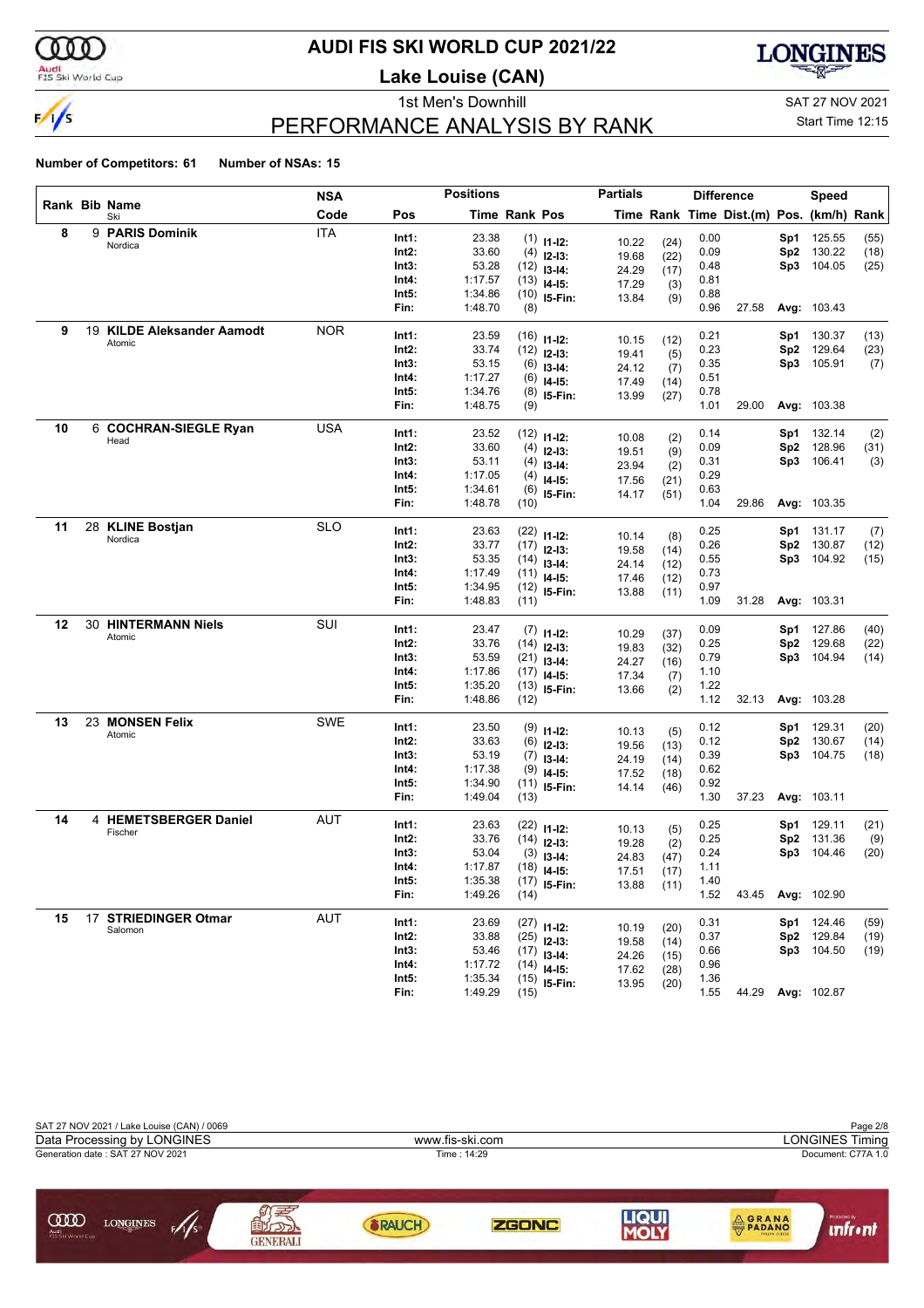

### **AUDI FIS SKI WORLD CUP 2021/22**

**Lake Louise (CAN)**



### PERFORMANCE ANALYSIS BY RANK

1st Men's Downhill and SAT 27 NOV 2021

Start Time 12:15

|    |                            | NSA        |                | <b>Positions</b> |               |                              | <b>Partials</b> |              |              | <b>Difference</b>                        |                 | <b>Speed</b>      |      |
|----|----------------------------|------------|----------------|------------------|---------------|------------------------------|-----------------|--------------|--------------|------------------------------------------|-----------------|-------------------|------|
|    | Rank Bib Name<br>Ski       | Code       | Pos            |                  | Time Rank Pos |                              |                 |              |              | Time Rank Time Dist.(m) Pos. (km/h) Rank |                 |                   |      |
| 8  | 9 PARIS Dominik            | <b>ITA</b> | Int1:          | 23.38            |               | $(1)$ 11-12:                 | 10.22           | (24)         | 0.00         |                                          | Sp1             | 125.55            | (55) |
|    | Nordica                    |            | Int2:          | 33.60            |               | $(4)$ 12-13:                 | 19.68           | (22)         | 0.09         |                                          | Sp <sub>2</sub> | 130.22            | (18) |
|    |                            |            | Int3:          | 53.28            |               | $(12)$ 13-14:                | 24.29           | (17)         | 0.48         |                                          | Sp3             | 104.05            | (25) |
|    |                            |            | Int4:          | 1:17.57          |               | $(13)$ 14-15:                | 17.29           | (3)          | 0.81         |                                          |                 |                   |      |
|    |                            |            | Int5:          | 1:34.86          |               | $(10)$ 15-Fin:               | 13.84           | (9)          | 0.88         |                                          |                 |                   |      |
|    |                            |            | Fin:           | 1:48.70          | (8)           |                              |                 |              | 0.96         | 27.58                                    |                 | Avg: 103.43       |      |
| 9  | 19 KILDE Aleksander Aamodt | <b>NOR</b> | Int1:          | 23.59            |               | $(16)$ 11-12:                |                 |              | 0.21         |                                          | Sp1             | 130.37            | (13) |
|    | Atomic                     |            | Int2:          | 33.74            |               | $(12)$ 12-13:                | 10.15           | (12)         | 0.23         |                                          | Sp <sub>2</sub> | 129.64            | (23) |
|    |                            |            | Int3:          | 53.15            |               | $(6)$ 13-14:                 | 19.41<br>24.12  | (5)          | 0.35         |                                          | Sp3             | 105.91            | (7)  |
|    |                            |            | Int4:          | 1:17.27          |               | $(6)$ 14-15:                 | 17.49           | (7)<br>(14)  | 0.51         |                                          |                 |                   |      |
|    |                            |            | Int5:          | 1:34.76          |               | $(8)$ 15-Fin:                | 13.99           | (27)         | 0.78         |                                          |                 |                   |      |
|    |                            |            | Fin:           | 1:48.75          | (9)           |                              |                 |              | 1.01         | 29.00                                    |                 | Avg: 103.38       |      |
| 10 | 6 COCHRAN-SIEGLE Ryan      | <b>USA</b> | Int1:          | 23.52            |               |                              |                 |              | 0.14         |                                          | Sp1             | 132.14            | (2)  |
|    | Head                       |            | Int2:          | 33.60            |               | $(12)$ 11-12:                | 10.08           | (2)          | 0.09         |                                          | Sp <sub>2</sub> | 128.96            | (31) |
|    |                            |            | Int3:          | 53.11            |               | $(4)$ 12-13:                 | 19.51           | (9)          | 0.31         |                                          | Sp3             | 106.41            | (3)  |
|    |                            |            | Int4:          | 1:17.05          |               | $(4)$ 13-14:<br>$(4)$ 14-15: | 23.94           | (2)          | 0.29         |                                          |                 |                   |      |
|    |                            |            | Int5:          | 1:34.61          |               | $(6)$ 15-Fin:                | 17.56           | (21)         | 0.63         |                                          |                 |                   |      |
|    |                            |            | Fin:           | 1:48.78          | (10)          |                              | 14.17           | (51)         | 1.04         | 29.86                                    |                 | Avg: 103.35       |      |
| 11 | 28 KLINE Bostjan           | <b>SLO</b> |                |                  |               |                              |                 |              |              |                                          |                 |                   |      |
|    | Nordica                    |            | Int1:          | 23.63            |               | $(22)$ 11-12:                | 10.14           | (8)          | 0.25         |                                          | Sp1             | 131.17            | (7)  |
|    |                            |            | Int2:          | 33.77            |               | $(17)$ 12-13:                | 19.58           | (14)         | 0.26         |                                          | Sp <sub>2</sub> | 130.87            | (12) |
|    |                            |            | Int3:<br>Int4: | 53.35<br>1:17.49 |               | $(14)$ 13-14:                | 24.14           | (12)         | 0.55<br>0.73 |                                          | Sp3             | 104.92            | (15) |
|    |                            |            | Int5:          | 1:34.95          |               | $(11)$ 14-15:                | 17.46           | (12)         | 0.97         |                                          |                 |                   |      |
|    |                            |            | Fin:           | 1:48.83          | (11)          | $(12)$ 15-Fin:               | 13.88           | (11)         | 1.09         | 31.28                                    |                 | Avg: 103.31       |      |
| 12 | <b>30 HINTERMANN Niels</b> | SUI        |                |                  |               |                              |                 |              |              |                                          |                 |                   |      |
|    | Atomic                     |            | Int1:          | 23.47            |               | $(7)$ 11-12:                 | 10.29           | (37)         | 0.09         |                                          | Sp1             | 127.86            | (40) |
|    |                            |            | Int2:          | 33.76            |               | $(14)$ 12-13:                | 19.83           | (32)         | 0.25         |                                          | Sp <sub>2</sub> | 129.68            | (22) |
|    |                            |            | Int3:          | 53.59            |               | $(21)$ 13-14:                | 24.27           | (16)         | 0.79         |                                          | Sp3             | 104.94            | (14) |
|    |                            |            | Int4:          | 1:17.86          |               | $(17)$ 14-15:                | 17.34           | (7)          | 1.10         |                                          |                 |                   |      |
|    |                            |            | Int5:          | 1:35.20          |               | $(13)$ 15-Fin:               | 13.66           | (2)          | 1.22         |                                          |                 |                   |      |
|    |                            |            | Fin:           | 1:48.86          | (12)          |                              |                 |              | 1.12         | 32.13                                    |                 | Avg: 103.28       |      |
| 13 | 23 MONSEN Felix<br>Atomic  | <b>SWE</b> | Int1:          | 23.50            |               | $(9)$ 11-12:                 | 10.13           | (5)          | 0.12         |                                          | Sp1             | 129.31            | (20) |
|    |                            |            | Int2:          | 33.63            |               | $(6)$ 12-13:                 | 19.56           | (13)         | 0.12         |                                          | Sp <sub>2</sub> | 130.67            | (14) |
|    |                            |            | Int3:          | 53.19            |               | $(7)$ 13-14:                 | 24.19           | (14)         | 0.39         |                                          | Sp3             | 104.75            | (18) |
|    |                            |            | Int4:          | 1:17.38          |               | $(9)$ 14-15:                 | 17.52           | (18)         | 0.62         |                                          |                 |                   |      |
|    |                            |            | Int5:          | 1:34.90          |               | $(11)$ 15-Fin:               | 14.14           | (46)         | 0.92         |                                          |                 |                   |      |
|    |                            |            | Fin:           | 1:49.04          | (13)          |                              |                 |              | 1.30         | 37.23                                    |                 | Avg: 103.11       |      |
| 14 | 4 HEMETSBERGER Daniel      | <b>AUT</b> | Int1:          | 23.63            |               | $(22)$ 11-12:                | 10.13           | (5)          | 0.25         |                                          | Sp1             | 129.11            | (21) |
|    | Fischer                    |            | Int2:          | 33.76            |               | $(14)$ 12-13:                | 19.28           | (2)          | 0.25         |                                          | Sp <sub>2</sub> | 131.36            | (9)  |
|    |                            |            | Int3:          | 53.04            |               | $(3)$ 13-14:                 | 24.83           | (47)         | 0.24         |                                          | Sp3             | 104.46            | (20) |
|    |                            |            | Int4:          | 1:17.87          |               | $(18)$ 14-15:                | 17.51           | (17)         | 1.11         |                                          |                 |                   |      |
|    |                            |            | Int5:          | 1:35.38          |               | $(17)$ 15-Fin:               | 13.88           | (11)         | 1.40         |                                          |                 |                   |      |
|    |                            |            | Fin:           | 1:49.26          | (14)          |                              |                 |              | 1.52         | 43.45                                    |                 | Avg: 102.90       |      |
| 15 | 17 STRIEDINGER Otmar       | <b>AUT</b> | Int1:          | 23.69            |               | $(27)$ 11-12:                |                 |              | 0.31         |                                          |                 | Sp1 124.46        | (59) |
|    | Salomon                    |            | Int2:          | 33.88            |               | $(25)$ 12-13:                | 10.19           | (20)         | 0.37         |                                          |                 | Sp2 129.84        | (19) |
|    |                            |            | Int3:          | 53.46            |               | $(17)$ 13-14:                | 19.58           | (14)         | 0.66         |                                          |                 | Sp3 104.50        | (19) |
|    |                            |            | Int4:          | 1:17.72          |               | $(14)$ 14-15:                | 24.26<br>17.62  | (15)<br>(28) | 0.96         |                                          |                 |                   |      |
|    |                            |            | Int5:          | 1:35.34          |               | $(15)$ 15-Fin:               | 13.95           | (20)         | 1.36         |                                          |                 |                   |      |
|    |                            |            | Fin:           | 1:49.29          | (15)          |                              |                 |              | 1.55         |                                          |                 | 44.29 Avg: 102.87 |      |

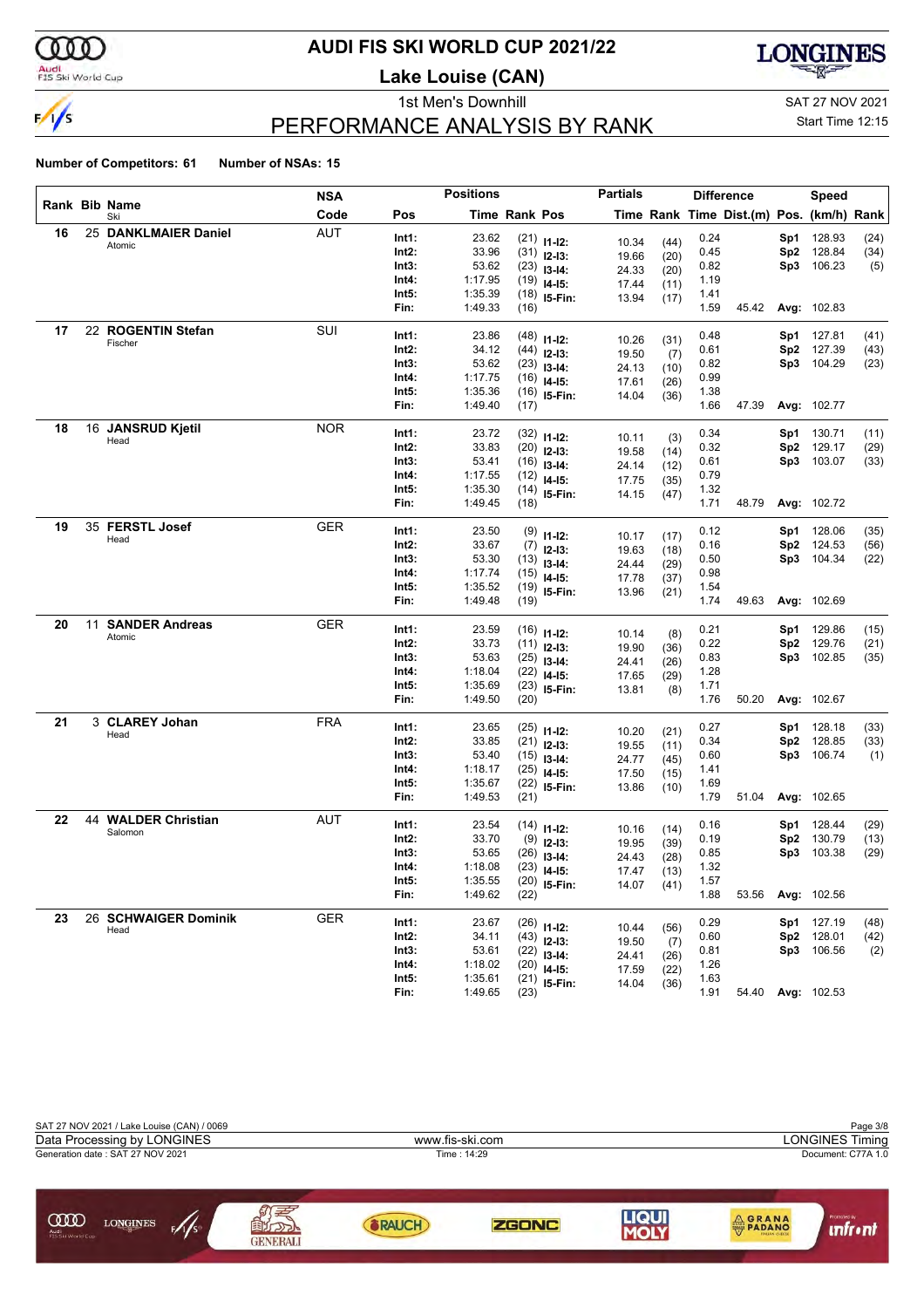

### **AUDI FIS SKI WORLD CUP 2021/22**

**Lake Louise (CAN)**



### PERFORMANCE ANALYSIS BY RANK

1st Men's Downhill and SAT 27 NOV 2021

Start Time 12:15

|    |                      | NSA        |                | <b>Positions</b> |               |                                | <b>Partials</b> |              | <b>Difference</b> |                                          |                 | Speed                |              |
|----|----------------------|------------|----------------|------------------|---------------|--------------------------------|-----------------|--------------|-------------------|------------------------------------------|-----------------|----------------------|--------------|
|    | Rank Bib Name<br>Ski | Code       | Pos            |                  | Time Rank Pos |                                |                 |              |                   | Time Rank Time Dist.(m) Pos. (km/h) Rank |                 |                      |              |
| 16 | 25 DANKLMAIER Daniel | <b>AUT</b> | Int1:          | 23.62            |               | $(21)$ 11-12:                  | 10.34           | (44)         | 0.24              |                                          | Sp1             | 128.93               | (24)         |
|    | Atomic               |            | Int2:          | 33.96            |               | $(31)$ 12-13:                  | 19.66           | (20)         | 0.45              |                                          | Sp <sub>2</sub> | 128.84               | (34)         |
|    |                      |            | Int3:          | 53.62            |               | $(23)$ 13-14:                  | 24.33           | (20)         | 0.82              |                                          | Sp3             | 106.23               | (5)          |
|    |                      |            | Int4:          | 1:17.95          |               | $(19)$ 14-15:                  | 17.44           | (11)         | 1.19              |                                          |                 |                      |              |
|    |                      |            | Int5:          | 1:35.39          |               | $(18)$ 15-Fin:                 | 13.94           | (17)         | 1.41              |                                          |                 |                      |              |
|    |                      |            | Fin:           | 1:49.33          | (16)          |                                |                 |              | 1.59              | 45.42                                    |                 | Avg: 102.83          |              |
| 17 | 22 ROGENTIN Stefan   | SUI        | Int1:          | 23.86            |               | $(48)$ 11-12:                  | 10.26           | (31)         | 0.48              |                                          | Sp1             | 127.81               | (41)         |
|    | Fischer              |            | Int2:          | 34.12            |               | $(44)$ 12-13:                  | 19.50           | (7)          | 0.61              |                                          | Sp2             | 127.39               | (43)         |
|    |                      |            | Int3:          | 53.62            |               | $(23)$ 13-14:                  | 24.13           | (10)         | 0.82              |                                          | Sp3             | 104.29               | (23)         |
|    |                      |            | Int4:          | 1:17.75          |               | $(16)$ 14-15:                  | 17.61           | (26)         | 0.99              |                                          |                 |                      |              |
|    |                      |            | Int5:          | 1:35.36          |               | $(16)$ 15-Fin:                 | 14.04           | (36)         | 1.38              |                                          |                 |                      |              |
|    |                      |            | Fin:           | 1:49.40          | (17)          |                                |                 |              | 1.66              | 47.39                                    |                 | <b>Avg: 102.77</b>   |              |
| 18 | 16 JANSRUD Kjetil    | <b>NOR</b> | Int1:          | 23.72            |               | $(32)$ 11-12:                  | 10.11           |              | 0.34              |                                          | Sp1             | 130.71               | (11)         |
|    | Head                 |            | Int2:          | 33.83            |               | $(20)$ 12-13:                  | 19.58           | (3)<br>(14)  | 0.32              |                                          | Sp <sub>2</sub> | 129.17               | (29)         |
|    |                      |            | Int3:          | 53.41            |               | $(16)$ 13-14:                  | 24.14           | (12)         | 0.61              |                                          | Sp3             | 103.07               | (33)         |
|    |                      |            | Int4:          | 1:17.55          |               | $(12)$ 14-15:                  | 17.75           | (35)         | 0.79              |                                          |                 |                      |              |
|    |                      |            | Int5:          | 1:35.30          |               | $(14)$ 15-Fin:                 | 14.15           | (47)         | 1.32              |                                          |                 |                      |              |
|    |                      |            | Fin:           | 1:49.45          | (18)          |                                |                 |              | 1.71              | 48.79                                    |                 | Avg: 102.72          |              |
| 19 | 35 FERSTL Josef      | GER        | Int1:          | 23.50            |               | $(9)$ 11-12:                   |                 |              | 0.12              |                                          | Sp1             | 128.06               | (35)         |
|    | Head                 |            | Int2:          | 33.67            |               | $(7)$ 12-13:                   | 10.17           | (17)         | 0.16              |                                          | Sp2             | 124.53               | (56)         |
|    |                      |            | Int3:          | 53.30            |               | $(13)$ 13-14:                  | 19.63<br>24.44  | (18)         | 0.50              |                                          | Sp3             | 104.34               | (22)         |
|    |                      |            | Int4:          | 1:17.74          |               | $(15)$ 14-15:                  | 17.78           | (29)<br>(37) | 0.98              |                                          |                 |                      |              |
|    |                      |            | Int5:          | 1:35.52          |               | $(19)$ 15-Fin:                 | 13.96           | (21)         | 1.54              |                                          |                 |                      |              |
|    |                      |            | Fin:           | 1:49.48          | (19)          |                                |                 |              | 1.74              | 49.63                                    |                 | Avg: 102.69          |              |
| 20 | 11 SANDER Andreas    | <b>GER</b> | Int1:          | 23.59            |               | $(16)$ 11-12:                  |                 |              | 0.21              |                                          | Sp1             | 129.86               | (15)         |
|    | Atomic               |            | Int2:          | 33.73            |               | $(11)$ 12-13:                  | 10.14           | (8)          | 0.22              |                                          | Sp <sub>2</sub> | 129.76               | (21)         |
|    |                      |            | Int3:          | 53.63            |               | $(25)$ 13-14:                  | 19.90           | (36)         | 0.83              |                                          | Sp3             | 102.85               | (35)         |
|    |                      |            | Int4:          | 1:18.04          |               | $(22)$ 14-15:                  | 24.41<br>17.65  | (26)         | 1.28              |                                          |                 |                      |              |
|    |                      |            | Int5:          | 1:35.69          |               | $(23)$ 15-Fin:                 | 13.81           | (29)<br>(8)  | 1.71              |                                          |                 |                      |              |
|    |                      |            | Fin:           | 1:49.50          | (20)          |                                |                 |              | 1.76              | 50.20                                    |                 | Avg: 102.67          |              |
| 21 | 3 CLAREY Johan       | <b>FRA</b> | Int1:          | 23.65            |               |                                |                 |              | 0.27              |                                          | Sp1             | 128.18               | (33)         |
|    | Head                 |            | Int2:          | 33.85            |               | $(25)$ 11-12:<br>$(21)$ 12-13: | 10.20           | (21)         | 0.34              |                                          | Sp2             | 128.85               | (33)         |
|    |                      |            | Int3:          | 53.40            |               | $(15)$ 13-14:                  | 19.55           | (11)         | 0.60              |                                          | Sp3             | 106.74               | (1)          |
|    |                      |            | Int4:          | 1:18.17          |               | $(25)$ 14-15:                  | 24.77           | (45)<br>(15) | 1.41              |                                          |                 |                      |              |
|    |                      |            | Int5:          | 1:35.67          |               | $(22)$ 15-Fin:                 | 17.50<br>13.86  | (10)         | 1.69              |                                          |                 |                      |              |
|    |                      |            | Fin:           | 1:49.53          | (21)          |                                |                 |              | 1.79              | 51.04                                    |                 | <b>Avg: 102.65</b>   |              |
| 22 | 44 WALDER Christian  | AUT        | Int1:          | 23.54            |               |                                |                 |              | 0.16              |                                          | Sp1             | 128.44               | (29)         |
|    | Salomon              |            | Int2:          | 33.70            |               | $(14)$ 11-12:                  | 10.16           | (14)         | 0.19              |                                          | Sp <sub>2</sub> | 130.79               | (13)         |
|    |                      |            | Int3:          | 53.65            |               | $(9)$ 12-13:<br>$(26)$ 13-14:  | 19.95           | (39)         | 0.85              |                                          | Sp3             | 103.38               | (29)         |
|    |                      |            | Int4:          | 1:18.08          |               | $(23)$ 14-15:                  | 24.43           | (28)         | 1.32              |                                          |                 |                      |              |
|    |                      |            | Int5:          | 1:35.55          |               | $(20)$ 15-Fin:                 | 17.47           | (13)         | 1.57              |                                          |                 |                      |              |
|    |                      |            | Fin:           | 1:49.62          | (22)          |                                | 14.07           | (41)         | 1.88              | 53.56                                    |                 | Avg: 102.56          |              |
| 23 | 26 SCHWAIGER Dominik | <b>GER</b> |                |                  |               |                                |                 |              |                   |                                          |                 |                      |              |
|    | Head                 |            | Int1:<br>Int2: | 23.67<br>34.11   |               | $(26)$ 11-12:                  | 10.44           | (56)         | 0.29<br>0.60      |                                          | Sp2             | Sp1 127.19<br>128.01 | (48)<br>(42) |
|    |                      |            | Int3:          | 53.61            |               | $(43)$ 12-13:                  | 19.50           | (7)          | 0.81              |                                          |                 | Sp3 106.56           | (2)          |
|    |                      |            | Int4:          | 1:18.02          |               | $(22)$ 13-14:<br>$(20)$ 14-15: | 24.41           | (26)         | 1.26              |                                          |                 |                      |              |
|    |                      |            | Int5:          | 1:35.61          |               | $(21)$ 15-Fin:                 | 17.59           | (22)         | 1.63              |                                          |                 |                      |              |
|    |                      |            | Fin:           | 1:49.65          | (23)          |                                | 14.04           | (36)         | 1.91              |                                          |                 | 54.40 Avg: 102.53    |              |

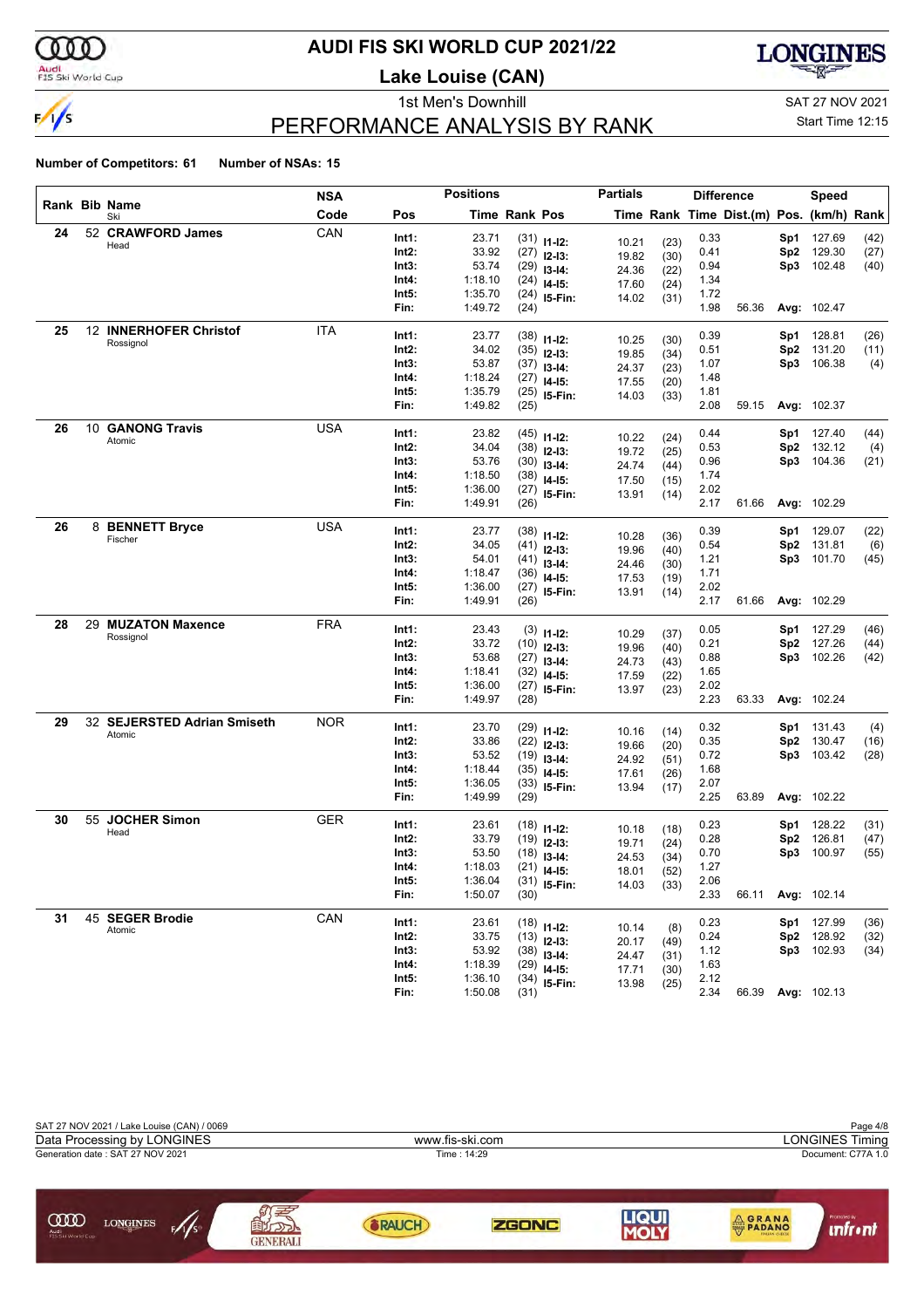

### **AUDI FIS SKI WORLD CUP 2021/22**

**Lake Louise (CAN)**



### PERFORMANCE ANALYSIS BY RANK

1st Men's Downhill and SAT 27 NOV 2021

#### Start Time 12:15

|    |                                       | NSA        |                | <b>Positions</b>   |                      |                                | <b>Partials</b> |      |              | <b>Difference</b>                        |                 | Speed              |      |
|----|---------------------------------------|------------|----------------|--------------------|----------------------|--------------------------------|-----------------|------|--------------|------------------------------------------|-----------------|--------------------|------|
|    | Rank Bib Name<br>Ski                  | Code       | Pos            |                    | <b>Time Rank Pos</b> |                                |                 |      |              | Time Rank Time Dist.(m) Pos. (km/h) Rank |                 |                    |      |
| 24 | 52 CRAWFORD James                     | CAN        | Int1:          | 23.71              |                      | $(31)$ 11-12:                  | 10.21           | (23) | 0.33         |                                          | Sp1             | 127.69             | (42) |
|    | Head                                  |            | Int2:          | 33.92              |                      | $(27)$ 12-13:                  | 19.82           | (30) | 0.41         |                                          | Sp <sub>2</sub> | 129.30             | (27) |
|    |                                       |            | Int3:          | 53.74              | (29)                 | $13 - 14$ :                    | 24.36           | (22) | 0.94         |                                          | Sp3             | 102.48             | (40) |
|    |                                       |            | Int4:          | 1:18.10            | (24)                 | $14 - 15$ :                    | 17.60           | (24) | 1.34         |                                          |                 |                    |      |
|    |                                       |            | Int5:          | 1:35.70            | (24)                 | 15-Fin:                        | 14.02           | (31) | 1.72         |                                          |                 |                    |      |
|    |                                       |            | Fin:           | 1:49.72            | (24)                 |                                |                 |      | 1.98         | 56.36                                    |                 | Avg: 102.47        |      |
| 25 | 12 INNERHOFER Christof                | ITA        | Int1:          | 23.77              | (38)                 |                                |                 |      | 0.39         |                                          | Sp1             | 128.81             | (26) |
|    | Rossignol                             |            | Int2:          | 34.02              | (35)                 | $11 - 12$ :<br>$12 - 13:$      | 10.25           | (30) | 0.51         |                                          | Sp <sub>2</sub> | 131.20             | (11) |
|    |                                       |            | Int3:          | 53.87              |                      | $(37)$ 13-14:                  | 19.85           | (34) | 1.07         |                                          | Sp3             | 106.38             | (4)  |
|    |                                       |            | Int4:          | 1:18.24            | (27)                 | $14 - 15$ :                    | 24.37           | (23) | 1.48         |                                          |                 |                    |      |
|    |                                       |            | Int5:          | 1:35.79            |                      | $(25)$ 15-Fin:                 | 17.55<br>14.03  | (20) | 1.81         |                                          |                 |                    |      |
|    |                                       |            | Fin:           | 1:49.82            | (25)                 |                                |                 | (33) | 2.08         | 59.15                                    |                 | Avg: 102.37        |      |
| 26 | 10 GANONG Travis                      | <b>USA</b> | Int1:          | 23.82              |                      |                                |                 |      | 0.44         |                                          | Sp1             | 127.40             | (44) |
|    | Atomic                                |            | Int2:          | 34.04              |                      | $(45)$ 11-12:                  | 10.22           | (24) | 0.53         |                                          | Sp <sub>2</sub> | 132.12             | (4)  |
|    |                                       |            | Int3:          | 53.76              | (30)                 | $(38)$ 12-13:                  | 19.72           | (25) | 0.96         |                                          | Sp3             | 104.36             | (21) |
|    |                                       |            | Int4:          | 1:18.50            | (38)                 | $13-14:$                       | 24.74           | (44) | 1.74         |                                          |                 |                    |      |
|    |                                       |            | Int5:          | 1:36.00            | (27)                 | $14 - 15$ :                    | 17.50           | (15) | 2.02         |                                          |                 |                    |      |
|    |                                       |            | Fin:           | 1:49.91            | (26)                 | 15-Fin:                        | 13.91           | (14) | 2.17         | 61.66                                    |                 | Avg: 102.29        |      |
| 26 | 8 BENNETT Bryce                       | <b>USA</b> |                |                    |                      |                                |                 |      |              |                                          |                 |                    |      |
|    | Fischer                               |            | Int1:          | 23.77              |                      | $(38)$ 11-12:                  | 10.28           | (36) | 0.39         |                                          | Sp1             | 129.07             | (22) |
|    |                                       |            | Int2:          | 34.05              | (41)                 | $12 - 13:$                     | 19.96           | (40) | 0.54         |                                          | Sp2             | 131.81             | (6)  |
|    |                                       |            | Int3:          | 54.01              |                      | $(41)$ 13-14:                  | 24.46           | (30) | 1.21         |                                          | Sp3             | 101.70             | (45) |
|    |                                       |            | Int4:<br>Int5: | 1:18.47            | (36)                 | $14 - 15$ :                    | 17.53           | (19) | 1.71<br>2.02 |                                          |                 |                    |      |
|    |                                       |            | Fin:           | 1:36.00<br>1:49.91 | (26)                 | $(27)$ 15-Fin:                 | 13.91           | (14) | 2.17         | 61.66                                    |                 | <b>Avg: 102.29</b> |      |
| 28 | 29 MUZATON Maxence                    | FRA        |                |                    |                      |                                |                 |      |              |                                          |                 |                    |      |
|    | Rossignol                             |            | Int1:          | 23.43              |                      | $(3)$ 11-12:                   | 10.29           | (37) | 0.05         |                                          | Sp1             | 127.29             | (46) |
|    |                                       |            | Int2:          | 33.72              |                      | $(10)$ 12-13:                  | 19.96           | (40) | 0.21         |                                          | Sp <sub>2</sub> | 127.26             | (44) |
|    |                                       |            | Int3:          | 53.68              | (27)                 | $13-14:$                       | 24.73           | (43) | 0.88         |                                          | Sp3             | 102.26             | (42) |
|    |                                       |            | Int4:          | 1:18.41            |                      | $(32)$ 14-15:                  | 17.59           | (22) | 1.65         |                                          |                 |                    |      |
|    |                                       |            | Int5:          | 1:36.00            | (27)                 | 15-Fin:                        | 13.97           | (23) | 2.02         |                                          |                 |                    |      |
|    |                                       |            | Fin:           | 1:49.97            | (28)                 |                                |                 |      | 2.23         | 63.33                                    |                 | Avg: 102.24        |      |
| 29 | 32 SEJERSTED Adrian Smiseth<br>Atomic | NOR        | Int1:          | 23.70              | (29)                 | $11 - 12$ :                    | 10.16           | (14) | 0.32         |                                          | Sp1             | 131.43             | (4)  |
|    |                                       |            | Int2:          | 33.86              | (22)                 | $12 - 13:$                     | 19.66           | (20) | 0.35         |                                          | Sp <sub>2</sub> | 130.47             | (16) |
|    |                                       |            | Int3:          | 53.52              |                      | $(19)$ 13-14:                  | 24.92           | (51) | 0.72         |                                          | Sp3             | 103.42             | (28) |
|    |                                       |            | Int4:          | 1:18.44            | (35)                 | $14 - 15$ :                    | 17.61           | (26) | 1.68         |                                          |                 |                    |      |
|    |                                       |            | Int5:          | 1:36.05            | (33)                 | $15-Fin:$                      | 13.94           | (17) | 2.07         |                                          |                 |                    |      |
|    |                                       |            | Fin:           | 1:49.99            | (29)                 |                                |                 |      | 2.25         | 63.89                                    |                 | Avg: 102.22        |      |
| 30 | 55 JOCHER Simon                       | GER        | Int1:          | 23.61              |                      | $(18)$ 11-12:                  | 10.18           | (18) | 0.23         |                                          | Sp1             | 128.22             | (31) |
|    | Head                                  |            | Int2:          | 33.79              |                      | $(19)$ 12-13:                  | 19.71           | (24) | 0.28         |                                          | Sp <sub>2</sub> | 126.81             | (47) |
|    |                                       |            | Int3:          | 53.50              | (18)                 | $13 - 14:$                     | 24.53           | (34) | 0.70         |                                          | Sp3             | 100.97             | (55) |
|    |                                       |            | Int4:          | 1:18.03            | (21)                 | $14 - 15:$                     | 18.01           | (52) | 1.27         |                                          |                 |                    |      |
|    |                                       |            | Int5:          | 1:36.04            |                      | $(31)$ 15-Fin:                 | 14.03           | (33) | 2.06         |                                          |                 |                    |      |
|    |                                       |            | Fin:           | 1:50.07            | (30)                 |                                |                 |      | 2.33         | 66.11                                    |                 | Avg: 102.14        |      |
| 31 | 45 SEGER Brodie                       | CAN        | Int1:          | 23.61              |                      |                                |                 |      | 0.23         |                                          |                 | Sp1 127.99         | (36) |
|    | Atomic                                |            | Int2:          | 33.75              |                      | $(18)$ 11-12:<br>$(13)$ 12-13: | 10.14           | (8)  | 0.24         |                                          |                 | Sp2 128.92         | (32) |
|    |                                       |            | Int3:          | 53.92              |                      |                                | 20.17           | (49) | 1.12         |                                          |                 | Sp3 102.93         | (34) |
|    |                                       |            | Int4:          | 1:18.39            |                      | $(38)$ 13-14:<br>$(29)$ 14-15: | 24.47           | (31) | 1.63         |                                          |                 |                    |      |
|    |                                       |            | Int5:          | 1:36.10            |                      | $(34)$ 15-Fin:                 | 17.71           | (30) | 2.12         |                                          |                 |                    |      |
|    |                                       |            | Fin:           | 1:50.08            | (31)                 |                                | 13.98           | (25) | 2.34         | 66.39                                    |                 | <b>Avg: 102.13</b> |      |

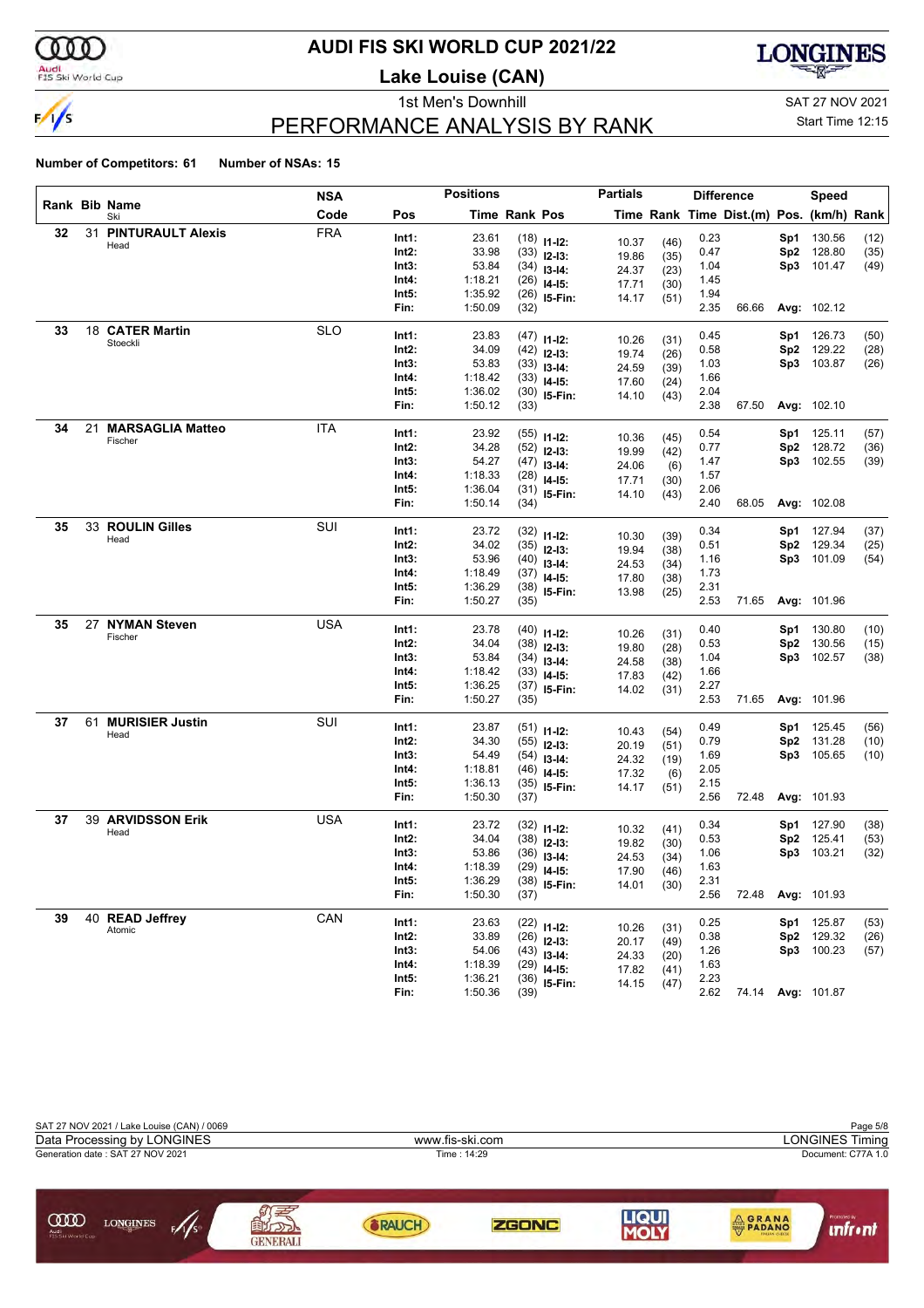

### **AUDI FIS SKI WORLD CUP 2021/22**

**Lake Louise (CAN)**



### PERFORMANCE ANALYSIS BY RANK

1st Men's Downhill and SAT 27 NOV 2021

#### Start Time 12:15

|    |    |                         | <b>NSA</b> |       | <b>Positions</b> |               |                | <b>Partials</b> |              |      | <b>Difference</b>                        |                 | Speed              |      |
|----|----|-------------------------|------------|-------|------------------|---------------|----------------|-----------------|--------------|------|------------------------------------------|-----------------|--------------------|------|
|    |    | Rank Bib Name<br>Ski    | Code       | Pos   |                  | Time Rank Pos |                |                 |              |      | Time Rank Time Dist.(m) Pos. (km/h) Rank |                 |                    |      |
| 32 |    | 31 PINTURAULT Alexis    | <b>FRA</b> | Int1: | 23.61            |               | $(18)$ 11-12:  | 10.37           |              | 0.23 |                                          | Sp1             | 130.56             | (12) |
|    |    | Head                    |            | Int2: | 33.98            |               | $(33)$ 12-13:  | 19.86           | (46)<br>(35) | 0.47 |                                          | Sp <sub>2</sub> | 128.80             | (35) |
|    |    |                         |            | Int3: | 53.84            |               | $(34)$ 13-14:  | 24.37           | (23)         | 1.04 |                                          | Sp3             | 101.47             | (49) |
|    |    |                         |            | Int4: | 1:18.21          |               | $(26)$ 14-15:  | 17.71           | (30)         | 1.45 |                                          |                 |                    |      |
|    |    |                         |            | Int5: | 1:35.92          |               | $(26)$ 15-Fin: | 14.17           | (51)         | 1.94 |                                          |                 |                    |      |
|    |    |                         |            | Fin:  | 1:50.09          | (32)          |                |                 |              | 2.35 | 66.66                                    |                 | Avg: 102.12        |      |
| 33 |    | 18 CATER Martin         | <b>SLO</b> | Int1: | 23.83            |               | $(47)$ 11-12:  |                 |              | 0.45 |                                          | Sp1             | 126.73             | (50) |
|    |    | Stoeckli                |            | Int2: | 34.09            |               | $(42)$ 12-13:  | 10.26<br>19.74  | (31)         | 0.58 |                                          | Sp2             | 129.22             | (28) |
|    |    |                         |            | Int3: | 53.83            |               | $(33)$ 13-14:  | 24.59           | (26)<br>(39) | 1.03 |                                          | Sp3             | 103.87             | (26) |
|    |    |                         |            | Int4: | 1:18.42          |               | $(33)$ 14-15:  | 17.60           | (24)         | 1.66 |                                          |                 |                    |      |
|    |    |                         |            | Int5: | 1:36.02          |               | $(30)$ 15-Fin: | 14.10           | (43)         | 2.04 |                                          |                 |                    |      |
|    |    |                         |            | Fin:  | 1:50.12          | (33)          |                |                 |              | 2.38 | 67.50                                    |                 | <b>Avg: 102.10</b> |      |
| 34 | 21 | <b>MARSAGLIA Matteo</b> | ITA        | Int1: | 23.92            |               | $(55)$ 11-12:  |                 |              | 0.54 |                                          | Sp1             | 125.11             | (57) |
|    |    | Fischer                 |            | Int2: | 34.28            |               | $(52)$ 12-13:  | 10.36           | (45)         | 0.77 |                                          | Sp <sub>2</sub> | 128.72             | (36) |
|    |    |                         |            | Int3: | 54.27            |               | $(47)$ 13-14:  | 19.99<br>24.06  | (42)         | 1.47 |                                          | Sp3             | 102.55             | (39) |
|    |    |                         |            | Int4: | 1:18.33          |               | $(28)$ 14-15:  | 17.71           | (6)<br>(30)  | 1.57 |                                          |                 |                    |      |
|    |    |                         |            | Int5: | 1:36.04          |               | $(31)$ 15-Fin: | 14.10           | (43)         | 2.06 |                                          |                 |                    |      |
|    |    |                         |            | Fin:  | 1:50.14          | (34)          |                |                 |              | 2.40 | 68.05                                    |                 | Avg: 102.08        |      |
| 35 |    | 33 ROULIN Gilles        | SUI        | Int1: | 23.72            |               | $(32)$ 11-12:  |                 |              | 0.34 |                                          | Sp1             | 127.94             | (37) |
|    |    | Head                    |            | Int2: | 34.02            |               | $(35)$ 12-13:  | 10.30           | (39)         | 0.51 |                                          | Sp2             | 129.34             | (25) |
|    |    |                         |            | Int3: | 53.96            |               | $(40)$ 13-14:  | 19.94           | (38)         | 1.16 |                                          |                 | Sp3 101.09         | (54) |
|    |    |                         |            | Int4: | 1:18.49          |               | $(37)$ 14-15:  | 24.53<br>17.80  | (34)         | 1.73 |                                          |                 |                    |      |
|    |    |                         |            | Int5: | 1:36.29          |               | $(38)$ 15-Fin: | 13.98           | (38)<br>(25) | 2.31 |                                          |                 |                    |      |
|    |    |                         |            | Fin:  | 1:50.27          | (35)          |                |                 |              | 2.53 | 71.65                                    |                 | Avg: 101.96        |      |
| 35 |    | 27 NYMAN Steven         | <b>USA</b> | Int1: | 23.78            |               | $(40)$ 11-12:  |                 |              | 0.40 |                                          | Sp1             | 130.80             | (10) |
|    |    | Fischer                 |            | Int2: | 34.04            |               | $(38)$ 12-13:  | 10.26           | (31)         | 0.53 |                                          | Sp <sub>2</sub> | 130.56             | (15) |
|    |    |                         |            | Int3: | 53.84            |               | $(34)$ 13-14:  | 19.80<br>24.58  | (28)         | 1.04 |                                          | Sp3             | 102.57             | (38) |
|    |    |                         |            | Int4: | 1:18.42          |               | $(33)$ 14-15:  | 17.83           | (38)<br>(42) | 1.66 |                                          |                 |                    |      |
|    |    |                         |            | Int5: | 1:36.25          |               | $(37)$ 15-Fin: | 14.02           | (31)         | 2.27 |                                          |                 |                    |      |
|    |    |                         |            | Fin:  | 1:50.27          | (35)          |                |                 |              | 2.53 | 71.65                                    |                 | Avg: 101.96        |      |
| 37 | 61 | <b>MURISIER Justin</b>  | SUI        | Int1: | 23.87            |               | $(51)$ 11-12:  |                 |              | 0.49 |                                          | Sp1             | 125.45             | (56) |
|    |    | Head                    |            | Int2: | 34.30            |               | $(55)$ 12-13:  | 10.43           | (54)         | 0.79 |                                          | Sp <sub>2</sub> | 131.28             | (10) |
|    |    |                         |            | Int3: | 54.49            |               | $(54)$ 13-14:  | 20.19<br>24.32  | (51)         | 1.69 |                                          |                 | Sp3 105.65         | (10) |
|    |    |                         |            | Int4: | 1:18.81          |               | $(46)$ 14-15:  | 17.32           | (19)         | 2.05 |                                          |                 |                    |      |
|    |    |                         |            | Int5: | 1:36.13          |               | $(35)$ 15-Fin: | 14.17           | (6)<br>(51)  | 2.15 |                                          |                 |                    |      |
|    |    |                         |            | Fin:  | 1:50.30          | (37)          |                |                 |              | 2.56 | 72.48                                    |                 | <b>Avg: 101.93</b> |      |
| 37 |    | 39 ARVIDSSON Erik       | <b>USA</b> | Int1: | 23.72            |               | $(32)$ 11-12:  |                 |              | 0.34 |                                          | Sp1             | 127.90             | (38) |
|    |    | Head                    |            | Int2: | 34.04            |               | $(38)$ 12-13:  | 10.32<br>19.82  | (41)         | 0.53 |                                          | Sp <sub>2</sub> | 125.41             | (53) |
|    |    |                         |            | Int3: | 53.86            |               | $(36)$ 13-14:  | 24.53           | (30)         | 1.06 |                                          | Sp3             | 103.21             | (32) |
|    |    |                         |            | Int4: | 1:18.39          |               | $(29)$ 14-15:  | 17.90           | (34)<br>(46) | 1.63 |                                          |                 |                    |      |
|    |    |                         |            | Int5: | 1:36.29          |               | $(38)$ 15-Fin: | 14.01           | (30)         | 2.31 |                                          |                 |                    |      |
|    |    |                         |            | Fin:  | 1:50.30          | (37)          |                |                 |              | 2.56 | 72.48                                    |                 | Avg: 101.93        |      |
| 39 |    | 40 READ Jeffrey         | CAN        | Int1: | 23.63            |               | $(22)$ 11-12:  |                 |              | 0.25 |                                          | Sp1             | 125.87             | (53) |
|    |    | Atomic                  |            | Int2: | 33.89            |               | $(26)$ 12-13:  | 10.26           | (31)         | 0.38 |                                          | Sp2             | 129.32             | (26) |
|    |    |                         |            | Int3: | 54.06            |               | $(43)$ 13-14:  | 20.17<br>24.33  | (49)         | 1.26 |                                          |                 | Sp3 100.23         | (57) |
|    |    |                         |            | Int4: | 1:18.39          |               | $(29)$ 14-15:  | 17.82           | (20)<br>(41) | 1.63 |                                          |                 |                    |      |
|    |    |                         |            | Int5: | 1:36.21          |               | $(36)$ 15-Fin: | 14.15           | (47)         | 2.23 |                                          |                 |                    |      |
|    |    |                         |            | Fin:  | 1:50.36          | (39)          |                |                 |              | 2.62 |                                          |                 | 74.14 Avg: 101.87  |      |

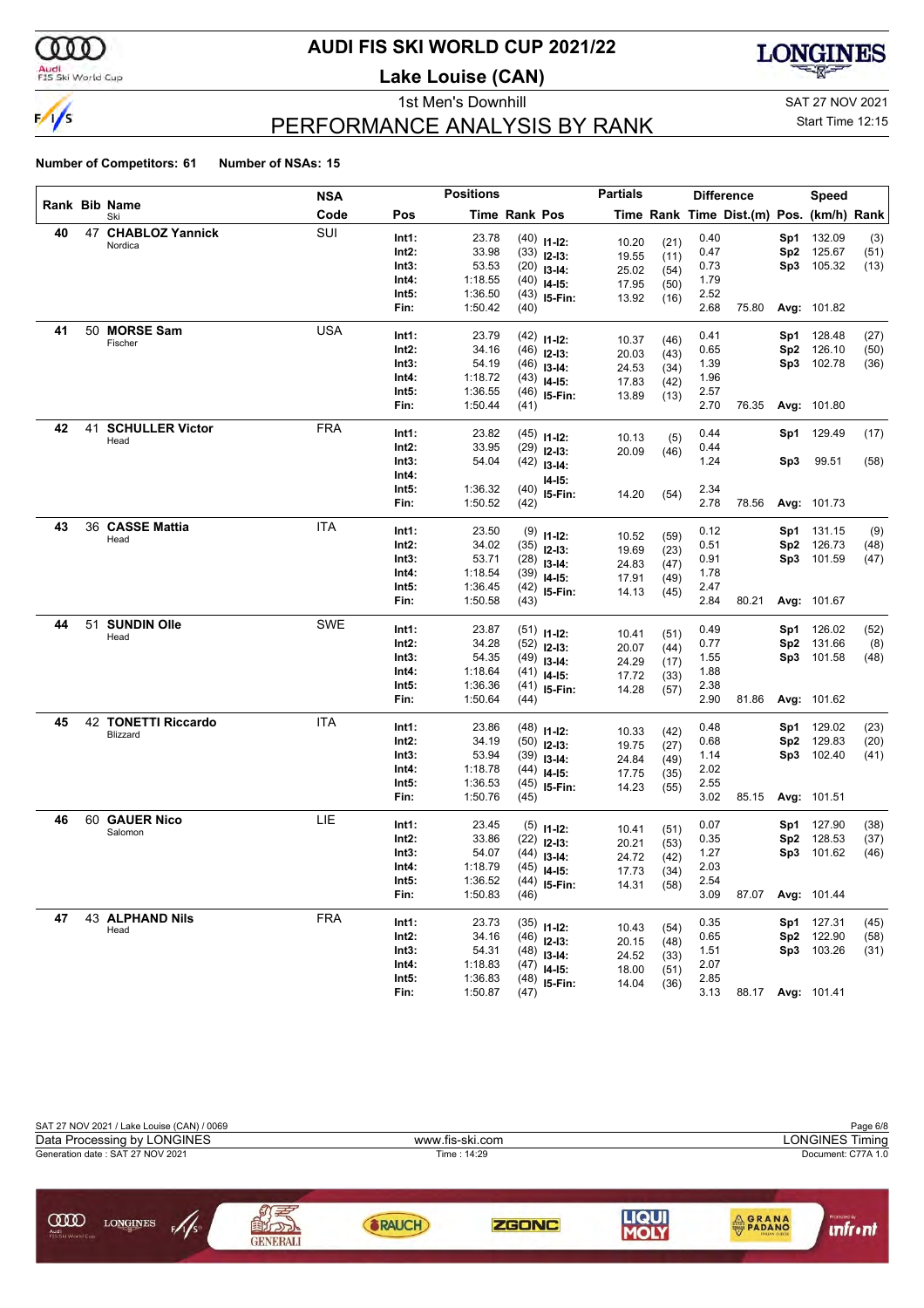

### **AUDI FIS SKI WORLD CUP 2021/22**

**Lake Louise (CAN)**



### PERFORMANCE ANALYSIS BY RANK

1st Men's Downhill and SAT 27 NOV 2021

#### Start Time 12:15

|    |    |                                | <b>NSA</b> |                | <b>Positions</b>   |               |                                | <b>Partials</b> |              |              | <b>Difference</b>                        |                 | Speed              |              |
|----|----|--------------------------------|------------|----------------|--------------------|---------------|--------------------------------|-----------------|--------------|--------------|------------------------------------------|-----------------|--------------------|--------------|
|    |    | Rank Bib Name<br>Ski           | Code       | Pos            |                    | Time Rank Pos |                                |                 |              |              | Time Rank Time Dist.(m) Pos. (km/h) Rank |                 |                    |              |
| 40 |    | 47 CHABLOZ Yannick             | SUI        | Int1:          | 23.78              |               | $(40)$ 11-12:                  | 10.20           |              | 0.40         |                                          | Sp1             | 132.09             | (3)          |
|    |    | Nordica                        |            | Int2:          | 33.98              |               | $(33)$ 12-13:                  | 19.55           | (21)         | 0.47         |                                          | Sp <sub>2</sub> | 125.67             | (51)         |
|    |    |                                |            | Int3:          | 53.53              |               | $(20)$ 13-14:                  | 25.02           | (11)<br>(54) | 0.73         |                                          | Sp3             | 105.32             | (13)         |
|    |    |                                |            | Int4:          | 1:18.55            |               | $(40)$ 14-15:                  | 17.95           | (50)         | 1.79         |                                          |                 |                    |              |
|    |    |                                |            | Int5:          | 1:36.50            |               | $(43)$ 15-Fin:                 | 13.92           | (16)         | 2.52         |                                          |                 |                    |              |
|    |    |                                |            | Fin:           | 1:50.42            | (40)          |                                |                 |              | 2.68         | 75.80                                    |                 | Avg: 101.82        |              |
| 41 | 50 | <b>MORSE Sam</b>               | <b>USA</b> | Int1:          | 23.79              |               |                                |                 |              | 0.41         |                                          | Sp1             | 128.48             |              |
|    |    | Fischer                        |            | Int2:          | 34.16              |               | $(42)$ 11-12:                  | 10.37           | (46)         | 0.65         |                                          | Sp2             | 126.10             | (27)<br>(50) |
|    |    |                                |            | Int3:          | 54.19              |               | $(46)$ 12-13:                  | 20.03           | (43)         | 1.39         |                                          | Sp3             | 102.78             | (36)         |
|    |    |                                |            | Int4:          | 1:18.72            |               | $(46)$ 13-14:<br>$(43)$ 14-15: | 24.53           | (34)         | 1.96         |                                          |                 |                    |              |
|    |    |                                |            | Int5:          | 1:36.55            |               | $(46)$ 15-Fin:                 | 17.83           | (42)         | 2.57         |                                          |                 |                    |              |
|    |    |                                |            | Fin:           | 1:50.44            | (41)          |                                | 13.89           | (13)         | 2.70         | 76.35                                    |                 | Avg: 101.80        |              |
| 42 | 41 | <b>SCHULLER Victor</b>         | <b>FRA</b> |                |                    |               |                                |                 |              |              |                                          |                 |                    |              |
|    |    | Head                           |            | Int1:          | 23.82              |               | $(45)$ 11-12:                  | 10.13           | (5)          | 0.44         |                                          | Sp1             | 129.49             | (17)         |
|    |    |                                |            | Int2:          | 33.95              |               | $(29)$ 12-13:                  | 20.09           | (46)         | 0.44         |                                          |                 |                    |              |
|    |    |                                |            | Int3:          | 54.04              |               | $(42)$ 13-14:                  |                 |              | 1.24         |                                          | Sp3             | 99.51              | (58)         |
|    |    |                                |            | Int4:          |                    |               | I4-I5:                         |                 |              |              |                                          |                 |                    |              |
|    |    |                                |            | Int5:<br>Fin:  | 1:36.32<br>1:50.52 |               | $(40)$ 15-Fin:                 | 14.20           | (54)         | 2.34<br>2.78 |                                          |                 |                    |              |
|    |    |                                |            |                |                    | (42)          |                                |                 |              |              | 78.56                                    |                 | Avg: 101.73        |              |
| 43 |    | 36 CASSE Mattia                | ITA        | Int1:          | 23.50              |               | $(9)$ 11-12:                   | 10.52           | (59)         | 0.12         |                                          | Sp1             | 131.15             | (9)          |
|    |    | Head                           |            | Int2:          | 34.02              |               | $(35)$ 12-13:                  | 19.69           | (23)         | 0.51         |                                          | Sp <sub>2</sub> | 126.73             | (48)         |
|    |    |                                |            | Int3:          | 53.71              |               | $(28)$ 13-14:                  | 24.83           | (47)         | 0.91         |                                          |                 | Sp3 101.59         | (47)         |
|    |    |                                |            | Int4:          | 1:18.54            |               | $(39)$ 14-15:                  | 17.91           | (49)         | 1.78         |                                          |                 |                    |              |
|    |    |                                |            | Int5:          | 1:36.45            |               | $(42)$ 15-Fin:                 | 14.13           | (45)         | 2.47         |                                          |                 |                    |              |
|    |    |                                |            | Fin:           | 1:50.58            | (43)          |                                |                 |              | 2.84         | 80.21                                    |                 | Avg: 101.67        |              |
| 44 | 51 | <b>SUNDIN Olle</b>             | <b>SWE</b> | Int1:          | 23.87              |               |                                |                 |              | 0.49         |                                          | Sp1             | 126.02             | (52)         |
|    |    | Head                           |            | Int2:          | 34.28              |               | $(51)$ 11-12:<br>$(52)$ 12-13: | 10.41           | (51)         | 0.77         |                                          | Sp2             | 131.66             | (8)          |
|    |    |                                |            | Int3:          | 54.35              |               | $(49)$ 13-14:                  | 20.07           | (44)         | 1.55         |                                          | Sp3             | 101.58             | (48)         |
|    |    |                                |            | Int4:          | 1:18.64            |               | $(41)$ 14-15:                  | 24.29           | (17)         | 1.88         |                                          |                 |                    |              |
|    |    |                                |            | Int5:          | 1:36.36            |               | $(41)$ 15-Fin:                 | 17.72           | (33)         | 2.38         |                                          |                 |                    |              |
|    |    |                                |            | Fin:           | 1:50.64            | (44)          |                                | 14.28           | (57)         | 2.90         | 81.86                                    |                 | Avg: 101.62        |              |
| 45 |    | <b>42 TONETTI Riccardo</b>     | <b>ITA</b> |                |                    |               |                                |                 |              |              |                                          |                 |                    |              |
|    |    | Blizzard                       |            | Int1:          | 23.86              |               | $(48)$ 11-12:                  | 10.33           | (42)         | 0.48         |                                          | Sp1             | 129.02             | (23)         |
|    |    |                                |            | Int2:          | 34.19              |               | $(50)$ 12-13:                  | 19.75           | (27)         | 0.68         |                                          | Sp2             | 129.83             | (20)         |
|    |    |                                |            | Int3:<br>Int4: | 53.94<br>1:18.78   |               | $(39)$ 13-14:                  | 24.84           | (49)         | 1.14<br>2.02 |                                          |                 | Sp3 102.40         | (41)         |
|    |    |                                |            | Int5:          | 1:36.53            |               | $(44)$ 14-15:                  | 17.75           | (35)         | 2.55         |                                          |                 |                    |              |
|    |    |                                |            | Fin:           | 1:50.76            | (45)          | $(45)$ 15-Fin:                 | 14.23           | (55)         | 3.02         | 85.15                                    |                 | <b>Avg: 101.51</b> |              |
| 46 |    | 60 GAUER Nico                  | LIE        |                |                    |               |                                |                 |              |              |                                          |                 |                    |              |
|    |    | Salomon                        |            | Int1:          | 23.45              |               | $(5)$ 11-12:                   | 10.41           | (51)         | 0.07         |                                          | Sp1             | 127.90             | (38)         |
|    |    |                                |            | Int2:          | 33.86              |               | $(22)$ 12-13:                  | 20.21           | (53)         | 0.35         |                                          | Sp <sub>2</sub> | 128.53             | (37)         |
|    |    |                                |            | Int3:          | 54.07              |               | $(44)$ 13-14:                  | 24.72           | (42)         | 1.27         |                                          | Sp3             | 101.62             | (46)         |
|    |    |                                |            | Int4:          | 1:18.79            |               | $(45)$ 14-15:                  | 17.73           | (34)         | 2.03         |                                          |                 |                    |              |
|    |    |                                |            | Int5:<br>Fin:  | 1:36.52<br>1:50.83 | (46)          | $(44)$ 15-Fin:                 | 14.31           | (58)         | 2.54<br>3.09 | 87.07                                    |                 | Avg: 101.44        |              |
|    |    |                                |            |                |                    |               |                                |                 |              |              |                                          |                 |                    |              |
| 47 |    | <b>43 ALPHAND Nils</b><br>Head | <b>FRA</b> | Int1:          | 23.73              |               | $(35)$ 11-12:                  | 10.43           | (54)         | 0.35         |                                          |                 | Sp1 127.31         | (45)         |
|    |    |                                |            | Int2:          | 34.16              |               | $(46)$ 12-13:                  | 20.15           | (48)         | 0.65         |                                          | Sp2             | 122.90             | (58)         |
|    |    |                                |            | Int3:          | 54.31              |               | $(48)$ 13-14:                  | 24.52           | (33)         | 1.51         |                                          |                 | Sp3 103.26         | (31)         |
|    |    |                                |            | Int4:          | 1:18.83            |               | $(47)$ 14-15:                  | 18.00           | (51)         | 2.07         |                                          |                 |                    |              |
|    |    |                                |            | Int5:          | 1:36.83            |               | $(48)$ 15-Fin:                 | 14.04           | (36)         | 2.85         |                                          |                 |                    |              |
|    |    |                                |            | Fin:           | 1:50.87            | (47)          |                                |                 |              | 3.13         |                                          |                 | 88.17 Avg: 101.41  |              |

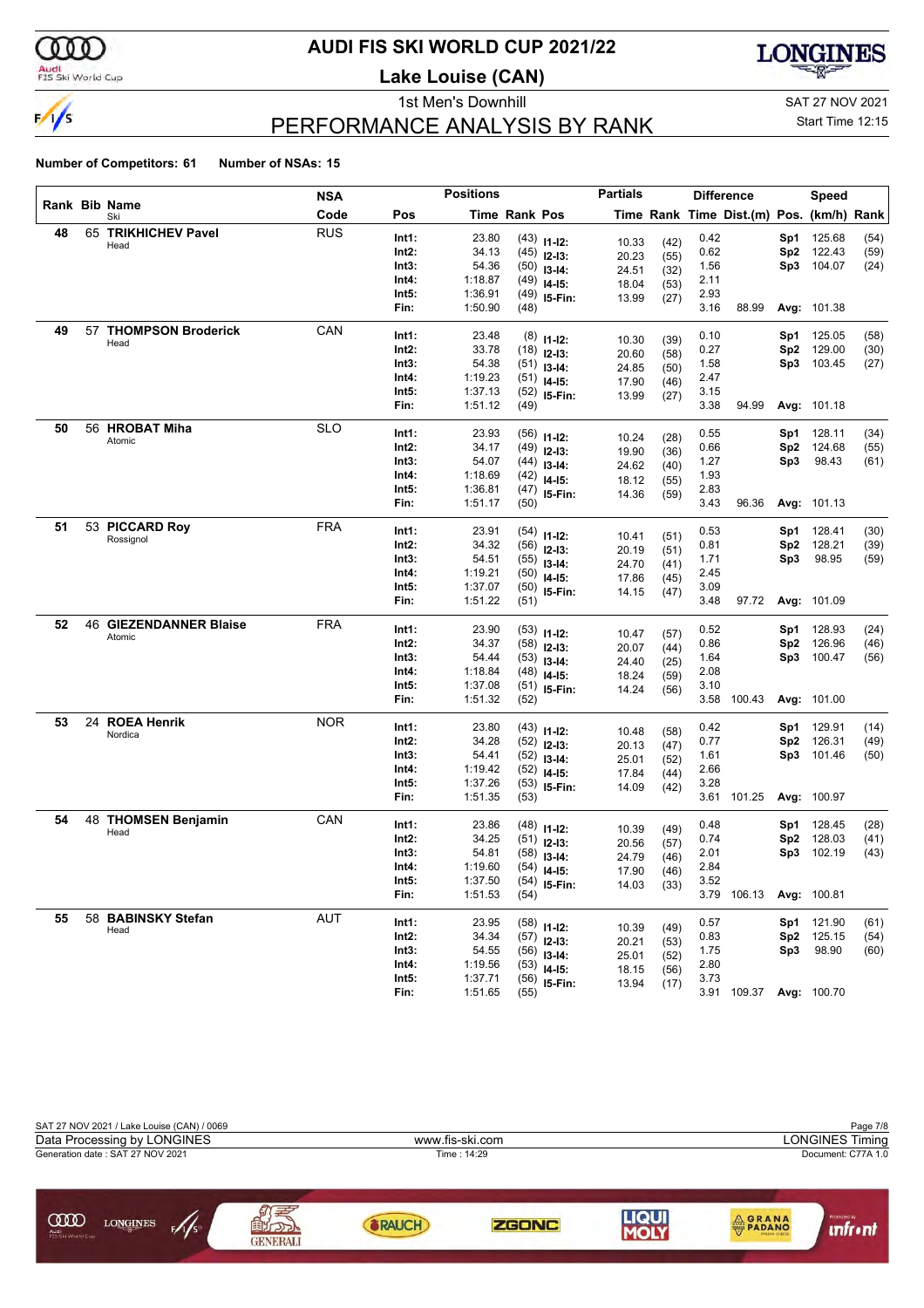

### **AUDI FIS SKI WORLD CUP 2021/22**

**Lake Louise (CAN)**



### PERFORMANCE ANALYSIS BY RANK

1st Men's Downhill and SAT 27 NOV 2021

Start Time 12:15

|    |    |                               | <b>NSA</b> |       | <b>Positions</b> |                      |                                | <b>Partials</b> |              |      | <b>Difference</b>                        |                 | Speed       |      |
|----|----|-------------------------------|------------|-------|------------------|----------------------|--------------------------------|-----------------|--------------|------|------------------------------------------|-----------------|-------------|------|
|    |    | Rank Bib Name<br>Ski          | Code       | Pos   |                  | <b>Time Rank Pos</b> |                                |                 |              |      | Time Rank Time Dist.(m) Pos. (km/h) Rank |                 |             |      |
| 48 |    | 65 TRIKHICHEV Pavel           | <b>RUS</b> | Int1: | 23.80            |                      | $(43)$ 11-12:                  | 10.33           | (42)         | 0.42 |                                          | Sp1             | 125.68      | (54) |
|    |    | Head                          |            | Int2: | 34.13            |                      | $(45)$ 12-13:                  | 20.23           | (55)         | 0.62 |                                          | Sp <sub>2</sub> | 122.43      | (59) |
|    |    |                               |            | Int3: | 54.36            |                      | $(50)$ 13-14:                  | 24.51           | (32)         | 1.56 |                                          | Sp3             | 104.07      | (24) |
|    |    |                               |            | Int4: | 1:18.87          |                      | $(49)$ 14-15:                  | 18.04           | (53)         | 2.11 |                                          |                 |             |      |
|    |    |                               |            | Int5: | 1:36.91          |                      | $(49)$ 15-Fin:                 | 13.99           | (27)         | 2.93 |                                          |                 |             |      |
|    |    |                               |            | Fin:  | 1:50.90          | (48)                 |                                |                 |              | 3.16 | 88.99                                    |                 | Avg: 101.38 |      |
| 49 | 57 | <b>THOMPSON Broderick</b>     | CAN        | Int1: | 23.48            |                      | $(8)$ 11-12:                   |                 |              | 0.10 |                                          | Sp1             | 125.05      | (58) |
|    |    | Head                          |            | Int2: | 33.78            |                      | $(18)$ 12-13:                  | 10.30           | (39)         | 0.27 |                                          | Sp <sub>2</sub> | 129.00      | (30) |
|    |    |                               |            | Int3: | 54.38            |                      | $(51)$ 13-14:                  | 20.60<br>24.85  | (58)<br>(50) | 1.58 |                                          | Sp3             | 103.45      | (27) |
|    |    |                               |            | Int4: | 1:19.23          |                      | $(51)$ 14-15:                  | 17.90           | (46)         | 2.47 |                                          |                 |             |      |
|    |    |                               |            | Int5: | 1:37.13          |                      | $(52)$ 15-Fin:                 | 13.99           | (27)         | 3.15 |                                          |                 |             |      |
|    |    |                               |            | Fin:  | 1:51.12          | (49)                 |                                |                 |              | 3.38 | 94.99                                    |                 | Avg: 101.18 |      |
| 50 |    | 56 HROBAT Miha                | <b>SLO</b> | Int1: | 23.93            |                      | $(56)$ 11-12:                  |                 |              | 0.55 |                                          | Sp1             | 128.11      | (34) |
|    |    | Atomic                        |            | Int2: | 34.17            |                      | $(49)$ 12-13:                  | 10.24           | (28)         | 0.66 |                                          | Sp <sub>2</sub> | 124.68      | (55) |
|    |    |                               |            | Int3: | 54.07            |                      | $(44)$ 13-14:                  | 19.90           | (36)         | 1.27 |                                          | Sp3             | 98.43       | (61) |
|    |    |                               |            | Int4: | 1:18.69          |                      | $(42)$ 14-15:                  | 24.62<br>18.12  | (40)         | 1.93 |                                          |                 |             |      |
|    |    |                               |            | Int5: | 1:36.81          |                      | $(47)$ 15-Fin:                 | 14.36           | (55)<br>(59) | 2.83 |                                          |                 |             |      |
|    |    |                               |            | Fin:  | 1:51.17          | (50)                 |                                |                 |              | 3.43 | 96.36                                    |                 | Avg: 101.13 |      |
| 51 |    | 53 PICCARD Roy                | <b>FRA</b> | Int1: | 23.91            |                      | $(54)$ 11-12:                  |                 |              | 0.53 |                                          | Sp1             | 128.41      | (30) |
|    |    | Rossignol                     |            | Int2: | 34.32            |                      | $(56)$ 12-13:                  | 10.41           | (51)         | 0.81 |                                          | Sp <sub>2</sub> | 128.21      | (39) |
|    |    |                               |            | Int3: | 54.51            |                      | $(55)$ 13-14:                  | 20.19           | (51)         | 1.71 |                                          | Sp3             | 98.95       | (59) |
|    |    |                               |            | Int4: | 1:19.21          |                      | $(50)$ 14-15:                  | 24.70           | (41)         | 2.45 |                                          |                 |             |      |
|    |    |                               |            | Int5: | 1:37.07          |                      | $(50)$ 15-Fin:                 | 17.86           | (45)         | 3.09 |                                          |                 |             |      |
|    |    |                               |            | Fin:  | 1:51.22          | (51)                 |                                | 14.15           | (47)         | 3.48 | 97.72                                    |                 | Avg: 101.09 |      |
| 52 |    | <b>46 GIEZENDANNER Blaise</b> | <b>FRA</b> | Int1: | 23.90            |                      | $(53)$ 11-12:                  |                 |              | 0.52 |                                          | Sp1             | 128.93      | (24) |
|    |    | Atomic                        |            | Int2: | 34.37            |                      | $(58)$ 12-13:                  | 10.47           | (57)         | 0.86 |                                          | Sp <sub>2</sub> | 126.96      | (46) |
|    |    |                               |            | Int3: | 54.44            |                      | $(53)$ 13-14:                  | 20.07           | (44)         | 1.64 |                                          | Sp3             | 100.47      | (56) |
|    |    |                               |            | Int4: | 1:18.84          |                      | $(48)$ 14-15:                  | 24.40           | (25)         | 2.08 |                                          |                 |             |      |
|    |    |                               |            | Int5: | 1:37.08          |                      | $(51)$ 15-Fin:                 | 18.24           | (59)         | 3.10 |                                          |                 |             |      |
|    |    |                               |            | Fin:  | 1:51.32          | (52)                 |                                | 14.24           | (56)         |      | 3.58 100.43                              |                 | Avg: 101.00 |      |
| 53 |    | 24 ROEA Henrik                | <b>NOR</b> | Int1: | 23.80            |                      | $(43)$ 11-12:                  |                 |              | 0.42 |                                          | Sp1             | 129.91      | (14) |
|    |    | Nordica                       |            | Int2: | 34.28            |                      | $(52)$ 12-13:                  | 10.48           | (58)         | 0.77 |                                          | Sp <sub>2</sub> | 126.31      | (49) |
|    |    |                               |            | Int3: | 54.41            |                      | $(52)$ 13-14:                  | 20.13           | (47)         | 1.61 |                                          | Sp3             | 101.46      | (50) |
|    |    |                               |            | Int4: | 1:19.42          |                      | $(52)$ 14-15:                  | 25.01           | (52)         | 2.66 |                                          |                 |             |      |
|    |    |                               |            | Int5: | 1:37.26          |                      | $(53)$ 15-Fin:                 | 17.84<br>14.09  | (44)         | 3.28 |                                          |                 |             |      |
|    |    |                               |            | Fin:  | 1:51.35          | (53)                 |                                |                 | (42)         |      | 3.61 101.25                              |                 | Avg: 100.97 |      |
| 54 |    | 48 THOMSEN Benjamin           | CAN        | Int1: | 23.86            |                      | $(48)$ 11-12:                  |                 |              | 0.48 |                                          | Sp1             | 128.45      | (28) |
|    |    | Head                          |            | Int2: | 34.25            |                      | $(51)$ 12-13:                  | 10.39           | (49)         | 0.74 |                                          | Sp <sub>2</sub> | 128.03      | (41) |
|    |    |                               |            | Int3: | 54.81            |                      | $(58)$ 13-14:                  | 20.56           | (57)         | 2.01 |                                          | Sp3             | 102.19      | (43) |
|    |    |                               |            | Int4: | 1:19.60          |                      | $(54)$ 14-15:                  | 24.79           | (46)         | 2.84 |                                          |                 |             |      |
|    |    |                               |            | Int5: | 1:37.50          |                      | $(54)$ 15-Fin:                 | 17.90           | (46)         | 3.52 |                                          |                 |             |      |
|    |    |                               |            | Fin:  | 1:51.53          | (54)                 |                                | 14.03           | (33)         |      | 3.79 106.13                              |                 | Avg: 100.81 |      |
| 55 |    | 58 BABINSKY Stefan            | <b>AUT</b> | Int1: | 23.95            |                      |                                |                 |              | 0.57 |                                          | Sp1             | 121.90      | (61) |
|    |    | Head                          |            | Int2: | 34.34            |                      | $(58)$ 11-12:<br>$(57)$ 12-13: | 10.39           | (49)         | 0.83 |                                          | Sp2             | 125.15      | (54) |
|    |    |                               |            | Int3: | 54.55            |                      | $(56)$ 13-14:                  | 20.21           | (53)         | 1.75 |                                          | Sp3             | 98.90       | (60) |
|    |    |                               |            | Int4: | 1:19.56          |                      | $(53)$ 14-15:                  | 25.01           | (52)         | 2.80 |                                          |                 |             |      |
|    |    |                               |            | Int5: | 1:37.71          |                      | $(56)$ 15-Fin:                 | 18.15<br>13.94  | (56)<br>(17) | 3.73 |                                          |                 |             |      |
|    |    |                               |            | Fin:  | 1:51.65          | (55)                 |                                |                 |              |      | 3.91 109.37 Avg: 100.70                  |                 |             |      |

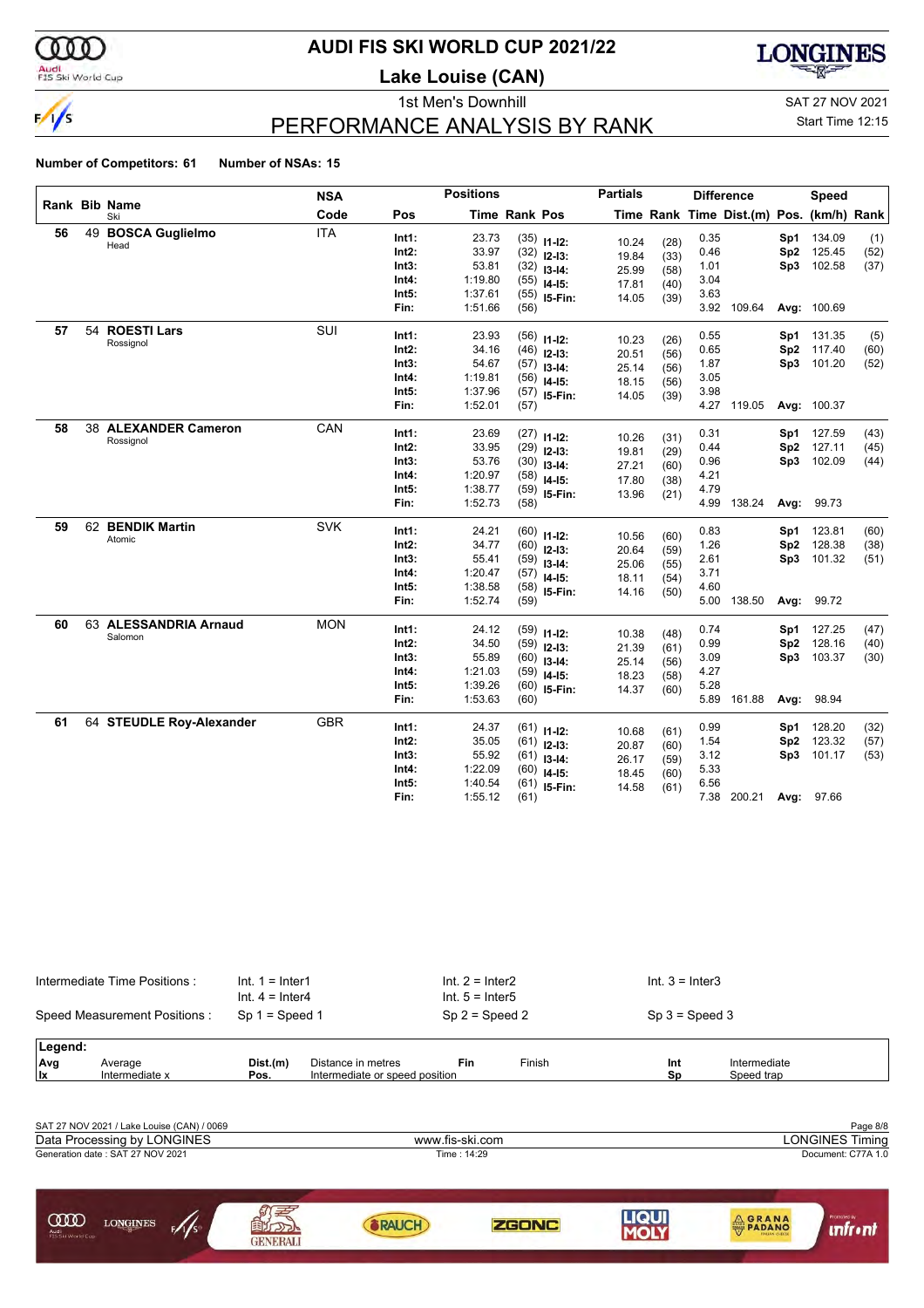

### **AUDI FIS SKI WORLD CUP 2021/22**

**Lake Louise (CAN)**



### PERFORMANCE ANALYSIS BY RANK

1st Men's Downhill and SAT 27 NOV 2021

#### Start Time 12:15

|    |    | Rank Bib Name            | <b>NSA</b> |       | <b>Positions</b> |               |                                | <b>Partials</b> |              |      | <b>Difference</b>                        |                        | Speed       |              |
|----|----|--------------------------|------------|-------|------------------|---------------|--------------------------------|-----------------|--------------|------|------------------------------------------|------------------------|-------------|--------------|
|    |    | Ski                      | Code       | Pos   |                  | Time Rank Pos |                                |                 |              |      | Time Rank Time Dist.(m) Pos. (km/h) Rank |                        |             |              |
| 56 | 49 | <b>BOSCA Guglielmo</b>   | <b>ITA</b> | Int1: | 23.73            |               | $(35)$ 11-12:                  | 10.24           | (28)         | 0.35 |                                          | Sp1                    | 134.09      | (1)          |
|    |    | Head                     |            | Int2: | 33.97            |               | $(32)$ 12-13:                  | 19.84           | (33)         | 0.46 |                                          | Sp <sub>2</sub>        | 125.45      | (52)         |
|    |    |                          |            | Int3: | 53.81            | (32)          | $13 - 14$ :                    | 25.99           | (58)         | 1.01 |                                          | Sp3                    | 102.58      | (37)         |
|    |    |                          |            | Int4: | 1:19.80          | (55)          | $14 - 15$ :                    | 17.81           | (40)         | 3.04 |                                          |                        |             |              |
|    |    |                          |            | Int5: | 1:37.61          |               | $(55)$ 15-Fin:                 | 14.05           | (39)         | 3.63 |                                          |                        |             |              |
|    |    |                          |            | Fin:  | 1:51.66          | (56)          |                                |                 |              |      | 3.92 109.64                              |                        | Avg: 100.69 |              |
| 57 | 54 | <b>ROESTI Lars</b>       | <b>SUI</b> | Int1: | 23.93            |               | $(56)$ 11-12:                  |                 |              | 0.55 |                                          |                        | Sp1 131.35  | (5)          |
|    |    | Rossignol                |            | Int2: | 34.16            |               | $(46)$ 12-13:                  | 10.23<br>20.51  | (26)<br>(56) | 0.65 |                                          | Sp2                    | 117.40      | (60)         |
|    |    |                          |            | Int3: | 54.67            |               | $(57)$ 13-14:                  | 25.14           |              | 1.87 |                                          |                        | Sp3 101.20  | (52)         |
|    |    |                          |            | Int4: | 1:19.81          | (56)          | $14 - 15$ :                    | 18.15           | (56)<br>(56) | 3.05 |                                          |                        |             |              |
|    |    |                          |            | Int5: | 1:37.96          |               | $(57)$ 15-Fin:                 | 14.05           | (39)         | 3.98 |                                          |                        |             |              |
|    |    |                          |            | Fin:  | 1:52.01          | (57)          |                                |                 |              |      | 4.27 119.05                              |                        | Avg: 100.37 |              |
| 58 |    | 38 ALEXANDER Cameron     | CAN        | Int1: | 23.69            |               | $(27)$ 11-12:                  |                 |              | 0.31 |                                          | Sp1                    | 127.59      | (43)         |
|    |    | Rossignol                |            | Int2: | 33.95            |               | $(29)$ 12-13:                  | 10.26           | (31)         | 0.44 |                                          | Sp <sub>2</sub>        | 127.11      | (45)         |
|    |    |                          |            | Int3: | 53.76            |               | $(30)$ 13-14:                  | 19.81           | (29)         | 0.96 |                                          | Sp3                    | 102.09      | (44)         |
|    |    |                          |            | Int4: | 1:20.97          | (58)          | $14 - 15$ :                    | 27.21<br>17.80  | (60)<br>(38) | 4.21 |                                          |                        |             |              |
|    |    |                          |            | Int5: | 1:38.77          |               | $(59)$ 15-Fin:                 | 13.96           | (21)         | 4.79 |                                          |                        |             |              |
|    |    |                          |            | Fin:  | 1:52.73          | (58)          |                                |                 |              | 4.99 | 138.24                                   | Avg:                   | 99.73       |              |
| 59 |    | 62 BENDIK Martin         | <b>SVK</b> | Int1: | 24.21            |               |                                |                 |              | 0.83 |                                          | Sp1                    | 123.81      | (60)         |
|    |    | Atomic                   |            | Int2: | 34.77            |               | $(60)$ 11-12:                  | 10.56           | (60)         | 1.26 |                                          | Sp <sub>2</sub>        | 128.38      | (38)         |
|    |    |                          |            | Int3: | 55.41            |               | $(60)$ 12-13:                  | 20.64           | (59)         | 2.61 |                                          | Sp3                    | 101.32      | (51)         |
|    |    |                          |            | Int4: | 1:20.47          |               | $(59)$ 13-14:<br>$(57)$ 14-15: | 25.06           | (55)         | 3.71 |                                          |                        |             |              |
|    |    |                          |            | Int5: | 1:38.58          |               | $(58)$ 15-Fin:                 | 18.11           | (54)         | 4.60 |                                          |                        |             |              |
|    |    |                          |            | Fin:  | 1:52.74          | (59)          |                                | 14.16           | (50)         | 5.00 | 138.50                                   | Avg:                   | 99.72       |              |
| 60 |    | 63 ALESSANDRIA Arnaud    | <b>MON</b> | Int1: | 24.12            |               |                                |                 |              | 0.74 |                                          |                        | 127.25      |              |
|    |    | Salomon                  |            | Int2: | 34.50            |               | $(59)$ 11-12:                  | 10.38           | (48)         | 0.99 |                                          | Sp1<br>Sp <sub>2</sub> | 128.16      | (47)<br>(40) |
|    |    |                          |            | Int3: | 55.89            |               | $(59)$ 12-13:                  | 21.39           | (61)         | 3.09 |                                          | Sp3                    | 103.37      | (30)         |
|    |    |                          |            | Int4: | 1:21.03          | (59)          | $(60)$ 13-14:                  | 25.14           | (56)         | 4.27 |                                          |                        |             |              |
|    |    |                          |            | Int5: | 1:39.26          |               | $14 - 15$ :<br>$(60)$ 15-Fin:  | 18.23           | (58)         | 5.28 |                                          |                        |             |              |
|    |    |                          |            | Fin:  | 1:53.63          | (60)          |                                | 14.37           | (60)         | 5.89 | 161.88                                   | Avg:                   | 98.94       |              |
| 61 |    | 64 STEUDLE Roy-Alexander | <b>GBR</b> | Int1: | 24.37            |               |                                |                 |              | 0.99 |                                          | Sp1                    | 128.20      | (32)         |
|    |    |                          |            | Int2: | 35.05            |               | $(61)$ 11-12:                  | 10.68           | (61)         | 1.54 |                                          | Sp2                    | 123.32      | (57)         |
|    |    |                          |            | Int3: | 55.92            |               | $(61)$ 12-13:                  | 20.87           | (60)         | 3.12 |                                          | Sp3                    | 101.17      | (53)         |
|    |    |                          |            | Int4: | 1:22.09          | (60)          | $(61)$ 13-14:                  | 26.17           | (59)         | 5.33 |                                          |                        |             |              |
|    |    |                          |            | Int5: | 1:40.54          |               | $14 - 15$ :<br>$(61)$ 15-Fin:  | 18.45           | (60)         | 6.56 |                                          |                        |             |              |
|    |    |                          |            | Fin:  | 1:55.12          | (61)          |                                | 14.58           | (61)         | 7.38 | 200.21                                   | Avg:                   | 97.66       |              |

|         | Intermediate Time Positions: | $Int. 1 = Inter1$<br>$Int. 4 = Inter4$ |                                | $Int. 2 = Inter2$<br>Int. $5 =$ Inter5 |        | Int. $3 =$ Inter3 |              |  |
|---------|------------------------------|----------------------------------------|--------------------------------|----------------------------------------|--------|-------------------|--------------|--|
|         | Speed Measurement Positions: | $Sp 1 = Speed 1$                       |                                | $Sp 2 = Speed 2$                       |        | $Sp 3 = Speed 3$  |              |  |
| Legend: |                              |                                        |                                |                                        |        |                   |              |  |
| Avg     | Average                      | Dist.(m)                               | Distance in metres             | Fin                                    | Finish | Int               | Intermediate |  |
| ∣lx.    | Intermediate x               | Pos.                                   | Intermediate or speed position |                                        |        | Sp                | Speed trap   |  |
|         |                              |                                        |                                |                                        |        |                   |              |  |

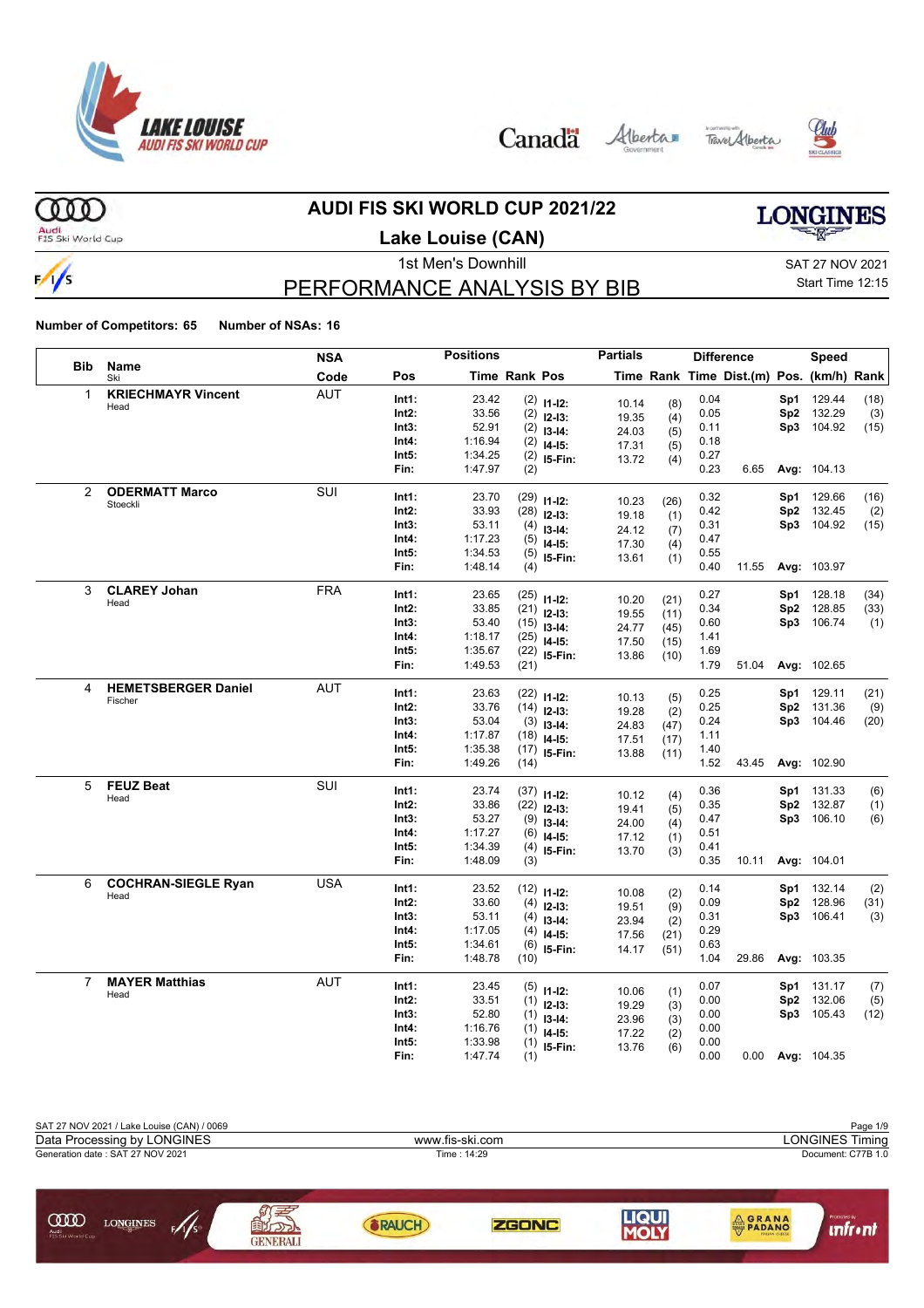







#### **AUDI FIS SKI WORLD CUP 2021/22**

 $000$ Audi<br>FIS Ski World Cup

### **Lake Louise (CAN)**

# **LONGINES**

 $\frac{1}{s}$ 

### PERFORMANCE ANALYSIS BY BIB

1st Men's Downhill and SAT 27 NOV 2021 Start Time 12:15

|                |                            | <b>NSA</b> |       | <b>Positions</b> |                      |                                 | <b>Partials</b> |            |      | <b>Difference</b>                        |                        | <b>Speed</b> |             |
|----------------|----------------------------|------------|-------|------------------|----------------------|---------------------------------|-----------------|------------|------|------------------------------------------|------------------------|--------------|-------------|
| <b>Bib</b>     | <b>Name</b><br>Ski         | Code       | Pos   |                  | <b>Time Rank Pos</b> |                                 |                 |            |      | Time Rank Time Dist.(m) Pos. (km/h) Rank |                        |              |             |
| 1              | <b>KRIECHMAYR Vincent</b>  | <b>AUT</b> | Int1: | 23.42            |                      | $(2)$ 11-12:                    | 10.14           | (8)        | 0.04 |                                          | Sp1                    | 129.44       | (18)        |
|                | Head                       |            | Int2: | 33.56            |                      | $(2)$ 12-13:                    | 19.35           | (4)        | 0.05 |                                          | Sp2                    | 132.29       | (3)         |
|                |                            |            | Int3: | 52.91            | (2)                  | $13 - 14:$                      | 24.03           | (5)        | 0.11 |                                          |                        | Sp3 104.92   | (15)        |
|                |                            |            | Int4: | 1:16.94          | (2)                  | $14-15:$                        | 17.31           | (5)        | 0.18 |                                          |                        |              |             |
|                |                            |            | Int5: | 1:34.25          |                      | $(2)$ 15-Fin:                   | 13.72           | (4)        | 0.27 |                                          |                        |              |             |
|                |                            |            | Fin:  | 1:47.97          | (2)                  |                                 |                 |            | 0.23 | 6.65                                     |                        | Avg: 104.13  |             |
| 2              | <b>ODERMATT Marco</b>      | SUI        | Int1: | 23.70            |                      | $(29)$ 11-12:                   |                 |            | 0.32 |                                          | Sp1                    | 129.66       | (16)        |
|                | Stoeckli                   |            | Int2: | 33.93            |                      | $(28)$ 12-13:                   | 10.23           | (26)       | 0.42 |                                          | Sp <sub>2</sub>        | 132.45       | (2)         |
|                |                            |            | Int3: | 53.11            | (4)                  | $13 - 14:$                      | 19.18           | (1)        | 0.31 |                                          | Sp3                    | 104.92       | (15)        |
|                |                            |            | Int4: | 1:17.23          | (5)                  | $14-15:$                        | 24.12<br>17.30  | (7)        | 0.47 |                                          |                        |              |             |
|                |                            |            | Int5: | 1:34.53          | (5)                  | 15-Fin:                         | 13.61           | (4)        | 0.55 |                                          |                        |              |             |
|                |                            |            | Fin:  | 1:48.14          | (4)                  |                                 |                 | (1)        | 0.40 | 11.55                                    |                        | Avg: 103.97  |             |
| 3              | <b>CLAREY Johan</b>        | <b>FRA</b> | Int1: | 23.65            |                      |                                 |                 |            | 0.27 |                                          | Sp1                    | 128.18       | (34)        |
|                | Head                       |            | Int2: | 33.85            |                      | $(25)$ 11-12:                   | 10.20           | (21)       | 0.34 |                                          | Sp <sub>2</sub>        | 128.85       | (33)        |
|                |                            |            | Int3: | 53.40            |                      | $(21)$ 12-13:                   | 19.55           | (11)       | 0.60 |                                          | Sp3                    | 106.74       | (1)         |
|                |                            |            | Int4: | 1:18.17          |                      | $(15)$ 13-14:                   | 24.77           | (45)       | 1.41 |                                          |                        |              |             |
|                |                            |            | Int5: | 1:35.67          |                      | $(25)$ 14-15:<br>$(22)$ 15-Fin: | 17.50           | (15)       | 1.69 |                                          |                        |              |             |
|                |                            |            | Fin:  | 1:49.53          | (21)                 |                                 | 13.86           | (10)       | 1.79 | 51.04                                    |                        | Avg: 102.65  |             |
|                |                            |            |       |                  |                      |                                 |                 |            |      |                                          |                        |              |             |
| 4              | <b>HEMETSBERGER Daniel</b> | <b>AUT</b> | Int1: | 23.63            | (22)                 | $11 - 12$ :                     | 10.13           | (5)        | 0.25 |                                          | Sp1                    | 129.11       | (21)        |
|                | Fischer                    |            | Int2: | 33.76            |                      | $(14)$ 12-13:                   | 19.28           | (2)        | 0.25 |                                          | Sp2                    | 131.36       | (9)         |
|                |                            |            | Int3: | 53.04            | (3)                  | $13-14:$                        | 24.83           | (47)       | 0.24 |                                          | Sp3                    | 104.46       | (20)        |
|                |                            |            | Int4: | 1:17.87          |                      | $(18)$ 14-15:                   | 17.51           | (17)       | 1.11 |                                          |                        |              |             |
|                |                            |            | Int5: | 1:35.38          | (17)                 | I5-Fin:                         | 13.88           | (11)       | 1.40 |                                          |                        |              |             |
|                |                            |            | Fin:  | 1:49.26          | (14)                 |                                 |                 |            | 1.52 | 43.45                                    |                        | Avg: 102.90  |             |
| 5              | <b>FEUZ Beat</b>           | SUI        | Int1: | 23.74            |                      | $(37)$ 11-12:                   | 10.12           |            | 0.36 |                                          | Sp1                    | 131.33       | (6)         |
|                | Head                       |            | Int2: | 33.86            |                      | $(22)$ 12-13:                   | 19.41           | (4)        | 0.35 |                                          | Sp2                    | 132.87       | (1)         |
|                |                            |            | Int3: | 53.27            | (9)                  | $13 - 14$ :                     | 24.00           | (5)<br>(4) | 0.47 |                                          | Sp3                    | 106.10       | (6)         |
|                |                            |            | Int4: | 1:17.27          |                      | $(6)$ 14-15:                    | 17.12           | (1)        | 0.51 |                                          |                        |              |             |
|                |                            |            | Int5: | 1:34.39          | (4)                  | 15-Fin:                         | 13.70           | (3)        | 0.41 |                                          |                        |              |             |
|                |                            |            | Fin:  | 1:48.09          | (3)                  |                                 |                 |            | 0.35 | 10.11                                    |                        | Avg: 104.01  |             |
| 6              | <b>COCHRAN-SIEGLE Ryan</b> | USA        | Int1: | 23.52            |                      |                                 |                 |            | 0.14 |                                          | Sp1                    | 132.14       | (2)         |
|                | Head                       |            | Int2: | 33.60            |                      | $(12)$ 11-12:                   | 10.08           | (2)        | 0.09 |                                          | Sp <sub>2</sub>        | 128.96       | (31)        |
|                |                            |            | Int3: | 53.11            | (4)                  | $(4)$ 12-13:                    | 19.51           | (9)        | 0.31 |                                          | Sp3                    | 106.41       | (3)         |
|                |                            |            | Int4: | 1:17.05          | (4)                  | $13 - 14:$                      | 23.94           | (2)        | 0.29 |                                          |                        |              |             |
|                |                            |            | Int5: | 1:34.61          | (6)                  | $14-15:$                        | 17.56           | (21)       | 0.63 |                                          |                        |              |             |
|                |                            |            | Fin:  | 1:48.78          | (10)                 | 15-Fin:                         | 14.17           | (51)       | 1.04 | 29.86                                    |                        | Avg: 103.35  |             |
| $\overline{7}$ | <b>MAYER Matthias</b>      | <b>AUT</b> | Int1: | 23.45            |                      |                                 |                 |            | 0.07 |                                          |                        | 131.17       | (7)         |
|                | Head                       |            | Int2: | 33.51            |                      | $(5)$ 11-12:                    | 10.06           | (1)        | 0.00 |                                          | Sp1<br>Sp <sub>2</sub> | 132.06       |             |
|                |                            |            | Int3: | 52.80            | (1)                  | $12 - 13:$                      | 19.29           | (3)        | 0.00 |                                          |                        | Sp3 105.43   | (5)<br>(12) |
|                |                            |            | Int4: | 1:16.76          | (1)                  | $13 - 14:$                      | 23.96           | (3)        | 0.00 |                                          |                        |              |             |
|                |                            |            | Int5: | 1:33.98          | (1)<br>(1)           | $14-15:$                        | 17.22           | (2)        | 0.00 |                                          |                        |              |             |
|                |                            |            | Fin:  | 1:47.74          | (1)                  | 15-Fin:                         | 13.76           | (6)        | 0.00 | 0.00                                     |                        | Avg: 104.35  |             |
|                |                            |            |       |                  |                      |                                 |                 |            |      |                                          |                        |              |             |

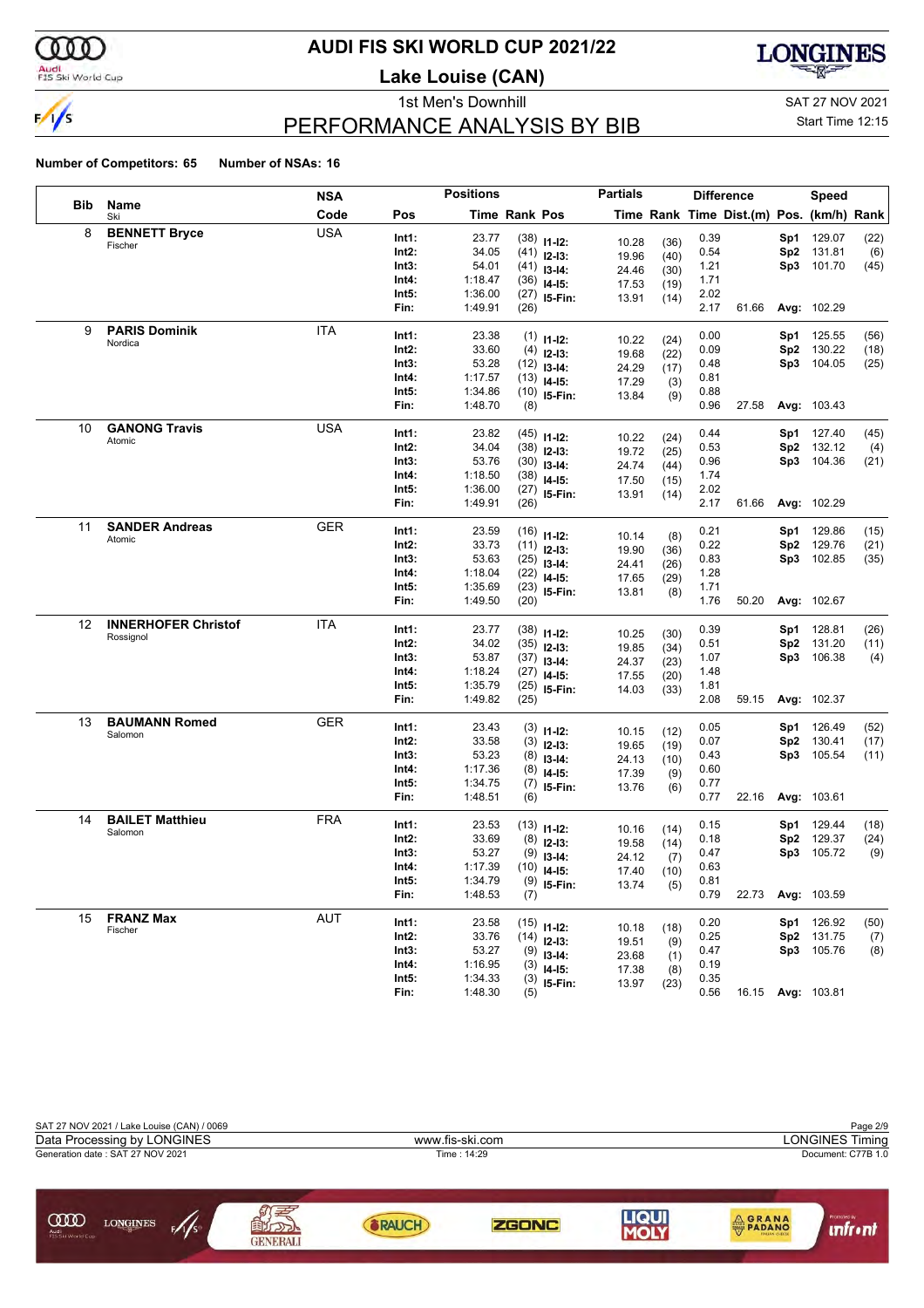

### **AUDI FIS SKI WORLD CUP 2021/22**

**Lake Louise (CAN)**



### PERFORMANCE ANALYSIS BY BIB

1st Men's Downhill and SAT 27 NOV 2021

#### Start Time 12:15

|     |                            | <b>NSA</b> |       | <b>Positions</b> |               |                         | <b>Partials</b> |              |      | <b>Difference</b>                        |     | Speed             |      |
|-----|----------------------------|------------|-------|------------------|---------------|-------------------------|-----------------|--------------|------|------------------------------------------|-----|-------------------|------|
| Bib | Name<br>Ski                | Code       | Pos   |                  | Time Rank Pos |                         |                 |              |      | Time Rank Time Dist.(m) Pos. (km/h) Rank |     |                   |      |
| 8   | <b>BENNETT Bryce</b>       | <b>USA</b> | Int1: | 23.77            |               | $(38)$ 11-12:           | 10.28           | (36)         | 0.39 |                                          | Sp1 | 129.07            | (22) |
|     | Fischer                    |            | Int2: | 34.05            |               | $(41)$ 12-13:           | 19.96           | (40)         | 0.54 |                                          | Sp2 | 131.81            | (6)  |
|     |                            |            | Int3: | 54.01            |               | $(41)$ 13-14:           | 24.46           | (30)         | 1.21 |                                          | Sp3 | 101.70            | (45) |
|     |                            |            | Int4: | 1:18.47          | (36)          | $14 - 15$ :             | 17.53           | (19)         | 1.71 |                                          |     |                   |      |
|     |                            |            | Int5: | 1:36.00          |               | $(27)$ 15-Fin:          | 13.91           | (14)         | 2.02 |                                          |     |                   |      |
|     |                            |            | Fin:  | 1:49.91          | (26)          |                         |                 |              | 2.17 | 61.66                                    |     | Avg: 102.29       |      |
| 9   | <b>PARIS Dominik</b>       | <b>ITA</b> | Int1: | 23.38            | (1)           | $11 - 12$ :             | 10.22           | (24)         | 0.00 |                                          | Sp1 | 125.55            | (56) |
|     | Nordica                    |            | Int2: | 33.60            | (4)           | $12-13:$                | 19.68           | (22)         | 0.09 |                                          | Sp2 | 130.22            | (18) |
|     |                            |            | Int3: | 53.28            |               | $(12)$ 13-14:           | 24.29           | (17)         | 0.48 |                                          | Sp3 | 104.05            | (25) |
|     |                            |            | Int4: | 1:17.57          | (13)          | $14 - 15$ :             | 17.29           | (3)          | 0.81 |                                          |     |                   |      |
|     |                            |            | Int5: | 1:34.86          |               | $(10)$ 15-Fin:          | 13.84           | (9)          | 0.88 |                                          |     |                   |      |
|     |                            |            | Fin:  | 1:48.70          | (8)           |                         |                 |              | 0.96 | 27.58                                    |     | Avg: 103.43       |      |
| 10  | <b>GANONG Travis</b>       | USA        | Int1: | 23.82            |               | $(45)$ 11-12:           | 10.22           |              | 0.44 |                                          | Sp1 | 127.40            | (45) |
|     | Atomic                     |            | Int2: | 34.04            |               | $(38)$ 12-13:           | 19.72           | (24)<br>(25) | 0.53 |                                          | Sp2 | 132.12            | (4)  |
|     |                            |            | Int3: | 53.76            |               | $(30)$ 13-14:           | 24.74           | (44)         | 0.96 |                                          | Sp3 | 104.36            | (21) |
|     |                            |            | Int4: | 1:18.50          |               | $(38)$ 14-15:           | 17.50           | (15)         | 1.74 |                                          |     |                   |      |
|     |                            |            | Int5: | 1:36.00          |               | $(27)$ 15-Fin:          | 13.91           | (14)         | 2.02 |                                          |     |                   |      |
|     |                            |            | Fin:  | 1:49.91          | (26)          |                         |                 |              | 2.17 | 61.66                                    |     | Avg: 102.29       |      |
| 11  | <b>SANDER Andreas</b>      | GER        | Int1: | 23.59            |               | $(16)$ 11-12:           |                 |              | 0.21 |                                          | Sp1 | 129.86            | (15) |
|     | Atomic                     |            | Int2: | 33.73            |               | $(11)$ 12-13:           | 10.14<br>19.90  | (8)<br>(36)  | 0.22 |                                          | Sp2 | 129.76            | (21) |
|     |                            |            | Int3: | 53.63            |               | $(25)$ 13-14:           | 24.41           | (26)         | 0.83 |                                          | Sp3 | 102.85            | (35) |
|     |                            |            | Int4: | 1:18.04          | (22)          | $14 - 15$ :             | 17.65           | (29)         | 1.28 |                                          |     |                   |      |
|     |                            |            | Int5: | 1:35.69          |               | $(23)$ 15-Fin:          | 13.81           | (8)          | 1.71 |                                          |     |                   |      |
|     |                            |            | Fin:  | 1:49.50          | (20)          |                         |                 |              | 1.76 | 50.20                                    |     | Avg: 102.67       |      |
| 12  | <b>INNERHOFER Christof</b> | ITA        | Int1: | 23.77            |               | $(38)$ 11-12:           |                 |              | 0.39 |                                          | Sp1 | 128.81            | (26) |
|     | Rossignol                  |            | Int2: | 34.02            |               | $(35)$ 12-13:           | 10.25<br>19.85  | (30)<br>(34) | 0.51 |                                          | Sp2 | 131.20            | (11) |
|     |                            |            | Int3: | 53.87            |               | $(37)$ 13-14:           | 24.37           | (23)         | 1.07 |                                          | Sp3 | 106.38            | (4)  |
|     |                            |            | Int4: | 1:18.24          |               | $(27)$ 14-15:           | 17.55           | (20)         | 1.48 |                                          |     |                   |      |
|     |                            |            | Int5: | 1:35.79          | (25)          | 15-Fin:                 | 14.03           | (33)         | 1.81 |                                          |     |                   |      |
|     |                            |            | Fin:  | 1:49.82          | (25)          |                         |                 |              | 2.08 | 59.15                                    |     | Avg: 102.37       |      |
| 13  | <b>BAUMANN Romed</b>       | <b>GER</b> | Int1: | 23.43            | (3)           |                         |                 |              | 0.05 |                                          | Sp1 | 126.49            | (52) |
|     | Salomon                    |            | Int2: | 33.58            | (3)           | $11 - 12$ :<br>$12-13:$ | 10.15           | (12)         | 0.07 |                                          | Sp2 | 130.41            | (17) |
|     |                            |            | Int3: | 53.23            | (8)           | $13-14:$                | 19.65           | (19)         | 0.43 |                                          | Sp3 | 105.54            | (11) |
|     |                            |            | Int4: | 1:17.36          | (8)           | $14 - 15$ :             | 24.13<br>17.39  | (10)         | 0.60 |                                          |     |                   |      |
|     |                            |            | Int5: | 1:34.75          | (7)           | 15-Fin:                 | 13.76           | (9)<br>(6)   | 0.77 |                                          |     |                   |      |
|     |                            |            | Fin:  | 1:48.51          | (6)           |                         |                 |              | 0.77 | 22.16                                    |     | Avg: 103.61       |      |
| 14  | <b>BAILET Matthieu</b>     | <b>FRA</b> | Int1: | 23.53            |               | $(13)$ 11-12:           |                 |              | 0.15 |                                          | Sp1 | 129.44            | (18) |
|     | Salomon                    |            | Int2: | 33.69            |               | $(8)$ 12-13:            | 10.16           | (14)         | 0.18 |                                          | Sp2 | 129.37            | (24) |
|     |                            |            | Int3: | 53.27            | (9)           | $13-14:$                | 19.58           | (14)         | 0.47 |                                          | Sp3 | 105.72            | (9)  |
|     |                            |            | Int4: | 1:17.39          |               | $(10)$ 14-15:           | 24.12<br>17.40  | (7)<br>(10)  | 0.63 |                                          |     |                   |      |
|     |                            |            | Int5: | 1:34.79          |               | $(9)$ 15-Fin:           | 13.74           | (5)          | 0.81 |                                          |     |                   |      |
|     |                            |            | Fin:  | 1:48.53          | (7)           |                         |                 |              | 0.79 | 22.73                                    |     | Avg: 103.59       |      |
| 15  | <b>FRANZ Max</b>           | AUT        | Int1: | 23.58            |               | $(15)$ 11-12:           |                 |              | 0.20 |                                          |     | Sp1 126.92        | (50) |
|     | Fischer                    |            | Int2: | 33.76            |               | $(14)$ 12-13:           | 10.18           | (18)         | 0.25 |                                          |     | Sp2 131.75        | (7)  |
|     |                            |            | Int3: | 53.27            |               | $(9)$ 13-14:            | 19.51           | (9)          | 0.47 |                                          |     | Sp3 105.76        | (8)  |
|     |                            |            | Int4: | 1:16.95          |               | $(3)$ 14-15:            | 23.68<br>17.38  | (1)<br>(8)   | 0.19 |                                          |     |                   |      |
|     |                            |            | Int5: | 1:34.33          |               | $(3)$ 15-Fin:           | 13.97           | (23)         | 0.35 |                                          |     |                   |      |
|     |                            |            | Fin:  | 1:48.30          | (5)           |                         |                 |              | 0.56 |                                          |     | 16.15 Avg: 103.81 |      |

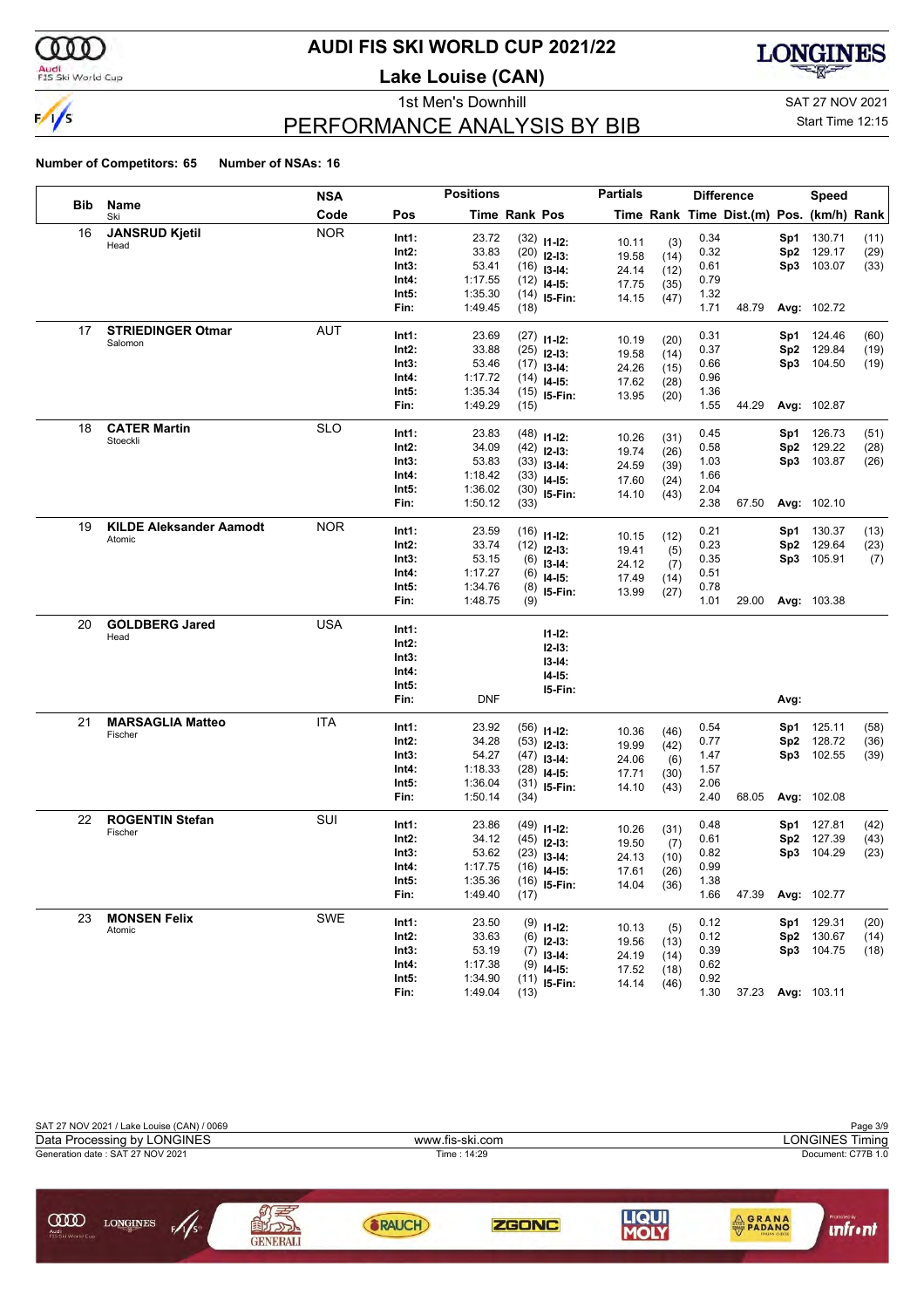

### **AUDI FIS SKI WORLD CUP 2021/22**

**Lake Louise (CAN)**



### PERFORMANCE ANALYSIS BY BIB

1st Men's Downhill and SAT 27 NOV 2021

Start Time 12:15

|     |                                | <b>NSA</b> |                | <b>Positions</b> |                      |                                | <b>Partials</b> |              |              | <b>Difference</b>                        |                 | <b>Speed</b> |      |
|-----|--------------------------------|------------|----------------|------------------|----------------------|--------------------------------|-----------------|--------------|--------------|------------------------------------------|-----------------|--------------|------|
| Bib | Name<br>Ski                    | Code       | Pos            |                  | <b>Time Rank Pos</b> |                                |                 |              |              | Time Rank Time Dist.(m) Pos. (km/h) Rank |                 |              |      |
| 16  | <b>JANSRUD Kjetil</b>          | <b>NOR</b> | Int1:          | 23.72            |                      | $(32)$ 11-12:                  |                 |              | 0.34         |                                          | Sp1             | 130.71       | (11) |
|     | Head                           |            | Int2:          | 33.83            |                      | $(20)$ 12-13:                  | 10.11<br>19.58  | (3)<br>(14)  | 0.32         |                                          | Sp <sub>2</sub> | 129.17       | (29) |
|     |                                |            | Int3:          | 53.41            |                      | $(16)$ 13-14:                  | 24.14           | (12)         | 0.61         |                                          | Sp3             | 103.07       | (33) |
|     |                                |            | Int4:          | 1:17.55          |                      | $(12)$ 14-15:                  | 17.75           | (35)         | 0.79         |                                          |                 |              |      |
|     |                                |            | Int5:          | 1:35.30          |                      | $(14)$ 15-Fin:                 | 14.15           | (47)         | 1.32         |                                          |                 |              |      |
|     |                                |            | Fin:           | 1:49.45          | (18)                 |                                |                 |              | 1.71         | 48.79                                    |                 | Avg: 102.72  |      |
| 17  | <b>STRIEDINGER Otmar</b>       | <b>AUT</b> | Int1:          | 23.69            |                      |                                |                 |              | 0.31         |                                          | Sp1             | 124.46       | (60) |
|     | Salomon                        |            | Int2:          | 33.88            |                      | $(27)$ 11-12:<br>$(25)$ 12-13: | 10.19           | (20)         | 0.37         |                                          | Sp <sub>2</sub> | 129.84       | (19) |
|     |                                |            | Int3:          | 53.46            |                      | $(17)$ 13-14:                  | 19.58           | (14)         | 0.66         |                                          |                 | Sp3 104.50   | (19) |
|     |                                |            | Int4:          | 1:17.72          |                      | $(14)$ 14-15:                  | 24.26           | (15)         | 0.96         |                                          |                 |              |      |
|     |                                |            | Int5:          | 1:35.34          |                      | $(15)$ 15-Fin:                 | 17.62<br>13.95  | (28)         | 1.36         |                                          |                 |              |      |
|     |                                |            | Fin:           | 1:49.29          | (15)                 |                                |                 | (20)         | 1.55         | 44.29                                    |                 | Avg: 102.87  |      |
| 18  | <b>CATER Martin</b>            | <b>SLO</b> | Int1:          | 23.83            |                      |                                |                 |              | 0.45         |                                          | Sp1             | 126.73       | (51) |
|     | Stoeckli                       |            | Int2:          | 34.09            |                      | $(48)$ 11-12:                  | 10.26           | (31)         | 0.58         |                                          | Sp2             | 129.22       | (28) |
|     |                                |            | Int3:          | 53.83            |                      | $(42)$ 12-13:<br>$(33)$ 13-14: | 19.74           | (26)         | 1.03         |                                          | Sp3             | 103.87       | (26) |
|     |                                |            | Int4:          | 1:18.42          |                      | $(33)$ 14-15:                  | 24.59           | (39)         | 1.66         |                                          |                 |              |      |
|     |                                |            | Int5:          | 1:36.02          |                      | $(30)$ 15-Fin:                 | 17.60           | (24)         | 2.04         |                                          |                 |              |      |
|     |                                |            | Fin:           | 1:50.12          | (33)                 |                                | 14.10           | (43)         | 2.38         | 67.50                                    |                 | Avg: 102.10  |      |
| 19  | <b>KILDE Aleksander Aamodt</b> | <b>NOR</b> |                |                  |                      |                                |                 |              |              |                                          |                 |              |      |
|     | Atomic                         |            | Int1:          | 23.59            |                      | $(16)$ 11-12:                  | 10.15           | (12)         | 0.21         |                                          | Sp1             | 130.37       | (13) |
|     |                                |            | Int2:          | 33.74            |                      | $(12)$ 12-13:                  | 19.41           | (5)          | 0.23         |                                          | Sp2             | 129.64       | (23) |
|     |                                |            | Int3:<br>Int4: | 53.15<br>1:17.27 |                      | $(6)$ 13-14:                   | 24.12           | (7)          | 0.35<br>0.51 |                                          |                 | Sp3 105.91   | (7)  |
|     |                                |            | Int5:          | 1:34.76          |                      | $(6)$ 14-15:                   | 17.49           | (14)         | 0.78         |                                          |                 |              |      |
|     |                                |            | Fin:           | 1:48.75          | (9)                  | $(8)$ 15-Fin:                  | 13.99           | (27)         | 1.01         | 29.00                                    |                 | Avg: 103.38  |      |
| 20  | <b>GOLDBERG Jared</b>          | <b>USA</b> |                |                  |                      |                                |                 |              |              |                                          |                 |              |      |
|     | Head                           |            | Int1:          |                  |                      | $11 - 12$ :                    |                 |              |              |                                          |                 |              |      |
|     |                                |            | Int2:          |                  |                      | $12 - 13:$                     |                 |              |              |                                          |                 |              |      |
|     |                                |            | Int3:          |                  |                      | $13-14:$                       |                 |              |              |                                          |                 |              |      |
|     |                                |            | Int4:          |                  |                      | $14-15:$                       |                 |              |              |                                          |                 |              |      |
|     |                                |            | Int5:<br>Fin:  | <b>DNF</b>       |                      | 15-Fin:                        |                 |              |              |                                          | Avg:            |              |      |
|     |                                |            |                |                  |                      |                                |                 |              |              |                                          |                 |              |      |
| 21  | <b>MARSAGLIA Matteo</b>        | ITA        | Int1:          | 23.92            |                      | $(56)$ 11-12:                  | 10.36           | (46)         | 0.54         |                                          | Sp1             | 125.11       | (58) |
|     | Fischer                        |            | $Int2$ :       | 34.28            |                      | $(53)$ 12-13:                  | 19.99           | (42)         | 0.77         |                                          | Sp2             | 128.72       | (36) |
|     |                                |            | Int3:          | 54.27            |                      | $(47)$ 13-14:                  | 24.06           | (6)          | 1.47         |                                          |                 | Sp3 102.55   | (39) |
|     |                                |            | Int4:          | 1:18.33          |                      | $(28)$ 14-15:                  | 17.71           | (30)         | 1.57         |                                          |                 |              |      |
|     |                                |            | Int5:          | 1:36.04          |                      | $(31)$ 15-Fin:                 | 14.10           | (43)         | 2.06         |                                          |                 |              |      |
|     |                                |            | Fin:           | 1:50.14          | (34)                 |                                |                 |              | 2.40         | 68.05                                    |                 | Avg: 102.08  |      |
| 22  | <b>ROGENTIN Stefan</b>         | SUI        | Int1:          | 23.86            |                      | $(49)$ 11-12:                  | 10.26           | (31)         | 0.48         |                                          | Sp1             | 127.81       | (42) |
|     | Fischer                        |            | $Int2$ :       | 34.12            |                      | $(45)$ 12-13:                  | 19.50           | (7)          | 0.61         |                                          | Sp2             | 127.39       | (43) |
|     |                                |            | Int3:          | 53.62            |                      | $(23)$ 13-14:                  | 24.13           | (10)         | 0.82         |                                          | Sp3             | 104.29       | (23) |
|     |                                |            | Int4:          | 1:17.75          |                      | $(16)$ 14-15:                  | 17.61           | (26)         | 0.99         |                                          |                 |              |      |
|     |                                |            | Int5:          | 1:35.36          |                      | $(16)$ 15-Fin:                 | 14.04           | (36)         | 1.38         |                                          |                 |              |      |
|     |                                |            | Fin:           | 1:49.40          | (17)                 |                                |                 |              | 1.66         | 47.39                                    |                 | Avg: 102.77  |      |
| 23  | <b>MONSEN Felix</b>            | <b>SWE</b> | Int1:          | 23.50            |                      | $(9)$ 11-12:                   |                 |              | 0.12         |                                          | Sp1             | 129.31       | (20) |
|     | Atomic                         |            | $Int2$ :       | 33.63            |                      | $(6)$ 12-13:                   | 10.13<br>19.56  | (5)          | 0.12         |                                          | Sp2             | 130.67       | (14) |
|     |                                |            | Int3:          | 53.19            |                      | $(7)$ 13-14:                   | 24.19           | (13)         | 0.39         |                                          |                 | Sp3 104.75   | (18) |
|     |                                |            | Int4:          | 1:17.38          |                      | $(9)$ 14-15:                   | 17.52           | (14)<br>(18) | 0.62         |                                          |                 |              |      |
|     |                                |            | Int5:          | 1:34.90          |                      | $(11)$ 15-Fin:                 | 14.14           | (46)         | 0.92         |                                          |                 |              |      |
|     |                                |            | Fin:           | 1:49.04          | (13)                 |                                |                 |              | 1.30         | 37.23                                    |                 | Avg: 103.11  |      |

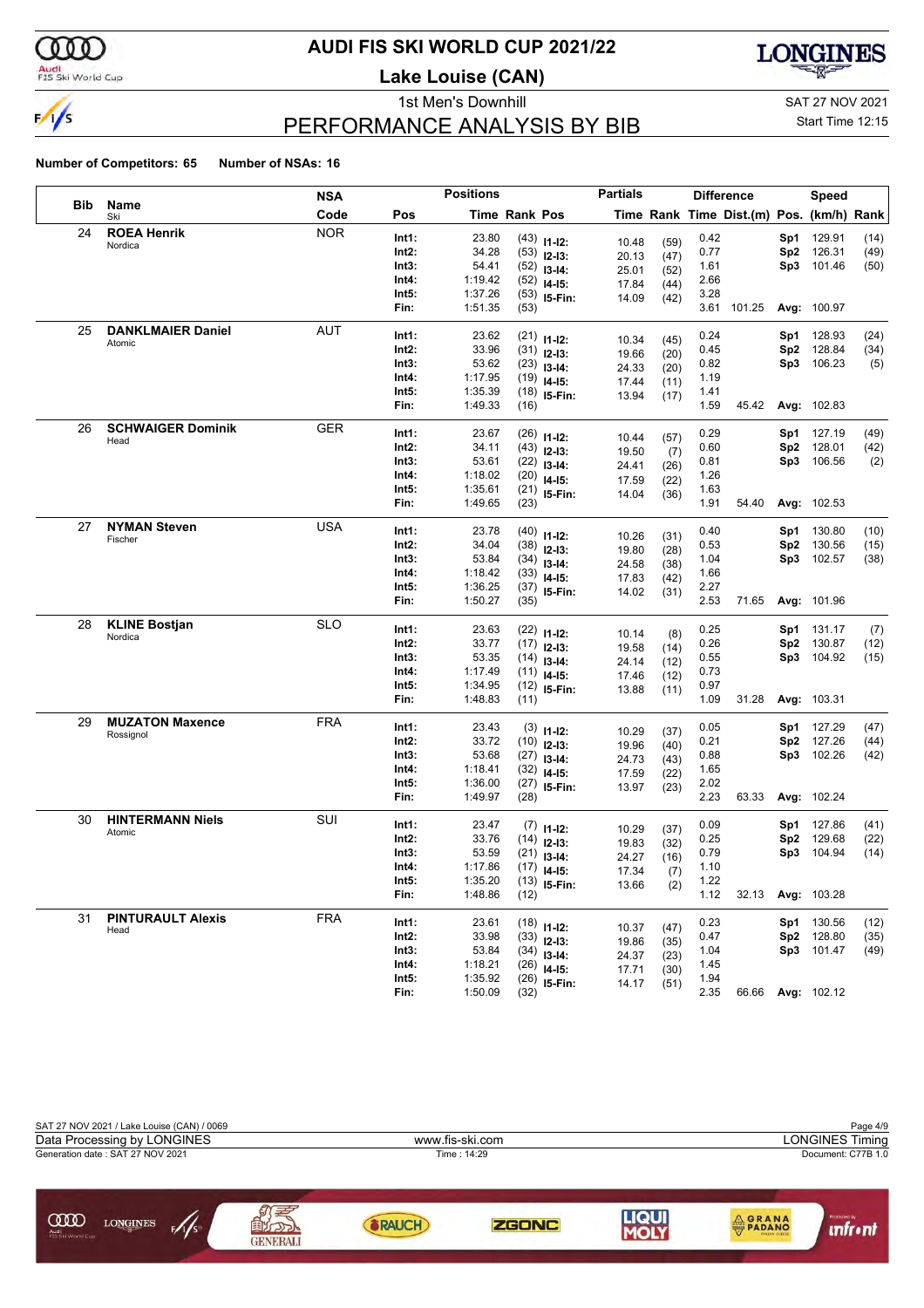

### **AUDI FIS SKI WORLD CUP 2021/22**

**Lake Louise (CAN)**



### PERFORMANCE ANALYSIS BY BIB

1st Men's Downhill and SAT 27 NOV 2021

#### Start Time 12:15

|     |                                     | NSA        |                | <b>Positions</b> |               |                                | <b>Partials</b> |              |              | <b>Difference</b>                        |                 | Speed             |      |
|-----|-------------------------------------|------------|----------------|------------------|---------------|--------------------------------|-----------------|--------------|--------------|------------------------------------------|-----------------|-------------------|------|
| Bib | Name<br>Ski                         | Code       | Pos            |                  | Time Rank Pos |                                |                 |              |              | Time Rank Time Dist.(m) Pos. (km/h) Rank |                 |                   |      |
| 24  | <b>ROEA Henrik</b>                  | <b>NOR</b> | Int1:          | 23.80            |               | $(43)$ 11-12:                  |                 |              | 0.42         |                                          | Sp1             | 129.91            | (14) |
|     | Nordica                             |            | Int2:          | 34.28            |               | $(53)$ 12-13:                  | 10.48<br>20.13  | (59)<br>(47) | 0.77         |                                          | Sp <sub>2</sub> | 126.31            | (49) |
|     |                                     |            | Int3:          | 54.41            |               | $(52)$ 13-14:                  | 25.01           | (52)         | 1.61         |                                          | Sp3             | 101.46            | (50) |
|     |                                     |            | Int4:          | 1:19.42          | (52)          | $14 - 15$ :                    | 17.84           | (44)         | 2.66         |                                          |                 |                   |      |
|     |                                     |            | Int5:          | 1:37.26          |               | $(53)$ 15-Fin:                 | 14.09           | (42)         | 3.28         |                                          |                 |                   |      |
|     |                                     |            | Fin:           | 1:51.35          | (53)          |                                |                 |              |              | 3.61 101.25                              |                 | Avg: 100.97       |      |
| 25  | <b>DANKLMAIER Daniel</b>            | AUT        | Int1:          | 23.62            |               | $(21)$ 11-12:                  |                 |              | 0.24         |                                          | Sp1             | 128.93            | (24) |
|     | Atomic                              |            | Int2:          | 33.96            |               | $(31)$ 12-13:                  | 10.34           | (45)         | 0.45         |                                          | Sp <sub>2</sub> | 128.84            | (34) |
|     |                                     |            | Int3:          | 53.62            |               | $(23)$ 13-14:                  | 19.66           | (20)         | 0.82         |                                          | Sp3             | 106.23            | (5)  |
|     |                                     |            | Int4:          | 1:17.95          |               | $(19)$ 14-15:                  | 24.33<br>17.44  | (20)<br>(11) | 1.19         |                                          |                 |                   |      |
|     |                                     |            | Int5:          | 1:35.39          |               | $(18)$ 15-Fin:                 | 13.94           | (17)         | 1.41         |                                          |                 |                   |      |
|     |                                     |            | Fin:           | 1:49.33          | (16)          |                                |                 |              | 1.59         | 45.42                                    |                 | Avg: 102.83       |      |
| 26  | <b>SCHWAIGER Dominik</b>            | <b>GER</b> | Int1:          | 23.67            |               |                                |                 |              | 0.29         |                                          | Sp1             | 127.19            | (49) |
|     | Head                                |            | Int2:          | 34.11            |               | $(26)$ 11-12:                  | 10.44           | (57)         | 0.60         |                                          | Sp <sub>2</sub> | 128.01            | (42) |
|     |                                     |            | Int3:          | 53.61            |               | $(43)$ 12-13:<br>$(22)$ 13-14: | 19.50           | (7)          | 0.81         |                                          | Sp3             | 106.56            | (2)  |
|     |                                     |            | Int4:          | 1:18.02          |               | $(20)$ 14-15:                  | 24.41           | (26)         | 1.26         |                                          |                 |                   |      |
|     |                                     |            | Int5:          | 1:35.61          |               | $(21)$ 15-Fin:                 | 17.59           | (22)         | 1.63         |                                          |                 |                   |      |
|     |                                     |            | Fin:           | 1:49.65          | (23)          |                                | 14.04           | (36)         | 1.91         | 54.40                                    |                 | Avg: 102.53       |      |
| 27  | <b>NYMAN Steven</b>                 | <b>USA</b> |                |                  |               |                                |                 |              |              |                                          |                 |                   |      |
|     | Fischer                             |            | Int1:          | 23.78            |               | $(40)$ 11-12:                  | 10.26           | (31)         | 0.40         |                                          | Sp1             | 130.80            | (10) |
|     |                                     |            | Int2:          | 34.04            |               | $(38)$ 12-13:                  | 19.80           | (28)         | 0.53         |                                          | Sp <sub>2</sub> | 130.56            | (15) |
|     |                                     |            | Int3:<br>Int4: | 53.84<br>1:18.42 |               | $(34)$ 13-14:                  | 24.58           | (38)         | 1.04<br>1.66 |                                          |                 | Sp3 102.57        | (38) |
|     |                                     |            | Int5:          | 1:36.25          |               | $(33)$ 14-15:                  | 17.83           | (42)         | 2.27         |                                          |                 |                   |      |
|     |                                     |            | Fin:           | 1:50.27          | (35)          | $(37)$ 15-Fin:                 | 14.02           | (31)         | 2.53         | 71.65                                    |                 | Avg: 101.96       |      |
| 28  | <b>KLINE Bostjan</b>                | <b>SLO</b> |                |                  |               |                                |                 |              |              |                                          |                 |                   |      |
|     | Nordica                             |            | Int1:          | 23.63            |               | $(22)$ 11-12:                  | 10.14           | (8)          | 0.25         |                                          | Sp1             | 131.17            | (7)  |
|     |                                     |            | Int2:          | 33.77            |               | $(17)$ 12-13:                  | 19.58           | (14)         | 0.26         |                                          | Sp <sub>2</sub> | 130.87            | (12) |
|     |                                     |            | Int3:          | 53.35            |               | $(14)$ 13-14:                  | 24.14           | (12)         | 0.55         |                                          | Sp3             | 104.92            | (15) |
|     |                                     |            | Int4:          | 1:17.49          | (11)          | $14 - 15$ :                    | 17.46           | (12)         | 0.73         |                                          |                 |                   |      |
|     |                                     |            | Int5:          | 1:34.95          |               | $(12)$ 15-Fin:                 | 13.88           | (11)         | 0.97<br>1.09 | 31.28                                    |                 |                   |      |
|     |                                     |            | Fin:           | 1:48.83          | (11)          |                                |                 |              |              |                                          |                 | Avg: 103.31       |      |
| 29  | <b>MUZATON Maxence</b><br>Rossignol | <b>FRA</b> | Int1:          | 23.43            |               | $(3)$ 11-12:                   | 10.29           | (37)         | 0.05         |                                          | Sp1             | 127.29            | (47) |
|     |                                     |            | Int2:          | 33.72            |               | $(10)$ 12-13:                  | 19.96           | (40)         | 0.21         |                                          | Sp <sub>2</sub> | 127.26            | (44) |
|     |                                     |            | Int3:          | 53.68            |               | $(27)$ 13-14:                  | 24.73           | (43)         | 0.88         |                                          |                 | Sp3 102.26        | (42) |
|     |                                     |            | Int4:          | 1:18.41          |               | $(32)$ 14-15:                  | 17.59           | (22)         | 1.65         |                                          |                 |                   |      |
|     |                                     |            | Int5:          | 1:36.00          | (27)          | 15-Fin:                        | 13.97           | (23)         | 2.02         |                                          |                 |                   |      |
|     |                                     |            | Fin:           | 1:49.97          | (28)          |                                |                 |              | 2.23         | 63.33                                    |                 | Avg: 102.24       |      |
| 30  | <b>HINTERMANN Niels</b>             | SUI        | Int1:          | 23.47            |               | $(7)$ 11-12:                   | 10.29           | (37)         | 0.09         |                                          | Sp1             | 127.86            | (41) |
|     | Atomic                              |            | Int2:          | 33.76            |               | $(14)$ 12-13:                  | 19.83           | (32)         | 0.25         |                                          | Sp <sub>2</sub> | 129.68            | (22) |
|     |                                     |            | Int3:          | 53.59            |               | $(21)$ 13-14:                  | 24.27           | (16)         | 0.79         |                                          | Sp3             | 104.94            | (14) |
|     |                                     |            | Int4:          | 1:17.86          |               | $(17)$ 14-15:                  | 17.34           | (7)          | 1.10         |                                          |                 |                   |      |
|     |                                     |            | Int5:          | 1:35.20          |               | $(13)$ 15-Fin:                 | 13.66           | (2)          | 1.22         |                                          |                 |                   |      |
|     |                                     |            | Fin:           | 1:48.86          | (12)          |                                |                 |              | 1.12         |                                          |                 | 32.13 Avg: 103.28 |      |
| 31  | <b>PINTURAULT Alexis</b>            | <b>FRA</b> | Int1:          | 23.61            |               | $(18)$ 11-12:                  |                 |              | 0.23         |                                          |                 | Sp1 130.56        | (12) |
|     | Head                                |            | Int2:          | 33.98            |               | $(33)$ 12-13:                  | 10.37<br>19.86  | (47)<br>(35) | 0.47         |                                          | Sp2             | 128.80            | (35) |
|     |                                     |            | Int3:          | 53.84            |               | $(34)$ 13-14:                  | 24.37           | (23)         | 1.04         |                                          |                 | Sp3 101.47        | (49) |
|     |                                     |            | Int4:          | 1:18.21          |               | $(26)$ 14-15:                  | 17.71           | (30)         | 1.45         |                                          |                 |                   |      |
|     |                                     |            | Int5:          | 1:35.92          |               | $(26)$ 15-Fin:                 | 14.17           | (51)         | 1.94         |                                          |                 |                   |      |
|     |                                     |            | Fin:           | 1:50.09          | (32)          |                                |                 |              | 2.35         |                                          |                 | 66.66 Avg: 102.12 |      |

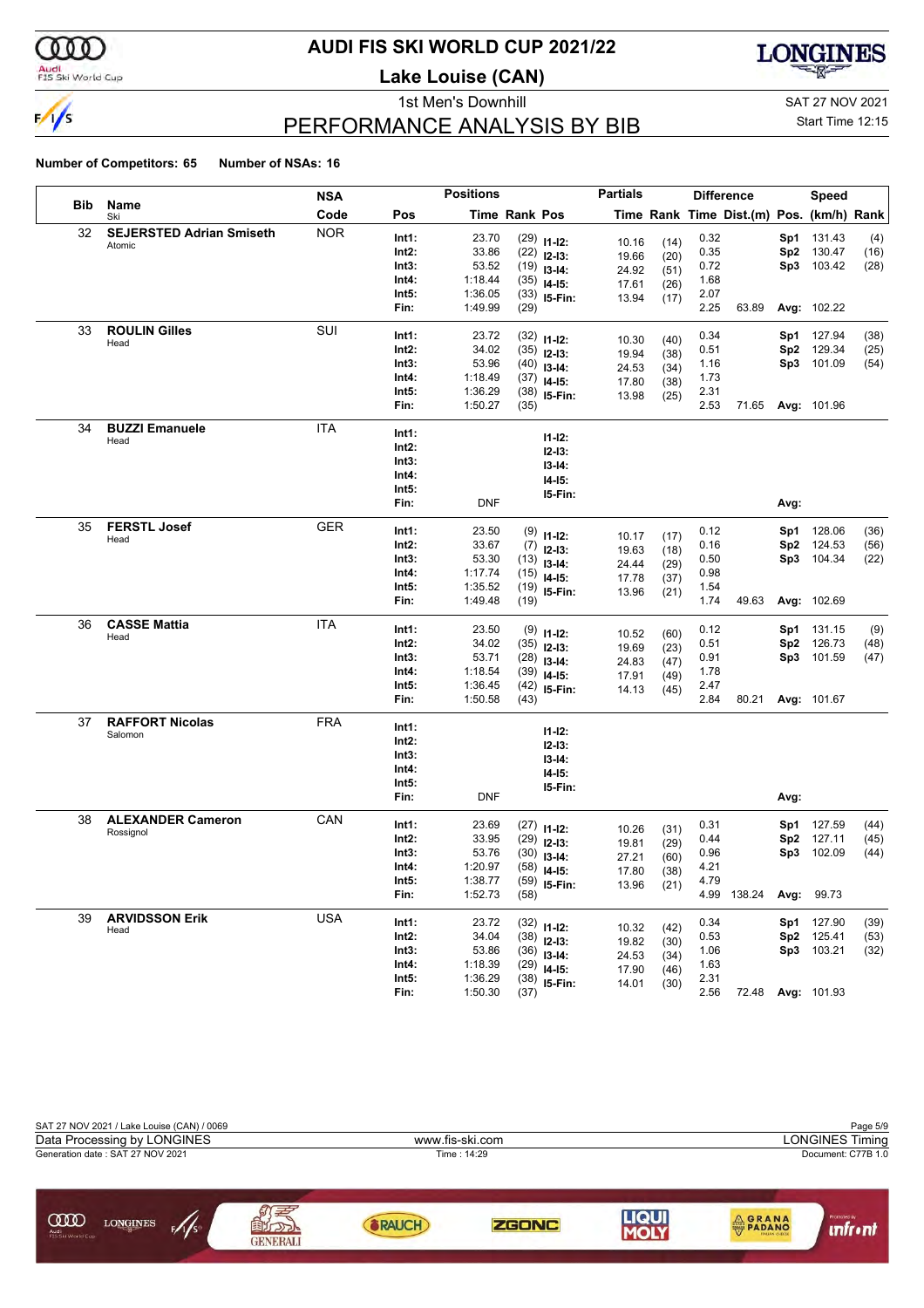

### **AUDI FIS SKI WORLD CUP 2021/22**

**Lake Louise (CAN)**



### PERFORMANCE ANALYSIS BY BIB

1st Men's Downhill and SAT 27 NOV 2021

#### Start Time 12:15

|            |                                 | <b>NSA</b> |               | <b>Positions</b>   |               |                                | <b>Partials</b> |              |              | <b>Difference</b>                        |      | Speed              |      |
|------------|---------------------------------|------------|---------------|--------------------|---------------|--------------------------------|-----------------|--------------|--------------|------------------------------------------|------|--------------------|------|
| <b>Bib</b> | Name<br>Ski                     | Code       | Pos           |                    | Time Rank Pos |                                |                 |              |              | Time Rank Time Dist.(m) Pos. (km/h) Rank |      |                    |      |
| 32         | <b>SEJERSTED Adrian Smiseth</b> | <b>NOR</b> | Int1:         | 23.70              |               | $(29)$ 11-12:                  |                 |              | 0.32         |                                          | Sp1  | 131.43             | (4)  |
|            | Atomic                          |            | Int2:         | 33.86              |               | $(22)$ 12-13:                  | 10.16<br>19.66  | (14)         | 0.35         |                                          | Sp2  | 130.47             | (16) |
|            |                                 |            | Int3:         | 53.52              |               | $(19)$ 13-14:                  | 24.92           | (20)<br>(51) | 0.72         |                                          | Sp3  | 103.42             | (28) |
|            |                                 |            | Int4:         | 1:18.44            |               | $(35)$ 14-15:                  | 17.61           | (26)         | 1.68         |                                          |      |                    |      |
|            |                                 |            | Int5:         | 1:36.05            |               | $(33)$ 15-Fin:                 | 13.94           | (17)         | 2.07         |                                          |      |                    |      |
|            |                                 |            | Fin:          | 1:49.99            | (29)          |                                |                 |              | 2.25         | 63.89                                    |      | Avg: 102.22        |      |
| 33         | <b>ROULIN Gilles</b>            | SUI        | Int1:         | 23.72              |               |                                |                 |              | 0.34         |                                          |      | Sp1 127.94         | (38) |
|            | Head                            |            | Int2:         | 34.02              |               | $(32)$ 11-12:<br>$(35)$ 12-13: | 10.30           | (40)         | 0.51         |                                          | Sp2  | 129.34             | (25) |
|            |                                 |            | Int3:         | 53.96              |               | $(40)$ 13-14:                  | 19.94           | (38)         | 1.16         |                                          |      | Sp3 101.09         | (54) |
|            |                                 |            | Int4:         | 1:18.49            |               | $(37)$ 14-15:                  | 24.53           | (34)         | 1.73         |                                          |      |                    |      |
|            |                                 |            | Int5:         | 1:36.29            |               | $(38)$ 15-Fin:                 | 17.80           | (38)         | 2.31         |                                          |      |                    |      |
|            |                                 |            | Fin:          | 1:50.27            | (35)          |                                | 13.98           | (25)         | 2.53         | 71.65                                    |      | <b>Avg: 101.96</b> |      |
| 34         | <b>BUZZI Emanuele</b>           | ITA        | Int1:         |                    |               |                                |                 |              |              |                                          |      |                    |      |
|            | Head                            |            | Int2:         |                    |               | $11 - 12$ :                    |                 |              |              |                                          |      |                    |      |
|            |                                 |            | Int3:         |                    |               | $12-13:$                       |                 |              |              |                                          |      |                    |      |
|            |                                 |            | Int4:         |                    |               | $13-14:$                       |                 |              |              |                                          |      |                    |      |
|            |                                 |            | Int5:         |                    |               | $14-15:$                       |                 |              |              |                                          |      |                    |      |
|            |                                 |            | Fin:          | DNF                |               | 15-Fin:                        |                 |              |              |                                          | Avg: |                    |      |
| 35         | <b>FERSTL Josef</b>             | <b>GER</b> |               |                    |               |                                |                 |              |              |                                          |      |                    |      |
|            | Head                            |            | Int1:         | 23.50              |               | $(9)$ 11-12:                   | 10.17           | (17)         | 0.12         |                                          | Sp1. | 128.06             | (36) |
|            |                                 |            | Int2:         | 33.67              |               | $(7)$ 12-13:                   | 19.63           | (18)         | 0.16         |                                          | Sp2  | 124.53             | (56) |
|            |                                 |            | Int3:         | 53.30              |               | $(13)$ 13-14:                  | 24.44           | (29)         | 0.50         |                                          |      | Sp3 104.34         | (22) |
|            |                                 |            | Int4:         | 1:17.74            |               | $(15)$ 14-15:                  | 17.78           | (37)         | 0.98         |                                          |      |                    |      |
|            |                                 |            | Int5:<br>Fin: | 1:35.52<br>1:49.48 | (19)          | $(19)$ 15-Fin:                 | 13.96           | (21)         | 1.54<br>1.74 | 49.63                                    |      | Avg: 102.69        |      |
| 36         | <b>CASSE Mattia</b>             | <b>ITA</b> |               |                    |               |                                |                 |              |              |                                          |      |                    |      |
|            | Head                            |            | Int1:         | 23.50              |               | $(9)$ 11-12:                   | 10.52           | (60)         | 0.12         |                                          | Sp1  | 131.15             | (9)  |
|            |                                 |            | Int2:         | 34.02              |               | $(35)$ 12-13:                  | 19.69           | (23)         | 0.51         |                                          | Sp2  | 126.73             | (48) |
|            |                                 |            | Int3:         | 53.71              |               | $(28)$ 13-14:                  | 24.83           | (47)         | 0.91         |                                          | Sp3  | 101.59             | (47) |
|            |                                 |            | Int4:         | 1:18.54            |               | $(39)$ 14-15:                  | 17.91           | (49)         | 1.78         |                                          |      |                    |      |
|            |                                 |            | Int5:         | 1:36.45            |               | $(42)$ 15-Fin:                 | 14.13           | (45)         | 2.47         |                                          |      |                    |      |
|            |                                 |            | Fin:          | 1:50.58            | (43)          |                                |                 |              | 2.84         | 80.21                                    |      | Avg: 101.67        |      |
| 37         | <b>RAFFORT Nicolas</b>          | <b>FRA</b> | Int1:         |                    |               | $11 - 12$ :                    |                 |              |              |                                          |      |                    |      |
|            | Salomon                         |            | Int2:         |                    |               | $12 - 13:$                     |                 |              |              |                                          |      |                    |      |
|            |                                 |            | Int3:         |                    |               | $13 - 14:$                     |                 |              |              |                                          |      |                    |      |
|            |                                 |            | Int4:         |                    |               | $14-15:$                       |                 |              |              |                                          |      |                    |      |
|            |                                 |            | Int5:         |                    |               | 15-Fin:                        |                 |              |              |                                          |      |                    |      |
|            |                                 |            | Fin:          | <b>DNF</b>         |               |                                |                 |              |              |                                          | Avg: |                    |      |
| 38         | <b>ALEXANDER Cameron</b>        | CAN        | Int1:         | 23.69              |               | $(27)$ 11-12:                  |                 |              | 0.31         |                                          |      | Sp1 127.59         | (44) |
|            | Rossignol                       |            | Int2:         | 33.95              |               | $(29)$ 12-13:                  | 10.26           | (31)         | 0.44         |                                          | Sp2  | 127.11             | (45) |
|            |                                 |            | Int3:         | 53.76              |               | $(30)$ 13-14:                  | 19.81<br>27.21  | (29)         | 0.96         |                                          | Sp3  | 102.09             | (44) |
|            |                                 |            | Int4:         | 1:20.97            |               | $(58)$ 14-15:                  | 17.80           | (60)<br>(38) | 4.21         |                                          |      |                    |      |
|            |                                 |            | Int5:         | 1:38.77            |               | $(59)$ 15-Fin:                 | 13.96           | (21)         | 4.79         |                                          |      |                    |      |
|            |                                 |            | Fin:          | 1:52.73            | (58)          |                                |                 |              |              | 4.99 138.24                              |      | Avg: 99.73         |      |
| 39         | <b>ARVIDSSON Erik</b>           | <b>USA</b> | Int1:         | 23.72              |               |                                |                 |              | 0.34         |                                          |      | Sp1 127.90         | (39) |
|            | Head                            |            | Int2:         | 34.04              |               | $(32)$ 11-12:<br>$(38)$ 12-13: | 10.32           | (42)         | 0.53         |                                          | Sp2  | 125.41             | (53) |
|            |                                 |            | Int3:         | 53.86              |               | $(36)$ 13-14:                  | 19.82           | (30)         | 1.06         |                                          |      | Sp3 103.21         | (32) |
|            |                                 |            | Int4:         | 1:18.39            |               | $(29)$ 14-15:                  | 24.53           | (34)         | 1.63         |                                          |      |                    |      |
|            |                                 |            | Int5:         | 1:36.29            |               | $(38)$ 15-Fin:                 | 17.90           | (46)         | 2.31         |                                          |      |                    |      |
|            |                                 |            | Fin:          | 1:50.30            | (37)          |                                | 14.01           | (30)         | 2.56         |                                          |      | 72.48 Avg: 101.93  |      |

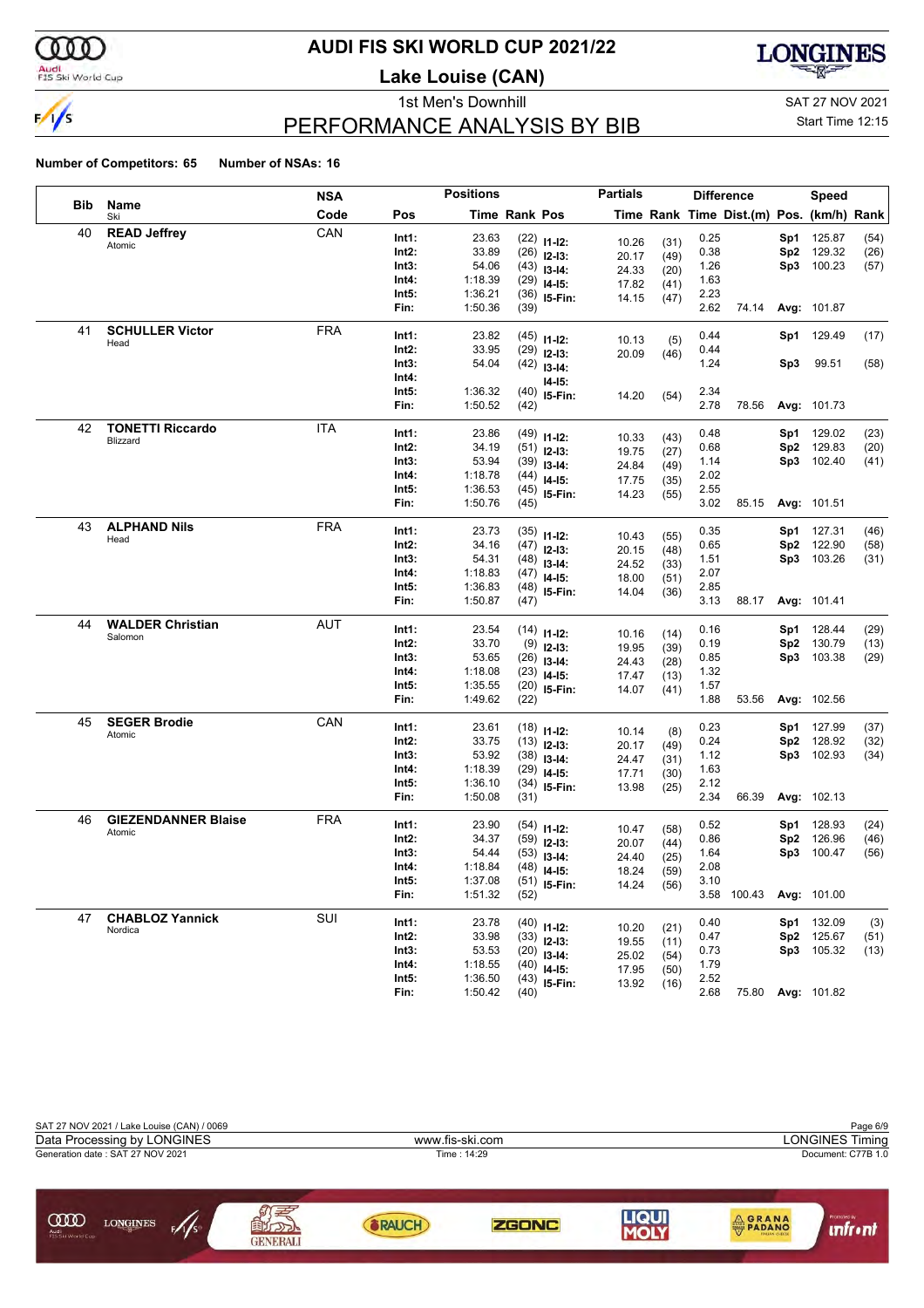

### **AUDI FIS SKI WORLD CUP 2021/22**

**Lake Louise (CAN)**



### PERFORMANCE ANALYSIS BY BIB

1st Men's Downhill and SAT 27 NOV 2021

#### Start Time 12:15

|            |                            | <b>NSA</b> |       | <b>Positions</b> |                      |                                | <b>Partials</b> |              | <b>Difference</b> |                                          |                 | Speed              |      |
|------------|----------------------------|------------|-------|------------------|----------------------|--------------------------------|-----------------|--------------|-------------------|------------------------------------------|-----------------|--------------------|------|
| <b>Bib</b> | Name<br>Ski                | Code       | Pos   |                  | <b>Time Rank Pos</b> |                                |                 |              |                   | Time Rank Time Dist.(m) Pos. (km/h) Rank |                 |                    |      |
| 40         | <b>READ Jeffrey</b>        | CAN        | Int1: | 23.63            |                      | $(22)$ 11-12:                  | 10.26           |              | 0.25              |                                          | Sp1             | 125.87             | (54) |
|            | Atomic                     |            | Int2: | 33.89            |                      | $(26)$ 12-13:                  | 20.17           | (31)<br>(49) | 0.38              |                                          | Sp <sub>2</sub> | 129.32             | (26) |
|            |                            |            | Int3: | 54.06            |                      | $(43)$ 13-14:                  | 24.33           | (20)         | 1.26              |                                          | Sp3             | 100.23             | (57) |
|            |                            |            | Int4: | 1:18.39          |                      | $(29)$ 14-15:                  | 17.82           | (41)         | 1.63              |                                          |                 |                    |      |
|            |                            |            | Int5: | 1:36.21          |                      | $(36)$ 15-Fin:                 | 14.15           | (47)         | 2.23              |                                          |                 |                    |      |
|            |                            |            | Fin:  | 1:50.36          | (39)                 |                                |                 |              | 2.62              | 74.14                                    |                 | Avg: 101.87        |      |
| 41         | <b>SCHULLER Victor</b>     | <b>FRA</b> | Int1: | 23.82            |                      | $(45)$ 11-12:                  |                 |              | 0.44              |                                          |                 | Sp1 129.49         | (17) |
|            | Head                       |            | Int2: | 33.95            |                      | $(29)$ 12-13:                  | 10.13<br>20.09  | (5)<br>(46)  | 0.44              |                                          |                 |                    |      |
|            |                            |            | Int3: | 54.04            |                      | $(42)$ 13-14:                  |                 |              | 1.24              |                                          | Sp3             | 99.51              | (58) |
|            |                            |            | Int4: |                  |                      | I4-I5:                         |                 |              |                   |                                          |                 |                    |      |
|            |                            |            | Int5: | 1:36.32          |                      | $(40)$ 15-Fin:                 | 14.20           | (54)         | 2.34              |                                          |                 |                    |      |
|            |                            |            | Fin:  | 1:50.52          | (42)                 |                                |                 |              | 2.78              | 78.56                                    |                 | Avg: 101.73        |      |
| 42         | <b>TONETTI Riccardo</b>    | ITA        | Int1: | 23.86            |                      | $(49)$ 11-12:                  |                 |              | 0.48              |                                          | Sp1             | 129.02             | (23) |
|            | Blizzard                   |            | Int2: | 34.19            |                      | $(51)$ 12-13:                  | 10.33           | (43)         | 0.68              |                                          | Sp <sub>2</sub> | 129.83             | (20) |
|            |                            |            | Int3: | 53.94            |                      | $(39)$ 13-14:                  | 19.75<br>24.84  | (27)<br>(49) | 1.14              |                                          | Sp3             | 102.40             | (41) |
|            |                            |            | Int4: | 1:18.78          |                      | $(44)$ 14-15:                  | 17.75           | (35)         | 2.02              |                                          |                 |                    |      |
|            |                            |            | Int5: | 1:36.53          |                      | $(45)$ 15-Fin:                 | 14.23           | (55)         | 2.55              |                                          |                 |                    |      |
|            |                            |            | Fin:  | 1:50.76          | (45)                 |                                |                 |              | 3.02              | 85.15                                    |                 | Avg: 101.51        |      |
| 43         | <b>ALPHAND Nils</b>        | <b>FRA</b> | Int1: | 23.73            |                      | $(35)$ 11-12:                  |                 |              | 0.35              |                                          | Sp1             | 127.31             | (46) |
|            | Head                       |            | Int2: | 34.16            |                      | $(47)$ 12-13:                  | 10.43           | (55)         | 0.65              |                                          | Sp <sub>2</sub> | 122.90             | (58) |
|            |                            |            | Int3: | 54.31            |                      | $(48)$ 13-14:                  | 20.15           | (48)         | 1.51              |                                          |                 | Sp3 103.26         | (31) |
|            |                            |            | Int4: | 1:18.83          |                      | $(47)$ 14-15:                  | 24.52           | (33)         | 2.07              |                                          |                 |                    |      |
|            |                            |            | Int5: | 1:36.83          |                      | $(48)$ 15-Fin:                 | 18.00<br>14.04  | (51)<br>(36) | 2.85              |                                          |                 |                    |      |
|            |                            |            | Fin:  | 1:50.87          | (47)                 |                                |                 |              | 3.13              | 88.17                                    |                 | Avg: 101.41        |      |
| 44         | <b>WALDER Christian</b>    | AUT        | Int1: | 23.54            |                      | $(14)$ 11-12:                  |                 |              | 0.16              |                                          | Sp1             | 128.44             | (29) |
|            | Salomon                    |            | Int2: | 33.70            |                      | $(9)$ 12-13:                   | 10.16           | (14)         | 0.19              |                                          | Sp <sub>2</sub> | 130.79             | (13) |
|            |                            |            | Int3: | 53.65            |                      | $(26)$ 13-14:                  | 19.95           | (39)         | 0.85              |                                          | Sp3             | 103.38             | (29) |
|            |                            |            | Int4: | 1:18.08          |                      | $(23)$ 14-15:                  | 24.43<br>17.47  | (28)         | 1.32              |                                          |                 |                    |      |
|            |                            |            | Int5: | 1:35.55          |                      | $(20)$ 15-Fin:                 | 14.07           | (13)<br>(41) | 1.57              |                                          |                 |                    |      |
|            |                            |            | Fin:  | 1:49.62          | (22)                 |                                |                 |              | 1.88              | 53.56                                    |                 | Avg: 102.56        |      |
| 45         | <b>SEGER Brodie</b>        | CAN        | Int1: | 23.61            |                      |                                |                 |              | 0.23              |                                          | Sp1             | 127.99             | (37) |
|            | Atomic                     |            | Int2: | 33.75            |                      | $(18)$ 11-12:<br>$(13)$ 12-13: | 10.14           | (8)          | 0.24              |                                          | Sp <sub>2</sub> | 128.92             | (32) |
|            |                            |            | Int3: | 53.92            |                      | $(38)$ 13-14:                  | 20.17           | (49)         | 1.12              |                                          | Sp3             | 102.93             | (34) |
|            |                            |            | Int4: | 1:18.39          |                      | $(29)$ 14-15:                  | 24.47           | (31)         | 1.63              |                                          |                 |                    |      |
|            |                            |            | Int5: | 1:36.10          |                      | $(34)$ 15-Fin:                 | 17.71           | (30)         | 2.12              |                                          |                 |                    |      |
|            |                            |            | Fin:  | 1:50.08          | (31)                 |                                | 13.98           | (25)         | 2.34              | 66.39                                    |                 | Avg: 102.13        |      |
| 46         | <b>GIEZENDANNER Blaise</b> | <b>FRA</b> | Int1: | 23.90            |                      |                                |                 |              | 0.52              |                                          | Sp1             | 128.93             | (24) |
|            | Atomic                     |            | Int2: | 34.37            |                      | $(54)$ 11-12:<br>$(59)$ 12-13: | 10.47           | (58)         | 0.86              |                                          | Sp <sub>2</sub> | 126.96             | (46) |
|            |                            |            | Int3: | 54.44            |                      | $(53)$ 13-14:                  | 20.07           | (44)         | 1.64              |                                          | Sp3             | 100.47             | (56) |
|            |                            |            | Int4: | 1:18.84          |                      | $(48)$ 14-15:                  | 24.40           | (25)         | 2.08              |                                          |                 |                    |      |
|            |                            |            | Int5: | 1:37.08          |                      | $(51)$ 15-Fin:                 | 18.24           | (59)         | 3.10              |                                          |                 |                    |      |
|            |                            |            | Fin:  | 1:51.32          | (52)                 |                                | 14.24           | (56)         |                   | 3.58 100.43                              |                 | <b>Avg: 101.00</b> |      |
| 47         | <b>CHABLOZ Yannick</b>     | SUI        | Int1: | 23.78            |                      |                                |                 |              | 0.40              |                                          |                 | Sp1 132.09         | (3)  |
|            | Nordica                    |            | Int2: | 33.98            |                      | $(40)$ 11-12:<br>$(33)$ 12-13: | 10.20           | (21)         | 0.47              |                                          | Sp2             | 125.67             | (51) |
|            |                            |            | Int3: | 53.53            |                      | $(20)$ 13-14:                  | 19.55           | (11)         | 0.73              |                                          |                 | Sp3 105.32         | (13) |
|            |                            |            | Int4: | 1:18.55          |                      | $(40)$ 14-15:                  | 25.02           | (54)         | 1.79              |                                          |                 |                    |      |
|            |                            |            | Int5: | 1:36.50          |                      | $(43)$ 15-Fin:                 | 17.95<br>13.92  | (50)<br>(16) | 2.52              |                                          |                 |                    |      |
|            |                            |            | Fin:  | 1:50.42          | (40)                 |                                |                 |              | 2.68              |                                          |                 | 75.80 Avg: 101.82  |      |

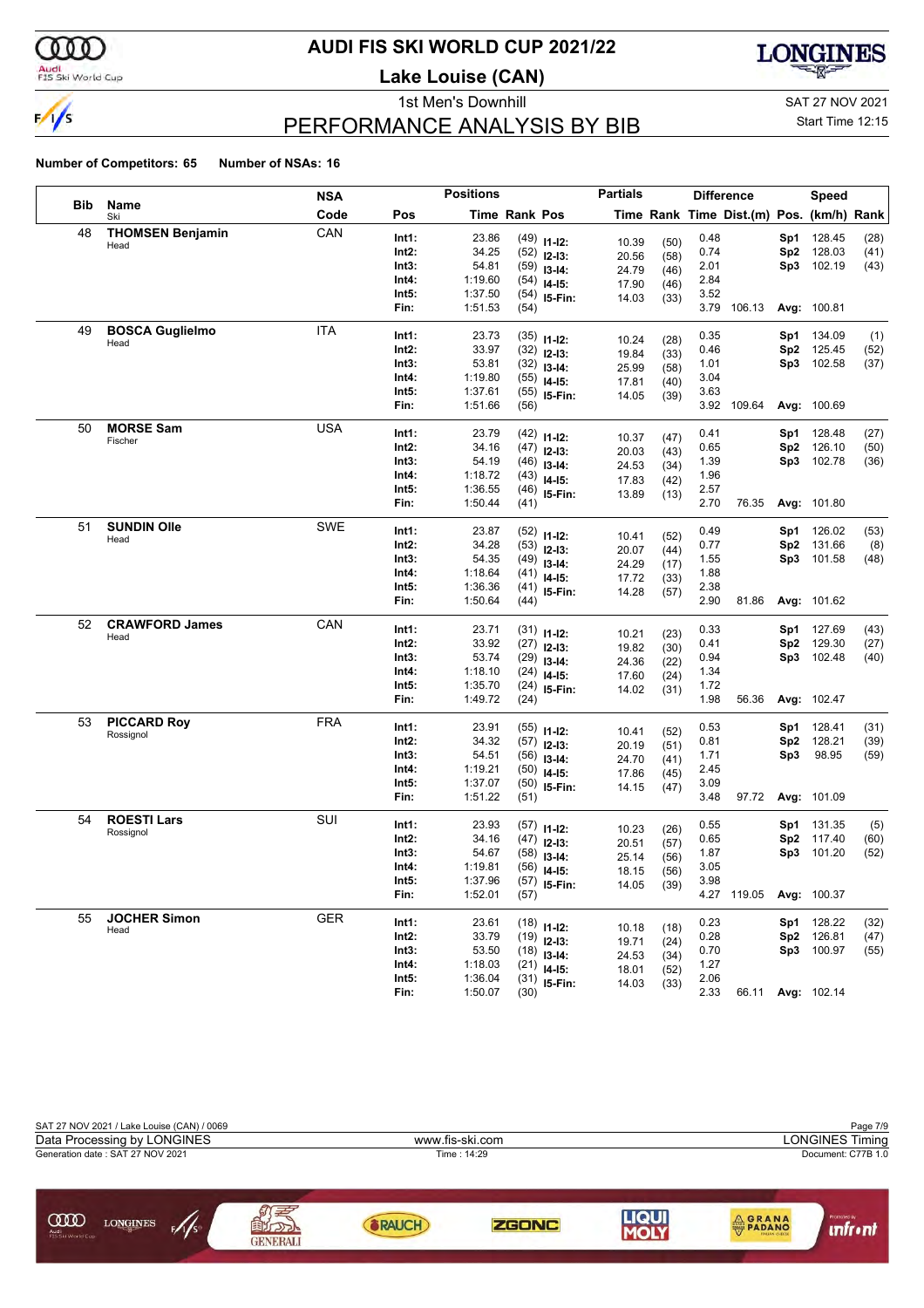

### **AUDI FIS SKI WORLD CUP 2021/22**

**Lake Louise (CAN)**



### PERFORMANCE ANALYSIS BY BIB

1st Men's Downhill and SAT 27 NOV 2021

Start Time 12:15

|     |                         | <b>NSA</b> |                | <b>Positions</b> |                      |                                 | <b>Partials</b> |              | <b>Difference</b> |                                          |                 | Speed                    |              |
|-----|-------------------------|------------|----------------|------------------|----------------------|---------------------------------|-----------------|--------------|-------------------|------------------------------------------|-----------------|--------------------------|--------------|
| Bib | Name<br>Ski             | Code       | Pos            |                  | <b>Time Rank Pos</b> |                                 |                 |              |                   | Time Rank Time Dist.(m) Pos. (km/h) Rank |                 |                          |              |
| 48  | <b>THOMSEN Benjamin</b> | CAN        | Int1:          | 23.86            |                      | $(49)$ 11-12:                   | 10.39           | (50)         | 0.48              |                                          | Sp1             | 128.45                   | (28)         |
|     | Head                    |            | Int2:          | 34.25            |                      | $(52)$ 12-13:                   | 20.56           | (58)         | 0.74              |                                          | Sp2             | 128.03                   | (41)         |
|     |                         |            | Int3:          | 54.81            |                      | $(59)$ 13-14:                   | 24.79           | (46)         | 2.01              |                                          | Sp3             | 102.19                   | (43)         |
|     |                         |            | Int4:          | 1:19.60          |                      | $(54)$ 14-15:                   | 17.90           | (46)         | 2.84              |                                          |                 |                          |              |
|     |                         |            | Int5:          | 1:37.50          |                      | $(54)$ 15-Fin:                  | 14.03           | (33)         | 3.52              |                                          |                 |                          |              |
|     |                         |            | Fin:           | 1:51.53          | (54)                 |                                 |                 |              |                   | 3.79 106.13                              |                 | Avg: 100.81              |              |
| 49  | <b>BOSCA Guglielmo</b>  | ITA        | Int1:          | 23.73            |                      | $(35)$ 11-12:                   |                 |              | 0.35              |                                          | Sp1             | 134.09                   | (1)          |
|     | Head                    |            | Int2:          | 33.97            |                      | $(32)$ 12-13:                   | 10.24           | (28)         | 0.46              |                                          | Sp2             | 125.45                   | (52)         |
|     |                         |            | Int3:          | 53.81            |                      | $(32)$ 13-14:                   | 19.84<br>25.99  | (33)         | 1.01              |                                          | Sp3             | 102.58                   | (37)         |
|     |                         |            | Int4:          | 1:19.80          |                      | $(55)$ 14-15:                   | 17.81           | (58)<br>(40) | 3.04              |                                          |                 |                          |              |
|     |                         |            | Int5:          | 1:37.61          |                      | $(55)$ 15-Fin:                  | 14.05           | (39)         | 3.63              |                                          |                 |                          |              |
|     |                         |            | Fin:           | 1:51.66          | (56)                 |                                 |                 |              |                   | 3.92 109.64                              |                 | Avg: 100.69              |              |
| 50  | <b>MORSE Sam</b>        | <b>USA</b> | Int1:          | 23.79            |                      | $(42)$ 11-12:                   |                 |              | 0.41              |                                          | Sp1             | 128.48                   | (27)         |
|     | Fischer                 |            | Int2:          | 34.16            |                      | $(47)$ 12-13:                   | 10.37           | (47)         | 0.65              |                                          | Sp <sub>2</sub> | 126.10                   | (50)         |
|     |                         |            | Int3:          | 54.19            |                      | $(46)$ 13-14:                   | 20.03           | (43)         | 1.39              |                                          | Sp3             | 102.78                   | (36)         |
|     |                         |            | Int4:          | 1:18.72          |                      | $(43)$ 14-15:                   | 24.53<br>17.83  | (34)         | 1.96              |                                          |                 |                          |              |
|     |                         |            | Int5:          | 1:36.55          |                      | $(46)$ 15-Fin:                  | 13.89           | (42)<br>(13) | 2.57              |                                          |                 |                          |              |
|     |                         |            | Fin:           | 1:50.44          | (41)                 |                                 |                 |              | 2.70              | 76.35                                    |                 | Avg: 101.80              |              |
| 51  | <b>SUNDIN Olle</b>      | SWE        | Int1:          | 23.87            |                      |                                 |                 |              | 0.49              |                                          | Sp1             | 126.02                   | (53)         |
|     | Head                    |            | Int2:          | 34.28            |                      | $(52)$ 11-12:<br>$(53)$ 12-13:  | 10.41           | (52)         | 0.77              |                                          | Sp <sub>2</sub> | 131.66                   | (8)          |
|     |                         |            | Int3:          | 54.35            |                      | $(49)$ 13-14:                   | 20.07           | (44)         | 1.55              |                                          | Sp3             | 101.58                   | (48)         |
|     |                         |            | Int4:          | 1:18.64          |                      | $(41)$ 14-15:                   | 24.29           | (17)         | 1.88              |                                          |                 |                          |              |
|     |                         |            | Int5:          | 1:36.36          |                      | $(41)$ 15-Fin:                  | 17.72           | (33)         | 2.38              |                                          |                 |                          |              |
|     |                         |            | Fin:           | 1:50.64          | (44)                 |                                 | 14.28           | (57)         | 2.90              | 81.86                                    |                 | Avg: 101.62              |              |
| 52  | <b>CRAWFORD James</b>   | CAN        | Int1:          | 23.71            |                      |                                 |                 |              | 0.33              |                                          | Sp1             | 127.69                   | (43)         |
|     | Head                    |            | Int2:          | 33.92            |                      | $(31)$ 11-12:                   | 10.21           | (23)         | 0.41              |                                          | Sp2             | 129.30                   | (27)         |
|     |                         |            | Int3:          | 53.74            |                      | $(27)$ 12-13:<br>$(29)$ 13-14:  | 19.82           | (30)         | 0.94              |                                          | Sp3             | 102.48                   | (40)         |
|     |                         |            | Int4:          | 1:18.10          |                      | $(24)$ 14-15:                   | 24.36           | (22)         | 1.34              |                                          |                 |                          |              |
|     |                         |            | Int5:          | 1:35.70          |                      | $(24)$ 15-Fin:                  | 17.60           | (24)         | 1.72              |                                          |                 |                          |              |
|     |                         |            | Fin:           | 1:49.72          | (24)                 |                                 | 14.02           | (31)         | 1.98              | 56.36                                    |                 | Avg: 102.47              |              |
| 53  | <b>PICCARD Roy</b>      | <b>FRA</b> | Int1:          | 23.91            |                      |                                 |                 |              | 0.53              |                                          | Sp1             | 128.41                   | (31)         |
|     | Rossignol               |            | Int2:          | 34.32            |                      | $(55)$ 11-12:                   | 10.41           | (52)         | 0.81              |                                          | Sp2             | 128.21                   | (39)         |
|     |                         |            | Int3:          | 54.51            |                      | $(57)$ 12-13:<br>$(56)$ 13-14:  | 20.19           | (51)         | 1.71              |                                          | Sp3             | 98.95                    | (59)         |
|     |                         |            | Int4:          | 1:19.21          |                      | $(50)$ 14-15:                   | 24.70           | (41)         | 2.45              |                                          |                 |                          |              |
|     |                         |            | Int5:          | 1:37.07          |                      | $(50)$ 15-Fin:                  | 17.86           | (45)         | 3.09              |                                          |                 |                          |              |
|     |                         |            | Fin:           | 1:51.22          | (51)                 |                                 | 14.15           | (47)         | 3.48              | 97.72                                    |                 | Avg: 101.09              |              |
| 54  | <b>ROESTI Lars</b>      | SUI        | Int1:          | 23.93            |                      |                                 |                 |              | 0.55              |                                          | Sp1             | 131.35                   | (5)          |
|     | Rossignol               |            | Int2:          | 34.16            |                      | $(57)$ 11-12:                   | 10.23           | (26)         | 0.65              |                                          | Sp2             | 117.40                   | (60)         |
|     |                         |            | Int3:          | 54.67            |                      | $(47)$ 12-13:                   | 20.51           | (57)         | 1.87              |                                          | Sp3             | 101.20                   | (52)         |
|     |                         |            | Int4:          | 1:19.81          |                      | $(58)$ 13-14:                   | 25.14           | (56)         | 3.05              |                                          |                 |                          |              |
|     |                         |            | Int5:          | 1:37.96          |                      | $(56)$ 14-15:<br>$(57)$ 15-Fin: | 18.15           | (56)         | 3.98              |                                          |                 |                          |              |
|     |                         |            | Fin:           | 1:52.01          | (57)                 |                                 | 14.05           | (39)         |                   | 4.27 119.05                              |                 | Avg: 100.37              |              |
| 55  | <b>JOCHER Simon</b>     | <b>GER</b> |                |                  |                      |                                 |                 |              |                   |                                          |                 |                          |              |
|     | Head                    |            | Int1:<br>Int2: | 23.61<br>33.79   |                      | $(18)$ 11-12:                   | 10.18           | (18)         | 0.23<br>0.28      |                                          |                 | Sp1 128.22<br>Sp2 126.81 | (32)<br>(47) |
|     |                         |            | Int3:          | 53.50            |                      | $(19)$ 12-13:                   | 19.71           | (24)         | 0.70              |                                          |                 | Sp3 100.97               | (55)         |
|     |                         |            | Int4:          | 1:18.03          |                      | $(18)$ 13-14:                   | 24.53           | (34)         | 1.27              |                                          |                 |                          |              |
|     |                         |            | Int5:          | 1:36.04          |                      | $(21)$ 14-15:<br>$(31)$ 15-Fin: | 18.01           | (52)         | 2.06              |                                          |                 |                          |              |
|     |                         |            | Fin:           | 1:50.07          | (30)                 |                                 | 14.03           | (33)         | 2.33              |                                          |                 | 66.11 Avg: 102.14        |              |

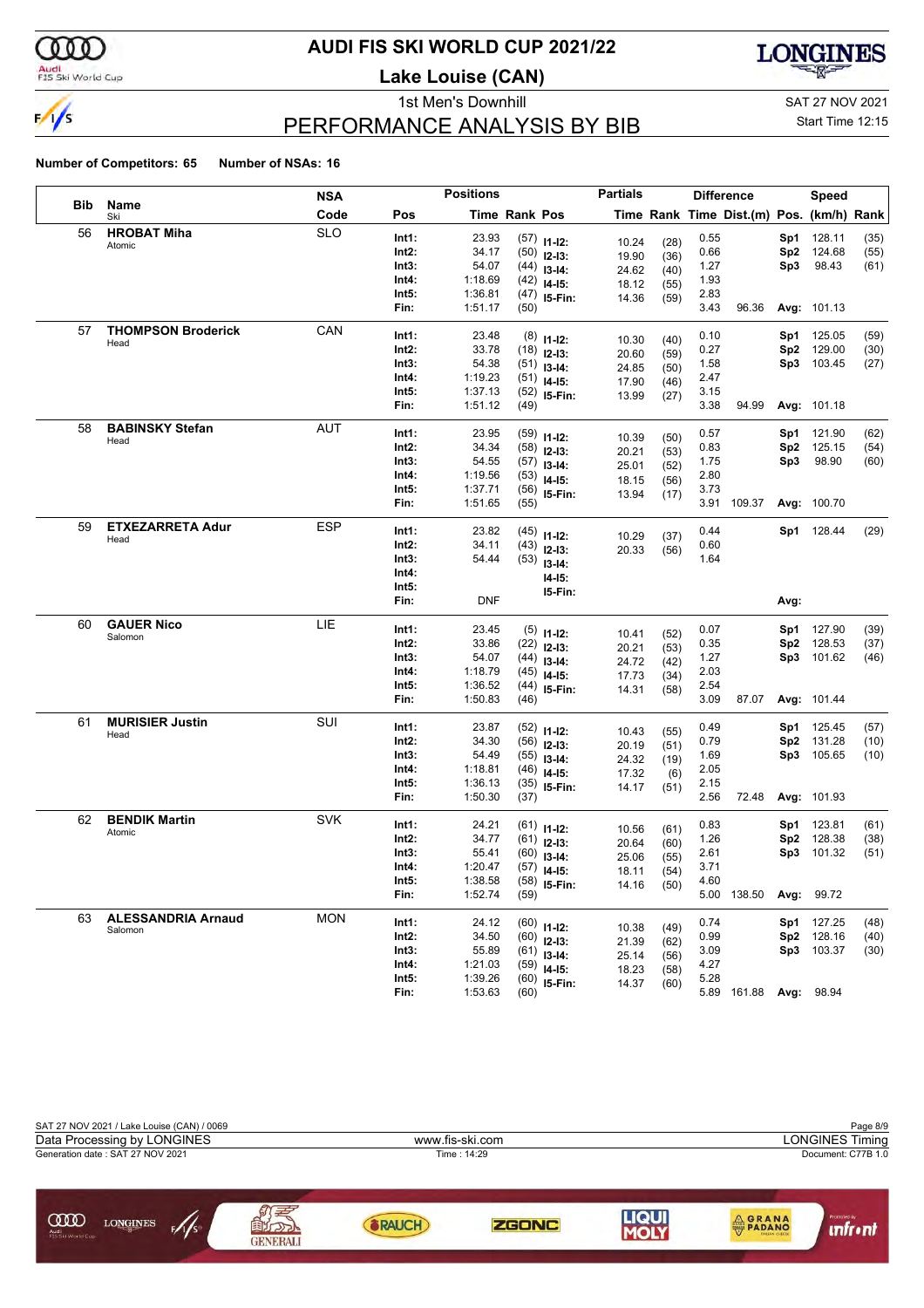

### **AUDI FIS SKI WORLD CUP 2021/22**

**Lake Louise (CAN)**



### PERFORMANCE ANALYSIS BY BIB

1st Men's Downhill and SAT 27 NOV 2021

#### Start Time 12:15

|     |                                      | NSA        |                | <b>Positions</b>   |               |                                | <b>Partials</b> |              |              | <b>Difference</b>                        |                 | Speed            |      |
|-----|--------------------------------------|------------|----------------|--------------------|---------------|--------------------------------|-----------------|--------------|--------------|------------------------------------------|-----------------|------------------|------|
| Bib | Name<br>Ski                          | Code       | Pos            |                    | Time Rank Pos |                                |                 |              |              | Time Rank Time Dist.(m) Pos. (km/h) Rank |                 |                  |      |
| 56  | <b>HROBAT Miha</b>                   | <b>SLO</b> | Int1:          | 23.93              |               | $(57)$ 11-12:                  | 10.24           | (28)         | 0.55         |                                          | Sp1             | 128.11           | (35) |
|     | Atomic                               |            | Int2:          | 34.17              |               | $(50)$ 12-13:                  | 19.90           | (36)         | 0.66         |                                          | Sp2             | 124.68           | (55) |
|     |                                      |            | Int3:          | 54.07              |               | $(44)$ 13-14:                  | 24.62           | (40)         | 1.27         |                                          | Sp3             | 98.43            | (61) |
|     |                                      |            | Int4:          | 1:18.69            |               | $(42)$ 14-15:                  | 18.12           | (55)         | 1.93         |                                          |                 |                  |      |
|     |                                      |            | Int5:          | 1:36.81            |               | $(47)$ 15-Fin:                 | 14.36           | (59)         | 2.83         |                                          |                 |                  |      |
|     |                                      |            | Fin:           | 1:51.17            | (50)          |                                |                 |              | 3.43         | 96.36                                    |                 | Avg: 101.13      |      |
| 57  | <b>THOMPSON Broderick</b>            | CAN        | Int1:          | 23.48              |               | $(8)$ 11-12:                   |                 |              | 0.10         |                                          | Sp1             | 125.05           | (59) |
|     | Head                                 |            | Int2:          | 33.78              |               | $(18)$ 12-13:                  | 10.30           | (40)         | 0.27         |                                          | Sp <sub>2</sub> | 129.00           | (30) |
|     |                                      |            | Int3:          | 54.38              |               | $(51)$ 13-14:                  | 20.60           | (59)         | 1.58         |                                          |                 | Sp3 103.45       | (27) |
|     |                                      |            | Int4:          | 1:19.23            |               | $(51)$ 14-15:                  | 24.85<br>17.90  | (50)<br>(46) | 2.47         |                                          |                 |                  |      |
|     |                                      |            | Int5:          | 1:37.13            |               | $(52)$ 15-Fin:                 | 13.99           | (27)         | 3.15         |                                          |                 |                  |      |
|     |                                      |            | Fin:           | 1:51.12            | (49)          |                                |                 |              | 3.38         | 94.99                                    |                 | Avg: 101.18      |      |
| 58  | <b>BABINSKY Stefan</b>               | AUT        | Int1:          | 23.95              |               |                                |                 |              | 0.57         |                                          | Sp1             | 121.90           | (62) |
|     | Head                                 |            | Int2:          | 34.34              |               | $(59)$ 11-12:                  | 10.39           | (50)         | 0.83         |                                          | Sp <sub>2</sub> | 125.15           | (54) |
|     |                                      |            | Int3:          | 54.55              |               | $(58)$ 12-13:<br>$(57)$ 13-14: | 20.21           | (53)         | 1.75         |                                          | Sp3             | 98.90            | (60) |
|     |                                      |            | Int4:          | 1:19.56            |               | $(53)$ 14-15:                  | 25.01           | (52)         | 2.80         |                                          |                 |                  |      |
|     |                                      |            | Int5:          | 1:37.71            |               | $(56)$ 15-Fin:                 | 18.15           | (56)         | 3.73         |                                          |                 |                  |      |
|     |                                      |            | Fin:           | 1:51.65            | (55)          |                                | 13.94           | (17)         |              | 3.91 109.37                              |                 | Avg: 100.70      |      |
| 59  | <b>ETXEZARRETA Adur</b>              | ESP        |                |                    |               |                                |                 |              |              |                                          |                 |                  |      |
|     | Head                                 |            | Int1:<br>Int2: | 23.82<br>34.11     |               | $(45)$ 11-12:                  | 10.29           | (37)         | 0.44<br>0.60 |                                          |                 | Sp1 128.44       | (29) |
|     |                                      |            | Int3:          | 54.44              | (43)          | $12-13:$                       | 20.33           | (56)         | 1.64         |                                          |                 |                  |      |
|     |                                      |            | Int4:          |                    |               | $(53)$ 13-14:                  |                 |              |              |                                          |                 |                  |      |
|     |                                      |            | Int5:          |                    |               | $14-15:$                       |                 |              |              |                                          |                 |                  |      |
|     |                                      |            | Fin:           | DNF                |               | I5-Fin:                        |                 |              |              |                                          | Avg:            |                  |      |
| 60  | <b>GAUER Nico</b>                    | LIE        |                |                    |               |                                |                 |              |              |                                          |                 |                  |      |
|     | Salomon                              |            | Int1:          | 23.45              |               | $(5)$ 11-12:                   | 10.41           | (52)         | 0.07         |                                          | Sp1             | 127.90           | (39) |
|     |                                      |            | Int2:          | 33.86<br>54.07     |               | $(22)$ 12-13:                  | 20.21           | (53)         | 0.35<br>1.27 |                                          | Sp <sub>2</sub> | 128.53<br>101.62 | (37) |
|     |                                      |            | Int3:<br>Int4: | 1:18.79            | (44)          | $13-14:$                       | 24.72           | (42)         | 2.03         |                                          | Sp3             |                  | (46) |
|     |                                      |            | Int5:          | 1:36.52            | (44)          | $(45)$ 14-15:                  | 17.73           | (34)         | 2.54         |                                          |                 |                  |      |
|     |                                      |            | Fin:           | 1:50.83            | (46)          | 15-Fin:                        | 14.31           | (58)         | 3.09         | 87.07                                    |                 | Avg: 101.44      |      |
| 61  | <b>MURISIER Justin</b>               | SUI        |                |                    |               |                                |                 |              |              |                                          |                 |                  |      |
|     | Head                                 |            | Int1:          | 23.87              |               | $(52)$ 11-12:                  | 10.43           | (55)         | 0.49         |                                          | Sp1             | 125.45           | (57) |
|     |                                      |            | Int2:          | 34.30              |               | $(56)$ 12-13:                  | 20.19           | (51)         | 0.79         |                                          | Sp <sub>2</sub> | 131.28           | (10) |
|     |                                      |            | Int3:          | 54.49              |               | $(55)$ 13-14:                  | 24.32           | (19)         | 1.69<br>2.05 |                                          |                 | Sp3 105.65       | (10) |
|     |                                      |            | Int4:<br>Int5: | 1:18.81<br>1:36.13 |               | $(46)$ 14-15:                  | 17.32           | (6)          | 2.15         |                                          |                 |                  |      |
|     |                                      |            | Fin:           | 1:50.30            | (37)          | $(35)$ 15-Fin:                 | 14.17           | (51)         | 2.56         | 72.48                                    |                 | Avg: 101.93      |      |
| 62  | <b>BENDIK Martin</b>                 | <b>SVK</b> |                |                    |               |                                |                 |              |              |                                          |                 |                  |      |
|     | Atomic                               |            | Int1:          | 24.21              |               | $(61)$ 11-12:                  | 10.56           | (61)         | 0.83         |                                          | Sp1             | 123.81           | (61) |
|     |                                      |            | Int2:          | 34.77              |               | $(61)$ 12-13:                  | 20.64           | (60)         | 1.26         |                                          | Sp <sub>2</sub> | 128.38           | (38) |
|     |                                      |            | Int3:          | 55.41              |               | $(60)$ 13-14:                  | 25.06           | (55)         | 2.61         |                                          | Sp3             | 101.32           | (51) |
|     |                                      |            | Int4:          | 1:20.47            |               | $(57)$ 14-15:                  | 18.11           | (54)         | 3.71         |                                          |                 |                  |      |
|     |                                      |            | Int5:<br>Fin:  | 1:38.58<br>1:52.74 | (59)          | $(58)$ 15-Fin:                 | 14.16           | (50)         | 4.60         | 5.00 138.50                              |                 | Avg: 99.72       |      |
|     |                                      | <b>MON</b> |                |                    |               |                                |                 |              |              |                                          |                 |                  |      |
| 63  | <b>ALESSANDRIA Arnaud</b><br>Salomon |            | Int1:          | 24.12              |               | $(60)$ 11-12:                  | 10.38           | (49)         | 0.74         |                                          | Sp1             | 127.25           | (48) |
|     |                                      |            | Int2:          | 34.50              |               | $(60)$ 12-13:                  | 21.39           | (62)         | 0.99         |                                          | Sp2             | 128.16           | (40) |
|     |                                      |            | Int3:          | 55.89              |               | $(61)$ 13-14:                  | 25.14           | (56)         | 3.09         |                                          |                 | Sp3 103.37       | (30) |
|     |                                      |            | Int4:          | 1:21.03            |               | $(59)$ 14-15:                  | 18.23           | (58)         | 4.27         |                                          |                 |                  |      |
|     |                                      |            | Int5:          | 1:39.26            |               | $(60)$ 15-Fin:                 | 14.37           | (60)         | 5.28         |                                          |                 |                  |      |
|     |                                      |            | Fin:           | 1:53.63            | (60)          |                                |                 |              |              | 5.89 161.88 Avg: 98.94                   |                 |                  |      |

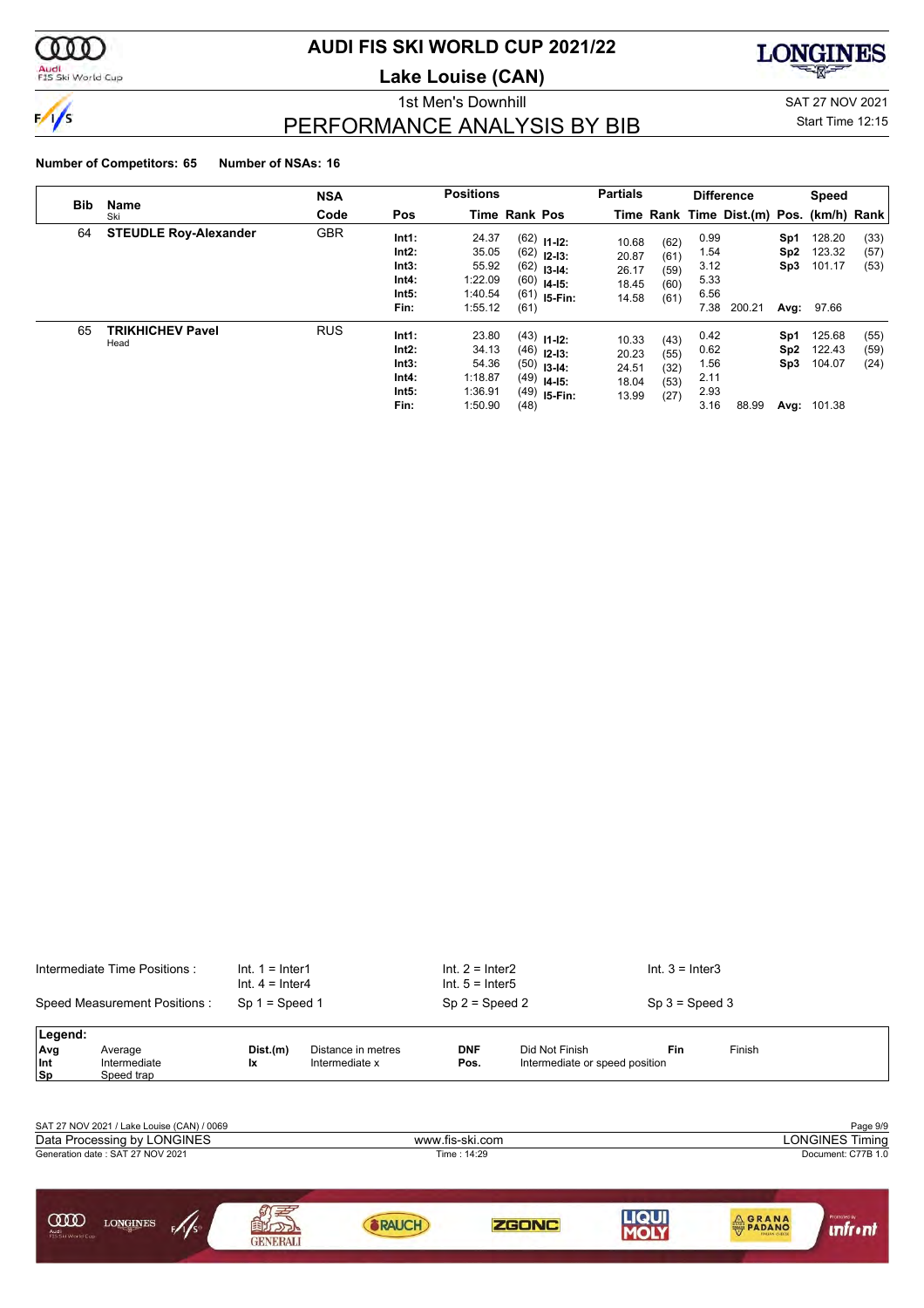

### **AUDI FIS SKI WORLD CUP 2021/22**

**Lake Louise (CAN)**



1st Men's Downhill SAT 27 NOV 2021

### PERFORMANCE ANALYSIS BY BIB

Start Time 12:15

|            |                                 | <b>NSA</b> |                                                   | <b>Positions</b>                                         |                      |                                                                                    | <b>Partials</b>                           |                                      |                                              | <b>Difference</b>                        |                                       | <b>Speed</b>                              |                      |
|------------|---------------------------------|------------|---------------------------------------------------|----------------------------------------------------------|----------------------|------------------------------------------------------------------------------------|-------------------------------------------|--------------------------------------|----------------------------------------------|------------------------------------------|---------------------------------------|-------------------------------------------|----------------------|
| <b>Bib</b> | Name<br>Ski                     | Code       | Pos                                               |                                                          | Time Rank Pos        |                                                                                    |                                           |                                      |                                              | Time Rank Time Dist.(m) Pos. (km/h) Rank |                                       |                                           |                      |
| 64         | <b>STEUDLE Roy-Alexander</b>    | <b>GBR</b> | Int1:<br>Int2:<br>Int3:<br>Int4:<br>Int5:<br>Fin: | 24.37<br>35.05<br>55.92<br>1:22.09<br>1:40.54<br>1:55.12 | (62)<br>(60)<br>(61) | $(62)$ 11-12:<br>$(62)$ 12-13:<br>$13-14:$<br>$14-15:$<br>$(61)$ 15-Fin:           | 10.68<br>20.87<br>26.17<br>18.45<br>14.58 | (62)<br>(61)<br>(59)<br>(60)<br>(61) | 0.99<br>1.54<br>3.12<br>5.33<br>6.56<br>7.38 | 200.21                                   | Sp1<br>Sp <sub>2</sub><br>Sp3<br>Avg: | 128.20<br>123.32<br>101.17<br>97.66       | (33)<br>(57)<br>(53) |
| 65         | <b>TRIKHICHEV Pavel</b><br>Head | <b>RUS</b> | Int1:<br>Int2:<br>Int3:<br>Int4:<br>Int5:<br>Fin: | 23.80<br>34.13<br>54.36<br>1:18.87<br>1:36.91<br>1:50.90 | (48)                 | $(43)$ 11-12:<br>$(46)$ 12-13:<br>$(50)$ 13-14:<br>$(49)$ 14-15:<br>$(49)$ 15-Fin: | 10.33<br>20.23<br>24.51<br>18.04<br>13.99 | (43)<br>(55)<br>(32)<br>(53)<br>(27) | 0.42<br>0.62<br>1.56<br>2.11<br>2.93<br>3.16 | 88.99                                    | Sp1<br>Sp2<br>Sp3                     | 125.68<br>122.43<br>104.07<br>Avg: 101.38 | (55)<br>(59)<br>(24) |

|                           | Intermediate Time Positions :              | $Int. 1 = Inter1$<br>Int. $4 =$ Inter4 |                                      | $Int. 2 = Inter2$<br>$Int. 5 = Inter5$ |                                                  | $Int. 3 = Inter3$ |                |                        |
|---------------------------|--------------------------------------------|----------------------------------------|--------------------------------------|----------------------------------------|--------------------------------------------------|-------------------|----------------|------------------------|
|                           | Speed Measurement Positions:               | $Sp 1 = Speed 1$                       |                                      | $Sp 2 = Speed 2$                       |                                                  | $Sp 3 = Speed 3$  |                |                        |
| Legend:                   |                                            |                                        |                                      |                                        |                                                  |                   |                |                        |
| Avg<br>Int<br><b>Sp</b>   | Average<br>Intermediate<br>Speed trap      | Dist.(m)<br>Ιx                         | Distance in metres<br>Intermediate x | <b>DNF</b><br>Pos.                     | Did Not Finish<br>Intermediate or speed position | Fin               | Finish         |                        |
|                           |                                            |                                        |                                      |                                        |                                                  |                   |                |                        |
|                           | SAT 27 NOV 2021 / Lake Louise (CAN) / 0069 |                                        |                                      |                                        |                                                  |                   |                | Page 9/9               |
|                           | Data Processing by LONGINES                |                                        |                                      | www.fis-ski.com                        |                                                  |                   |                | <b>LONGINES Timing</b> |
|                           | Generation date: SAT 27 NOV 2021           |                                        |                                      | Time: 14:29                            |                                                  |                   |                | Document: C77B 1.0     |
| <b>COO</b>                |                                            |                                        |                                      |                                        |                                                  | <b>LIQUI</b>      |                | Promoted by            |
| Audi<br>FIS Ski World Cup | <b>LONGINES</b><br>$\frac{1}{s}$           | בנב<br><b>GENERALI</b>                 | RAUCH                                |                                        | <b>ZGONC</b>                                     | MOLY              | <b>A GRANA</b> | <b>infr</b> •nt        |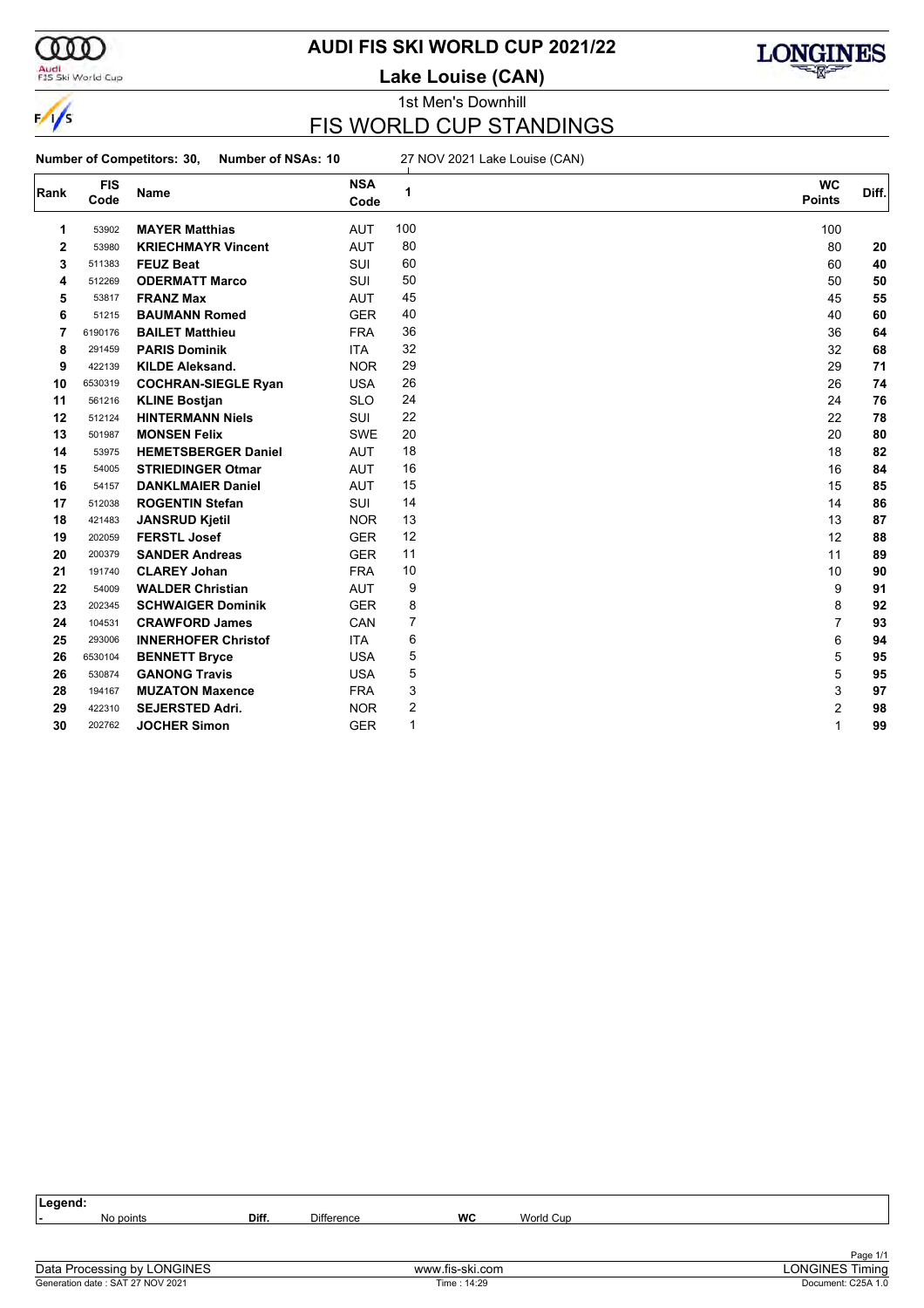

 $\frac{1}{\sqrt{2}}$ 

#### Audi<br>FIS Ski World Cup

### **AUDI FIS SKI WORLD CUP 2021/22**

**Lake Louise (CAN)**



1st Men's Downhill

### FIS WORLD CUP STANDINGS

**Number of Competitors: 30, Number of NSAs: 10** 27 NOV 2021 Lake Louise (CAN)

| Rank | <b>FIS</b> | Name                       | <b>NSA</b> | 1   | <b>WC</b>     | Diff. |
|------|------------|----------------------------|------------|-----|---------------|-------|
|      | Code       |                            | Code       |     | <b>Points</b> |       |
| 1    | 53902      | <b>MAYER Matthias</b>      | <b>AUT</b> | 100 | 100           |       |
| 2    | 53980      | <b>KRIECHMAYR Vincent</b>  | <b>AUT</b> | 80  | 80            | 20    |
| 3    | 511383     | <b>FEUZ Beat</b>           | SUI        | 60  | 60            | 40    |
| 4    | 512269     | <b>ODERMATT Marco</b>      | <b>SUI</b> | 50  | 50            | 50    |
| 5    | 53817      | <b>FRANZ Max</b>           | <b>AUT</b> | 45  | 45            | 55    |
| 6    | 51215      | <b>BAUMANN Romed</b>       | <b>GER</b> | 40  | 40            | 60    |
| 7    | 6190176    | <b>BAILET Matthieu</b>     | <b>FRA</b> | 36  | 36            | 64    |
| 8    | 291459     | <b>PARIS Dominik</b>       | <b>ITA</b> | 32  | 32            | 68    |
| 9    | 422139     | <b>KILDE Aleksand.</b>     | <b>NOR</b> | 29  | 29            | 71    |
| 10   | 6530319    | <b>COCHRAN-SIEGLE Ryan</b> | <b>USA</b> | 26  | 26            | 74    |
| 11   | 561216     | <b>KLINE Bostjan</b>       | <b>SLO</b> | 24  | 24            | 76    |
| 12   | 512124     | <b>HINTERMANN Niels</b>    | SUI        | 22  | 22            | 78    |
| 13   | 501987     | <b>MONSEN Felix</b>        | <b>SWE</b> | 20  | 20            | 80    |
| 14   | 53975      | <b>HEMETSBERGER Daniel</b> | <b>AUT</b> | 18  | 18            | 82    |
| 15   | 54005      | <b>STRIEDINGER Otmar</b>   | <b>AUT</b> | 16  | 16            | 84    |
| 16   | 54157      | <b>DANKLMAIER Daniel</b>   | <b>AUT</b> | 15  | 15            | 85    |
| 17   | 512038     | <b>ROGENTIN Stefan</b>     | SUI        | 14  | 14            | 86    |
| 18   | 421483     | <b>JANSRUD Kjetil</b>      | <b>NOR</b> | 13  | 13            | 87    |
| 19   | 202059     | <b>FERSTL Josef</b>        | <b>GER</b> | 12  | 12            | 88    |
| 20   | 200379     | <b>SANDER Andreas</b>      | <b>GER</b> | 11  | 11            | 89    |
| 21   | 191740     | <b>CLAREY Johan</b>        | <b>FRA</b> | 10  | 10            | 90    |
| 22   | 54009      | <b>WALDER Christian</b>    | <b>AUT</b> | 9   | 9             | 91    |
| 23   | 202345     | <b>SCHWAIGER Dominik</b>   | <b>GER</b> | 8   | 8             | 92    |
| 24   | 104531     | <b>CRAWFORD James</b>      | CAN        | 7   | 7             | 93    |
| 25   | 293006     | <b>INNERHOFER Christof</b> | <b>ITA</b> | 6   | 6             | 94    |
| 26   | 6530104    | <b>BENNETT Bryce</b>       | <b>USA</b> | 5   | 5             | 95    |
| 26   | 530874     | <b>GANONG Travis</b>       | <b>USA</b> | 5   | 5             | 95    |
| 28   | 194167     | <b>MUZATON Maxence</b>     | <b>FRA</b> | 3   | 3             | 97    |
| 29   | 422310     | <b>SEJERSTED Adri.</b>     | <b>NOR</b> | 2   | 2             | 98    |
| 30   | 202762     | <b>JOCHER Simon</b>        | <b>GER</b> | 1   | 1             | 99    |

| Legend:                                                                                                                                                                                                                                                                                                                            |           |       |            |                                                                 |           |                    |
|------------------------------------------------------------------------------------------------------------------------------------------------------------------------------------------------------------------------------------------------------------------------------------------------------------------------------------|-----------|-------|------------|-----------------------------------------------------------------|-----------|--------------------|
|                                                                                                                                                                                                                                                                                                                                    | No points | Diff. | Difference | WC                                                              | World Cup |                    |
|                                                                                                                                                                                                                                                                                                                                    |           |       |            |                                                                 |           |                    |
|                                                                                                                                                                                                                                                                                                                                    |           |       |            |                                                                 |           |                    |
| $\mathbb{R}$ $\mathbb{R}$ $\mathbb{R}$ $\mathbb{R}$ $\mathbb{R}$ $\mathbb{R}$ $\mathbb{R}$ $\mathbb{R}$ $\mathbb{R}$ $\mathbb{R}$ $\mathbb{R}$ $\mathbb{R}$ $\mathbb{R}$ $\mathbb{R}$ $\mathbb{R}$ $\mathbb{R}$ $\mathbb{R}$ $\mathbb{R}$ $\mathbb{R}$ $\mathbb{R}$ $\mathbb{R}$ $\mathbb{R}$ $\mathbb{R}$ $\mathbb{R}$ $\mathbb{$ |           |       |            | $\mathbf{r}$ and $\mathbf{r}$ and $\mathbf{r}$ and $\mathbf{r}$ |           | Page 1/1<br>$\sim$ |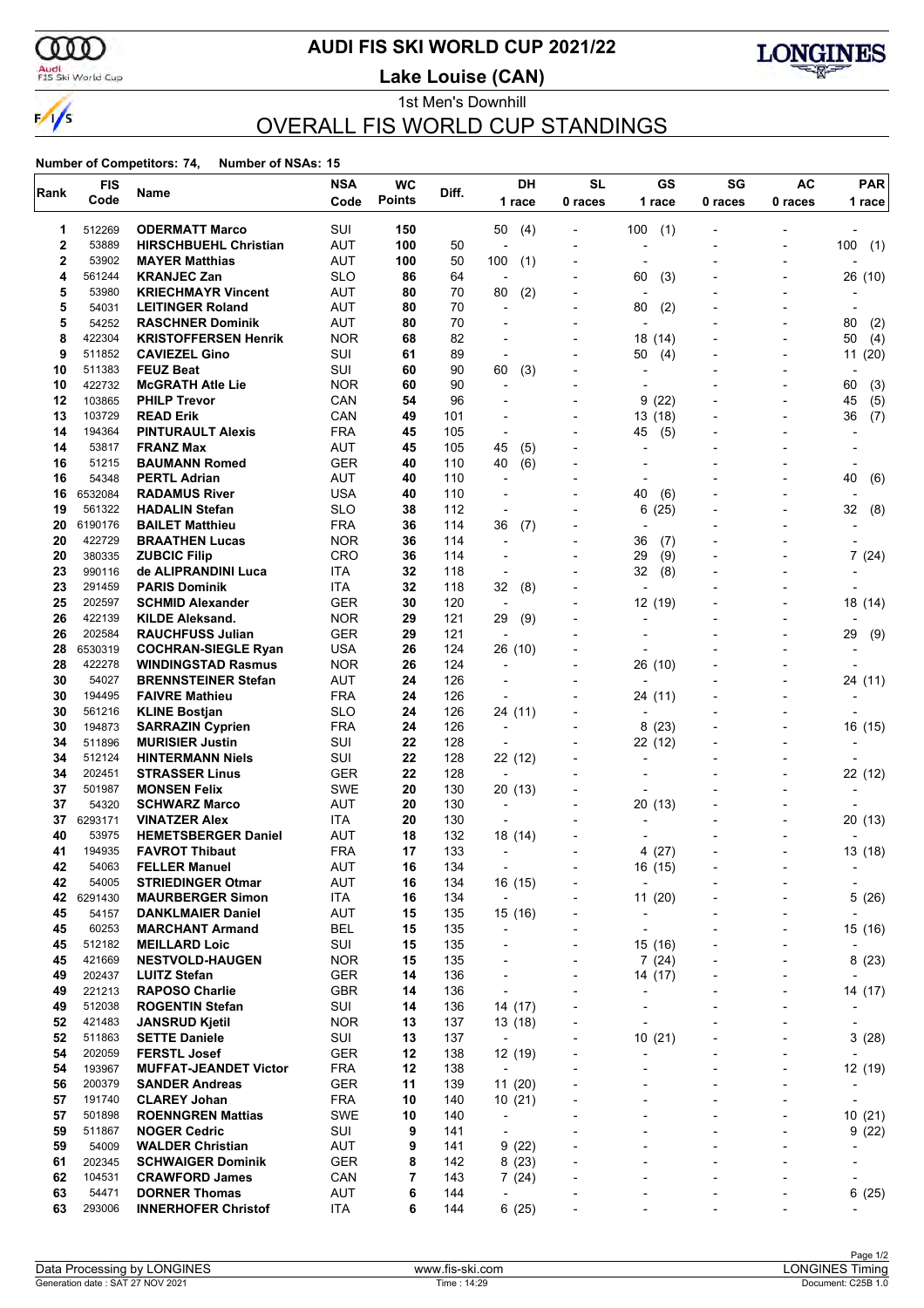

#### Audi<br>FIS Ski World Cup

### **AUDI FIS SKI WORLD CUP 2021/22**

**Lake Louise (CAN)**



#### 1st Men's Downhill OVERALL FIS WORLD CUP STANDINGS

| Rank        | <b>FIS</b>       | Name                                                  | <b>NSA</b>               | <b>WC</b>     | Diff.      | DH                                  | <b>SL</b>                                            | GS                                                       | SG                                         | AC                                                       | <b>PAR</b>       |
|-------------|------------------|-------------------------------------------------------|--------------------------|---------------|------------|-------------------------------------|------------------------------------------------------|----------------------------------------------------------|--------------------------------------------|----------------------------------------------------------|------------------|
|             | Code             |                                                       | Code                     | <b>Points</b> |            | 1 race                              | 0 races                                              | 1 race                                                   | 0 races                                    | 0 races                                                  | 1 race           |
| 1           | 512269           | <b>ODERMATT Marco</b>                                 | SUI                      | 150           |            | 50<br>(4)                           |                                                      | 100<br>(1)                                               |                                            |                                                          |                  |
| $\mathbf 2$ | 53889            | <b>HIRSCHBUEHL Christian</b>                          | <b>AUT</b>               | 100           | 50         | L,                                  |                                                      | ٠                                                        |                                            |                                                          | (1)<br>100       |
| 2           | 53902            | <b>MAYER Matthias</b>                                 | AUT                      | 100           | 50         | 100<br>(1)                          |                                                      | $\overline{a}$                                           |                                            | $\overline{a}$                                           |                  |
| 4           | 561244           | <b>KRANJEC Zan</b>                                    | <b>SLO</b>               | 86            | 64         | ÷,                                  |                                                      | 60<br>(3)                                                |                                            |                                                          | 26 (10)          |
| 5           | 53980            | <b>KRIECHMAYR Vincent</b>                             | <b>AUT</b>               | 80            | 70         | 80<br>(2)                           |                                                      | $\blacksquare$                                           |                                            |                                                          |                  |
| 5<br>5      | 54031<br>54252   | <b>LEITINGER Roland</b><br><b>RASCHNER Dominik</b>    | AUT<br>AUT               | 80<br>80      | 70<br>70   | $\overline{a}$                      | $\overline{\phantom{0}}$                             | 80<br>(2)<br>$\overline{a}$                              |                                            |                                                          | 80               |
| 8           | 422304           | <b>KRISTOFFERSEN Henrik</b>                           | <b>NOR</b>               | 68            | 82         | $\overline{\phantom{a}}$            |                                                      | 18 (14)                                                  |                                            | ٠                                                        | (2)<br>50<br>(4) |
| 9           | 511852           | <b>CAVIEZEL Gino</b>                                  | SUI                      | 61            | 89         | ÷                                   | $\overline{\phantom{0}}$                             | (4)<br>50                                                |                                            | Ĭ.                                                       | 11(20)           |
| 10          | 511383           | <b>FEUZ Beat</b>                                      | SUI                      | 60            | 90         | 60<br>(3)                           |                                                      |                                                          |                                            |                                                          |                  |
| 10          | 422732           | <b>McGRATH Atle Lie</b>                               | <b>NOR</b>               | 60            | 90         | ÷,                                  |                                                      |                                                          |                                            |                                                          | (3)<br>60        |
| 12          | 103865           | <b>PHILP Trevor</b>                                   | CAN                      | 54            | 96         | $\overline{a}$                      |                                                      | (22)<br>9                                                |                                            | ۰                                                        | (5)<br>45        |
| 13          | 103729           | <b>READ Erik</b>                                      | CAN                      | 49            | 101        |                                     |                                                      | (18)<br>13                                               |                                            |                                                          | 36<br>(7)        |
| 14          | 194364           | <b>PINTURAULT Alexis</b>                              | <b>FRA</b>               | 45            | 105        | $\overline{a}$                      |                                                      | (5)<br>45                                                |                                            |                                                          |                  |
| 14<br>16    | 53817<br>51215   | <b>FRANZ Max</b>                                      | <b>AUT</b><br>GER        | 45<br>40      | 105        | 45<br>(5)<br>40                     | $\overline{\phantom{a}}$                             | ٠                                                        |                                            |                                                          |                  |
| 16          | 54348            | <b>BAUMANN Romed</b><br><b>PERTL Adrian</b>           | <b>AUT</b>               | 40            | 110<br>110 | (6)<br>$\overline{a}$               |                                                      | $\overline{a}$                                           |                                            |                                                          | 40<br>(6)        |
| 16          | 6532084          | <b>RADAMUS River</b>                                  | USA                      | 40            | 110        | ÷                                   | $\overline{\phantom{0}}$                             | 40<br>(6)                                                |                                            |                                                          |                  |
| 19          | 561322           | <b>HADALIN Stefan</b>                                 | <b>SLO</b>               | 38            | 112        | ÷                                   |                                                      | (25)<br>6                                                |                                            |                                                          | 32<br>(8)        |
| 20          | 6190176          | <b>BAILET Matthieu</b>                                | <b>FRA</b>               | 36            | 114        | 36<br>(7)                           |                                                      |                                                          |                                            |                                                          |                  |
| 20          | 422729           | <b>BRAATHEN Lucas</b>                                 | <b>NOR</b>               | 36            | 114        | $\overline{a}$                      | $\overline{\phantom{0}}$                             | 36<br>(7)                                                |                                            | ٠                                                        |                  |
| 20          | 380335           | <b>ZUBCIC Filip</b>                                   | <b>CRO</b>               | 36            | 114        |                                     |                                                      | 29<br>(9)                                                |                                            |                                                          | 7(24)            |
| 23          | 990116           | de ALIPRANDINI Luca                                   | ITA                      | 32            | 118        | ÷                                   |                                                      | 32<br>(8)                                                |                                            |                                                          |                  |
| 23          | 291459           | <b>PARIS Dominik</b>                                  | ITA                      | 32            | 118        | 32<br>(8)                           |                                                      | ÷,                                                       |                                            |                                                          |                  |
| 25          | 202597           | <b>SCHMID Alexander</b>                               | GER                      | 30            | 120        | $\overline{\phantom{a}}$            |                                                      | 12 (19)                                                  |                                            |                                                          | 18 (14)          |
| 26<br>26    | 422139<br>202584 | <b>KILDE Aleksand.</b>                                | <b>NOR</b><br><b>GER</b> | 29<br>29      | 121<br>121 | 29<br>(9)                           |                                                      | L,<br>$\overline{a}$                                     |                                            |                                                          | 29               |
| 28          | 6530319          | <b>RAUCHFUSS Julian</b><br><b>COCHRAN-SIEGLE Ryan</b> | <b>USA</b>               | 26            | 124        | 26 (10)                             |                                                      |                                                          |                                            |                                                          | (9)              |
| 28          | 422278           | <b>WINDINGSTAD Rasmus</b>                             | <b>NOR</b>               | 26            | 124        | L,                                  |                                                      | 26 (10)                                                  |                                            |                                                          |                  |
| 30          | 54027            | <b>BRENNSTEINER Stefan</b>                            | <b>AUT</b>               | 24            | 126        | ٠                                   | $\overline{\phantom{0}}$                             | ٠                                                        |                                            | ٠                                                        | 24 (11)          |
| 30          | 194495           | <b>FAIVRE Mathieu</b>                                 | <b>FRA</b>               | 24            | 126        | $\overline{a}$                      |                                                      | 24 (11)                                                  |                                            |                                                          |                  |
| 30          | 561216           | <b>KLINE Bostjan</b>                                  | <b>SLO</b>               | 24            | 126        | 24 (11)                             |                                                      | $\overline{\phantom{a}}$                                 |                                            |                                                          |                  |
| 30          | 194873           | <b>SARRAZIN Cyprien</b>                               | <b>FRA</b>               | 24            | 126        | $\overline{\phantom{a}}$            | $\overline{\phantom{0}}$                             | 8<br>(23)                                                |                                            | ٠                                                        | 16 (15)          |
| 34          | 511896           | <b>MURISIER Justin</b>                                | SUI                      | 22            | 128        | $\blacksquare$                      |                                                      | 22 (12)                                                  |                                            |                                                          |                  |
| 34          | 512124           | <b>HINTERMANN Niels</b>                               | SUI                      | 22            | 128        | 22 (12)                             |                                                      | $\overline{\phantom{a}}$                                 |                                            |                                                          |                  |
| 34          | 202451           | <b>STRASSER Linus</b>                                 | <b>GER</b>               | 22            | 128        | $\overline{\phantom{a}}$            |                                                      | $\overline{a}$                                           |                                            |                                                          | 22 (12)          |
| 37<br>37    | 501987<br>54320  | <b>MONSEN Felix</b><br><b>SCHWARZ Marco</b>           | <b>SWE</b><br><b>AUT</b> | 20<br>20      | 130<br>130 | 20 (13)<br>$\overline{\phantom{a}}$ |                                                      | $\overline{a}$<br>(13)<br>20                             |                                            |                                                          |                  |
| 37          | 6293171          | <b>VINATZER Alex</b>                                  | ITA                      | 20            | 130        | $\overline{\phantom{a}}$            |                                                      | -                                                        |                                            | ٠                                                        | 20 (13)          |
| 40          | 53975            | <b>HEMETSBERGER Daniel</b>                            | <b>AUT</b>               | 18            | 132        | 18 (14)                             |                                                      |                                                          |                                            |                                                          |                  |
| 41          | 194935           | <b>FAVROT Thibaut</b>                                 | <b>FRA</b>               | 17            | 133        | $\overline{\phantom{a}}$            |                                                      | 4(27)                                                    |                                            |                                                          | 13 (18)          |
| 42          | 54063            | <b>FELLER Manuel</b>                                  | AUT                      | 16            | 134        |                                     |                                                      | 16 (15)                                                  |                                            |                                                          |                  |
| 42          | 54005            | <b>STRIEDINGER Otmar</b>                              | <b>AUT</b>               | 16            | 134        | 16 (15)                             |                                                      | $\overline{\phantom{0}}$                                 |                                            |                                                          |                  |
| 42          | 6291430          | <b>MAURBERGER Simon</b>                               | ITA                      | 16            | 134        | $\blacksquare$                      |                                                      | 11(20)                                                   |                                            | $\overline{\phantom{0}}$                                 | 5(26)            |
| 45          | 54157            | <b>DANKLMAIER Daniel</b>                              | AUT                      | 15            | 135        | 15 (16)                             | $\overline{a}$                                       | $\overline{\phantom{a}}$                                 | $\overline{\phantom{0}}$                   | $\overline{a}$                                           |                  |
| 45          | 60253            | <b>MARCHANT Armand</b>                                | <b>BEL</b>               | 15            | 135        | ٠                                   |                                                      | $\overline{\phantom{0}}$                                 |                                            | ÷                                                        | 15 (16)          |
| 45<br>45    | 512182<br>421669 | <b>MEILLARD Loic</b><br><b>NESTVOLD-HAUGEN</b>        | SUI<br><b>NOR</b>        | 15<br>15      | 135<br>135 | ٠<br>$\overline{a}$                 | $\overline{\phantom{0}}$<br>$\overline{\phantom{a}}$ | 15 (16)<br>7(24)                                         | $\overline{\phantom{a}}$<br>$\overline{a}$ | $\overline{\phantom{a}}$<br>$\overline{\phantom{a}}$     | 8(23)            |
| 49          | 202437           | <b>LUITZ Stefan</b>                                   | <b>GER</b>               | 14            | 136        |                                     |                                                      | 14 (17)                                                  |                                            |                                                          |                  |
| 49          | 221213           | <b>RAPOSO Charlie</b>                                 | <b>GBR</b>               | 14            | 136        | $\overline{a}$                      | $\overline{\phantom{a}}$                             |                                                          | $\overline{\phantom{0}}$                   | $\qquad \qquad \blacksquare$                             | 14 (17)          |
| 49          | 512038           | <b>ROGENTIN Stefan</b>                                | SUI                      | 14            | 136        | 14 (17)                             |                                                      | ٠                                                        | $\overline{\phantom{0}}$                   | $\overline{\phantom{0}}$                                 |                  |
| 52          | 421483           | <b>JANSRUD Kjetil</b>                                 | <b>NOR</b>               | 13            | 137        | 13 (18)                             |                                                      | ٠                                                        |                                            |                                                          |                  |
| 52          | 511863           | <b>SETTE Daniele</b>                                  | SUI                      | 13            | 137        | $\overline{\phantom{a}}$            | $\overline{\phantom{0}}$                             | 10(21)                                                   | $\overline{\phantom{a}}$                   | $\overline{a}$                                           | 3(28)            |
| 54          | 202059           | <b>FERSTL Josef</b>                                   | <b>GER</b>               | 12            | 138        | 12 (19)                             | $\overline{a}$                                       | $\overline{a}$                                           | $\overline{\phantom{0}}$                   | ٠                                                        |                  |
| 54          | 193967           | <b>MUFFAT-JEANDET Victor</b>                          | <b>FRA</b>               | 12            | 138        | $\overline{\phantom{a}}$            |                                                      |                                                          |                                            | $\overline{\phantom{a}}$                                 | 12 (19)          |
| 56          | 200379           | <b>SANDER Andreas</b>                                 | <b>GER</b>               | 11            | 139        | 11(20)                              | $\overline{\phantom{a}}$                             | $\overline{\phantom{a}}$                                 | $\overline{\phantom{a}}$                   | $\overline{\phantom{a}}$                                 |                  |
| 57          | 191740           | <b>CLAREY Johan</b>                                   | <b>FRA</b>               | 10            | 140        | 10(21)                              | $\overline{a}$                                       | $\overline{\phantom{0}}$                                 | $\overline{a}$                             | $\overline{\phantom{0}}$                                 |                  |
| 57          | 501898           | <b>ROENNGREN Mattias</b>                              | <b>SWE</b>               | 10            | 140        | $\overline{\phantom{a}}$            |                                                      |                                                          |                                            | ۰                                                        | 10(21)           |
| 59<br>59    | 511867<br>54009  | <b>NOGER Cedric</b><br><b>WALDER Christian</b>        | SUI<br><b>AUT</b>        | 9<br>9        | 141<br>141 | $\overline{\phantom{0}}$<br>9(22)   |                                                      | $\qquad \qquad \blacksquare$<br>$\overline{\phantom{0}}$ | $\overline{\phantom{a}}$<br>$\overline{a}$ | $\qquad \qquad \blacksquare$<br>$\overline{\phantom{0}}$ | 9(22)            |
| 61          | 202345           | <b>SCHWAIGER Dominik</b>                              | <b>GER</b>               | 8             | 142        | 8(23)                               |                                                      |                                                          |                                            |                                                          |                  |
| 62          | 104531           | <b>CRAWFORD James</b>                                 | CAN                      | 7             | 143        | 7(24)                               | $\overline{\phantom{0}}$                             | $\overline{\phantom{0}}$                                 | $\blacksquare$                             | $\overline{a}$                                           |                  |
| 63          | 54471            | <b>DORNER Thomas</b>                                  | AUT                      | 6             | 144        | $\overline{\phantom{a}}$            |                                                      | ٠                                                        | $\overline{a}$                             | ٠                                                        | 6(25)            |
| 63          | 293006           | <b>INNERHOFER Christof</b>                            | ITA                      | 6             | 144        | 6(25)                               |                                                      |                                                          |                                            | $\overline{a}$                                           |                  |
|             |                  |                                                       |                          |               |            |                                     |                                                      |                                                          |                                            |                                                          |                  |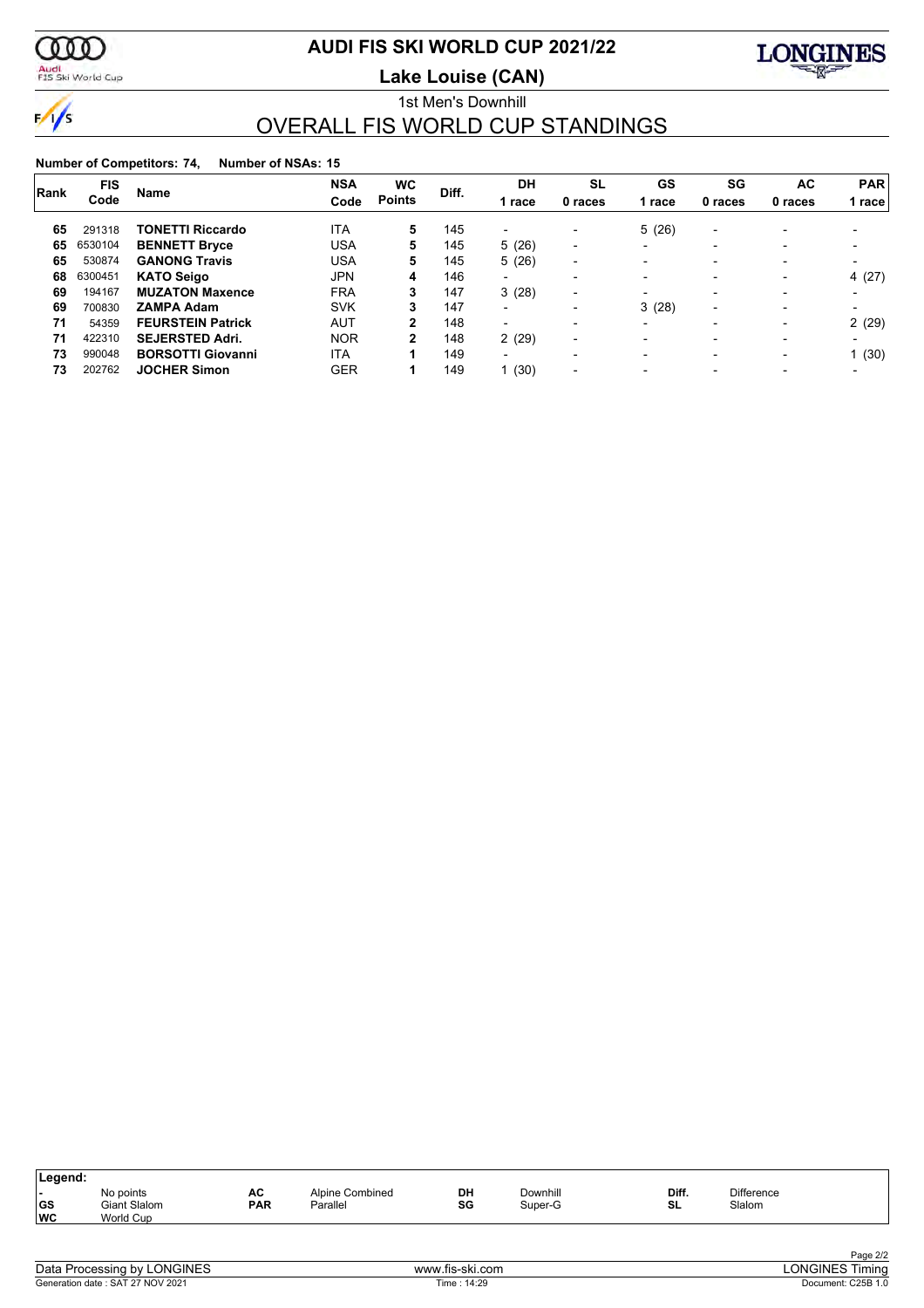

 $\frac{1}{\sqrt{2}}$ 

### **AUDI FIS SKI WORLD CUP 2021/22**

Audi<br>FIS Ski World Cup

**Lake Louise (CAN)**



#### 1st Men's Downhill OVERALL FIS WORLD CUP STANDINGS

| Rank | <b>FIS</b> | <b>Name</b>              | <b>NSA</b> | <b>WC</b>      | Diff. | DH                       | SL                       | GS                       | SG                       | AC                       | <b>PAR</b>               |
|------|------------|--------------------------|------------|----------------|-------|--------------------------|--------------------------|--------------------------|--------------------------|--------------------------|--------------------------|
|      | Code       |                          | Code       | <b>Points</b>  |       | 1 race                   | 0 races                  | 1 race                   | 0 races                  | 0 races                  | race                     |
| 65   | 291318     | <b>TONETTI Riccardo</b>  | <b>ITA</b> | 5              | 145   | $\overline{\phantom{0}}$ |                          | 5(26)                    | $\overline{\phantom{a}}$ |                          |                          |
| 65   | 6530104    | <b>BENNETT Bryce</b>     | USA        | 5              | 145   | 5(26)                    | $\overline{\phantom{0}}$ | $\overline{\phantom{0}}$ | $\overline{\phantom{0}}$ |                          |                          |
| 65   | 530874     | <b>GANONG Travis</b>     | USA        | 5              | 145   | 5(26)                    | $\overline{\phantom{0}}$ | $\overline{\phantom{0}}$ | $\overline{\phantom{0}}$ | $\overline{\phantom{a}}$ |                          |
| 68   | 6300451    | <b>KATO Seigo</b>        | JPN        | 4              | 146   |                          | $\overline{\phantom{0}}$ | $\overline{\phantom{0}}$ | $\overline{\phantom{0}}$ | $\overline{\phantom{a}}$ | 4 (27)                   |
| 69   | 194167     | <b>MUZATON Maxence</b>   | <b>FRA</b> | 3              | 147   | 3(28)                    |                          | $\overline{\phantom{a}}$ | $\overline{\phantom{0}}$ | $\overline{\phantom{a}}$ |                          |
| 69   | 700830     | <b>ZAMPA Adam</b>        | SVK        | 3              | 147   |                          | $\overline{\phantom{0}}$ | 3(28)                    | $\overline{\phantom{0}}$ |                          |                          |
| 71   | 54359      | <b>FEURSTEIN Patrick</b> | AUT        | $\overline{2}$ | 148   | $\overline{\phantom{0}}$ | $\overline{\phantom{0}}$ | $\overline{\phantom{0}}$ | $\overline{\phantom{0}}$ | $\overline{\phantom{a}}$ | 2(29)                    |
| 71   | 422310     | <b>SEJERSTED Adri.</b>   | <b>NOR</b> | $\mathbf{2}$   | 148   | 2(29)                    | $\blacksquare$           | $\overline{\phantom{0}}$ | $\overline{\phantom{0}}$ | $\overline{\phantom{a}}$ | $\overline{\phantom{0}}$ |
| 73   | 990048     | <b>BORSOTTI Giovanni</b> | <b>ITA</b> |                | 149   | $\overline{\phantom{0}}$ | $\overline{\phantom{0}}$ | $\overline{\phantom{0}}$ | $\overline{\phantom{0}}$ | $\overline{\phantom{a}}$ | 1(30)                    |
| 73   | 202762     | <b>JOCHER Simon</b>      | <b>GER</b> |                | 149   | 1(30)                    | $\overline{\phantom{0}}$ |                          | $\overline{\phantom{0}}$ | $\overline{\phantom{a}}$ |                          |

| Legend:           |                                        |                  |                             |          |                     |             |                             |  |
|-------------------|----------------------------------------|------------------|-----------------------------|----------|---------------------|-------------|-----------------------------|--|
| . .<br> GS<br> WC | No points<br>Giant Slalom<br>World Cup | AC<br><b>PAR</b> | Alpine Combined<br>Parallel | DH<br>SG | Downhill<br>Super-G | Diff.<br>SL | <b>Difference</b><br>Slalom |  |
|                   |                                        |                  |                             |          |                     |             |                             |  |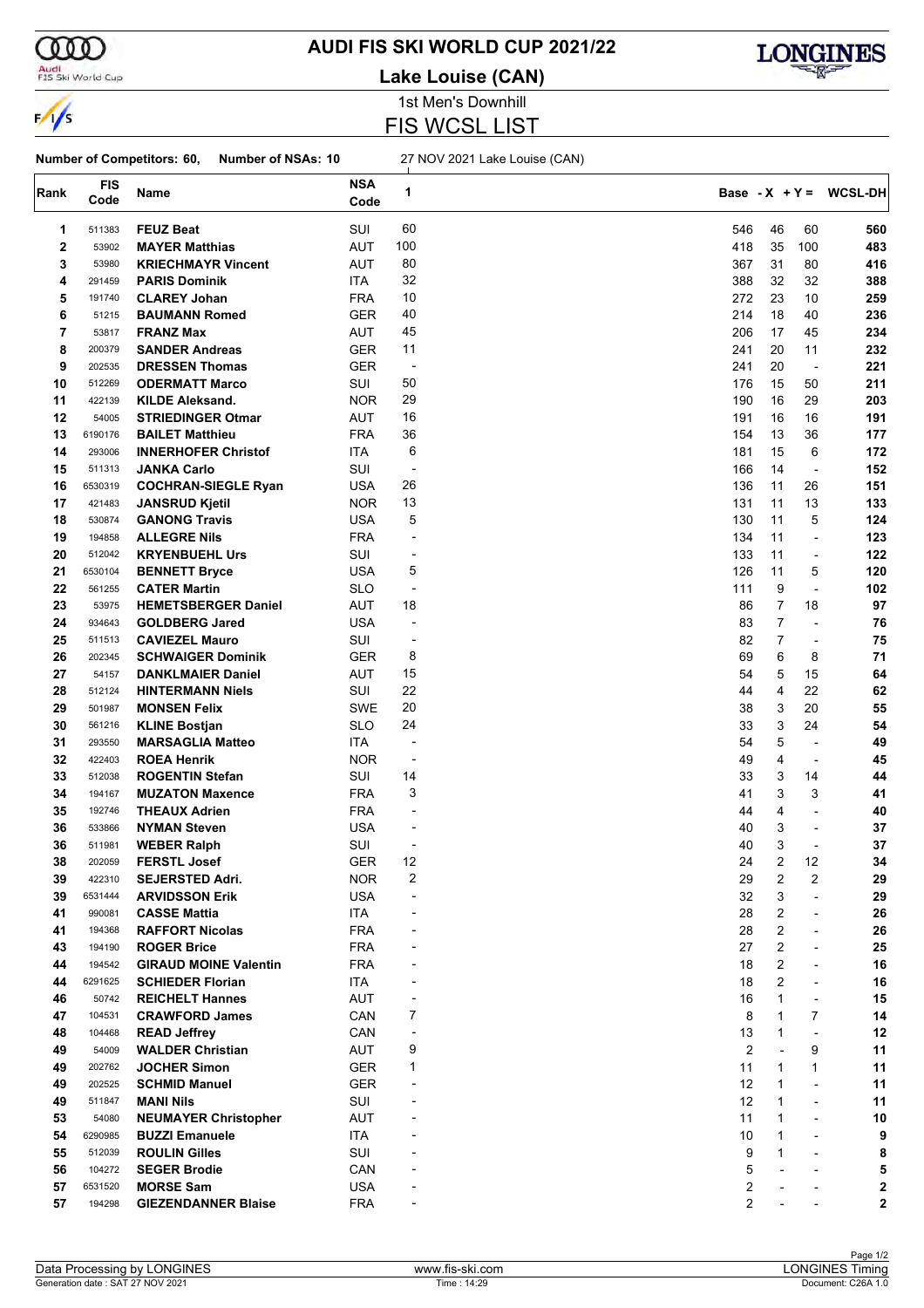

 $\frac{1}{\sqrt{2}}$ 

 $\Gamma$ 

#### Audi<br>FIS Ski World Cup

### **AUDI FIS SKI WORLD CUP 2021/22**

**Lake Louise (CAN)**



1st Men's Downhill FIS WCSL LIST

#### **Number of Competitors: 60, Number of NSAs: 10** 27 NOV 2021 Lake Louise (CAN)

| Rank        | <b>FIS</b><br>Code | Name                         | <b>NSA</b><br>Code | 1                        |     |                         |                          | Base - $X + Y = WCSL-DH$ |
|-------------|--------------------|------------------------------|--------------------|--------------------------|-----|-------------------------|--------------------------|--------------------------|
| 1           | 511383             | <b>FEUZ Beat</b>             | SUI                | 60                       | 546 | 46                      | 60                       | 560                      |
| $\mathbf 2$ | 53902              | <b>MAYER Matthias</b>        | <b>AUT</b>         | 100                      | 418 | 35                      | 100                      | 483                      |
| 3           | 53980              | <b>KRIECHMAYR Vincent</b>    | <b>AUT</b>         | 80                       | 367 | 31                      | 80                       | 416                      |
| 4           | 291459             | <b>PARIS Dominik</b>         | ITA                | 32                       | 388 | 32                      | 32                       | 388                      |
| 5           | 191740             | <b>CLAREY Johan</b>          | <b>FRA</b>         | 10                       | 272 | 23                      | 10                       | 259                      |
| 6           | 51215              | <b>BAUMANN Romed</b>         | GER                | 40                       | 214 | 18                      | 40                       | 236                      |
| 7           | 53817              | <b>FRANZ Max</b>             | AUT                | 45                       | 206 | 17                      | 45                       | 234                      |
| 8           | 200379             | <b>SANDER Andreas</b>        | GER                | 11                       | 241 | 20                      | 11                       | 232                      |
| 9           | 202535             | <b>DRESSEN Thomas</b>        | GER                | $\overline{\phantom{a}}$ | 241 | 20                      | $\overline{\phantom{a}}$ | 221                      |
| 10          | 512269             | <b>ODERMATT Marco</b>        | SUI                | 50                       | 176 | 15                      | 50                       | 211                      |
| 11          | 422139             | <b>KILDE Aleksand.</b>       | <b>NOR</b>         | 29                       | 190 | 16                      | 29                       | 203                      |
| 12          | 54005              | <b>STRIEDINGER Otmar</b>     | AUT                | 16                       | 191 | 16                      | 16                       | 191                      |
| 13          | 6190176            |                              | <b>FRA</b>         | 36                       | 154 | 13                      | 36                       | 177                      |
|             |                    | <b>BAILET Matthieu</b>       |                    | 6                        |     |                         |                          |                          |
| 14          | 293006             | <b>INNERHOFER Christof</b>   | ITA                |                          | 181 | 15                      | 6                        | 172                      |
| 15          | 511313             | <b>JANKA Carlo</b>           | SUI                | -                        | 166 | 14                      | $\overline{\phantom{a}}$ | 152                      |
| 16          | 6530319            | <b>COCHRAN-SIEGLE Ryan</b>   | USA                | 26                       | 136 | 11                      | 26                       | 151                      |
| 17          | 421483             | <b>JANSRUD Kjetil</b>        | <b>NOR</b>         | 13                       | 131 | 11                      | 13                       | 133                      |
| 18          | 530874             | <b>GANONG Travis</b>         | USA                | 5                        | 130 | 11                      | 5                        | 124                      |
| 19          | 194858             | <b>ALLEGRE Nils</b>          | <b>FRA</b>         | $\overline{a}$           | 134 | 11                      | $\blacksquare$           | 123                      |
| 20          | 512042             | <b>KRYENBUEHL Urs</b>        | SUI                | $\overline{a}$           | 133 | 11                      | $\overline{a}$           | 122                      |
| 21          | 6530104            | <b>BENNETT Bryce</b>         | USA                | 5                        | 126 | 11                      | 5                        | 120                      |
| 22          | 561255             | <b>CATER Martin</b>          | <b>SLO</b>         | ÷,                       | 111 | 9                       | ÷,                       | 102                      |
| 23          | 53975              | <b>HEMETSBERGER Daniel</b>   | <b>AUT</b>         | 18                       | 86  | 7                       | 18                       | 97                       |
| 24          | 934643             | <b>GOLDBERG Jared</b>        | USA                | $\overline{a}$           | 83  | $\overline{7}$          | ÷,                       | 76                       |
| 25          | 511513             | <b>CAVIEZEL Mauro</b>        | SUI                | $\overline{\phantom{a}}$ | 82  | 7                       | $\overline{\phantom{a}}$ | 75                       |
| 26          | 202345             | <b>SCHWAIGER Dominik</b>     | GER                | 8                        | 69  | 6                       | 8                        | 71                       |
| 27          | 54157              | <b>DANKLMAIER Daniel</b>     | AUT                | 15                       | 54  | 5                       | 15                       | 64                       |
| 28          | 512124             | <b>HINTERMANN Niels</b>      | SUI                | 22                       | 44  | $\overline{4}$          | 22                       | 62                       |
| 29          | 501987             | <b>MONSEN Felix</b>          | SWE                | 20                       | 38  | 3                       | 20                       | 55                       |
| 30          | 561216             | <b>KLINE Bostjan</b>         | <b>SLO</b>         | 24                       | 33  | 3                       | 24                       | 54                       |
| 31          | 293550             | <b>MARSAGLIA Matteo</b>      | ITA                | $\overline{a}$           | 54  | 5                       | ÷,                       | 49                       |
| 32          | 422403             | <b>ROEA Henrik</b>           | <b>NOR</b>         | $\overline{\phantom{a}}$ | 49  | 4                       | $\overline{a}$           | 45                       |
| 33          | 512038             | <b>ROGENTIN Stefan</b>       | SUI                | 14                       | 33  | 3                       | 14                       | 44                       |
| 34          | 194167             | <b>MUZATON Maxence</b>       | <b>FRA</b>         | 3                        | 41  | 3                       | 3                        | 41                       |
| 35          | 192746             | <b>THEAUX Adrien</b>         | <b>FRA</b>         | $\overline{a}$           | 44  | 4                       | $\overline{a}$           | 40                       |
| 36          | 533866             | <b>NYMAN Steven</b>          | <b>USA</b>         | $\overline{a}$           | 40  | 3                       | $\overline{a}$           | 37                       |
| 36          | 511981             | <b>WEBER Ralph</b>           | SUI                | $\overline{\phantom{a}}$ | 40  | 3                       | $\overline{a}$           | 37                       |
| 38          | 202059             | <b>FERSTL Josef</b>          | GER                | 12                       | 24  | $\overline{2}$          | 12                       | 34                       |
| 39          | 422310             | SEJERSTED Adri.              | <b>NOR</b>         | 2                        | 29  | $\overline{\mathbf{c}}$ | 2                        | 29                       |
| 39          | 6531444            | <b>ARVIDSSON Erik</b>        | <b>USA</b>         |                          | 32  | 3                       | L,                       | 29                       |
| 41          | 990081             | <b>CASSE Mattia</b>          | ITA                |                          | 28  | 2                       | ÷                        | 26                       |
| 41          | 194368             | <b>RAFFORT Nicolas</b>       | <b>FRA</b>         |                          | 28  | 2                       | ÷                        | 26                       |
| 43          | 194190             | <b>ROGER Brice</b>           | <b>FRA</b>         |                          | 27  | 2                       | ÷                        | 25                       |
| 44          | 194542             | <b>GIRAUD MOINE Valentin</b> | FRA                |                          | 18  | 2                       | $\overline{a}$           | 16                       |
| 44          | 6291625            | <b>SCHIEDER Florian</b>      | ITA                |                          | 18  | $\overline{2}$          |                          | 16                       |
|             |                    |                              |                    |                          |     | $\mathbf{1}$            |                          |                          |
| 46          | 50742              | <b>REICHELT Hannes</b>       | AUT                | $\overline{a}$           | 16  |                         | $\overline{\phantom{a}}$ | 15                       |
| 47          | 104531             | <b>CRAWFORD James</b>        | CAN                | 7                        | 8   | 1                       | 7                        | 14                       |
| 48          | 104468             | <b>READ Jeffrey</b>          | CAN                |                          | 13  | 1                       | ÷,                       | 12                       |
| 49          | 54009              | <b>WALDER Christian</b>      | AUT                | 9                        | 2   |                         | 9                        | 11                       |
| 49          | 202762             | <b>JOCHER Simon</b>          | <b>GER</b>         | 1                        | 11  | 1                       | 1                        | 11                       |
| 49          | 202525             | <b>SCHMID Manuel</b>         | <b>GER</b>         |                          | 12  | 1                       | $\overline{\phantom{a}}$ | 11                       |
| 49          | 511847             | <b>MANI Nils</b>             | SUI                |                          | 12  | 1                       | $\overline{\phantom{a}}$ | 11                       |
| 53          | 54080              | <b>NEUMAYER Christopher</b>  | AUT                |                          | 11  | 1                       | $\overline{\phantom{a}}$ | 10                       |
| 54          | 6290985            | <b>BUZZI Emanuele</b>        | ITA                |                          | 10  | 1                       |                          | 9                        |
| 55          | 512039             | <b>ROULIN Gilles</b>         | SUI                |                          | 9   | 1                       | $\overline{a}$           | 8                        |
| 56          | 104272             | <b>SEGER Brodie</b>          | CAN                |                          | 5   |                         |                          | 5                        |
| 57          | 6531520            | <b>MORSE Sam</b>             | <b>USA</b>         |                          | 2   |                         |                          | 2                        |
| 57          | 194298             | <b>GIEZENDANNER Blaise</b>   | <b>FRA</b>         |                          | 2   |                         |                          | 2                        |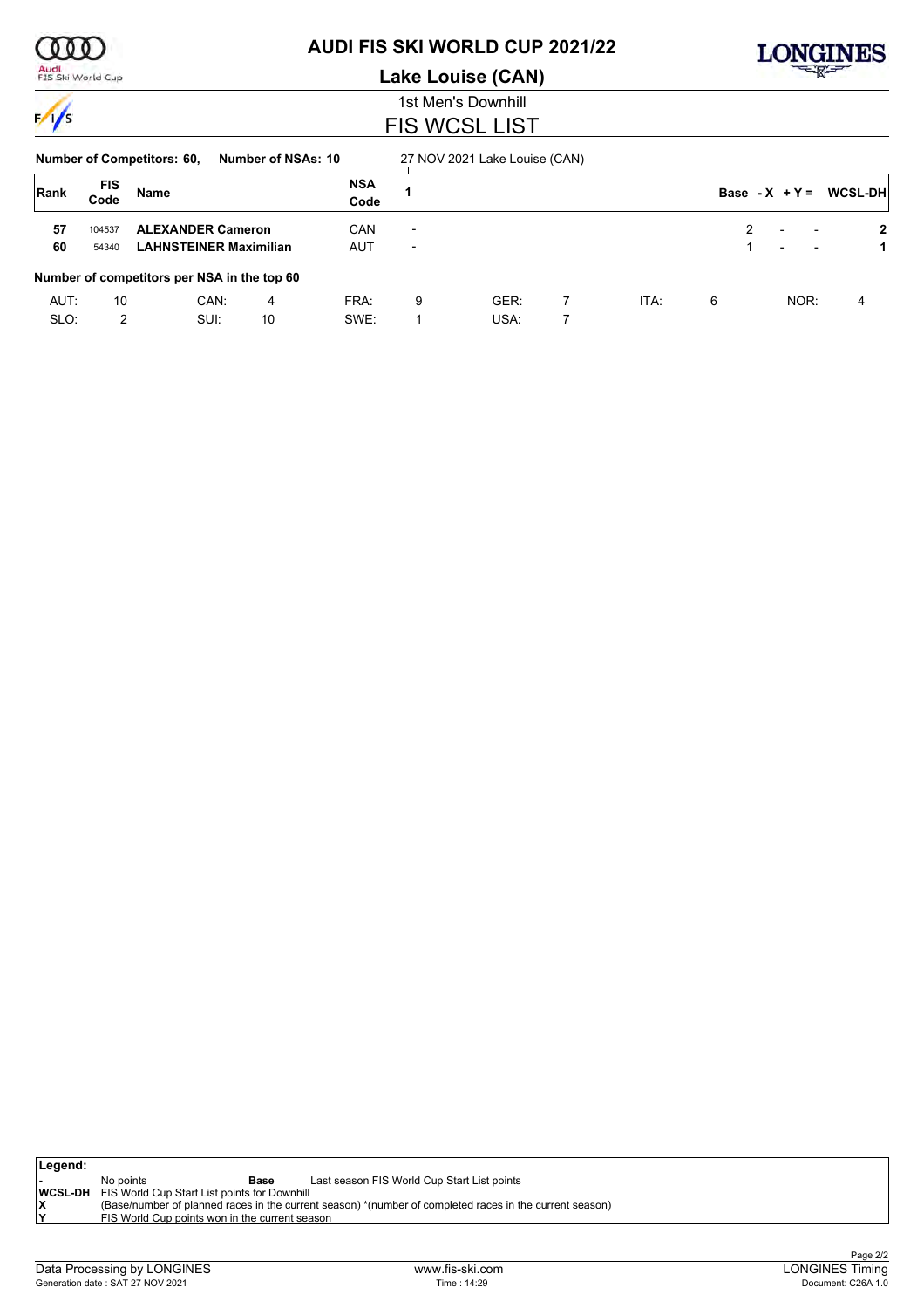| 11                  |
|---------------------|
| Audi<br>i World Cup |

 $\sqrt{}$ 

### **AUDI FIS SKI WORLD CUP 2021/22**

**Lake Louise (CAN)**



#### 1st Men's Downhill FIS WCSL LIST

| <b>Number of Competitors: 60,</b> | Number of NSAs: 10 | 27 NOV 2021 Lake Louise (CAN) |
|-----------------------------------|--------------------|-------------------------------|
|                                   |                    |                               |

| Rank         | <b>FIS</b><br>Code | Name                                                      |         | <b>NSA</b><br>Code |                                                      |              |   |      |   |                          |                                                      | Base - $X + Y = WCSL-DH$ |
|--------------|--------------------|-----------------------------------------------------------|---------|--------------------|------------------------------------------------------|--------------|---|------|---|--------------------------|------------------------------------------------------|--------------------------|
| 57<br>60     | 104537<br>54340    | <b>ALEXANDER Cameron</b><br><b>LAHNSTEINER Maximilian</b> |         | CAN<br><b>AUT</b>  | $\overline{\phantom{0}}$<br>$\overline{\phantom{0}}$ |              |   |      |   | $\overline{\phantom{0}}$ | $\overline{\phantom{0}}$<br>$\overline{\phantom{0}}$ | $\mathbf{2}$             |
|              |                    | Number of competitors per NSA in the top 60               |         |                    |                                                      |              |   |      |   |                          |                                                      |                          |
| AUT:<br>SLO: | 10<br>2            | CAN:<br>SUI:                                              | 4<br>10 | FRA:<br>SWE:       | 9                                                    | GER:<br>USA: | 7 | ITA: | 6 |                          | NOR:                                                 | 4                        |

| Legend:     |                                                             |      |                                                                                                         |
|-------------|-------------------------------------------------------------|------|---------------------------------------------------------------------------------------------------------|
|             | No points                                                   | Base | Last season FIS World Cup Start List points                                                             |
|             | <b>WCSL-DH</b> FIS World Cup Start List points for Downhill |      |                                                                                                         |
|             |                                                             |      | (Base/number of planned races in the current season) *(number of completed races in the current season) |
| $\check{ }$ | FIS World Cup points won in the current season              |      |                                                                                                         |
|             |                                                             |      |                                                                                                         |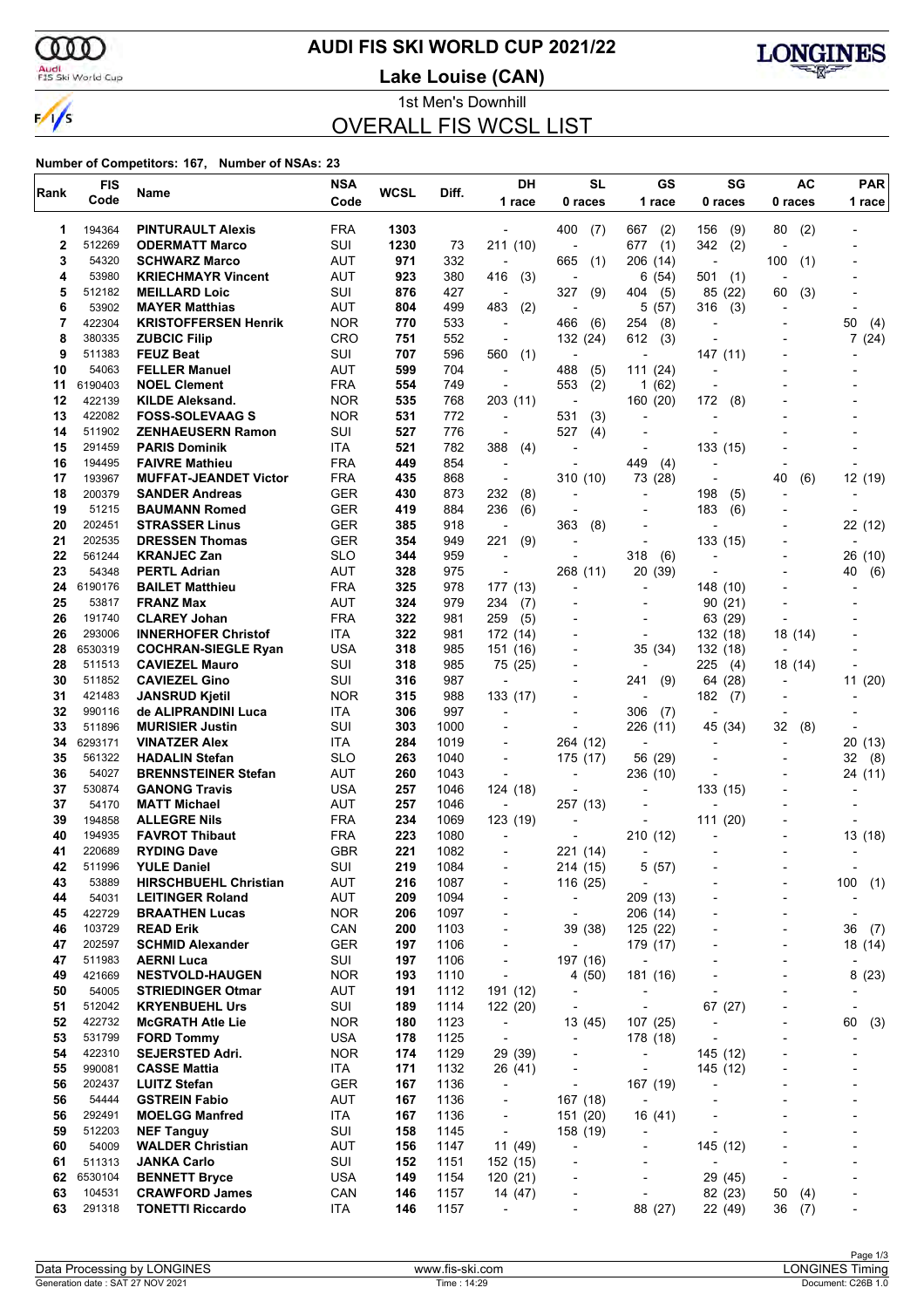ഞ

 $\frac{1}{s}$ 

### **AUDI FIS SKI WORLD CUP 2021/22**

Audi<br>FIS Ski World Cup

**Lake Louise (CAN)**



1st Men's Downhill OVERALL FIS WCSL LIST

| Rank        | <b>FIS</b>        | Name                                                    | <b>NSA</b>               | WCSL       | Diff.        | <b>DH</b>                                            | <b>SL</b>                                            | <b>GS</b>                                      | SG                        | <b>AC</b>                | <b>PAR</b>                   |
|-------------|-------------------|---------------------------------------------------------|--------------------------|------------|--------------|------------------------------------------------------|------------------------------------------------------|------------------------------------------------|---------------------------|--------------------------|------------------------------|
|             | Code              |                                                         | Code                     |            |              | 1 race                                               | 0 races                                              | 1 race                                         | 0 races                   | 0 races                  | 1 race                       |
| 1           | 194364            | <b>PINTURAULT Alexis</b>                                | <b>FRA</b>               | 1303       |              |                                                      | 400<br>(7)                                           | 667<br>(2)                                     | 156<br>(9)                | (2)<br>80                |                              |
| $\mathbf 2$ | 512269            | <b>ODERMATT Marco</b>                                   | SUI                      | 1230       | 73           | 211(10)                                              | ÷,                                                   | (1)<br>677                                     | 342<br>(2)                |                          |                              |
| 3           | 54320             | <b>SCHWARZ Marco</b>                                    | AUT                      | 971        | 332          | $\overline{\phantom{a}}$                             | 665<br>(1)                                           | 206<br>(14)                                    | $\overline{\phantom{a}}$  | 100<br>(1)               |                              |
| 4           | 53980             | <b>KRIECHMAYR Vincent</b>                               | AUT                      | 923        | 380          | 416<br>(3)                                           |                                                      | 6<br>(54)                                      | 501<br>(1)                |                          |                              |
| 5<br>6      | 512182<br>53902   | <b>MEILLARD Loic</b>                                    | SUI<br>AUT               | 876<br>804 | 427<br>499   | $\overline{\phantom{a}}$<br>483                      | 327<br>(9)<br>$\overline{\phantom{a}}$               | 404<br>(5)                                     | 85 (22)                   | (3)<br>60                |                              |
| 7           | 422304            | <b>MAYER Matthias</b><br><b>KRISTOFFERSEN Henrik</b>    | <b>NOR</b>               | 770        | 533          | (2)<br>$\blacksquare$                                | (6)<br>466                                           | 5<br>(57)<br>(8)<br>254                        | 316<br>(3)                |                          | 50<br>(4)                    |
| 8           | 380335            | <b>ZUBCIC Filip</b>                                     | CRO                      | 751        | 552          | $\overline{\phantom{a}}$                             | 132 (24)                                             | 612<br>(3)                                     |                           |                          | 7(24)                        |
| 9           | 511383            | <b>FEUZ Beat</b>                                        | SUI                      | 707        | 596          | 560<br>(1)                                           |                                                      | ٠                                              | 147 (11)                  |                          |                              |
| 10          | 54063             | <b>FELLER Manuel</b>                                    | AUT                      | 599        | 704          | $\overline{\phantom{a}}$                             | (5)<br>488                                           | 111 (24)                                       |                           |                          |                              |
| 11          | 6190403           | <b>NOEL Clement</b>                                     | <b>FRA</b>               | 554        | 749          | $\overline{a}$                                       | 553<br>(2)                                           | (62)<br>1                                      |                           |                          |                              |
| 12          | 422139            | <b>KILDE Aleksand.</b>                                  | <b>NOR</b>               | 535        | 768          | 203 (11)                                             | $\overline{\phantom{a}}$                             | 160 (20)                                       | 172<br>(8)                |                          |                              |
| 13<br>14    | 422082<br>511902  | <b>FOSS-SOLEVAAG S</b><br><b>ZENHAEUSERN Ramon</b>      | <b>NOR</b><br>SUI        | 531<br>527 | 772<br>776   | $\blacksquare$<br>$\overline{\phantom{a}}$           | 531<br>(3)<br>527<br>(4)                             | $\overline{\phantom{0}}$                       |                           |                          |                              |
| 15          | 291459            | <b>PARIS Dominik</b>                                    | ITA.                     | 521        | 782          | 388<br>(4)                                           |                                                      | $\overline{a}$                                 | 133 (15)                  |                          |                              |
| 16          | 194495            | <b>FAIVRE Mathieu</b>                                   | <b>FRA</b>               | 449        | 854          |                                                      |                                                      | 449<br>(4)                                     |                           |                          |                              |
| 17          | 193967            | <b>MUFFAT-JEANDET Victor</b>                            | <b>FRA</b>               | 435        | 868          | $\overline{\phantom{a}}$                             | 310 (10)                                             | 73<br>(28)                                     |                           | 40<br>(6)                | 12 (19)                      |
| 18          | 200379            | <b>SANDER Andreas</b>                                   | <b>GER</b>               | 430        | 873          | 232<br>(8)                                           | $\overline{\phantom{a}}$                             | $\overline{\phantom{0}}$                       | 198<br>(5)                |                          |                              |
| 19          | 51215             | <b>BAUMANN Romed</b>                                    | <b>GER</b>               | 419        | 884          | 236<br>(6)                                           |                                                      |                                                | 183<br>(6)                |                          |                              |
| 20<br>21    | 202451<br>202535  | <b>STRASSER Linus</b>                                   | <b>GER</b>               | 385        | 918          | L,                                                   | 363<br>(8)                                           |                                                | 133 (15)                  |                          | 22 (12)                      |
| 22          | 561244            | <b>DRESSEN Thomas</b><br><b>KRANJEC Zan</b>             | <b>GER</b><br><b>SLO</b> | 354<br>344 | 949<br>959   | 221<br>(9)                                           |                                                      | ٠<br>318<br>(6)                                |                           |                          | 26 (10)                      |
| 23          | 54348             | <b>PERTL Adrian</b>                                     | <b>AUT</b>               | 328        | 975          | $\overline{\phantom{a}}$                             | 268 (11)                                             | 20<br>(39)                                     |                           |                          | 40<br>(6)                    |
| 24          | 6190176           | <b>BAILET Matthieu</b>                                  | <b>FRA</b>               | 325        | 978          | 177 (13)                                             | $\overline{a}$                                       | ٠                                              | 148 (10)                  |                          |                              |
| 25          | 53817             | <b>FRANZ Max</b>                                        | AUT                      | 324        | 979          | 234<br>(7)                                           |                                                      |                                                | 90(21)                    |                          |                              |
| 26          | 191740            | <b>CLAREY Johan</b>                                     | <b>FRA</b>               | 322        | 981          | 259<br>(5)                                           |                                                      | $\overline{\phantom{0}}$                       | 63 (29)                   |                          |                              |
| 26          | 293006            | <b>INNERHOFER Christof</b>                              | ITA                      | 322        | 981          | 172 (14)                                             |                                                      | ٠                                              | 132 (18)                  | 18 (14)                  |                              |
| 28<br>28    | 6530319<br>511513 | <b>COCHRAN-SIEGLE Ryan</b><br><b>CAVIEZEL Mauro</b>     | <b>USA</b><br>SUI        | 318<br>318 | 985<br>985   | 151 (16)<br>75 (25)                                  |                                                      | 35 (34)<br>$\overline{\phantom{a}}$            | 132 (18)<br>225<br>(4)    | 18 (14)                  |                              |
| 30          | 511852            | <b>CAVIEZEL Gino</b>                                    | SUI                      | 316        | 987          | ÷,                                                   |                                                      | 241<br>(9)                                     | 64 (28)                   |                          | 11 (20)                      |
| 31          | 421483            | <b>JANSRUD Kjetil</b>                                   | <b>NOR</b>               | 315        | 988          | 133 (17)                                             |                                                      | $\overline{a}$                                 | 182<br>(7)                |                          |                              |
| 32          | 990116            | de ALIPRANDINI Luca                                     | <b>ITA</b>               | 306        | 997          | $\overline{a}$                                       |                                                      | 306<br>(7)                                     |                           |                          |                              |
| 33          | 511896            | <b>MURISIER Justin</b>                                  | SUI                      | 303        | 1000         | $\blacksquare$                                       |                                                      | 226 (11)                                       | 45 (34)                   | 32<br>(8)                |                              |
| 34          | 6293171           | <b>VINATZER Alex</b>                                    | ITA                      | 284        | 1019         |                                                      | 264 (12)                                             |                                                |                           |                          | 20 (13)                      |
| 35<br>36    | 561322<br>54027   | <b>HADALIN Stefan</b>                                   | <b>SLO</b>               | 263        | 1040         | $\overline{a}$                                       | 175 (17)                                             | 56 (29)                                        |                           |                          | 32<br>(8)                    |
| 37          | 530874            | <b>BRENNSTEINER Stefan</b><br><b>GANONG Travis</b>      | AUT<br><b>USA</b>        | 260<br>257 | 1043<br>1046 | ÷,<br>124 (18)                                       | ÷                                                    | 236 (10)                                       | 133 (15)                  |                          | 24 (11)                      |
| 37          | 54170             | <b>MATT Michael</b>                                     | <b>AUT</b>               | 257        | 1046         | $\overline{\phantom{a}}$                             | 257 (13)                                             |                                                |                           |                          |                              |
| 39          | 194858            | <b>ALLEGRE Nils</b>                                     | <b>FRA</b>               | 234        | 1069         | 123 (19)                                             |                                                      |                                                | 111 (20)                  |                          |                              |
| 40          | 194935            | <b>FAVROT Thibaut</b>                                   | <b>FRA</b>               | 223        | 1080         |                                                      |                                                      | 210 (12)                                       |                           |                          | 13 (18)                      |
| 41          | 220689            | <b>RYDING Dave</b>                                      | <b>GBR</b>               | 221        | 1082         |                                                      | 221 (14)                                             | $\overline{a}$                                 |                           |                          |                              |
| 42          | 511996            | <b>YULE Daniel</b>                                      | SUI                      | 219        | 1084         | $\overline{a}$                                       | 214 (15)                                             | 5<br>(57)                                      |                           |                          |                              |
| 43<br>44    | 53889<br>54031    | <b>HIRSCHBUEHL Christian</b><br><b>LEITINGER Roland</b> | <b>AUT</b><br>AUT        | 216<br>209 | 1087<br>1094 | -<br>$\overline{\phantom{a}}$                        | 116 (25)<br>$\overline{\phantom{a}}$                 | $\overline{\phantom{a}}$<br>209 (13)           |                           | $\overline{\phantom{a}}$ | 100<br>(1)<br>$\overline{a}$ |
| 45          | 422729            | <b>BRAATHEN Lucas</b>                                   | <b>NOR</b>               | 206        | 1097         | $\overline{\phantom{a}}$                             | $\overline{\phantom{a}}$                             | 206 (14)                                       | $\overline{a}$            |                          | $\overline{a}$               |
| 46          | 103729            | <b>READ Erik</b>                                        | CAN                      | 200        | 1103         | $\overline{\phantom{a}}$                             | 39 (38)                                              | 125 (22)                                       |                           |                          | 36<br>(7)                    |
| 47          | 202597            | <b>SCHMID Alexander</b>                                 | <b>GER</b>               | 197        | 1106         | $\overline{\phantom{a}}$                             | $\overline{\phantom{a}}$                             | 179 (17)                                       | -                         | $\overline{\phantom{a}}$ | 18 (14)                      |
| 47          | 511983            | <b>AERNI Luca</b>                                       | SUI                      | 197        | 1106         | $\overline{\phantom{a}}$                             | 197 (16)                                             |                                                |                           |                          |                              |
| 49          | 421669            | <b>NESTVOLD-HAUGEN</b>                                  | <b>NOR</b>               | 193        | 1110         | $\overline{\phantom{a}}$                             | 4 (50)                                               | 181 (16)                                       |                           |                          | 8(23)                        |
| 50<br>51    | 54005<br>512042   | <b>STRIEDINGER Otmar</b><br><b>KRYENBUEHL Urs</b>       | AUT<br>SUI               | 191<br>189 | 1112<br>1114 | 191 (12)<br>122 (20)                                 | $\overline{\phantom{a}}$<br>$\overline{\phantom{a}}$ | $\qquad \qquad \blacksquare$<br>$\blacksquare$ | $\blacksquare$<br>67 (27) | $\overline{\phantom{a}}$ | $\overline{a}$               |
| 52          | 422732            | <b>McGRATH Atle Lie</b>                                 | <b>NOR</b>               | 180        | 1123         | $\overline{\phantom{a}}$                             | 13(45)                                               | 107 (25)                                       | $\overline{a}$            |                          | 60<br>(3)                    |
| 53          | 531799            | <b>FORD Tommy</b>                                       | <b>USA</b>               | 178        | 1125         | $\overline{\phantom{a}}$                             | $\overline{\phantom{a}}$                             | 178 (18)                                       | ÷,                        |                          |                              |
| 54          | 422310            | <b>SEJERSTED Adri.</b>                                  | <b>NOR</b>               | 174        | 1129         | 29 (39)                                              | $\overline{\phantom{a}}$                             | $\qquad \qquad \blacksquare$                   | 145 (12)                  |                          | -                            |
| 55          | 990081            | <b>CASSE Mattia</b>                                     | ITA                      | 171        | 1132         | 26 (41)                                              | $\overline{a}$                                       | $\overline{\phantom{a}}$                       | 145 (12)                  |                          |                              |
| 56          | 202437            | <b>LUITZ Stefan</b>                                     | <b>GER</b>               | 167        | 1136         | $\overline{\phantom{a}}$                             | $\overline{\phantom{a}}$                             | 167 (19)                                       | $\overline{a}$            |                          | ٠                            |
| 56          | 54444             | <b>GSTREIN Fabio</b>                                    | AUT                      | 167        | 1136         | $\overline{\phantom{a}}$                             | 167 (18)                                             | $\overline{\phantom{a}}$                       |                           |                          |                              |
| 56<br>59    | 292491<br>512203  | <b>MOELGG Manfred</b><br><b>NEF Tanguy</b>              | ITA<br>SUI               | 167<br>158 | 1136<br>1145 | $\overline{\phantom{a}}$<br>$\overline{\phantom{a}}$ | 151 (20)<br>158 (19)                                 | 16(41)                                         | $\overline{\phantom{a}}$  |                          | -                            |
| 60          | 54009             | <b>WALDER Christian</b>                                 | <b>AUT</b>               | 156        | 1147         | 11 (49)                                              | $\overline{a}$                                       | $\overline{\phantom{a}}$                       | 145 (12)                  |                          | ٠                            |
| 61          | 511313            | JANKA Carlo                                             | SUI                      | 152        | 1151         | 152 (15)                                             |                                                      |                                                | $\overline{\phantom{a}}$  |                          |                              |
| 62          | 6530104           | <b>BENNETT Bryce</b>                                    | <b>USA</b>               | 149        | 1154         | 120(21)                                              | $\overline{a}$                                       | -                                              | 29 (45)                   | $\overline{\phantom{a}}$ |                              |
| 63          | 104531            | <b>CRAWFORD James</b>                                   | CAN                      | 146        | 1157         | 14 (47)                                              | ٠                                                    | $\overline{\phantom{a}}$                       | 82 (23)                   | 50<br>(4)                |                              |
| 63          | 291318            | <b>TONETTI Riccardo</b>                                 | ITA                      | 146        | 1157         | $\overline{a}$                                       |                                                      | 88 (27)                                        | 22 (49)                   | (7)<br>36                |                              |
|             |                   |                                                         |                          |            |              |                                                      |                                                      |                                                |                           |                          |                              |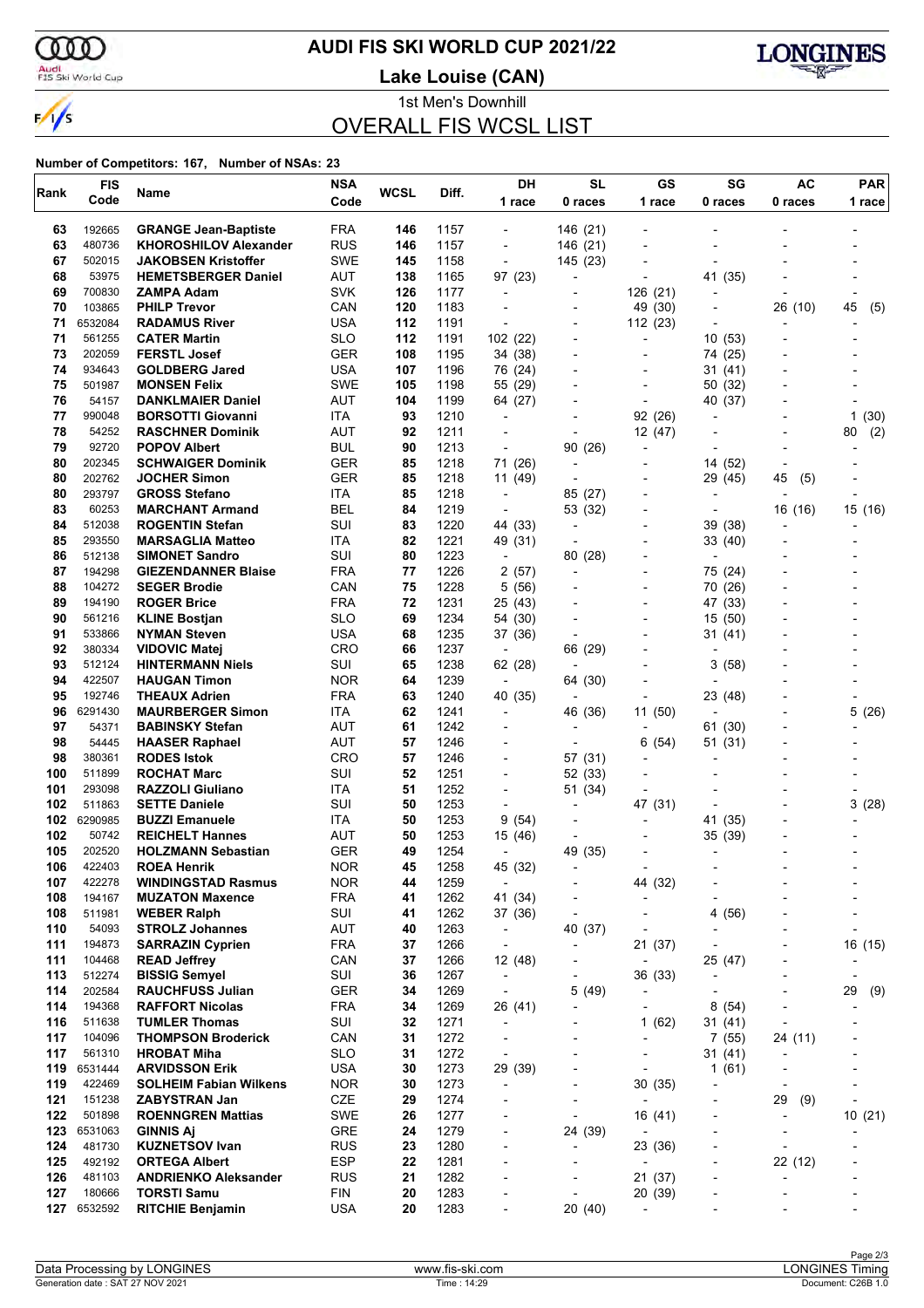

### **AUDI FIS SKI WORLD CUP 2021/22**

Audi<br>FIS Ski World Cup

**Lake Louise (CAN)**



1st Men's Downhill OVERALL FIS WCSL LIST

| Rank       | <b>FIS</b>        | Name                                             | <b>NSA</b>               | <b>WCSL</b> | Diff.        | DH                                  | <b>SL</b>                 | GS                                | SG                                  | <b>AC</b>                | <b>PAR</b>               |
|------------|-------------------|--------------------------------------------------|--------------------------|-------------|--------------|-------------------------------------|---------------------------|-----------------------------------|-------------------------------------|--------------------------|--------------------------|
|            | Code              |                                                  | Code                     |             |              | 1 race                              | 0 races                   | 1 race                            | 0 races                             | 0 races                  | 1 race                   |
| 63         | 192665            | <b>GRANGE Jean-Baptiste</b>                      | <b>FRA</b>               | 146         | 1157         | $\blacksquare$                      | 146 (21)                  |                                   |                                     |                          |                          |
| 63         | 480736            | <b>KHOROSHILOV Alexander</b>                     | <b>RUS</b>               | 146         | 1157         | $\overline{\phantom{a}}$            | 146 (21)                  |                                   |                                     |                          |                          |
| 67         | 502015            | <b>JAKOBSEN Kristoffer</b>                       | <b>SWE</b>               | 145         | 1158         | $\overline{a}$                      | 145 (23)                  |                                   |                                     |                          |                          |
| 68         | 53975             | <b>HEMETSBERGER Daniel</b>                       | AUT                      | 138         | 1165         | 97 (23)                             |                           |                                   | 41 (35)                             |                          |                          |
| 69         | 700830            | ZAMPA Adam                                       | <b>SVK</b>               | 126         | 1177         | $\overline{\phantom{a}}$            |                           | 126 (21)                          |                                     |                          |                          |
| 70         | 103865            | <b>PHILP Trevor</b>                              | CAN                      | 120         | 1183         | $\blacksquare$                      | $\overline{a}$            | 49 (30)                           | $\overline{a}$                      | 26 (10)                  | 45<br>(5)                |
| 71<br>71   | 6532084<br>561255 | <b>RADAMUS River</b>                             | <b>USA</b><br><b>SLO</b> | 112<br>112  | 1191         | $\overline{\phantom{a}}$            |                           | 112 (23)                          |                                     |                          |                          |
| 73         | 202059            | <b>CATER Martin</b><br><b>FERSTL Josef</b>       | <b>GER</b>               | 108         | 1191<br>1195 | 102 (22)<br>34 (38)                 | $\overline{a}$            | ٠<br>$\overline{\phantom{0}}$     | 10(53)<br>74 (25)                   |                          |                          |
| 74         | 934643            | <b>GOLDBERG Jared</b>                            | <b>USA</b>               | 107         | 1196         | 76 (24)                             |                           |                                   | 31 (41)                             |                          |                          |
| 75         | 501987            | <b>MONSEN Felix</b>                              | <b>SWE</b>               | 105         | 1198         | 55 (29)                             |                           | $\overline{\phantom{0}}$          | 50 (32)                             |                          |                          |
| 76         | 54157             | <b>DANKLMAIER Daniel</b>                         | AUT                      | 104         | 1199         | 64 (27)                             |                           | $\overline{\phantom{a}}$          | 40 (37)                             |                          |                          |
| 77         | 990048            | <b>BORSOTTI Giovanni</b>                         | ITA                      | 93          | 1210         | $\blacksquare$                      |                           | 92 (26)                           |                                     |                          | 1(30)                    |
| 78         | 54252             | <b>RASCHNER Dominik</b>                          | <b>AUT</b>               | 92          | 1211         |                                     |                           | 12 (47)                           |                                     |                          | (2)<br>80                |
| 79         | 92720             | <b>POPOV Albert</b>                              | <b>BUL</b>               | 90          | 1213         | $\overline{a}$                      | 90 (26)                   | $\overline{\phantom{a}}$          |                                     |                          |                          |
| 80         | 202345            | <b>SCHWAIGER Dominik</b>                         | <b>GER</b>               | 85          | 1218         | 71 (26)                             |                           |                                   | 14 (52)                             |                          |                          |
| 80         | 202762            | <b>JOCHER Simon</b>                              | <b>GER</b>               | 85          | 1218         | 11 (49)                             |                           |                                   | 29 (45)                             | 45<br>(5)                |                          |
| 80         | 293797            | <b>GROSS Stefano</b>                             | ITA                      | 85          | 1218         | $\overline{\phantom{a}}$            | 85 (27)                   | $\overline{\phantom{0}}$          | $\overline{\phantom{a}}$            |                          |                          |
| 83<br>84   | 60253<br>512038   | <b>MARCHANT Armand</b><br><b>ROGENTIN Stefan</b> | <b>BEL</b><br>SUI        | 84<br>83    | 1219<br>1220 | $\overline{a}$<br>44 (33)           | 53 (32)<br>$\blacksquare$ | $\overline{\phantom{0}}$          | $\overline{\phantom{a}}$<br>39 (38) | 16 (16)                  | 15 (16)                  |
| 85         | 293550            | <b>MARSAGLIA Matteo</b>                          | ITA                      | 82          | 1221         | 49 (31)                             | ÷                         | $\overline{\phantom{a}}$          | 33 (40)                             |                          |                          |
| 86         | 512138            | <b>SIMONET Sandro</b>                            | SUI                      | 80          | 1223         | $\overline{a}$                      | 80 (28)                   |                                   |                                     |                          |                          |
| 87         | 194298            | <b>GIEZENDANNER Blaise</b>                       | <b>FRA</b>               | 77          | 1226         | 2(57)                               | $\overline{\phantom{a}}$  | $\overline{\phantom{0}}$          | 75 (24)                             |                          |                          |
| 88         | 104272            | <b>SEGER Brodie</b>                              | CAN                      | 75          | 1228         | 5 (56)                              |                           | $\overline{\phantom{0}}$          | 70 (26)                             |                          |                          |
| 89         | 194190            | <b>ROGER Brice</b>                               | <b>FRA</b>               | 72          | 1231         | 25 (43)                             |                           |                                   | 47 (33)                             |                          |                          |
| 90         | 561216            | <b>KLINE Bostjan</b>                             | <b>SLO</b>               | 69          | 1234         | 54 (30)                             |                           | $\overline{\phantom{0}}$          | 15 (50)                             |                          |                          |
| 91         | 533866            | <b>NYMAN Steven</b>                              | <b>USA</b>               | 68          | 1235         | 37 (36)                             | ÷                         | $\overline{\phantom{a}}$          | 31 (41)                             |                          |                          |
| 92         | 380334            | <b>VIDOVIC Matej</b>                             | <b>CRO</b>               | 66          | 1237         | $\overline{a}$                      | 66 (29)                   |                                   |                                     |                          |                          |
| 93         | 512124            | <b>HINTERMANN Niels</b>                          | SUI                      | 65          | 1238         | 62 (28)                             | $\blacksquare$            |                                   | 3<br>(58)                           |                          |                          |
| 94<br>95   | 422507<br>192746  | <b>HAUGAN Timon</b><br><b>THEAUX Adrien</b>      | <b>NOR</b><br><b>FRA</b> | 64<br>63    | 1239<br>1240 | $\overline{\phantom{a}}$            | 64 (30)                   |                                   |                                     |                          |                          |
| 96         | 6291430           | <b>MAURBERGER Simon</b>                          | <b>ITA</b>               | 62          | 1241         | 40 (35)<br>$\overline{\phantom{a}}$ | 46 (36)                   | 11 (50)                           | 23 (48)                             |                          | 5(26)                    |
| 97         | 54371             | <b>BABINSKY Stefan</b>                           | AUT                      | 61          | 1242         | $\overline{a}$                      |                           |                                   | 61 (30)                             |                          |                          |
| 98         | 54445             | <b>HAASER Raphael</b>                            | <b>AUT</b>               | 57          | 1246         |                                     |                           | (54)<br>6                         | 51 (31)                             |                          |                          |
| 98         | 380361            | <b>RODES Istok</b>                               | <b>CRO</b>               | 57          | 1246         | $\overline{\phantom{a}}$            | 57 (31)                   |                                   |                                     |                          |                          |
| 100        | 511899            | <b>ROCHAT Marc</b>                               | SUI                      | 52          | 1251         | $\overline{\phantom{a}}$            | 52 (33)                   |                                   |                                     |                          |                          |
| 101        | 293098            | <b>RAZZOLI Giuliano</b>                          | ITA                      | 51          | 1252         | $\overline{\phantom{a}}$            | 51 (34)                   |                                   |                                     |                          |                          |
| 102        | 511863            | <b>SETTE Daniele</b>                             | SUI                      | 50          | 1253         | $\blacksquare$                      | $\blacksquare$            | 47 (31)                           |                                     |                          | 3(28)                    |
| 102        | 6290985           | <b>BUZZI Emanuele</b>                            | ITA.                     | 50          | 1253         | 9<br>(54)                           | $\overline{\phantom{a}}$  |                                   | 41 (35)                             |                          |                          |
| 102        | 50742             | <b>REICHELT Hannes</b>                           | <b>AUT</b>               | 50          | 1253         | 15 (46)                             |                           |                                   | 35 (39)                             |                          |                          |
| 105<br>106 | 202520<br>422403  | <b>HOLZMANN Sebastian</b><br><b>ROEA Henrik</b>  | <b>GER</b><br><b>NOR</b> | 49<br>45    | 1254<br>1258 | $\overline{a}$                      | 49 (35)                   |                                   | $\overline{\phantom{a}}$            |                          |                          |
| 107        | 422278            | <b>WINDINGSTAD Rasmus</b>                        | <b>NOR</b>               | 44          | 1259         | 45 (32)<br>$\overline{\phantom{a}}$ |                           | 44 (32)                           |                                     |                          |                          |
| 108        | 194167            | <b>MUZATON Maxence</b>                           | <b>FRA</b>               | 41          | 1262         | 41 (34)                             | $\overline{a}$            | $\overline{\phantom{0}}$          |                                     |                          | $\overline{a}$           |
| 108        | 511981            | <b>WEBER Ralph</b>                               | SUI                      | 41          | 1262         | 37 (36)                             | $\overline{a}$            | $\overline{\phantom{0}}$          | 4 (56)                              |                          |                          |
| 110        | 54093             | <b>STROLZ Johannes</b>                           | <b>AUT</b>               | 40          | 1263         | $\overline{\phantom{a}}$            | 40 (37)                   |                                   |                                     |                          |                          |
| 111        | 194873            | <b>SARRAZIN Cyprien</b>                          | <b>FRA</b>               | 37          | 1266         | $\overline{\phantom{a}}$            | $\overline{\phantom{a}}$  | 21 (37)                           |                                     |                          | 16 (15)                  |
| 111        | 104468            | <b>READ Jeffrey</b>                              | CAN                      | 37          | 1266         | 12 (48)                             | $\overline{a}$            | $\overline{\phantom{a}}$          | 25 (47)                             |                          |                          |
| 113        | 512274            | <b>BISSIG Semyel</b>                             | SUI                      | 36          | 1267         | $\overline{\phantom{a}}$            |                           | 36 (33)                           | L,                                  |                          |                          |
| 114        | 202584            | <b>RAUCHFUSS Julian</b>                          | <b>GER</b>               | 34          | 1269         | $\overline{\phantom{a}}$            | 5(49)                     |                                   |                                     |                          | 29<br>(9)                |
| 114<br>116 | 194368<br>511638  | <b>RAFFORT Nicolas</b><br><b>TUMLER Thomas</b>   | <b>FRA</b><br>SUI        | 34<br>32    | 1269<br>1271 | 26 (41)                             | ٠                         | $\overline{a}$                    | 8(54)                               |                          | -                        |
| 117        | 104096            | <b>THOMPSON Broderick</b>                        | CAN                      | 31          | 1272         | $\overline{a}$<br>$\overline{a}$    | $\overline{a}$            | 1(62)<br>$\overline{\phantom{a}}$ | 31 (41)                             |                          |                          |
| 117        | 561310            | <b>HROBAT Miha</b>                               | <b>SLO</b>               | 31          | 1272         | $\overline{\phantom{a}}$            | ٠                         | $\qquad \qquad \blacksquare$      | 7(55)<br>31 (41)                    | 24 (11)                  |                          |
| 119        | 6531444           | <b>ARVIDSSON Erik</b>                            | <b>USA</b>               | 30          | 1273         | 29 (39)                             |                           |                                   | 1(61)                               |                          |                          |
| 119        | 422469            | <b>SOLHEIM Fabian Wilkens</b>                    | <b>NOR</b>               | 30          | 1273         | $\overline{\phantom{a}}$            | $\overline{a}$            | 30(35)                            | $\overline{a}$                      | $\overline{\phantom{a}}$ |                          |
| 121        | 151238            | <b>ZABYSTRAN Jan</b>                             | CZE                      | 29          | 1274         | -                                   | ٠                         | $\overline{\phantom{a}}$          | ٠                                   | 29<br>(9)                |                          |
| 122        | 501898            | <b>ROENNGREN Mattias</b>                         | SWE                      | 26          | 1277         |                                     |                           | 16 (41)                           |                                     |                          | 10(21)                   |
| 123        | 6531063           | <b>GINNIS Aj</b>                                 | GRE                      | 24          | 1279         | $\overline{\phantom{a}}$            | 24 (39)                   |                                   | $\overline{a}$                      | $\overline{\phantom{a}}$ |                          |
| 124        | 481730            | <b>KUZNETSOV Ivan</b>                            | <b>RUS</b>               | 23          | 1280         | $\overline{\phantom{a}}$            | $\overline{a}$            | 23 (36)                           | ٠                                   | $\overline{\phantom{a}}$ |                          |
| 125        | 492192            | <b>ORTEGA Albert</b>                             | <b>ESP</b>               | 22          | 1281         |                                     |                           | ٠                                 |                                     | 22 (12)                  |                          |
| 126        | 481103            | <b>ANDRIENKO Aleksander</b>                      | <b>RUS</b>               | 21          | 1282         | -                                   |                           | 21(37)                            | $\overline{a}$                      |                          | $\overline{\phantom{a}}$ |
| 127<br>127 | 180666<br>6532592 | <b>TORSTI Samu</b><br><b>RITCHIE Benjamin</b>    | <b>FIN</b><br><b>USA</b> | 20<br>20    | 1283<br>1283 | $\overline{a}$                      | $\overline{a}$<br>20 (40) | 20 (39)                           |                                     |                          |                          |
|            |                   |                                                  |                          |             |              |                                     |                           |                                   |                                     |                          |                          |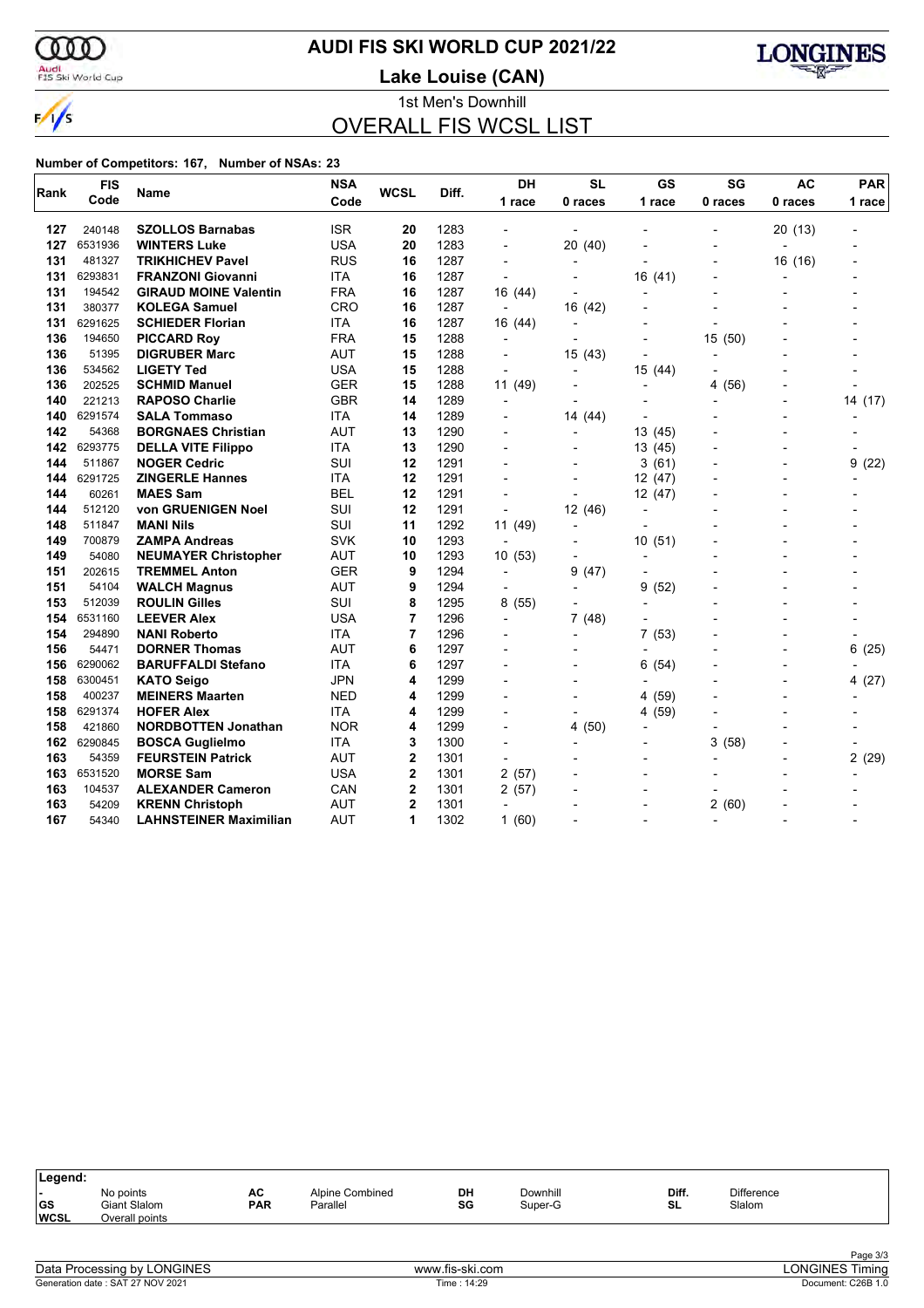ണ

### **AUDI FIS SKI WORLD CUP 2021/22**

Audi<br>FIS Ski World Cup

 $\frac{1}{\sqrt{2}}$ 

**Lake Louise (CAN)**



1st Men's Downhill OVERALL FIS WCSL LIST

| Rank | <b>FIS</b> | Name                          | <b>NSA</b> | <b>WCSL</b>    | Diff. | <b>DH</b>                | <b>SL</b>      | GS             | SG                       | <b>AC</b>      | <b>PAR</b> |
|------|------------|-------------------------------|------------|----------------|-------|--------------------------|----------------|----------------|--------------------------|----------------|------------|
|      | Code       |                               | Code       |                |       | 1 race                   | 0 races        | 1 race         | 0 races                  | 0 races        | 1 race     |
| 127  | 240148     | <b>SZOLLOS Barnabas</b>       | <b>ISR</b> | 20             | 1283  |                          |                |                |                          | 20 (13)        |            |
| 127  | 6531936    | <b>WINTERS Luke</b>           | <b>USA</b> | 20             | 1283  |                          | 20 (40)        |                |                          |                |            |
| 131  | 481327     | <b>TRIKHICHEV Pavel</b>       | <b>RUS</b> | 16             | 1287  | $\overline{\phantom{a}}$ |                |                |                          | 16 (16)        |            |
| 131  | 6293831    | <b>FRANZONI Giovanni</b>      | <b>ITA</b> | 16             | 1287  |                          |                | 16 (41)        |                          | ÷              |            |
| 131  | 194542     | <b>GIRAUD MOINE Valentin</b>  | <b>FRA</b> | 16             | 1287  | 16 (44)                  |                |                |                          |                |            |
| 131  | 380377     | <b>KOLEGA Samuel</b>          | CRO        | 16             | 1287  | $\overline{\phantom{a}}$ | 16 (42)        |                |                          |                |            |
| 131  | 6291625    | <b>SCHIEDER Florian</b>       | <b>ITA</b> | 16             | 1287  | 16 (44)                  |                |                |                          |                |            |
| 136  | 194650     | <b>PICCARD Roy</b>            | <b>FRA</b> | 15             | 1288  | $\overline{a}$           |                |                | 15 (50)                  |                |            |
| 136  | 51395      | <b>DIGRUBER Marc</b>          | <b>AUT</b> | 15             | 1288  | $\overline{\phantom{a}}$ | 15 (43)        | $\overline{a}$ | $\overline{\phantom{a}}$ |                |            |
| 136  | 534562     | <b>LIGETY Ted</b>             | USA        | 15             | 1288  | $\overline{\phantom{a}}$ |                | 15 (44)        |                          |                |            |
| 136  | 202525     | <b>SCHMID Manuel</b>          | <b>GER</b> | 15             | 1288  | 11 (49)                  |                |                | (56)<br>4                |                |            |
| 140  | 221213     | <b>RAPOSO Charlie</b>         | <b>GBR</b> | 14             | 1289  | $\overline{\phantom{a}}$ |                |                |                          | $\overline{a}$ | 14 (17)    |
| 140  | 6291574    | <b>SALA Tommaso</b>           | <b>ITA</b> | 14             | 1289  |                          | 14 (44)        |                |                          |                |            |
| 142  | 54368      | <b>BORGNAES Christian</b>     | <b>AUT</b> | 13             | 1290  | $\overline{a}$           |                | 13 (45)        |                          |                |            |
| 142  | 6293775    | <b>DELLA VITE Filippo</b>     | <b>ITA</b> | 13             | 1290  |                          |                | 13 (45)        |                          |                |            |
| 144  | 511867     | <b>NOGER Cedric</b>           | SUI        | 12             | 1291  |                          |                | 3(61)          |                          | $\overline{a}$ | 9(22)      |
| 144  | 6291725    | <b>ZINGERLE Hannes</b>        | <b>ITA</b> | 12             | 1291  |                          |                | 12 (47)        |                          | $\blacksquare$ |            |
| 144  | 60261      | <b>MAES Sam</b>               | <b>BEL</b> | 12             | 1291  |                          |                | 12 (47)        |                          |                |            |
| 144  | 512120     | von GRUENIGEN Noel            | SUI        | 12             | 1291  | $\overline{\phantom{a}}$ | 12 (46)        | $\blacksquare$ |                          | $\blacksquare$ |            |
| 148  | 511847     | <b>MANI Nils</b>              | SUI        | 11             | 1292  | 11 (49)                  |                |                |                          |                |            |
| 149  | 700879     | <b>ZAMPA Andreas</b>          | <b>SVK</b> | 10             | 1293  | $\overline{a}$           |                | 10(51)         |                          |                |            |
| 149  | 54080      | <b>NEUMAYER Christopher</b>   | <b>AUT</b> | 10             | 1293  | 10(53)                   |                |                |                          |                |            |
| 151  | 202615     | <b>TREMMEL Anton</b>          | GER        | 9              | 1294  | $\overline{\phantom{a}}$ | 9<br>(47)      |                |                          |                |            |
| 151  | 54104      | <b>WALCH Magnus</b>           | <b>AUT</b> | 9              | 1294  |                          | $\blacksquare$ | 9<br>(52)      |                          |                |            |
| 153  | 512039     | <b>ROULIN Gilles</b>          | <b>SUI</b> | 8              | 1295  | 8(55)                    |                |                |                          |                |            |
| 154  | 6531160    | <b>LEEVER Alex</b>            | <b>USA</b> | 7              | 1296  | $\overline{\phantom{0}}$ | 7(48)          |                |                          |                |            |
| 154  | 294890     | <b>NANI Roberto</b>           | <b>ITA</b> | 7              | 1296  |                          |                | (53)<br>7      |                          |                |            |
| 156  | 54471      | <b>DORNER Thomas</b>          | <b>AUT</b> | 6              | 1297  |                          |                | $\overline{a}$ |                          | $\blacksquare$ | 6<br>(25)  |
| 156  | 6290062    | <b>BARUFFALDI Stefano</b>     | <b>ITA</b> | 6              | 1297  |                          |                | (54)<br>6      |                          |                |            |
| 158  | 6300451    | <b>KATO Seigo</b>             | <b>JPN</b> | 4              | 1299  |                          |                |                |                          | $\overline{a}$ | 4(27)      |
| 158  | 400237     | <b>MEINERS Maarten</b>        | NED        | 4              | 1299  |                          |                | (59)<br>4      |                          |                |            |
| 158  | 6291374    | <b>HOFER Alex</b>             | <b>ITA</b> | 4              | 1299  |                          |                | 4 (59)         |                          |                |            |
| 158  | 421860     | <b>NORDBOTTEN Jonathan</b>    | <b>NOR</b> | 4              | 1299  |                          | 4(50)          | $\overline{a}$ |                          |                |            |
| 162  | 6290845    | <b>BOSCA Guglielmo</b>        | <b>ITA</b> | 3              | 1300  |                          |                |                | 3<br>(58)                |                |            |
| 163  | 54359      | <b>FEURSTEIN Patrick</b>      | <b>AUT</b> | $\mathbf 2$    | 1301  |                          |                |                |                          |                | 2(29)      |
| 163  | 6531520    | <b>MORSE Sam</b>              | <b>USA</b> | $\mathbf 2$    | 1301  | 2(57)                    |                |                |                          |                |            |
| 163  | 104537     | <b>ALEXANDER Cameron</b>      | CAN        | 2              | 1301  | 2(57)                    |                |                |                          |                |            |
| 163  | 54209      | <b>KRENN Christoph</b>        | <b>AUT</b> | $\overline{2}$ | 1301  | $\overline{a}$           |                |                | 2(60)                    |                |            |
| 167  | 54340      | <b>LAHNSTEINER Maximilian</b> | <b>AUT</b> | 1              | 1302  | 1(60)                    |                |                |                          |                |            |

| Legend:                  |                                |            |                 |    |          |       |                   |  |
|--------------------------|--------------------------------|------------|-----------------|----|----------|-------|-------------------|--|
|                          | No points                      | AC         | Alpine Combined | DH | Downhill | Diff. | <b>Difference</b> |  |
| <b>GS</b><br><b>WCSL</b> | Giant Slalom<br>Overall points | <b>PAR</b> | Parallel        | SG | Super-G  | SL    | Slalom            |  |
|                          |                                |            |                 |    |          |       |                   |  |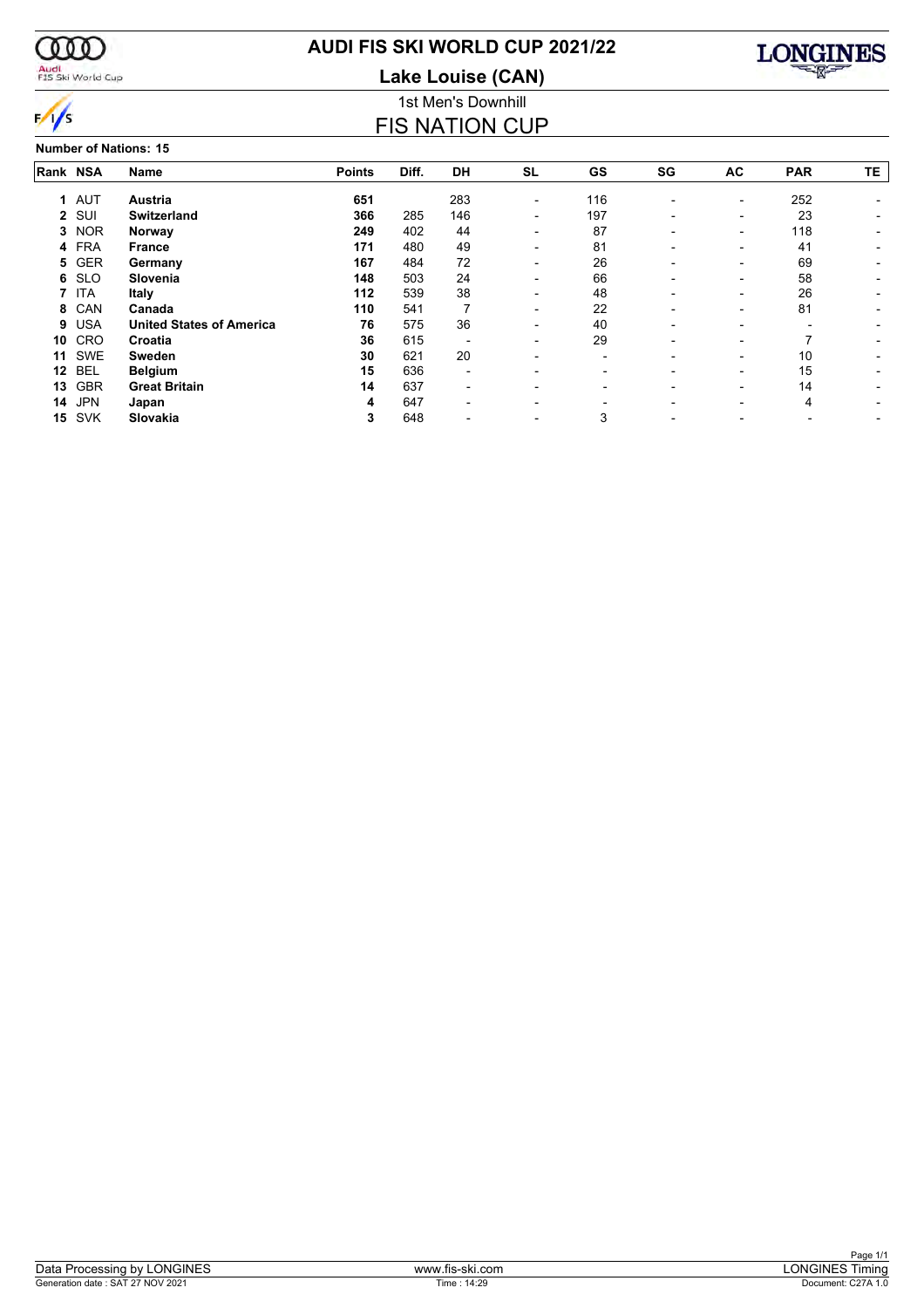

### **AUDI FIS SKI WORLD CUP 2021/22**

**Lake Louise (CAN)**



 $\frac{1}{s}$ 

#### 1st Men's Downhill FIS NATION CUP

**Number of Nations: 15**

|          | Number of Nations: 15 |                                 |               |       |                          |                          |                          |                          |                          |            |     |  |  |  |
|----------|-----------------------|---------------------------------|---------------|-------|--------------------------|--------------------------|--------------------------|--------------------------|--------------------------|------------|-----|--|--|--|
| Rank NSA |                       | <b>Name</b>                     | <b>Points</b> | Diff. | <b>DH</b>                | <b>SL</b>                | <b>GS</b>                | SG                       | AC                       | <b>PAR</b> | TE. |  |  |  |
|          | 1 AUT                 | Austria                         | 651           |       | 283                      | $\overline{\phantom{a}}$ | 116                      |                          | $\overline{\phantom{a}}$ | 252        |     |  |  |  |
|          | 2 SUI                 | <b>Switzerland</b>              | 366           | 285   | 146                      | -                        | 197                      | -                        | $\overline{\phantom{0}}$ | 23         |     |  |  |  |
| 3        | <b>NOR</b>            | Norway                          | 249           | 402   | 44                       | $\overline{\phantom{0}}$ | 87                       |                          | $\overline{\phantom{0}}$ | 118        |     |  |  |  |
| 4        | <b>FRA</b>            | <b>France</b>                   | 171           | 480   | 49                       | $\overline{\phantom{0}}$ | 81                       | $\overline{\phantom{0}}$ | $\overline{\phantom{0}}$ | 41         |     |  |  |  |
| 5.       | <b>GER</b>            | Germany                         | 167           | 484   | 72                       | $\overline{\phantom{0}}$ | 26                       |                          | $\overline{\phantom{0}}$ | 69         |     |  |  |  |
| 6        | <b>SLO</b>            | Slovenia                        | 148           | 503   | 24                       | $\overline{\phantom{0}}$ | 66                       |                          | $\overline{\phantom{0}}$ | 58         |     |  |  |  |
|          | <b>ITA</b>            | Italy                           | 112           | 539   | 38                       |                          | 48                       |                          | $\overline{\phantom{0}}$ | 26         |     |  |  |  |
| 8        | CAN                   | Canada                          | 110           | 541   |                          |                          | 22                       |                          |                          | 81         |     |  |  |  |
| 9        | <b>USA</b>            | <b>United States of America</b> | 76            | 575   | 36                       |                          | 40                       |                          |                          |            |     |  |  |  |
| 10       | CRO                   | Croatia                         | 36            | 615   | $\overline{\phantom{0}}$ | -                        | 29                       |                          | $\overline{\phantom{0}}$ |            |     |  |  |  |
| 11       | SWE                   | <b>Sweden</b>                   | 30            | 621   | 20                       | $\overline{\phantom{0}}$ | $\overline{\phantom{0}}$ |                          | $\overline{\phantom{0}}$ | 10         |     |  |  |  |
| 12       | BEL                   | <b>Belgium</b>                  | 15            | 636   | $\overline{\phantom{a}}$ |                          | $\overline{\phantom{0}}$ |                          | $\overline{\phantom{0}}$ | 15         |     |  |  |  |
| 13       | <b>GBR</b>            | <b>Great Britain</b>            | 14            | 637   | $\overline{\phantom{0}}$ | -                        | -                        |                          | -                        | 14         |     |  |  |  |
| 14       | <b>JPN</b>            | Japan                           | 4             | 647   | -                        |                          |                          |                          | $\overline{\phantom{0}}$ | 4          |     |  |  |  |
| 15       | <b>SVK</b>            | Slovakia                        | 3             | 648   |                          |                          | 3                        |                          |                          |            |     |  |  |  |
|          |                       |                                 |               |       |                          |                          |                          |                          |                          |            |     |  |  |  |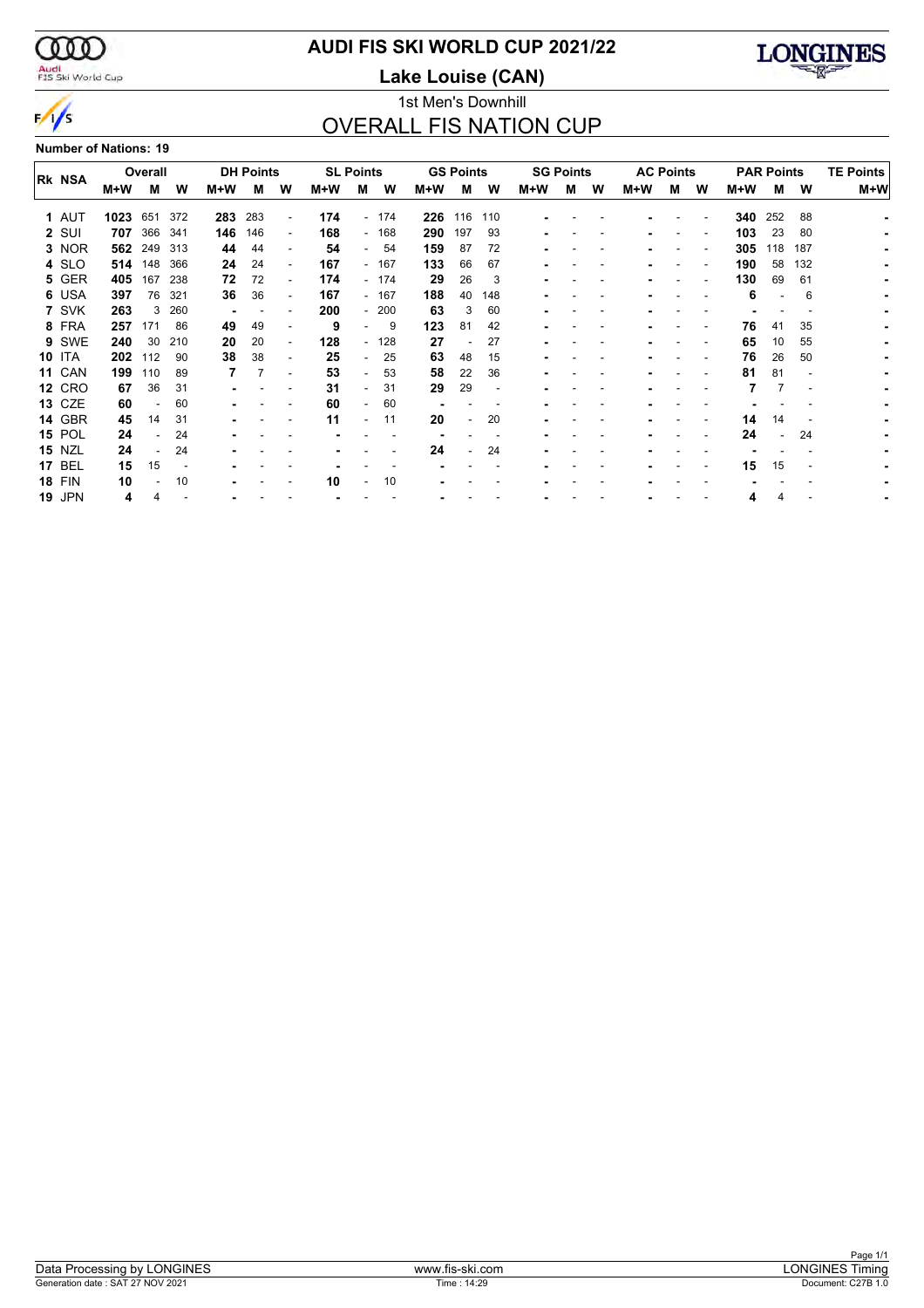$\infty$ 

 $\frac{1}{s}$ 

#### Audi<br>FIS Ski World Cup

### **AUDI FIS SKI WORLD CUP 2021/22**

**Lake Louise (CAN)**



#### 1st Men's Downhill OVERALL FIS NATION CUP

**Number of Nations: 19**

|  |               |         |     |     | <b>DH Points</b> |     |                          |     |                          |        | <b>GS Points</b> |     |                          | <b>SG Points</b> |   |   |     | <b>AC Points</b> |   |                   |     | <b>TE Points</b> |     |  |  |
|--|---------------|---------|-----|-----|------------------|-----|--------------------------|-----|--------------------------|--------|------------------|-----|--------------------------|------------------|---|---|-----|------------------|---|-------------------|-----|------------------|-----|--|--|
|  | <b>RK NSA</b> | Overall |     |     |                  |     |                          |     | <b>SL Points</b>         |        |                  |     |                          |                  |   |   |     |                  |   | <b>PAR Points</b> |     |                  |     |  |  |
|  |               | M+W     | М   | w   | M+W              | м   | W                        | M+W | м                        | w      | M+W              | м   | W                        | M+W              | м | w | M+W | м                | W | M+W               | М   | W                | M+W |  |  |
|  | 1 AUT         | 1023    | 651 | 372 | 283              | 283 | $\overline{\phantom{a}}$ | 174 |                          | - 174  | 226              | 116 | 110                      |                  |   |   |     |                  |   | 340               | 252 | 88               |     |  |  |
|  | 2 SUI         | 707     | 366 | 341 | 146              | 146 | $\overline{\phantom{a}}$ | 168 |                          | $-168$ | 290              | 197 | 93                       |                  |   |   |     |                  |   | 103               | 23  | 80               |     |  |  |
|  | 3 NOR         | 562     | 249 | 313 | 44               | 44  | $\overline{\phantom{a}}$ | 54  | $\sim$                   | 54     | 159              | 87  | 72                       |                  |   |   |     |                  |   | 305               | 118 | 187              |     |  |  |
|  | 4 SLO         | 514     | 148 | 366 | 24               | 24  | $\overline{\phantom{a}}$ | 167 |                          | - 167  | 133              | 66  | 67                       |                  |   |   |     |                  |   | 190               | 58  | 132              |     |  |  |
|  | 5 GER         | 405     | 167 | 238 | 72               | 72  | $\overline{\phantom{a}}$ | 174 |                          | - 174  | 29               | 26  | 3                        |                  |   |   |     |                  |   | 130               | 69  | 61               |     |  |  |
|  | 6 USA         | 397     | 76  | 321 | 36               | 36  | $\overline{\phantom{a}}$ | 167 |                          | - 167  | 188              | 40  | 148                      |                  |   |   |     |                  |   | 6                 |     | 6                |     |  |  |
|  | 7 SVK         | 263     | 3   | 260 | ٠                |     |                          | 200 |                          | $-200$ | 63               | 3   | 60                       |                  |   |   |     |                  |   |                   |     |                  |     |  |  |
|  | 8 FRA         | 257     | 171 | 86  | 49               | 49  | $\overline{\phantom{a}}$ | 9   | $\overline{\phantom{0}}$ | 9      | 123              | 81  | 42                       |                  |   |   |     |                  |   | 76                | 41  | 35               |     |  |  |
|  | 9 SWE         | 240     | 30  | 210 | 20               | 20  | $\overline{\phantom{a}}$ | 128 |                          | $-128$ | 27               |     | 27                       |                  |   |   |     |                  |   | 65                | 10  | 55               |     |  |  |
|  | <b>10 ITA</b> | 202     | 112 | 90  | 38               | 38  | $\overline{\phantom{a}}$ | 25  | $\sim$                   | 25     | 63               | 48  | 15                       |                  |   |   |     |                  |   | 76                | 26  | 50               |     |  |  |
|  | <b>11 CAN</b> | 199     | 110 | 89  |                  |     |                          | 53  | $\overline{\phantom{0}}$ | 53     | 58               | 22  | 36                       |                  |   |   |     |                  |   | 81                | 81  |                  |     |  |  |
|  | <b>12 CRO</b> | 67      | 36  | 31  |                  |     |                          | 31  | $\overline{\phantom{0}}$ | 31     | 29               | 29  | $\overline{\phantom{a}}$ |                  |   |   |     |                  |   |                   |     |                  |     |  |  |
|  | <b>13 CZE</b> | 60      |     | 60  |                  |     |                          | 60  | $\overline{\phantom{0}}$ | 60     |                  |     |                          |                  |   |   |     |                  |   |                   |     |                  |     |  |  |
|  | <b>14 GBR</b> | 45      | 14  | 31  |                  |     |                          | 11  | ۰                        | 11     | 20               |     | 20                       |                  |   |   |     |                  |   | 14                | 14  |                  |     |  |  |
|  | <b>15 POL</b> | 24      |     | 24  |                  |     |                          |     |                          |        |                  |     |                          |                  |   |   |     |                  |   | 24                |     | 24               |     |  |  |
|  | <b>15 NZL</b> | 24      |     | 24  |                  |     |                          |     |                          |        | 24               |     | 24                       |                  |   |   |     |                  |   |                   |     |                  |     |  |  |
|  | <b>17 BEL</b> | 15      | 15  |     |                  |     |                          |     |                          |        |                  |     |                          |                  |   |   |     |                  |   | 15                | 15  |                  |     |  |  |
|  | <b>18 FIN</b> | 10      |     | 10  |                  |     |                          | 10  |                          | 10     |                  |     |                          |                  |   |   |     |                  |   |                   |     |                  |     |  |  |
|  | <b>19 JPN</b> | 4       |     |     |                  |     |                          |     |                          |        |                  |     |                          |                  |   |   |     |                  |   | 4                 | 4   |                  |     |  |  |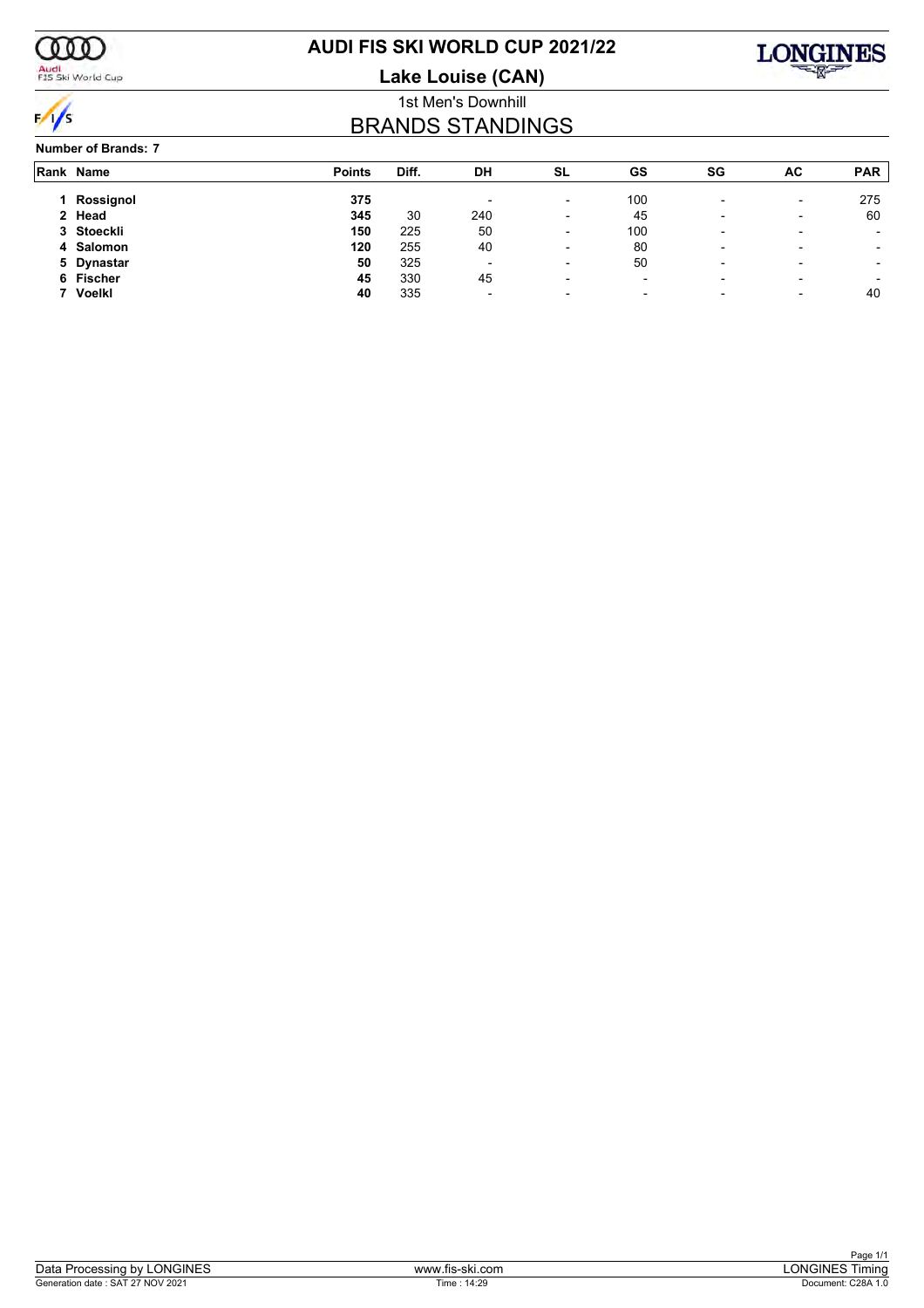

#### Audi<br>FIS Ski World Cup

### **AUDI FIS SKI WORLD CUP 2021/22**

**Lake Louise (CAN)**



#### 1st Men's Downhill BRANDS STANDINGS

#### **Number of Brands: 7**

| Rank Name     | <b>Points</b> | Diff. | DH                       | <b>SL</b>                | GS                       | SG                       | AC                       | <b>PAR</b>               |
|---------------|---------------|-------|--------------------------|--------------------------|--------------------------|--------------------------|--------------------------|--------------------------|
| Rossignol     | 375           |       |                          | $\overline{\phantom{a}}$ | 100                      |                          | $\overline{\phantom{0}}$ | 275                      |
| 2 Head        | 345           | 30    | 240                      | $\overline{\phantom{a}}$ | 45                       | $\overline{\phantom{a}}$ | $\overline{\phantom{0}}$ | 60                       |
| 3 Stoeckli    | 150           | 225   | 50                       | $\overline{\phantom{a}}$ | 100                      | $\overline{\phantom{a}}$ | -                        | $\overline{\phantom{0}}$ |
| 4 Salomon     | 120           | 255   | 40                       | $\overline{\phantom{a}}$ | 80                       | $\overline{\phantom{a}}$ | -                        | $\overline{\phantom{a}}$ |
| 5 Dynastar    | 50            | 325   | $\overline{\phantom{0}}$ | -                        | 50                       | $\overline{\phantom{0}}$ | -                        |                          |
| 6 Fischer     | 45            | 330   | 45                       | $\overline{\phantom{0}}$ | $\overline{\phantom{a}}$ | $\overline{\phantom{a}}$ | -                        |                          |
| <b>Voelkl</b> | 40            | 335   | $\overline{\phantom{0}}$ | $\overline{\phantom{0}}$ | $\overline{\phantom{0}}$ |                          | -                        | 40                       |
|               |               |       |                          |                          |                          |                          |                          |                          |